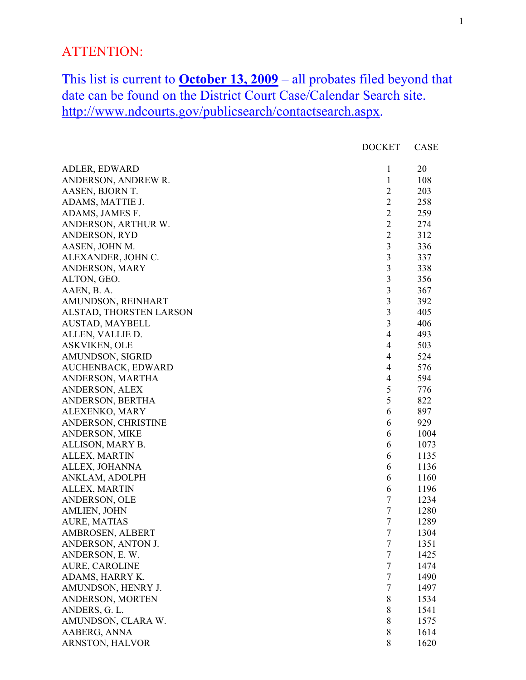## ATTENTION:

This list is current to  $October 13, 2009 – all probates filed beyond that$ </u> date can be found on the District Court Case/Calendar Search site. http://www.ndcourts.gov/publicsearch/contactsearch.aspx.

|                         | <b>DOCKET</b>           | <b>CASE</b> |
|-------------------------|-------------------------|-------------|
| ADLER, EDWARD           | 1                       | 20          |
| ANDERSON, ANDREW R.     | $\mathbf{1}$            | 108         |
| AASEN, BJORN T.         | $\overline{2}$          | 203         |
| ADAMS, MATTIE J.        | $\overline{2}$          | 258         |
| ADAMS, JAMES F.         | $\overline{2}$          | 259         |
| ANDERSON, ARTHUR W.     | $\overline{2}$          | 274         |
| <b>ANDERSON, RYD</b>    | $\overline{2}$          | 312         |
| AASEN, JOHN M.          | $\overline{\mathbf{3}}$ | 336         |
| ALEXANDER, JOHN C.      | $\overline{3}$          | 337         |
| ANDERSON, MARY          | $\overline{\mathbf{3}}$ | 338         |
| ALTON, GEO.             | $\mathfrak{Z}$          | 356         |
| AAEN, B. A.             | $\mathfrak{Z}$          | 367         |
| AMUNDSON, REINHART      | $\overline{\mathbf{3}}$ | 392         |
| ALSTAD, THORSTEN LARSON | $\mathfrak{Z}$          | 405         |
| AUSTAD, MAYBELL         | 3                       | 406         |
| ALLEN, VALLIE D.        | $\overline{4}$          | 493         |
| <b>ASKVIKEN, OLE</b>    | $\overline{4}$          | 503         |
| AMUNDSON, SIGRID        | $\overline{4}$          | 524         |
| AUCHENBACK, EDWARD      | $\overline{4}$          | 576         |
| ANDERSON, MARTHA        | $\overline{4}$          | 594         |
| ANDERSON, ALEX          | 5                       | 776         |
| ANDERSON, BERTHA        | 5                       | 822         |
| ALEXENKO, MARY          | 6                       | 897         |
| ANDERSON, CHRISTINE     | 6                       | 929         |
| ANDERSON, MIKE          | 6                       | 1004        |
| ALLISON, MARY B.        | 6                       | 1073        |
| ALLEX, MARTIN           | 6                       | 1135        |
| ALLEX, JOHANNA          | 6                       | 1136        |
| ANKLAM, ADOLPH          | 6                       | 1160        |
| ALLEX, MARTIN           | 6                       | 1196        |
| ANDERSON, OLE           | $\tau$                  | 1234        |
| <b>AMLIEN, JOHN</b>     | $\tau$                  | 1280        |
| <b>AURE, MATIAS</b>     | $\tau$                  | 1289        |
| AMBROSEN, ALBERT        | $\overline{7}$          | 1304        |
| ANDERSON, ANTON J.      | $\boldsymbol{7}$        | 1351        |
| ANDERSON, E. W.         | $\tau$                  | 1425        |
| <b>AURE, CAROLINE</b>   | $\tau$                  | 1474        |
| ADAMS, HARRY K.         | $\tau$                  | 1490        |
| AMUNDSON, HENRY J.      | $\tau$                  | 1497        |
| ANDERSON, MORTEN        | 8                       | 1534        |
| ANDERS, G. L.           | 8                       | 1541        |
| AMUNDSON, CLARA W.      | $8\,$                   | 1575        |
| AABERG, ANNA            | 8                       | 1614        |
| ARNSTON, HALVOR         | 8                       | 1620        |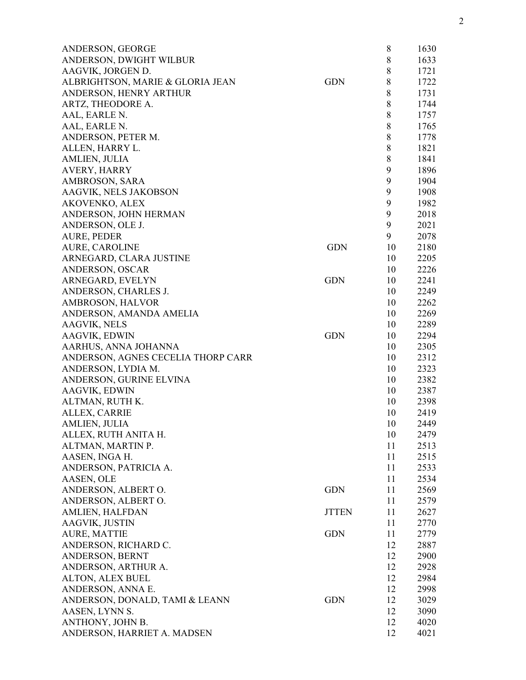| ANDERSON, GEORGE                   |              | 8       | 1630 |
|------------------------------------|--------------|---------|------|
| ANDERSON, DWIGHT WILBUR            |              | $\,8\,$ | 1633 |
| AAGVIK, JORGEN D.                  |              | $\,8\,$ | 1721 |
| ALBRIGHTSON, MARIE & GLORIA JEAN   | <b>GDN</b>   | 8       | 1722 |
| ANDERSON, HENRY ARTHUR             |              | 8       | 1731 |
| ARTZ, THEODORE A.                  |              | 8       | 1744 |
| AAL, EARLE N.                      |              | 8       | 1757 |
| AAL, EARLE N.                      |              | $8\,$   | 1765 |
| ANDERSON, PETER M.                 |              | 8       | 1778 |
| ALLEN, HARRY L.                    |              | $8\,$   | 1821 |
| AMLIEN, JULIA                      |              | 8       | 1841 |
| <b>AVERY, HARRY</b>                |              | 9       | 1896 |
| AMBROSON, SARA                     |              | 9       | 1904 |
| AAGVIK, NELS JAKOBSON              |              | 9       | 1908 |
| AKOVENKO, ALEX                     |              | 9       | 1982 |
| ANDERSON, JOHN HERMAN              |              | 9       | 2018 |
| ANDERSON, OLE J.                   |              | 9       | 2021 |
| <b>AURE, PEDER</b>                 |              | 9       | 2078 |
| <b>AURE, CAROLINE</b>              | <b>GDN</b>   | 10      | 2180 |
|                                    |              | 10      | 2205 |
| ARNEGARD, CLARA JUSTINE            |              |         |      |
| ANDERSON, OSCAR                    | <b>GDN</b>   | 10      | 2226 |
| ARNEGARD, EVELYN                   |              | 10      | 2241 |
| ANDERSON, CHARLES J.               |              | 10      | 2249 |
| AMBROSON, HALVOR                   |              | 10      | 2262 |
| ANDERSON, AMANDA AMELIA            |              | 10      | 2269 |
| <b>AAGVIK, NELS</b>                |              | 10      | 2289 |
| AAGVIK, EDWIN                      | <b>GDN</b>   | 10      | 2294 |
| AARHUS, ANNA JOHANNA               |              | 10      | 2305 |
| ANDERSON, AGNES CECELIA THORP CARR |              | 10      | 2312 |
| ANDERSON, LYDIA M.                 |              | 10      | 2323 |
| ANDERSON, GURINE ELVINA            |              | 10      | 2382 |
| AAGVIK, EDWIN                      |              | 10      | 2387 |
| ALTMAN, RUTH K.                    |              | 10      | 2398 |
| ALLEX, CARRIE                      |              | 10      | 2419 |
| AMLIEN, JULIA                      |              | 10      | 2449 |
| ALLEX, RUTH ANITA H.               |              | 10      | 2479 |
| ALTMAN, MARTIN P.                  |              | 11      | 2513 |
| AASEN, INGA H.                     |              | 11      | 2515 |
| ANDERSON, PATRICIA A.              |              | 11      | 2533 |
| AASEN, OLE                         |              | 11      | 2534 |
| ANDERSON, ALBERT O.                | <b>GDN</b>   | 11      | 2569 |
| ANDERSON, ALBERT O.                |              | 11      | 2579 |
| AMLIEN, HALFDAN                    | <b>JTTEN</b> | 11      | 2627 |
| AAGVIK, JUSTIN                     |              | 11      | 2770 |
| AURE, MATTIE                       | <b>GDN</b>   | 11      | 2779 |
| ANDERSON, RICHARD C.               |              | 12      | 2887 |
| ANDERSON, BERNT                    |              | 12      | 2900 |
| ANDERSON, ARTHUR A.                |              | 12      | 2928 |
| ALTON, ALEX BUEL                   |              | 12      | 2984 |
| ANDERSON, ANNA E.                  |              | 12      | 2998 |
| ANDERSON, DONALD, TAMI & LEANN     | <b>GDN</b>   | 12      | 3029 |
| AASEN, LYNN S.                     |              | 12      | 3090 |
| ANTHONY, JOHN B.                   |              | 12      | 4020 |
| ANDERSON, HARRIET A. MADSEN        |              | 12      | 4021 |
|                                    |              |         |      |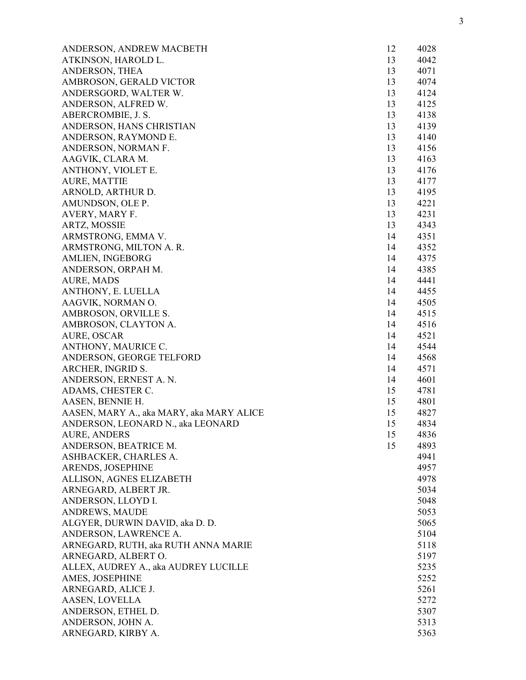| ANDERSON, ANDREW MACBETH                 | 12 | 4028         |
|------------------------------------------|----|--------------|
| ATKINSON, HAROLD L.                      | 13 | 4042         |
| ANDERSON, THEA                           | 13 | 4071         |
| AMBROSON, GERALD VICTOR                  | 13 | 4074         |
| ANDERSGORD, WALTER W.                    | 13 | 4124         |
| ANDERSON, ALFRED W.                      | 13 | 4125         |
| ABERCROMBIE, J. S.                       | 13 | 4138         |
| ANDERSON, HANS CHRISTIAN                 | 13 | 4139         |
| ANDERSON, RAYMOND E.                     | 13 | 4140         |
| ANDERSON, NORMAN F.                      | 13 | 4156         |
| AAGVIK, CLARA M.                         | 13 | 4163         |
| ANTHONY, VIOLET E.                       | 13 | 4176         |
| <b>AURE, MATTIE</b>                      | 13 | 4177         |
| ARNOLD, ARTHUR D.                        | 13 | 4195         |
| AMUNDSON, OLE P.                         | 13 | 4221         |
| AVERY, MARY F.                           | 13 | 4231         |
| ARTZ, MOSSIE                             | 13 | 4343         |
| ARMSTRONG, EMMA V.                       | 14 | 4351         |
| ARMSTRONG, MILTON A. R.                  | 14 | 4352         |
| <b>AMLIEN, INGEBORG</b>                  | 14 | 4375         |
| ANDERSON, ORPAH M.                       | 14 | 4385         |
| AURE, MADS                               | 14 | 4441         |
| ANTHONY, E. LUELLA                       | 14 | 4455         |
| AAGVIK, NORMAN O.                        | 14 | 4505         |
| AMBROSON, ORVILLE S.                     | 14 | 4515         |
| AMBROSON, CLAYTON A.                     | 14 | 4516         |
| AURE, OSCAR                              | 14 | 4521         |
| ANTHONY, MAURICE C.                      | 14 | 4544         |
| ANDERSON, GEORGE TELFORD                 | 14 | 4568         |
| ARCHER, INGRID S.                        | 14 | 4571         |
| ANDERSON, ERNEST A. N.                   | 14 | 4601         |
| ADAMS, CHESTER C.                        | 15 | 4781         |
| AASEN, BENNIE H.                         | 15 | 4801         |
| AASEN, MARY A., aka MARY, aka MARY ALICE | 15 | 4827         |
| ANDERSON, LEONARD N., aka LEONARD        | 15 | 4834         |
| <b>AURE, ANDERS</b>                      | 15 | 4836         |
| ANDERSON, BEATRICE M.                    | 15 | 4893         |
| ASHBACKER, CHARLES A.                    |    | 4941         |
| ARENDS, JOSEPHINE                        |    | 4957         |
| ALLISON, AGNES ELIZABETH                 |    | 4978         |
| ARNEGARD, ALBERT JR.                     |    | 5034         |
| ANDERSON, LLOYD I.                       |    | 5048         |
| <b>ANDREWS, MAUDE</b>                    |    | 5053         |
| ALGYER, DURWIN DAVID, aka D. D.          |    | 5065         |
| ANDERSON, LAWRENCE A.                    |    | 5104         |
| ARNEGARD, RUTH, aka RUTH ANNA MARIE      |    | 5118         |
| ARNEGARD, ALBERT O.                      |    | 5197         |
| ALLEX, AUDREY A., aka AUDREY LUCILLE     |    | 5235         |
|                                          |    |              |
| AMES, JOSEPHINE<br>ARNEGARD, ALICE J.    |    | 5252<br>5261 |
|                                          |    |              |
| AASEN, LOVELLA                           |    | 5272         |
| ANDERSON, ETHEL D.                       |    | 5307         |
| ANDERSON, JOHN A.                        |    | 5313         |
| ARNEGARD, KIRBY A.                       |    | 5363         |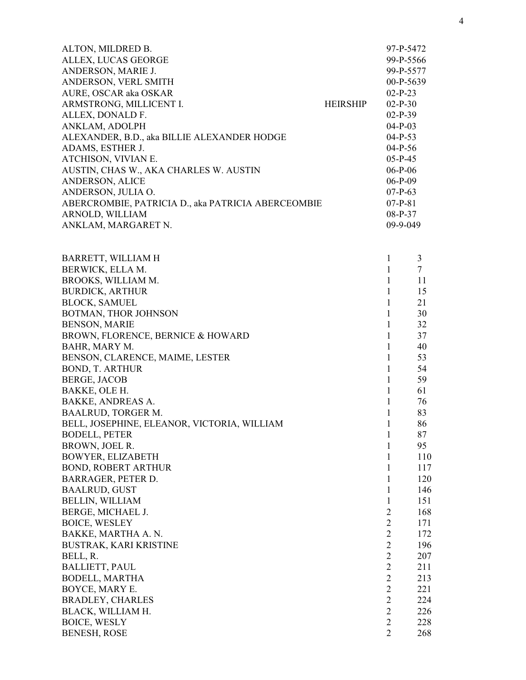| ALTON, MILDRED B.                                  |                 | 97-P-5472   |
|----------------------------------------------------|-----------------|-------------|
| ALLEX, LUCAS GEORGE                                |                 | 99-P-5566   |
| ANDERSON, MARIE J.                                 |                 | 99-P-5577   |
| ANDERSON, VERL SMITH                               |                 | $00-P-5639$ |
| AURE, OSCAR aka OSKAR                              |                 | $02-P-23$   |
| ARMSTRONG, MILLICENT I.                            | <b>HEIRSHIP</b> | $02-P-30$   |
| ALLEX, DONALD F.                                   |                 | $02-P-39$   |
| ANKLAM, ADOLPH                                     |                 | $04-P-03$   |
| ALEXANDER, B.D., aka BILLIE ALEXANDER HODGE        |                 | $04-P-53$   |
| ADAMS, ESTHER J.                                   |                 | $04-P-56$   |
| ATCHISON, VIVIAN E.                                |                 | $05-P-45$   |
| AUSTIN, CHAS W., AKA CHARLES W. AUSTIN             |                 | $06-P-06$   |
| <b>ANDERSON, ALICE</b>                             |                 | $06-P-09$   |
| ANDERSON, JULIA O.                                 |                 | $07-P-63$   |
| ABERCROMBIE, PATRICIA D., aka PATRICIA ABERCEOMBIE |                 | $07-P-81$   |
| ARNOLD, WILLIAM                                    |                 | $08-P-37$   |
| ANKLAM, MARGARET N.                                |                 | $09-9-049$  |
|                                                    |                 |             |

| BARRETT, WILLIAM H                          | $\mathbf{1}$   | 3      |
|---------------------------------------------|----------------|--------|
| BERWICK, ELLA M.                            | $\mathbf{1}$   | $\tau$ |
| BROOKS, WILLIAM M.                          | $\mathbf{1}$   | 11     |
| <b>BURDICK, ARTHUR</b>                      | $\mathbf{1}$   | 15     |
| <b>BLOCK, SAMUEL</b>                        | 1              | 21     |
| BOTMAN, THOR JOHNSON                        | $\mathbf{1}$   | 30     |
| <b>BENSON, MARIE</b>                        | $\mathbf{1}$   | 32     |
| BROWN, FLORENCE, BERNICE & HOWARD           | $\mathbf{1}$   | 37     |
| BAHR, MARY M.                               | $\mathbf{1}$   | 40     |
| BENSON, CLARENCE, MAIME, LESTER             | $\mathbf{1}$   | 53     |
| <b>BOND, T. ARTHUR</b>                      | $\mathbf{1}$   | 54     |
| <b>BERGE, JACOB</b>                         | $\mathbf{1}$   | 59     |
| BAKKE, OLE H.                               | $\mathbf{1}$   | 61     |
| <b>BAKKE, ANDREAS A.</b>                    | $\mathbf{1}$   | 76     |
| <b>BAALRUD, TORGER M.</b>                   | $\mathbf{1}$   | 83     |
| BELL, JOSEPHINE, ELEANOR, VICTORIA, WILLIAM | $\mathbf{1}$   | 86     |
| <b>BODELL, PETER</b>                        | $\mathbf{1}$   | 87     |
| BROWN, JOEL R.                              | $\mathbf{1}$   | 95     |
| <b>BOWYER, ELIZABETH</b>                    | $\mathbf{1}$   | 110    |
| <b>BOND, ROBERT ARTHUR</b>                  | $\mathbf{1}$   | 117    |
| BARRAGER, PETER D.                          | $\mathbf{1}$   | 120    |
| <b>BAALRUD, GUST</b>                        | $\mathbf{1}$   | 146    |
| <b>BELLIN, WILLIAM</b>                      | $\mathbf{1}$   | 151    |
| BERGE, MICHAEL J.                           | $\overline{2}$ | 168    |
| <b>BOICE, WESLEY</b>                        | $\overline{2}$ | 171    |
| BAKKE, MARTHA A. N.                         | $\mathbf{2}$   | 172    |
| BUSTRAK, KARI KRISTINE                      | $\overline{2}$ | 196    |
| BELL, R.                                    | $\overline{2}$ | 207    |
| <b>BALLIETT, PAUL</b>                       | $\overline{2}$ | 211    |
| <b>BODELL, MARTHA</b>                       | $\overline{2}$ | 213    |
| BOYCE, MARY E.                              | $\overline{2}$ | 221    |
| <b>BRADLEY, CHARLES</b>                     | $\overline{2}$ | 224    |
| BLACK, WILLIAM H.                           | $\overline{2}$ | 226    |
| <b>BOICE, WESLY</b>                         | $\overline{2}$ | 228    |
| <b>BENESH, ROSE</b>                         | $\overline{2}$ | 268    |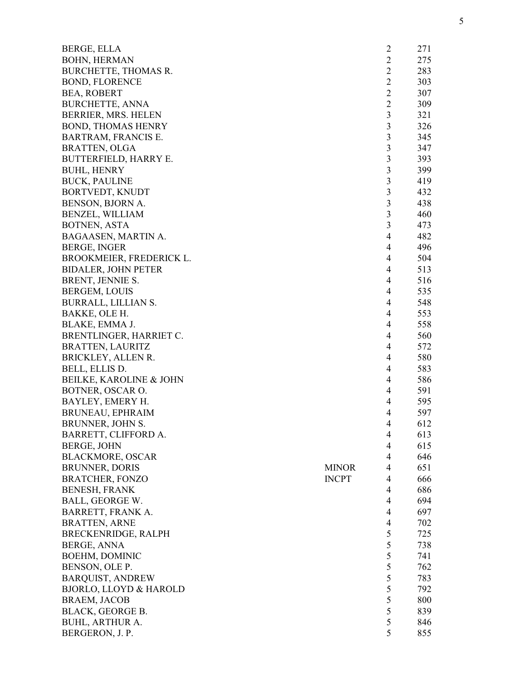| BERGE, ELLA                       |              | $\overline{c}$          | 271 |
|-----------------------------------|--------------|-------------------------|-----|
| <b>BOHN, HERMAN</b>               |              | $\overline{c}$          | 275 |
| BURCHETTE, THOMAS R.              |              | $\overline{2}$          | 283 |
| <b>BOND, FLORENCE</b>             |              | $\overline{2}$          | 303 |
| <b>BEA, ROBERT</b>                |              | $\overline{2}$          | 307 |
| <b>BURCHETTE, ANNA</b>            |              | $\overline{2}$          | 309 |
| BERRIER, MRS. HELEN               |              | 3                       | 321 |
| BOND, THOMAS HENRY                |              | $\mathfrak{Z}$          | 326 |
| <b>BARTRAM, FRANCIS E.</b>        |              | $\mathfrak{Z}$          | 345 |
| <b>BRATTEN, OLGA</b>              |              | $\overline{\mathbf{3}}$ | 347 |
| BUTTERFIELD, HARRY E.             |              | 3                       | 393 |
| <b>BUHL, HENRY</b>                |              | $\overline{\mathbf{3}}$ | 399 |
| <b>BUCK, PAULINE</b>              |              | $\mathfrak{Z}$          | 419 |
| BORTVEDT, KNUDT                   |              | $\mathfrak{Z}$          | 432 |
| BENSON, BJORN A.                  |              | $\mathfrak{Z}$          | 438 |
| <b>BENZEL, WILLIAM</b>            |              | $\mathfrak{Z}$          | 460 |
| BOTNEN, ASTA                      |              | 3                       | 473 |
| BAGAASEN, MARTIN A.               |              | $\overline{4}$          | 482 |
| BERGE, INGER                      |              | $\overline{4}$          | 496 |
| BROOKMEIER, FREDERICK L.          |              | 4                       | 504 |
| <b>BIDALER, JOHN PETER</b>        |              | 4                       | 513 |
| BRENT, JENNIE S.                  |              | $\overline{4}$          | 516 |
| <b>BERGEM, LOUIS</b>              |              | $\overline{4}$          | 535 |
| BURRALL, LILLIAN S.               |              | $\overline{4}$          | 548 |
| BAKKE, OLE H.                     |              | $\overline{4}$          | 553 |
| BLAKE, EMMA J.                    |              | 4                       | 558 |
|                                   |              | 4                       | 560 |
| BRENTLINGER, HARRIET C.           |              | $\overline{4}$          | 572 |
| <b>BRATTEN, LAURITZ</b>           |              | 4                       | 580 |
| BRICKLEY, ALLEN R.                |              |                         |     |
| BELL, ELLIS D.                    |              | $\overline{4}$          | 583 |
| BEILKE, KAROLINE & JOHN           |              | $\overline{4}$          | 586 |
| BOTNER, OSCAR O.                  |              | $\overline{4}$          | 591 |
| BAYLEY, EMERY H.                  |              | $\overline{4}$          | 595 |
| <b>BRUNEAU, EPHRAIM</b>           |              | 4                       | 597 |
| BRUNNER, JOHN S.                  |              | $\overline{4}$          | 612 |
| BARRETT, CLIFFORD A.              |              | $\overline{4}$          | 613 |
| <b>BERGE, JOHN</b>                |              | $\overline{4}$          | 615 |
| <b>BLACKMORE, OSCAR</b>           |              | $\overline{4}$          | 646 |
| <b>BRUNNER, DORIS</b>             | <b>MINOR</b> | $\overline{4}$          | 651 |
| <b>BRATCHER, FONZO</b>            | <b>INCPT</b> | $\overline{4}$          | 666 |
| <b>BENESH, FRANK</b>              |              | $\overline{4}$          | 686 |
| BALL, GEORGE W.                   |              | $\overline{4}$          | 694 |
| BARRETT, FRANK A.                 |              | $\overline{4}$          | 697 |
| <b>BRATTEN, ARNE</b>              |              | $\overline{4}$          | 702 |
| BRECKENRIDGE, RALPH               |              | 5                       | 725 |
| BERGE, ANNA                       |              | 5                       | 738 |
| BOEHM, DOMINIC                    |              | 5                       | 741 |
| BENSON, OLE P.                    |              | 5                       | 762 |
| <b>BARQUIST, ANDREW</b>           |              | 5                       | 783 |
| <b>BJORLO, LLOYD &amp; HAROLD</b> |              | 5                       | 792 |
| <b>BRAEM, JACOB</b>               |              | 5                       | 800 |
| BLACK, GEORGE B.                  |              | 5                       | 839 |
| BUHL, ARTHUR A.                   |              | 5                       | 846 |
| BERGERON, J. P.                   |              | 5                       | 855 |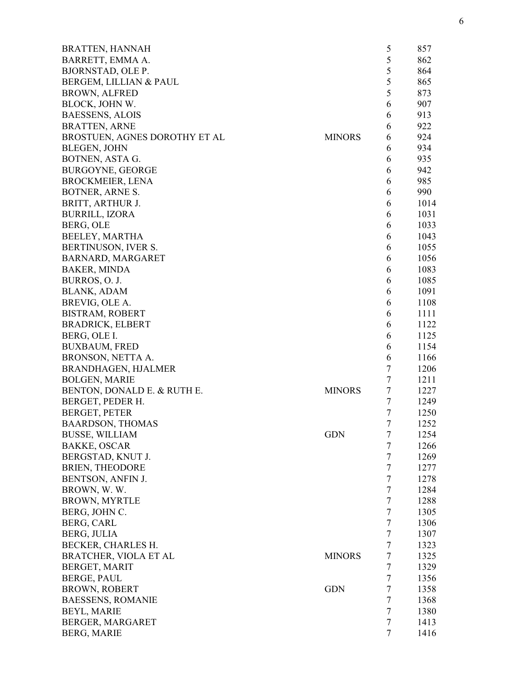| <b>BRATTEN, HANNAH</b>        |               | 5              | 857  |
|-------------------------------|---------------|----------------|------|
| BARRETT, EMMA A.              |               | 5              | 862  |
| <b>BJORNSTAD, OLE P.</b>      |               | 5              | 864  |
| BERGEM, LILLIAN & PAUL        |               | 5              | 865  |
| <b>BROWN, ALFRED</b>          |               | 5              | 873  |
| BLOCK, JOHN W.                |               | 6              | 907  |
| <b>BAESSENS, ALOIS</b>        |               | 6              | 913  |
| <b>BRATTEN, ARNE</b>          |               | 6              | 922  |
| BROSTUEN, AGNES DOROTHY ET AL | <b>MINORS</b> | 6              | 924  |
| <b>BLEGEN, JOHN</b>           |               | 6              | 934  |
| BOTNEN, ASTA G.               |               | 6              | 935  |
| <b>BURGOYNE, GEORGE</b>       |               | 6              | 942  |
| <b>BROCKMEIER, LENA</b>       |               | 6              | 985  |
| BOTNER, ARNE S.               |               | 6              | 990  |
| BRITT, ARTHUR J.              |               | 6              | 1014 |
| <b>BURRILL, IZORA</b>         |               | 6              | 1031 |
| BERG, OLE                     |               | 6              | 1033 |
| BEELEY, MARTHA                |               | 6              | 1043 |
|                               |               |                |      |
| BERTINUSON, IVER S.           |               | 6              | 1055 |
| BARNARD, MARGARET             |               | 6              | 1056 |
| <b>BAKER, MINDA</b>           |               | 6              | 1083 |
| BURROS, O. J.                 |               | 6              | 1085 |
| <b>BLANK, ADAM</b>            |               | 6              | 1091 |
| BREVIG, OLE A.                |               | 6              | 1108 |
| BISTRAM, ROBERT               |               | 6              | 1111 |
| <b>BRADRICK, ELBERT</b>       |               | 6              | 1122 |
| BERG, OLE I.                  |               | 6              | 1125 |
| <b>BUXBAUM, FRED</b>          |               | 6              | 1154 |
| BRONSON, NETTA A.             |               | 6              | 1166 |
| <b>BRANDHAGEN, HJALMER</b>    |               | $\tau$         | 1206 |
| <b>BOLGEN, MARIE</b>          |               | $\overline{7}$ | 1211 |
| BENTON, DONALD E. & RUTH E.   | <b>MINORS</b> | $\overline{7}$ | 1227 |
| BERGET, PEDER H.              |               | $\overline{7}$ | 1249 |
| <b>BERGET, PETER</b>          |               | $\overline{7}$ | 1250 |
| <b>BAARDSON, THOMAS</b>       |               | 7              | 1252 |
| <b>BUSSE, WILLIAM</b>         | <b>GDN</b>    | 7              | 1254 |
| <b>BAKKE, OSCAR</b>           |               | $\tau$         | 1266 |
| BERGSTAD, KNUT J.             |               | $\tau$         | 1269 |
| <b>BRIEN, THEODORE</b>        |               | $\overline{7}$ | 1277 |
| BENTSON, ANFIN J.             |               | $\overline{7}$ | 1278 |
| BROWN, W.W.                   |               | $\overline{7}$ | 1284 |
| BROWN, MYRTLE                 |               | $\overline{7}$ | 1288 |
| BERG, JOHN C.                 |               | $\overline{7}$ | 1305 |
| <b>BERG, CARL</b>             |               | $\tau$         | 1306 |
| BERG, JULIA                   |               | $\tau$         | 1307 |
| BECKER, CHARLES H.            |               | $\tau$         | 1323 |
| BRATCHER, VIOLA ET AL         | <b>MINORS</b> | $\tau$         | 1325 |
| BERGET, MARIT                 |               | $\overline{7}$ | 1329 |
|                               |               |                |      |
| <b>BERGE, PAUL</b>            | <b>GDN</b>    | 7<br>$\tau$    | 1356 |
| <b>BROWN, ROBERT</b>          |               |                | 1358 |
| <b>BAESSENS, ROMANIE</b>      |               | $\tau$         | 1368 |
| <b>BEYL, MARIE</b>            |               | $\tau$         | 1380 |
| BERGER, MARGARET              |               | $\tau$         | 1413 |
| <b>BERG, MARIE</b>            |               | $\overline{7}$ | 1416 |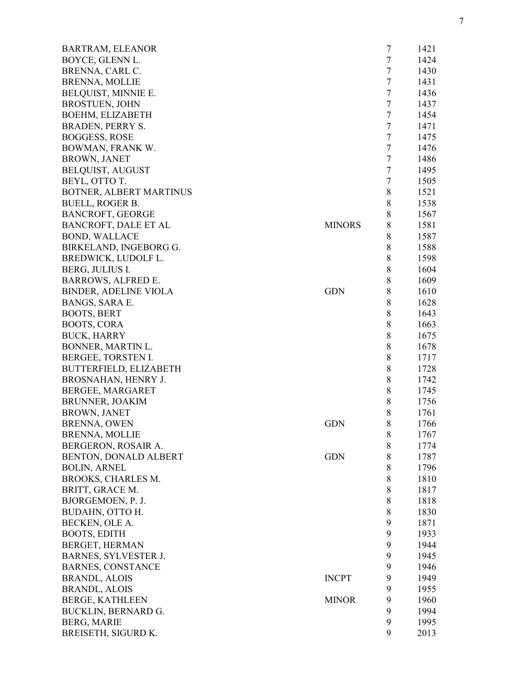| <b>BARTRAM, ELEANOR</b>      |               | $\overline{7}$ | 1421 |
|------------------------------|---------------|----------------|------|
| BOYCE, GLENN L.              |               | $\tau$         | 1424 |
| BRENNA, CARL C.              |               | $\tau$         | 1430 |
| <b>BRENNA, MOLLIE</b>        |               | $\tau$         | 1431 |
| BELQUIST, MINNIE E.          |               | $\tau$         | 1436 |
| <b>BROSTUEN, JOHN</b>        |               | $\tau$         | 1437 |
| BOEHM, ELIZABETH             |               | $\tau$         | 1454 |
| <b>BRADEN, PERRY S.</b>      |               | $\tau$         | 1471 |
| <b>BOGGESS, ROSE</b>         |               | $\tau$         | 1475 |
| BOWMAN, FRANK W.             |               | $\tau$         | 1476 |
| <b>BROWN, JANET</b>          |               | $\tau$         | 1486 |
| <b>BELQUIST, AUGUST</b>      |               | $\tau$         | 1495 |
| BEYL, OTTO T.                |               | $\tau$         | 1505 |
| BOTNER, ALBERT MARTINUS      |               | 8              | 1521 |
| <b>BUELL, ROGER B.</b>       |               | 8              | 1538 |
| <b>BANCROFT, GEORGE</b>      |               | $8\,$          | 1567 |
| BANCROFT, DALE ET AL         | <b>MINORS</b> | $8\,$          | 1581 |
| <b>BOND, WALLACE</b>         |               | $8\,$          | 1587 |
| BIRKELAND, INGEBORG G.       |               | $8\,$          | 1588 |
| BREDWICK, LUDOLF L.          |               | $8\,$          | 1598 |
| BERG, JULIUS I.              |               | 8              | 1604 |
| <b>BARROWS, ALFRED E.</b>    |               | 8              | 1609 |
| <b>BINDER, ADELINE VIOLA</b> | <b>GDN</b>    | 8              | 1610 |
| BANGS, SARA E.               |               | $8\,$          | 1628 |
| <b>BOOTS, BERT</b>           |               | $8\,$          | 1643 |
| <b>BOOTS, CORA</b>           |               | $8\,$          | 1663 |
| <b>BUCK, HARRY</b>           |               | $8\,$          | 1675 |
| BONNER, MARTIN L.            |               | 8              | 1678 |
| BERGEE, TORSTEN I.           |               | 8              | 1717 |
| BUTTERFIELD, ELIZABETH       |               | $8\,$          | 1728 |
| BROSNAHAN, HENRY J.          |               | $8\,$          | 1742 |
| BERGEE, MARGARET             |               | $\,8$          | 1745 |
| BRUNNER, JOAKIM              |               | $8\,$          | 1756 |
| <b>BROWN, JANET</b>          |               | 8              | 1761 |
| BRENNA, OWEN                 | <b>GDN</b>    | 8              | 1766 |
| <b>BRENNA, MOLLIE</b>        |               | 8              | 1767 |
| BERGERON, ROSAIR A.          |               | 8              | 1774 |
| BENTON, DONALD ALBERT        | <b>GDN</b>    | $8\,$          | 1787 |
| <b>BOLIN, ARNEL</b>          |               | $8\,$          | 1796 |
| BROOKS, CHARLES M.           |               | $8\,$          | 1810 |
| BRITT, GRACE M.              |               | $8\,$          | 1817 |
|                              |               | 8              | 1818 |
| BJORGEMOEN, P. J.            |               |                |      |
| BUDAHN, OTTO H.              |               | 8              | 1830 |
| BECKEN, OLE A.               |               | 9              | 1871 |
| <b>BOOTS, EDITH</b>          |               | 9              | 1933 |
| BERGET, HERMAN               |               | 9              | 1944 |
| <b>BARNES, SYLVESTER J.</b>  |               | 9              | 1945 |
| <b>BARNES, CONSTANCE</b>     |               | 9              | 1946 |
| <b>BRANDL, ALOIS</b>         | <b>INCPT</b>  | 9              | 1949 |
| <b>BRANDL, ALOIS</b>         |               | 9              | 1955 |
| <b>BERGE, KATHLEEN</b>       | <b>MINOR</b>  | 9              | 1960 |
| BUCKLIN, BERNARD G.          |               | 9              | 1994 |
| <b>BERG, MARIE</b>           |               | 9              | 1995 |
| BREISETH, SIGURD K.          |               | 9              | 2013 |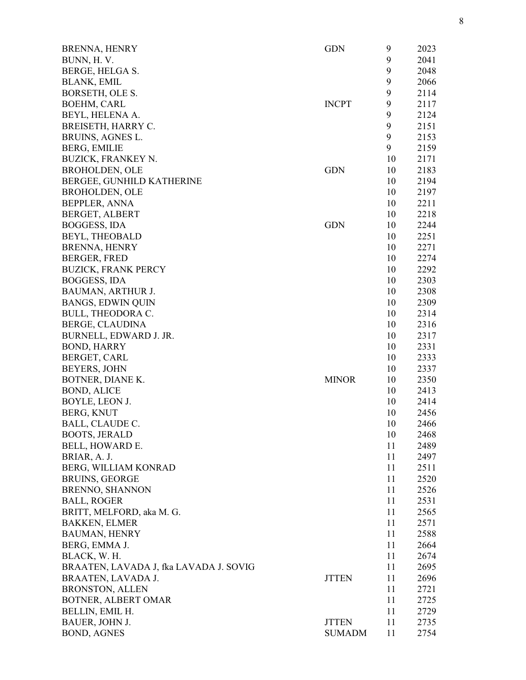| <b>BRENNA, HENRY</b>                   | <b>GDN</b>    | 9  | 2023 |
|----------------------------------------|---------------|----|------|
| BUNN, H.V.                             |               | 9  | 2041 |
| BERGE, HELGA S.                        |               | 9  | 2048 |
| BLANK, EMIL                            |               | 9  | 2066 |
| BORSETH, OLE S.                        |               | 9  | 2114 |
| <b>BOEHM, CARL</b>                     | <b>INCPT</b>  | 9  | 2117 |
| BEYL, HELENA A.                        |               | 9  | 2124 |
| BREISETH, HARRY C.                     |               | 9  | 2151 |
| BRUINS, AGNES L.                       |               | 9  | 2153 |
| <b>BERG, EMILIE</b>                    |               | 9  | 2159 |
| <b>BUZICK, FRANKEY N.</b>              |               | 10 | 2171 |
| <b>BROHOLDEN, OLE</b>                  | <b>GDN</b>    | 10 | 2183 |
| BERGEE, GUNHILD KATHERINE              |               | 10 | 2194 |
| <b>BROHOLDEN, OLE</b>                  |               | 10 | 2197 |
| <b>BEPPLER, ANNA</b>                   |               | 10 | 2211 |
| BERGET, ALBERT                         |               | 10 | 2218 |
| BOGGESS, IDA                           | <b>GDN</b>    | 10 | 2244 |
| BEYL, THEOBALD                         |               | 10 | 2251 |
| <b>BRENNA, HENRY</b>                   |               | 10 | 2271 |
| <b>BERGER, FRED</b>                    |               | 10 | 2274 |
| <b>BUZICK, FRANK PERCY</b>             |               | 10 | 2292 |
| <b>BOGGESS, IDA</b>                    |               | 10 | 2303 |
|                                        |               | 10 |      |
| BAUMAN, ARTHUR J.                      |               | 10 | 2308 |
| <b>BANGS, EDWIN QUIN</b>               |               | 10 | 2309 |
| BULL, THEODORA C.                      |               |    | 2314 |
| BERGE, CLAUDINA                        |               | 10 | 2316 |
| BURNELL, EDWARD J. JR.                 |               | 10 | 2317 |
| <b>BOND, HARRY</b>                     |               | 10 | 2331 |
| BERGET, CARL                           |               | 10 | 2333 |
| <b>BEYERS, JOHN</b>                    |               | 10 | 2337 |
| BOTNER, DIANE K.                       | <b>MINOR</b>  | 10 | 2350 |
| <b>BOND, ALICE</b>                     |               | 10 | 2413 |
| BOYLE, LEON J.                         |               | 10 | 2414 |
| BERG, KNUT                             |               | 10 | 2456 |
| BALL, CLAUDE C.                        |               | 10 | 2466 |
| <b>BOOTS, JERALD</b>                   |               | 10 | 2468 |
| BELL, HOWARD E.                        |               | 11 | 2489 |
| BRIAR, A. J.                           |               | 11 | 2497 |
| BERG, WILLIAM KONRAD                   |               | 11 | 2511 |
| <b>BRUINS, GEORGE</b>                  |               | 11 | 2520 |
| <b>BRENNO, SHANNON</b>                 |               | 11 | 2526 |
| <b>BALL, ROGER</b>                     |               | 11 | 2531 |
| BRITT, MELFORD, aka M. G.              |               | 11 | 2565 |
| <b>BAKKEN, ELMER</b>                   |               | 11 | 2571 |
| <b>BAUMAN, HENRY</b>                   |               | 11 | 2588 |
| BERG, EMMA J.                          |               | 11 | 2664 |
| BLACK, W. H.                           |               | 11 | 2674 |
| BRAATEN, LAVADA J, fka LAVADA J. SOVIG |               | 11 | 2695 |
| BRAATEN, LAVADA J.                     | <b>JTTEN</b>  | 11 | 2696 |
| <b>BRONSTON, ALLEN</b>                 |               | 11 | 2721 |
| BOTNER, ALBERT OMAR                    |               | 11 | 2725 |
| BELLIN, EMIL H.                        |               | 11 | 2729 |
| BAUER, JOHN J.                         | <b>JTTEN</b>  | 11 | 2735 |
| <b>BOND, AGNES</b>                     | <b>SUMADM</b> | 11 | 2754 |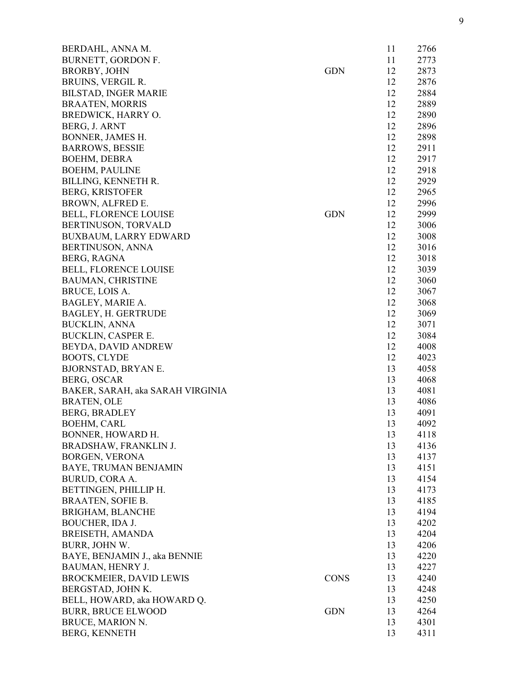| BERDAHL, ANNA M.                 |             | 11 | 2766 |
|----------------------------------|-------------|----|------|
| BURNETT, GORDON F.               |             | 11 | 2773 |
| <b>BRORBY, JOHN</b>              | <b>GDN</b>  | 12 | 2873 |
| BRUINS, VERGIL R.                |             | 12 | 2876 |
| <b>BILSTAD, INGER MARIE</b>      |             | 12 | 2884 |
| <b>BRAATEN, MORRIS</b>           |             | 12 | 2889 |
| BREDWICK, HARRY O.               |             | 12 | 2890 |
| BERG, J. ARNT                    |             | 12 | 2896 |
| <b>BONNER, JAMES H.</b>          |             | 12 | 2898 |
| <b>BARROWS, BESSIE</b>           |             | 12 | 2911 |
| <b>BOEHM, DEBRA</b>              |             | 12 | 2917 |
| <b>BOEHM, PAULINE</b>            |             | 12 | 2918 |
| BILLING, KENNETH R.              |             | 12 | 2929 |
| <b>BERG, KRISTOFER</b>           |             | 12 | 2965 |
| BROWN, ALFRED E.                 |             | 12 | 2996 |
| <b>BELL, FLORENCE LOUISE</b>     | <b>GDN</b>  | 12 | 2999 |
| BERTINUSON, TORVALD              |             | 12 | 3006 |
| <b>BUXBAUM, LARRY EDWARD</b>     |             | 12 | 3008 |
| <b>BERTINUSON, ANNA</b>          |             | 12 | 3016 |
| BERG, RAGNA                      |             | 12 | 3018 |
| <b>BELL, FLORENCE LOUISE</b>     |             | 12 | 3039 |
|                                  |             |    |      |
| <b>BAUMAN, CHRISTINE</b>         |             | 12 | 3060 |
| BRUCE, LOIS A.                   |             | 12 | 3067 |
| BAGLEY, MARIE A.                 |             | 12 | 3068 |
| BAGLEY, H. GERTRUDE              |             | 12 | 3069 |
| <b>BUCKLIN, ANNA</b>             |             | 12 | 3071 |
| <b>BUCKLIN, CASPER E.</b>        |             | 12 | 3084 |
| BEYDA, DAVID ANDREW              |             | 12 | 4008 |
| <b>BOOTS, CLYDE</b>              |             | 12 | 4023 |
| <b>BJORNSTAD, BRYAN E.</b>       |             | 13 | 4058 |
| BERG, OSCAR                      |             | 13 | 4068 |
| BAKER, SARAH, aka SARAH VIRGINIA |             | 13 | 4081 |
| <b>BRATEN, OLE</b>               |             | 13 | 4086 |
| <b>BERG, BRADLEY</b>             |             | 13 | 4091 |
| <b>BOEHM, CARL</b>               |             | 13 | 4092 |
| BONNER, HOWARD H.                |             | 13 | 4118 |
| BRADSHAW, FRANKLIN J.            |             | 13 | 4136 |
| <b>BORGEN, VERONA</b>            |             | 13 | 4137 |
| BAYE, TRUMAN BENJAMIN            |             | 13 | 4151 |
| BURUD, CORA A.                   |             | 13 | 4154 |
| BETTINGEN, PHILLIP H.            |             | 13 | 4173 |
| <b>BRAATEN, SOFIE B.</b>         |             | 13 | 4185 |
| <b>BRIGHAM, BLANCHE</b>          |             | 13 | 4194 |
| BOUCHER, IDA J.                  |             | 13 | 4202 |
| BREISETH, AMANDA                 |             | 13 | 4204 |
| BURR, JOHN W.                    |             | 13 | 4206 |
| BAYE, BENJAMIN J., aka BENNIE    |             | 13 | 4220 |
| <b>BAUMAN, HENRY J.</b>          |             | 13 | 4227 |
| <b>BROCKMEIER, DAVID LEWIS</b>   | <b>CONS</b> | 13 | 4240 |
| BERGSTAD, JOHN K.                |             | 13 | 4248 |
| BELL, HOWARD, aka HOWARD Q.      |             | 13 | 4250 |
| <b>BURR, BRUCE ELWOOD</b>        | <b>GDN</b>  | 13 | 4264 |
| BRUCE, MARION N.                 |             | 13 | 4301 |
| <b>BERG, KENNETH</b>             |             | 13 | 4311 |
|                                  |             |    |      |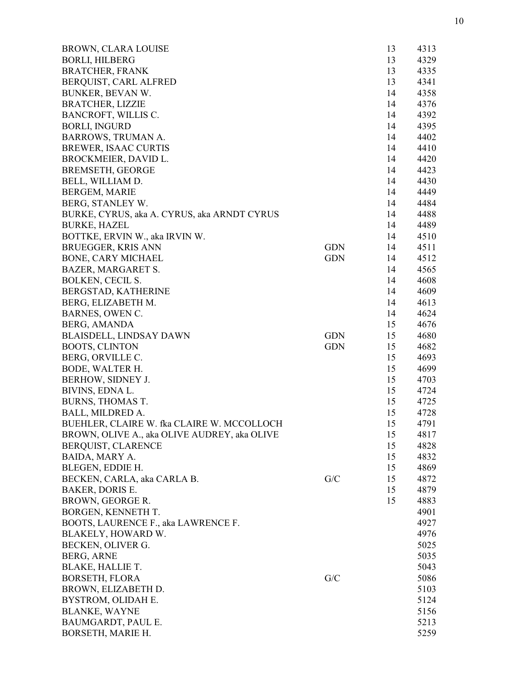| <b>BROWN, CLARA LOUISE</b>                   |            | 13 | 4313 |
|----------------------------------------------|------------|----|------|
| <b>BORLI, HILBERG</b>                        |            | 13 | 4329 |
| <b>BRATCHER, FRANK</b>                       |            | 13 | 4335 |
| BERQUIST, CARL ALFRED                        |            | 13 | 4341 |
| BUNKER, BEVAN W.                             |            | 14 | 4358 |
| <b>BRATCHER, LIZZIE</b>                      |            | 14 | 4376 |
| BANCROFT, WILLIS C.                          |            | 14 | 4392 |
| <b>BORLI, INGURD</b>                         |            | 14 | 4395 |
| <b>BARROWS, TRUMAN A.</b>                    |            | 14 | 4402 |
| <b>BREWER, ISAAC CURTIS</b>                  |            | 14 | 4410 |
| BROCKMEIER, DAVID L.                         |            | 14 | 4420 |
| <b>BREMSETH, GEORGE</b>                      |            | 14 | 4423 |
| BELL, WILLIAM D.                             |            | 14 | 4430 |
| <b>BERGEM, MARIE</b>                         |            | 14 | 4449 |
| BERG, STANLEY W.                             |            | 14 | 4484 |
| BURKE, CYRUS, aka A. CYRUS, aka ARNDT CYRUS  |            | 14 | 4488 |
| <b>BURKE, HAZEL</b>                          |            | 14 | 4489 |
| BOTTKE, ERVIN W., aka IRVIN W.               |            | 14 | 4510 |
| <b>BRUEGGER, KRIS ANN</b>                    | <b>GDN</b> | 14 | 4511 |
| <b>BONE, CARY MICHAEL</b>                    | <b>GDN</b> | 14 | 4512 |
| <b>BAZER, MARGARET S.</b>                    |            | 14 | 4565 |
| <b>BOLKEN, CECIL S.</b>                      |            | 14 | 4608 |
| BERGSTAD, KATHERINE                          |            | 14 | 4609 |
| BERG, ELIZABETH M.                           |            | 14 | 4613 |
| BARNES, OWEN C.                              |            | 14 | 4624 |
| BERG, AMANDA                                 |            | 15 | 4676 |
|                                              | <b>GDN</b> | 15 | 4680 |
| <b>BLAISDELL, LINDSAY DAWN</b>               | <b>GDN</b> |    | 4682 |
| <b>BOOTS, CLINTON</b>                        |            | 15 |      |
| BERG, ORVILLE C.                             |            | 15 | 4693 |
| <b>BODE, WALTER H.</b>                       |            | 15 | 4699 |
| BERHOW, SIDNEY J.                            |            | 15 | 4703 |
| BIVINS, EDNA L.                              |            | 15 | 4724 |
| <b>BURNS, THOMAS T.</b>                      |            | 15 | 4725 |
| BALL, MILDRED A.                             |            | 15 | 4728 |
| BUEHLER, CLAIRE W. fka CLAIRE W. MCCOLLOCH   |            | 15 | 4791 |
| BROWN, OLIVE A., aka OLIVE AUDREY, aka OLIVE |            | 15 | 4817 |
| BERQUIST, CLARENCE                           |            | 15 | 4828 |
| BAIDA, MARY A.                               |            | 15 | 4832 |
| BLEGEN, EDDIE H.                             |            | 15 | 4869 |
| BECKEN, CARLA, aka CARLA B.                  | G/C        | 15 | 4872 |
| <b>BAKER, DORIS E.</b>                       |            | 15 | 4879 |
| BROWN, GEORGE R.                             |            | 15 | 4883 |
| BORGEN, KENNETH T.                           |            |    | 4901 |
| BOOTS, LAURENCE F., aka LAWRENCE F.          |            |    | 4927 |
| BLAKELY, HOWARD W.                           |            |    | 4976 |
| BECKEN, OLIVER G.                            |            |    | 5025 |
| <b>BERG, ARNE</b>                            |            |    | 5035 |
| <b>BLAKE, HALLIE T.</b>                      |            |    | 5043 |
| <b>BORSETH, FLORA</b>                        | G/C        |    | 5086 |
| BROWN, ELIZABETH D.                          |            |    | 5103 |
| BYSTROM, OLIDAH E.                           |            |    | 5124 |
| <b>BLANKE, WAYNE</b>                         |            |    | 5156 |
| BAUMGARDT, PAUL E.                           |            |    | 5213 |
| BORSETH, MARIE H.                            |            |    | 5259 |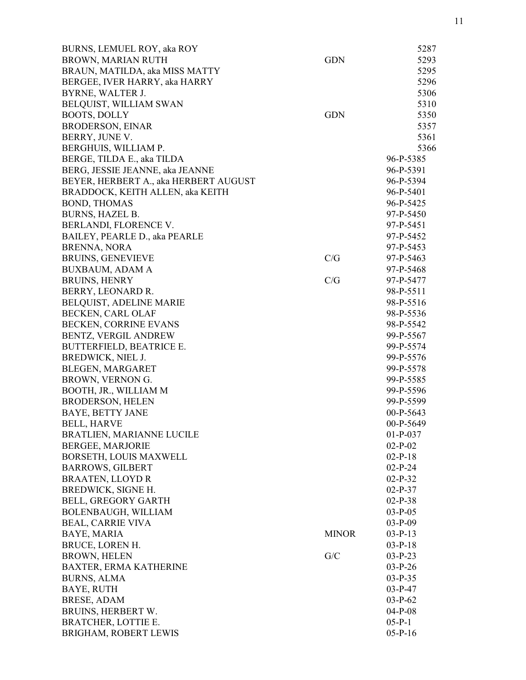| BURNS, LEMUEL ROY, aka ROY            |              | 5287       |
|---------------------------------------|--------------|------------|
| BROWN, MARIAN RUTH                    | <b>GDN</b>   | 5293       |
| BRAUN, MATILDA, aka MISS MATTY        |              | 5295       |
| BERGEE, IVER HARRY, aka HARRY         |              | 5296       |
| BYRNE, WALTER J.                      |              | 5306       |
| BELQUIST, WILLIAM SWAN                |              | 5310       |
| <b>BOOTS, DOLLY</b>                   | <b>GDN</b>   | 5350       |
| <b>BRODERSON, EINAR</b>               |              | 5357       |
| BERRY, JUNE V.                        |              | 5361       |
| BERGHUIS, WILLIAM P.                  |              | 5366       |
| BERGE, TILDA E., aka TILDA            |              | 96-P-5385  |
| BERG, JESSIE JEANNE, aka JEANNE       |              | 96-P-5391  |
| BEYER, HERBERT A., aka HERBERT AUGUST |              | 96-P-5394  |
| BRADDOCK, KEITH ALLEN, aka KEITH      |              | 96-P-5401  |
| <b>BOND, THOMAS</b>                   |              | 96-P-5425  |
| <b>BURNS, HAZEL B.</b>                |              | 97-P-5450  |
| BERLANDI, FLORENCE V.                 |              | 97-P-5451  |
| BAILEY, PEARLE D., aka PEARLE         |              | 97-P-5452  |
| <b>BRENNA, NORA</b>                   |              | 97-P-5453  |
| <b>BRUINS, GENEVIEVE</b>              | C/G          | 97-P-5463  |
| <b>BUXBAUM, ADAM A</b>                |              | 97-P-5468  |
| <b>BRUINS, HENRY</b>                  | C/G          | 97-P-5477  |
| BERRY, LEONARD R.                     |              | 98-P-5511  |
| BELQUIST, ADELINE MARIE               |              | 98-P-5516  |
| BECKEN, CARL OLAF                     |              | 98-P-5536  |
| BECKEN, CORRINE EVANS                 |              | 98-P-5542  |
| BENTZ, VERGIL ANDREW                  |              | 99-P-5567  |
| <b>BUTTERFIELD, BEATRICE E.</b>       |              | 99-P-5574  |
| BREDWICK, NIEL J.                     |              | 99-P-5576  |
| BLEGEN, MARGARET                      |              | 99-P-5578  |
| BROWN, VERNON G.                      |              | 99-P-5585  |
| BOOTH, JR., WILLIAM M                 |              | 99-P-5596  |
| <b>BRODERSON, HELEN</b>               |              | 99-P-5599  |
| <b>BAYE, BETTY JANE</b>               |              | 00-P-5643  |
| <b>BELL, HARVE</b>                    |              | 00-P-5649  |
| BRATLIEN, MARIANNE LUCILE             |              | $01-P-037$ |
| <b>BERGEE, MARJORIE</b>               |              | $02-P-02$  |
| BORSETH, LOUIS MAXWELL                |              | $02-P-18$  |
| <b>BARROWS, GILBERT</b>               |              | $02-P-24$  |
| <b>BRAATEN, LLOYD R</b>               |              | $02-P-32$  |
| BREDWICK, SIGNE H.                    |              | $02-P-37$  |
| BELL, GREGORY GARTH                   |              | $02-P-38$  |
| BOLENBAUGH, WILLIAM                   |              | $03-P-05$  |
| <b>BEAL, CARRIE VIVA</b>              |              | $03-P-09$  |
| BAYE, MARIA                           | <b>MINOR</b> | $03-P-13$  |
| BRUCE, LOREN H.                       |              | $03-P-18$  |
| <b>BROWN, HELEN</b>                   | G/C          | $03-P-23$  |
| BAXTER, ERMA KATHERINE                |              | $03-P-26$  |
| <b>BURNS, ALMA</b>                    |              | $03-P-35$  |
| <b>BAYE, RUTH</b>                     |              | $03-P-47$  |
| <b>BRESE, ADAM</b>                    |              | $03-P-62$  |
| BRUINS, HERBERT W.                    |              | $04-P-08$  |
| <b>BRATCHER, LOTTIE E.</b>            |              | $05-P-1$   |
| BRIGHAM, ROBERT LEWIS                 |              | $05-P-16$  |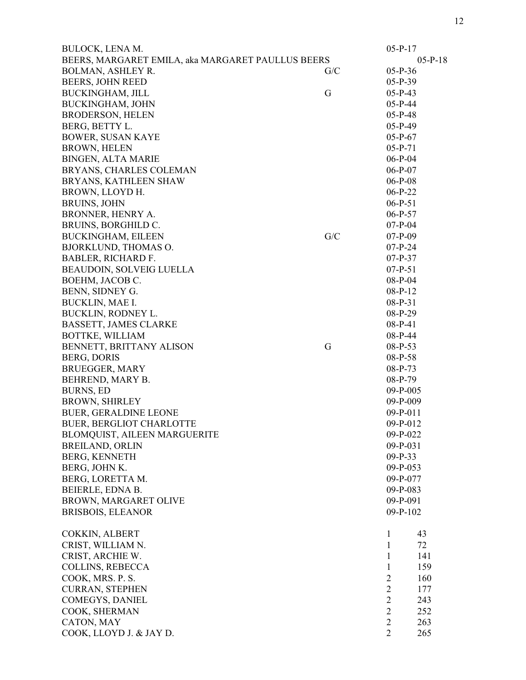| <b>BULOCK, LENA M.</b>                            |     | $05-P-17$      |           |
|---------------------------------------------------|-----|----------------|-----------|
| BEERS, MARGARET EMILA, aka MARGARET PAULLUS BEERS |     |                | $05-P-18$ |
| <b>BOLMAN, ASHLEY R.</b>                          | G/C | $05-P-36$      |           |
| BEERS, JOHN REED                                  |     | $05-P-39$      |           |
| <b>BUCKINGHAM, JILL</b>                           | G   | $05-P-43$      |           |
| <b>BUCKINGHAM, JOHN</b>                           |     | $05-P-44$      |           |
| <b>BRODERSON, HELEN</b>                           |     | $05-P-48$      |           |
| BERG, BETTY L.                                    |     | $05-P-49$      |           |
| <b>BOWER, SUSAN KAYE</b>                          |     | $05-P-67$      |           |
| <b>BROWN, HELEN</b>                               |     | $05-P-71$      |           |
| <b>BINGEN, ALTA MARIE</b>                         |     | $06-P-04$      |           |
| BRYANS, CHARLES COLEMAN                           |     | $06-P-07$      |           |
| BRYANS, KATHLEEN SHAW                             |     | $06-P-08$      |           |
| BROWN, LLOYD H.                                   |     | $06-P-22$      |           |
| <b>BRUINS, JOHN</b>                               |     | $06-P-51$      |           |
| <b>BRONNER, HENRY A.</b>                          |     | $06-P-57$      |           |
| BRUINS, BORGHILD C.                               |     | $07-P-04$      |           |
| <b>BUCKINGHAM, EILEEN</b>                         | G/C | $07-P-09$      |           |
|                                                   |     | $07-P-24$      |           |
| <b>BJORKLUND, THOMAS O.</b>                       |     | $07-P-37$      |           |
| <b>BABLER, RICHARD F.</b>                         |     |                |           |
| BEAUDOIN, SOLVEIG LUELLA                          |     | $07-P-51$      |           |
| BOEHM, JACOB C.                                   |     | 08-P-04        |           |
| BENN, SIDNEY G.                                   |     | $08-P-12$      |           |
| BUCKLIN, MAE I.                                   |     | $08-P-31$      |           |
| BUCKLIN, RODNEY L.                                |     | $08-P-29$      |           |
| <b>BASSETT, JAMES CLARKE</b>                      |     | $08-P-41$      |           |
| BOTTKE, WILLIAM                                   |     | $08-P-44$      |           |
| BENNETT, BRITTANY ALISON                          | G   | $08-P-53$      |           |
| <b>BERG, DORIS</b>                                |     | 08-P-58        |           |
| <b>BRUEGGER, MARY</b>                             |     | $08-P-73$      |           |
| BEHREND, MARY B.                                  |     | 08-P-79        |           |
| <b>BURNS, ED</b>                                  |     | $09-P-005$     |           |
| <b>BROWN, SHIRLEY</b>                             |     | 09-P-009       |           |
| <b>BUER, GERALDINE LEONE</b>                      |     | $09-P-011$     |           |
| <b>BUER, BERGLIOT CHARLOTTE</b>                   |     | $09-P-012$     |           |
| BLOMQUIST, AILEEN MARGUERITE                      |     | 09-P-022       |           |
| <b>BREILAND, ORLIN</b>                            |     | 09-P-031       |           |
| <b>BERG, KENNETH</b>                              |     | $09-P-33$      |           |
| BERG, JOHN K.                                     |     | $09-P-053$     |           |
| BERG, LORETTA M.                                  |     | 09-P-077       |           |
| BEIERLE, EDNA B.                                  |     | 09-P-083       |           |
| BROWN, MARGARET OLIVE                             |     | 09-P-091       |           |
| <b>BRISBOIS, ELEANOR</b>                          |     | 09-P-102       |           |
| COKKIN, ALBERT                                    |     | 1              | 43        |
| CRIST, WILLIAM N.                                 |     | 1              | 72        |
| CRIST, ARCHIE W.                                  |     | 1              | 141       |
| <b>COLLINS, REBECCA</b>                           |     | 1              | 159       |
| COOK, MRS. P.S.                                   |     | $\overline{2}$ | 160       |
| <b>CURRAN, STEPHEN</b>                            |     | $\overline{2}$ | 177       |
| COMEGYS, DANIEL                                   |     | $\overline{2}$ | 243       |
| COOK, SHERMAN                                     |     | $\overline{2}$ | 252       |
| CATON, MAY                                        |     | $\overline{2}$ | 263       |
| COOK, LLOYD J. & JAY D.                           |     | $\overline{2}$ | 265       |
|                                                   |     |                |           |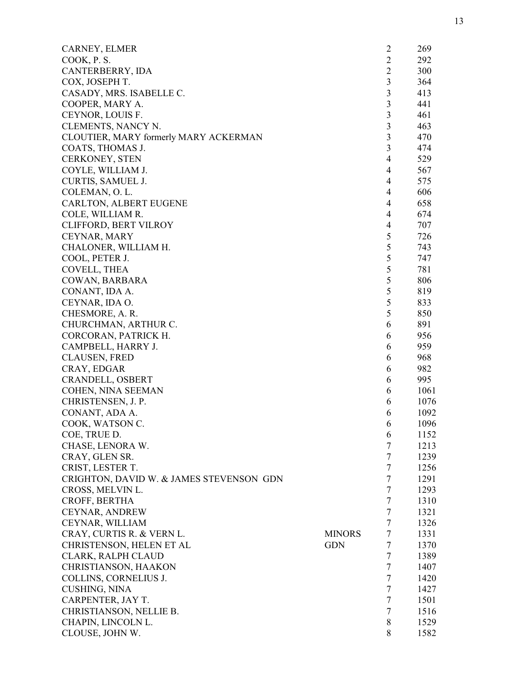| CARNEY, ELMER                            |               | $\overline{2}$ | 269  |
|------------------------------------------|---------------|----------------|------|
| COOK, P.S.                               |               | $\overline{2}$ | 292  |
| CANTERBERRY, IDA                         |               | $\overline{2}$ | 300  |
| COX, JOSEPH T.                           |               | $\mathfrak{Z}$ | 364  |
| CASADY, MRS. ISABELLE C.                 |               | 3              | 413  |
| COOPER, MARY A.                          |               | 3              | 441  |
| CEYNOR, LOUIS F.                         |               | 3              | 461  |
| CLEMENTS, NANCY N.                       |               | 3              | 463  |
| CLOUTIER, MARY formerly MARY ACKERMAN    |               | 3              | 470  |
| COATS, THOMAS J.                         |               | 3              | 474  |
| <b>CERKONEY, STEN</b>                    |               | $\overline{4}$ | 529  |
| COYLE, WILLIAM J.                        |               | $\overline{4}$ | 567  |
| CURTIS, SAMUEL J.                        |               | $\overline{4}$ | 575  |
| COLEMAN, O.L.                            |               | 4              | 606  |
| CARLTON, ALBERT EUGENE                   |               | $\overline{4}$ | 658  |
| COLE, WILLIAM R.                         |               | $\overline{4}$ | 674  |
| CLIFFORD, BERT VILROY                    |               | 4              | 707  |
| CEYNAR, MARY                             |               | 5              | 726  |
| CHALONER, WILLIAM H.                     |               | 5              | 743  |
| COOL, PETER J.                           |               | 5              | 747  |
| COVELL, THEA                             |               | $\mathfrak s$  | 781  |
| COWAN, BARBARA                           |               | 5              | 806  |
| CONANT, IDA A.                           |               | 5              | 819  |
| CEYNAR, IDA O.                           |               | 5              | 833  |
| CHESMORE, A. R.                          |               | 5              | 850  |
| CHURCHMAN, ARTHUR C.                     |               | 6              | 891  |
| CORCORAN, PATRICK H.                     |               | 6              | 956  |
| CAMPBELL, HARRY J.                       |               | 6              | 959  |
| <b>CLAUSEN, FRED</b>                     |               | 6              | 968  |
| CRAY, EDGAR                              |               | 6              | 982  |
| CRANDELL, OSBERT                         |               | 6              | 995  |
| COHEN, NINA SEEMAN                       |               | 6              | 1061 |
| CHRISTENSEN, J. P.                       |               | 6              | 1076 |
|                                          |               |                | 1092 |
| CONANT, ADA A.<br>COOK, WATSON C.        |               | 6              |      |
| COE, TRUE D.                             |               | 6              | 1096 |
|                                          |               | 6<br>7         | 1152 |
| CHASE, LENORA W.                         |               |                | 1213 |
| CRAY, GLEN SR.                           |               | $\tau$         | 1239 |
| CRIST, LESTER T.                         |               | $\overline{7}$ | 1256 |
| CRIGHTON, DAVID W. & JAMES STEVENSON GDN |               | $\overline{7}$ | 1291 |
| CROSS, MELVIN L.                         |               | $\overline{7}$ | 1293 |
| CROFF, BERTHA                            |               | $\overline{7}$ | 1310 |
| <b>CEYNAR, ANDREW</b>                    |               | $\overline{7}$ | 1321 |
| CEYNAR, WILLIAM                          |               | $\tau$         | 1326 |
| CRAY, CURTIS R. & VERN L.                | <b>MINORS</b> | $\overline{7}$ | 1331 |
| CHRISTENSON, HELEN ET AL                 | <b>GDN</b>    | 7              | 1370 |
| CLARK, RALPH CLAUD                       |               | $\overline{7}$ | 1389 |
| CHRISTIANSON, HAAKON                     |               | $\tau$         | 1407 |
| COLLINS, CORNELIUS J.                    |               | $\tau$         | 1420 |
| CUSHING, NINA                            |               | $\tau$         | 1427 |
| CARPENTER, JAY T.                        |               | $\tau$         | 1501 |
| CHRISTIANSON, NELLIE B.                  |               | $\tau$         | 1516 |
| CHAPIN, LINCOLN L.                       |               | 8              | 1529 |
| CLOUSE, JOHN W.                          |               | 8              | 1582 |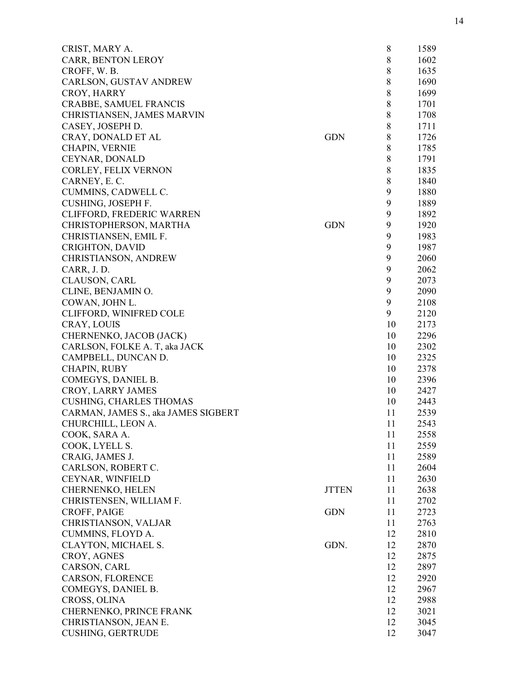| CRIST, MARY A.                      |              | 8           | 1589 |
|-------------------------------------|--------------|-------------|------|
| CARR, BENTON LEROY                  |              | 8           | 1602 |
| CROFF, W.B.                         |              | 8           | 1635 |
| CARLSON, GUSTAV ANDREW              |              | 8           | 1690 |
| CROY, HARRY                         |              | $\,8$       | 1699 |
| CRABBE, SAMUEL FRANCIS              |              | 8           | 1701 |
| CHRISTIANSEN, JAMES MARVIN          |              | $\,8$       | 1708 |
| CASEY, JOSEPH D.                    |              | 8           | 1711 |
| CRAY, DONALD ET AL                  | <b>GDN</b>   | $\,8$       | 1726 |
| <b>CHAPIN, VERNIE</b>               |              | $\,8$       | 1785 |
| CEYNAR, DONALD                      |              | $\,$ 8 $\,$ | 1791 |
| CORLEY, FELIX VERNON                |              | $8\,$       | 1835 |
| CARNEY, E.C.                        |              | 8           | 1840 |
| CUMMINS, CADWELL C.                 |              | 9           | 1880 |
| CUSHING, JOSEPH F.                  |              | 9           | 1889 |
| CLIFFORD, FREDERIC WARREN           |              | 9           | 1892 |
| CHRISTOPHERSON, MARTHA              | <b>GDN</b>   | 9           | 1920 |
| CHRISTIANSEN, EMIL F.               |              | 9           | 1983 |
| <b>CRIGHTON, DAVID</b>              |              | 9           | 1987 |
| <b>CHRISTIANSON, ANDREW</b>         |              | 9           | 2060 |
| CARR, J.D.                          |              | 9           | 2062 |
| <b>CLAUSON, CARL</b>                |              | 9           | 2073 |
| CLINE, BENJAMIN O.                  |              | 9           | 2090 |
| COWAN, JOHN L.                      |              | 9           | 2108 |
| CLIFFORD, WINIFRED COLE             |              | 9           | 2120 |
| CRAY, LOUIS                         |              | 10          | 2173 |
| CHERNENKO, JACOB (JACK)             |              | 10          | 2296 |
| CARLSON, FOLKE A. T, aka JACK       |              | 10          | 2302 |
| CAMPBELL, DUNCAN D.                 |              | 10          | 2325 |
|                                     |              | 10          | 2378 |
| <b>CHAPIN, RUBY</b>                 |              | 10          |      |
| COMEGYS, DANIEL B.                  |              | 10          | 2396 |
| CROY, LARRY JAMES                   |              |             | 2427 |
| <b>CUSHING, CHARLES THOMAS</b>      |              | 10          | 2443 |
| CARMAN, JAMES S., aka JAMES SIGBERT |              | 11          | 2539 |
| CHURCHILL, LEON A.                  |              | 11          | 2543 |
| COOK, SARA A.                       |              | 11          | 2558 |
| COOK, LYELL S.                      |              | 11          | 2559 |
| CRAIG, JAMES J.                     |              | 11          | 2589 |
| CARLSON, ROBERT C.                  |              | 11          | 2604 |
| CEYNAR, WINFIELD                    |              | 11          | 2630 |
| CHERNENKO, HELEN                    | <b>JTTEN</b> | 11          | 2638 |
| CHRISTENSEN, WILLIAM F.             |              | 11          | 2702 |
| CROFF, PAIGE                        | <b>GDN</b>   | 11          | 2723 |
| CHRISTIANSON, VALJAR                |              | 11          | 2763 |
| CUMMINS, FLOYD A.                   |              | 12          | 2810 |
| CLAYTON, MICHAEL S.                 | GDN.         | 12          | 2870 |
| CROY, AGNES                         |              | 12          | 2875 |
| CARSON, CARL                        |              | 12          | 2897 |
| CARSON, FLORENCE                    |              | 12          | 2920 |
| COMEGYS, DANIEL B.                  |              | 12          | 2967 |
| CROSS, OLINA                        |              | 12          | 2988 |
| CHERNENKO, PRINCE FRANK             |              | 12          | 3021 |
| CHRISTIANSON, JEAN E.               |              | 12          | 3045 |
| <b>CUSHING, GERTRUDE</b>            |              | 12          | 3047 |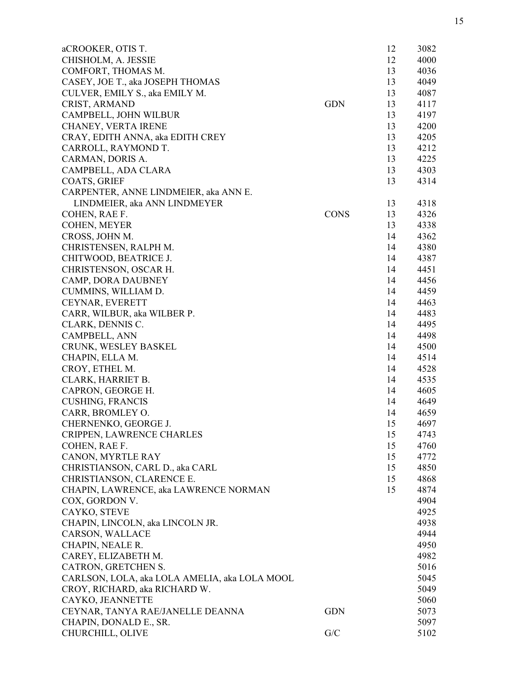| aCROOKER, OTIS T.                             |             | 12 | 3082 |
|-----------------------------------------------|-------------|----|------|
| CHISHOLM, A. JESSIE                           |             | 12 | 4000 |
| COMFORT, THOMAS M.                            |             | 13 | 4036 |
| CASEY, JOE T., aka JOSEPH THOMAS              |             | 13 | 4049 |
| CULVER, EMILY S., aka EMILY M.                |             | 13 | 4087 |
| CRIST, ARMAND                                 | <b>GDN</b>  | 13 | 4117 |
| CAMPBELL, JOHN WILBUR                         |             | 13 | 4197 |
| CHANEY, VERTA IRENE                           |             | 13 | 4200 |
| CRAY, EDITH ANNA, aka EDITH CREY              |             | 13 | 4205 |
| CARROLL, RAYMOND T.                           |             | 13 | 4212 |
| CARMAN, DORIS A.                              |             | 13 | 4225 |
| CAMPBELL, ADA CLARA                           |             | 13 | 4303 |
| <b>COATS, GRIEF</b>                           |             | 13 | 4314 |
| CARPENTER, ANNE LINDMEIER, aka ANN E.         |             |    |      |
| LINDMEIER, aka ANN LINDMEYER                  |             | 13 | 4318 |
| COHEN, RAE F.                                 | <b>CONS</b> | 13 | 4326 |
| COHEN, MEYER                                  |             | 13 | 4338 |
| CROSS, JOHN M.                                |             | 14 | 4362 |
| CHRISTENSEN, RALPH M.                         |             | 14 | 4380 |
| CHITWOOD, BEATRICE J.                         |             | 14 | 4387 |
| CHRISTENSON, OSCAR H.                         |             | 14 | 4451 |
| CAMP, DORA DAUBNEY                            |             | 14 | 4456 |
| CUMMINS, WILLIAM D.                           |             | 14 | 4459 |
| CEYNAR, EVERETT                               |             | 14 | 4463 |
| CARR, WILBUR, aka WILBER P.                   |             | 14 | 4483 |
| CLARK, DENNIS C.                              |             | 14 | 4495 |
| CAMPBELL, ANN                                 |             | 14 | 4498 |
| CRUNK, WESLEY BASKEL                          |             | 14 | 4500 |
| CHAPIN, ELLA M.                               |             | 14 | 4514 |
| CROY, ETHEL M.                                |             | 14 | 4528 |
| CLARK, HARRIET B.                             |             | 14 | 4535 |
| CAPRON, GEORGE H.                             |             | 14 | 4605 |
| <b>CUSHING, FRANCIS</b>                       |             | 14 | 4649 |
| CARR, BROMLEY O.                              |             | 14 | 4659 |
| CHERNENKO, GEORGE J.                          |             | 15 | 4697 |
| CRIPPEN, LAWRENCE CHARLES                     |             | 15 | 4743 |
| COHEN, RAE F.                                 |             | 15 | 4760 |
| CANON, MYRTLE RAY                             |             | 15 | 4772 |
| CHRISTIANSON, CARL D., aka CARL               |             | 15 | 4850 |
| CHRISTIANSON, CLARENCE E.                     |             | 15 | 4868 |
| CHAPIN, LAWRENCE, aka LAWRENCE NORMAN         |             | 15 | 4874 |
| COX, GORDON V.                                |             |    | 4904 |
| CAYKO, STEVE                                  |             |    | 4925 |
| CHAPIN, LINCOLN, aka LINCOLN JR.              |             |    | 4938 |
| <b>CARSON, WALLACE</b>                        |             |    | 4944 |
| CHAPIN, NEALE R.                              |             |    | 4950 |
| CAREY, ELIZABETH M.                           |             |    | 4982 |
| CATRON, GRETCHEN S.                           |             |    | 5016 |
| CARLSON, LOLA, aka LOLA AMELIA, aka LOLA MOOL |             |    | 5045 |
| CROY, RICHARD, aka RICHARD W.                 |             |    | 5049 |
| CAYKO, JEANNETTE                              |             |    | 5060 |
| CEYNAR, TANYA RAE/JANELLE DEANNA              | <b>GDN</b>  |    | 5073 |
| CHAPIN, DONALD E., SR.                        |             |    | 5097 |
| CHURCHILL, OLIVE                              | G/C         |    | 5102 |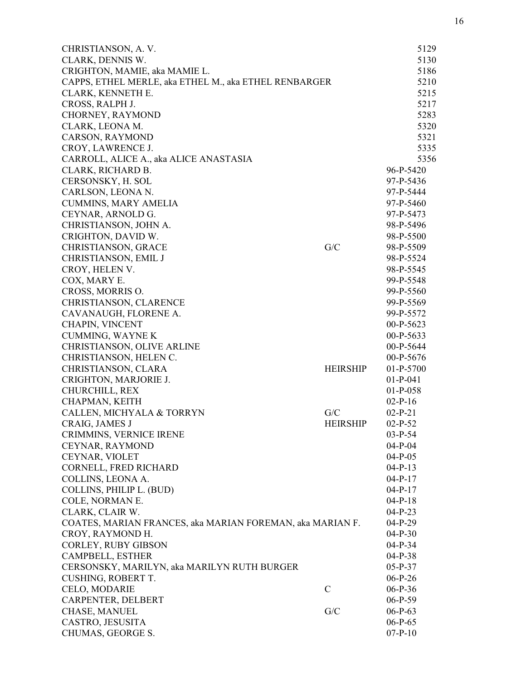| CHRISTIANSON, A.V.                                        |                 | 5129        |
|-----------------------------------------------------------|-----------------|-------------|
| CLARK, DENNIS W.                                          |                 | 5130        |
| CRIGHTON, MAMIE, aka MAMIE L.                             |                 | 5186        |
| CAPPS, ETHEL MERLE, aka ETHEL M., aka ETHEL RENBARGER     |                 | 5210        |
| CLARK, KENNETH E.                                         |                 | 5215        |
| CROSS, RALPH J.                                           |                 | 5217        |
| CHORNEY, RAYMOND                                          |                 | 5283        |
| CLARK, LEONA M.                                           |                 | 5320        |
| <b>CARSON, RAYMOND</b>                                    |                 | 5321        |
| CROY, LAWRENCE J.                                         |                 | 5335        |
| CARROLL, ALICE A., aka ALICE ANASTASIA                    |                 | 5356        |
| CLARK, RICHARD B.                                         |                 | 96-P-5420   |
| CERSONSKY, H. SOL                                         |                 | 97-P-5436   |
| CARLSON, LEONA N.                                         |                 | 97-P-5444   |
| <b>CUMMINS, MARY AMELIA</b>                               |                 | 97-P-5460   |
| CEYNAR, ARNOLD G.                                         |                 | 97-P-5473   |
| CHRISTIANSON, JOHN A.                                     |                 | 98-P-5496   |
| CRIGHTON, DAVID W.                                        |                 | 98-P-5500   |
| <b>CHRISTIANSON, GRACE</b>                                | G/C             | 98-P-5509   |
| <b>CHRISTIANSON, EMIL J</b>                               |                 | 98-P-5524   |
| CROY, HELEN V.                                            |                 | 98-P-5545   |
| COX, MARY E.                                              |                 | 99-P-5548   |
| CROSS, MORRIS O.                                          |                 | 99-P-5560   |
| CHRISTIANSON, CLARENCE                                    |                 | 99-P-5569   |
| CAVANAUGH, FLORENE A.                                     |                 | 99-P-5572   |
| <b>CHAPIN, VINCENT</b>                                    |                 | $00-P-5623$ |
| <b>CUMMING, WAYNE K</b>                                   |                 | $00-P-5633$ |
| CHRISTIANSON, OLIVE ARLINE                                |                 | $00-P-5644$ |
| CHRISTIANSON, HELEN C.                                    |                 | $00-P-5676$ |
| CHRISTIANSON, CLARA                                       | <b>HEIRSHIP</b> | $01-P-5700$ |
| CRIGHTON, MARJORIE J.                                     |                 | $01-P-041$  |
| CHURCHILL, REX                                            |                 | $01-P-058$  |
| CHAPMAN, KEITH                                            |                 | $02-P-16$   |
| CALLEN, MICHYALA & TORRYN                                 | G/C             | $02-P-21$   |
| CRAIG, JAMES J                                            | <b>HEIRSHIP</b> | $02-P-52$   |
| CRIMMINS, VERNICE IRENE                                   |                 | $03-P-54$   |
| CEYNAR, RAYMOND                                           |                 | $04-P-04$   |
| CEYNAR, VIOLET                                            |                 | $04-P-05$   |
| CORNELL, FRED RICHARD                                     |                 | $04-P-13$   |
| COLLINS, LEONA A.                                         |                 | $04-P-17$   |
| COLLINS, PHILIP L. (BUD)                                  |                 | $04-P-17$   |
| COLE, NORMAN E.                                           |                 | $04-P-18$   |
| CLARK, CLAIR W.                                           |                 | $04-P-23$   |
| COATES, MARIAN FRANCES, aka MARIAN FOREMAN, aka MARIAN F. |                 | $04-P-29$   |
| CROY, RAYMOND H.                                          |                 | $04-P-30$   |
| CORLEY, RUBY GIBSON                                       |                 | $04-P-34$   |
| CAMPBELL, ESTHER                                          |                 | $04-P-38$   |
| CERSONSKY, MARILYN, aka MARILYN RUTH BURGER               |                 | $05-P-37$   |
| <b>CUSHING, ROBERT T.</b>                                 |                 | $06-P-26$   |
| CELO, MODARIE                                             | $\mathcal{C}$   | $06-P-36$   |
| CARPENTER, DELBERT                                        |                 | $06-P-59$   |
| CHASE, MANUEL                                             | G/C             | $06-P-63$   |
| CASTRO, JESUSITA                                          |                 | $06-P-65$   |
| CHUMAS, GEORGE S.                                         |                 | $07-P-10$   |
|                                                           |                 |             |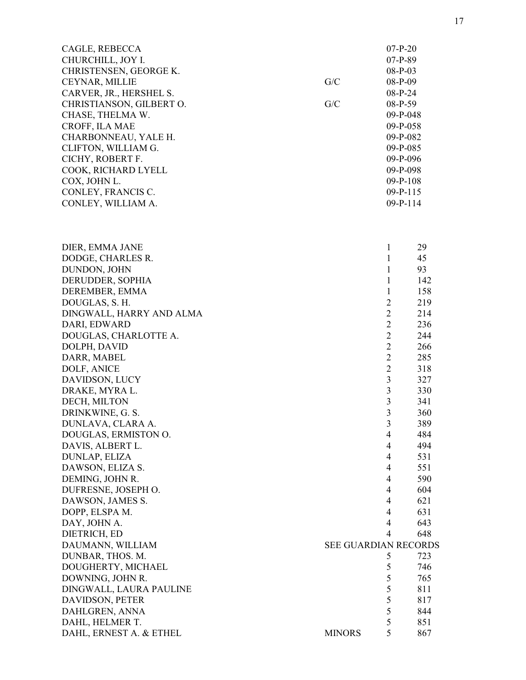| CAGLE, REBECCA<br>CHURCHILL, JOY I.<br>CHRISTENSEN, GEORGE K.<br>CEYNAR, MILLIE<br>CARVER, JR., HERSHEL S.<br>CHRISTIANSON, GILBERT O.<br>CHASE, THELMA W.<br>CROFF, ILA MAE<br>CHARBONNEAU, YALE H.<br>CLIFTON, WILLIAM G.<br>CICHY, ROBERT F.<br>COOK, RICHARD LYELL | G/C<br>G/C           | $07-P-20$<br>$07-P-89$<br>$08-P-03$<br>$08-P-09$<br>$08-P-24$<br>08-P-59<br>09-P-048<br>09-P-058<br>09-P-082<br>09-P-085<br>09-P-096<br>09-P-098 |            |
|------------------------------------------------------------------------------------------------------------------------------------------------------------------------------------------------------------------------------------------------------------------------|----------------------|--------------------------------------------------------------------------------------------------------------------------------------------------|------------|
| COX, JOHN L.                                                                                                                                                                                                                                                           |                      | $09 - P - 108$                                                                                                                                   |            |
| CONLEY, FRANCIS C.                                                                                                                                                                                                                                                     |                      | $09 - P - 115$                                                                                                                                   |            |
| CONLEY, WILLIAM A.                                                                                                                                                                                                                                                     |                      | $09-P-114$                                                                                                                                       |            |
|                                                                                                                                                                                                                                                                        |                      |                                                                                                                                                  |            |
| DIER, EMMA JANE                                                                                                                                                                                                                                                        |                      | $\mathbf{1}$                                                                                                                                     | 29         |
| DODGE, CHARLES R.<br>DUNDON, JOHN                                                                                                                                                                                                                                      |                      | $\mathbf{1}$<br>$\mathbf{1}$                                                                                                                     | 45<br>93   |
| DERUDDER, SOPHIA                                                                                                                                                                                                                                                       |                      | $\mathbf{1}$                                                                                                                                     | 142        |
| DEREMBER, EMMA                                                                                                                                                                                                                                                         |                      | $\mathbf{1}$                                                                                                                                     | 158        |
| DOUGLAS, S. H.                                                                                                                                                                                                                                                         |                      | $\overline{2}$                                                                                                                                   | 219        |
| DINGWALL, HARRY AND ALMA                                                                                                                                                                                                                                               |                      | $\overline{2}$                                                                                                                                   | 214        |
| DARI, EDWARD                                                                                                                                                                                                                                                           |                      | $\overline{2}$                                                                                                                                   | 236        |
| DOUGLAS, CHARLOTTE A.                                                                                                                                                                                                                                                  |                      | $\overline{2}$                                                                                                                                   | 244        |
| DOLPH, DAVID                                                                                                                                                                                                                                                           |                      | $\overline{2}$                                                                                                                                   | 266        |
| DARR, MABEL                                                                                                                                                                                                                                                            |                      | $\overline{2}$                                                                                                                                   | 285        |
| DOLF, ANICE                                                                                                                                                                                                                                                            |                      | $\overline{2}$                                                                                                                                   | 318        |
| DAVIDSON, LUCY                                                                                                                                                                                                                                                         |                      | 3                                                                                                                                                | 327        |
| DRAKE, MYRA L.                                                                                                                                                                                                                                                         |                      | $\mathfrak{Z}$                                                                                                                                   | 330        |
| DECH, MILTON                                                                                                                                                                                                                                                           |                      | $\mathfrak{Z}$                                                                                                                                   | 341        |
| DRINKWINE, G. S.                                                                                                                                                                                                                                                       |                      | $\overline{3}$                                                                                                                                   | 360        |
| DUNLAVA, CLARA A.                                                                                                                                                                                                                                                      |                      | 3                                                                                                                                                | 389        |
| DOUGLAS, ERMISTON O.                                                                                                                                                                                                                                                   |                      | 4                                                                                                                                                | 484        |
| DAVIS, ALBERT L.                                                                                                                                                                                                                                                       |                      | $\overline{4}$                                                                                                                                   | 494        |
| DUNLAP, ELIZA                                                                                                                                                                                                                                                          |                      | 4                                                                                                                                                | 531        |
| DAWSON, ELIZA S.<br>DEMING, JOHN R.                                                                                                                                                                                                                                    |                      | $\overline{4}$<br>$\overline{4}$                                                                                                                 | 551<br>590 |
| DUFRESNE, JOSEPH O.                                                                                                                                                                                                                                                    |                      | $\overline{4}$                                                                                                                                   | 604        |
| DAWSON, JAMES S.                                                                                                                                                                                                                                                       |                      | $\overline{4}$                                                                                                                                   | 621        |
| DOPP, ELSPA M.                                                                                                                                                                                                                                                         |                      | $\overline{4}$                                                                                                                                   | 631        |
| DAY, JOHN A.                                                                                                                                                                                                                                                           |                      | $\overline{4}$                                                                                                                                   | 643        |
| DIETRICH, ED                                                                                                                                                                                                                                                           |                      | $\overline{4}$                                                                                                                                   | 648        |
| DAUMANN, WILLIAM                                                                                                                                                                                                                                                       | SEE GUARDIAN RECORDS |                                                                                                                                                  |            |
| DUNBAR, THOS. M.                                                                                                                                                                                                                                                       |                      | 5                                                                                                                                                | 723        |
| DOUGHERTY, MICHAEL                                                                                                                                                                                                                                                     |                      | 5                                                                                                                                                | 746        |
| DOWNING, JOHN R.                                                                                                                                                                                                                                                       |                      | 5                                                                                                                                                | 765        |
| DINGWALL, LAURA PAULINE                                                                                                                                                                                                                                                |                      | 5                                                                                                                                                | 811        |
| DAVIDSON, PETER                                                                                                                                                                                                                                                        |                      | 5                                                                                                                                                | 817        |
| DAHLGREN, ANNA                                                                                                                                                                                                                                                         |                      | 5                                                                                                                                                | 844        |
| DAHL, HELMER T.                                                                                                                                                                                                                                                        |                      | 5                                                                                                                                                | 851        |
| DAHL, ERNEST A. & ETHEL                                                                                                                                                                                                                                                | <b>MINORS</b>        | 5                                                                                                                                                | 867        |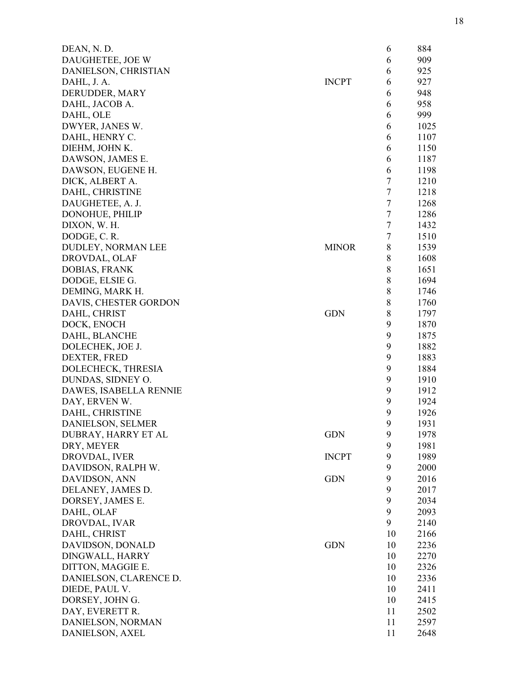| DEAN, N.D.             |              | 6              | 884  |
|------------------------|--------------|----------------|------|
| DAUGHETEE, JOE W       |              | 6              | 909  |
| DANIELSON, CHRISTIAN   |              | 6              | 925  |
| DAHL, J. A.            | <b>INCPT</b> | 6              | 927  |
| DERUDDER, MARY         |              | 6              | 948  |
| DAHL, JACOB A.         |              | 6              | 958  |
| DAHL, OLE              |              | 6              | 999  |
| DWYER, JANES W.        |              | 6              | 1025 |
| DAHL, HENRY C.         |              | 6              | 1107 |
| DIEHM, JOHN K.         |              | 6              | 1150 |
| DAWSON, JAMES E.       |              | 6              | 1187 |
| DAWSON, EUGENE H.      |              | 6              | 1198 |
| DICK, ALBERT A.        |              | 7              | 1210 |
| DAHL, CHRISTINE        |              | $\overline{7}$ | 1218 |
| DAUGHETEE, A. J.       |              | $\tau$         | 1268 |
| <b>DONOHUE, PHILIP</b> |              | $\tau$         | 1286 |
| DIXON, W. H.           |              | $\tau$         | 1432 |
|                        |              | $\tau$         | 1510 |
| DODGE, C.R.            |              |                |      |
| DUDLEY, NORMAN LEE     | <b>MINOR</b> | 8              | 1539 |
| DROVDAL, OLAF          |              | 8              | 1608 |
| DOBIAS, FRANK          |              | 8              | 1651 |
| DODGE, ELSIE G.        |              | 8              | 1694 |
| DEMING, MARK H.        |              | 8              | 1746 |
| DAVIS, CHESTER GORDON  |              | 8              | 1760 |
| DAHL, CHRIST           | <b>GDN</b>   | $\,8$          | 1797 |
| DOCK, ENOCH            |              | 9              | 1870 |
| DAHL, BLANCHE          |              | 9              | 1875 |
| DOLECHEK, JOE J.       |              | 9              | 1882 |
| DEXTER, FRED           |              | 9              | 1883 |
| DOLECHECK, THRESIA     |              | 9              | 1884 |
| DUNDAS, SIDNEY O.      |              | 9              | 1910 |
| DAWES, ISABELLA RENNIE |              | 9              | 1912 |
| DAY, ERVEN W.          |              | 9              | 1924 |
| DAHL, CHRISTINE        |              | 9              | 1926 |
| DANIELSON, SELMER      |              | 9              | 1931 |
| DUBRAY, HARRY ET AL    | <b>GDN</b>   | 9              | 1978 |
| DRY, MEYER             |              | 9              | 1981 |
| DROVDAL, IVER          | <b>INCPT</b> | 9              | 1989 |
| DAVIDSON, RALPH W.     |              | 9              | 2000 |
| DAVIDSON, ANN          | <b>GDN</b>   | 9              | 2016 |
| DELANEY, JAMES D.      |              | 9              | 2017 |
| DORSEY, JAMES E.       |              | 9              | 2034 |
| DAHL, OLAF             |              | 9              | 2093 |
| DROVDAL, IVAR          |              | 9              | 2140 |
| DAHL, CHRIST           |              | 10             | 2166 |
| DAVIDSON, DONALD       | <b>GDN</b>   | 10             | 2236 |
| DINGWALL, HARRY        |              | 10             | 2270 |
| DITTON, MAGGIE E.      |              | 10             | 2326 |
| DANIELSON, CLARENCE D. |              | 10             | 2336 |
| DIEDE, PAUL V.         |              | 10             | 2411 |
| DORSEY, JOHN G.        |              | 10             | 2415 |
| DAY, EVERETT R.        |              | 11             | 2502 |
|                        |              | 11             | 2597 |
| DANIELSON, NORMAN      |              |                |      |
| DANIELSON, AXEL        |              | 11             | 2648 |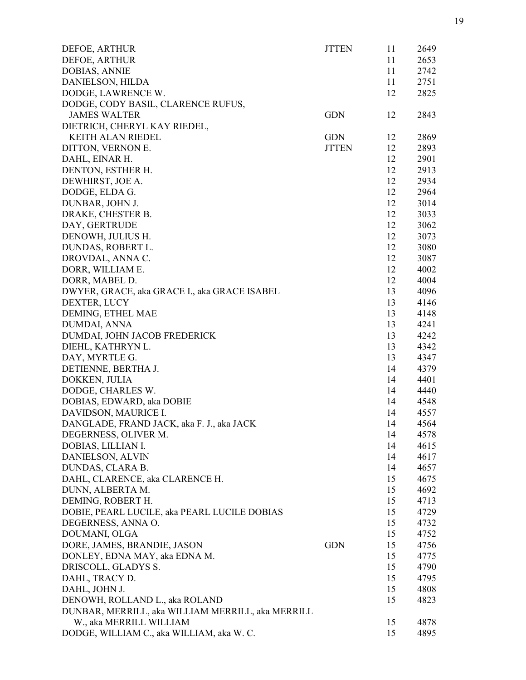| DEFOE, ARTHUR                                     | <b>JTTEN</b> | 11 | 2649 |
|---------------------------------------------------|--------------|----|------|
| DEFOE, ARTHUR                                     |              | 11 | 2653 |
| <b>DOBIAS, ANNIE</b>                              |              | 11 | 2742 |
| DANIELSON, HILDA                                  |              | 11 | 2751 |
| DODGE, LAWRENCE W.                                |              | 12 | 2825 |
| DODGE, CODY BASIL, CLARENCE RUFUS,                |              |    |      |
| <b>JAMES WALTER</b>                               | <b>GDN</b>   | 12 | 2843 |
| DIETRICH, CHERYL KAY RIEDEL,                      |              |    |      |
| <b>KEITH ALAN RIEDEL</b>                          | <b>GDN</b>   | 12 | 2869 |
| DITTON, VERNON E.                                 | <b>JTTEN</b> | 12 | 2893 |
| DAHL, EINAR H.                                    |              | 12 | 2901 |
| DENTON, ESTHER H.                                 |              | 12 | 2913 |
| DEWHIRST, JOE A.                                  |              | 12 | 2934 |
| DODGE, ELDA G.                                    |              | 12 | 2964 |
| DUNBAR, JOHN J.                                   |              | 12 | 3014 |
| DRAKE, CHESTER B.                                 |              | 12 | 3033 |
| DAY, GERTRUDE                                     |              | 12 | 3062 |
| DENOWH, JULIUS H.                                 |              | 12 | 3073 |
| DUNDAS, ROBERT L.                                 |              | 12 | 3080 |
| DROVDAL, ANNA C.                                  |              | 12 | 3087 |
| DORR, WILLIAM E.                                  |              | 12 | 4002 |
| DORR, MABEL D.                                    |              | 12 | 4004 |
| DWYER, GRACE, aka GRACE I., aka GRACE ISABEL      |              | 13 | 4096 |
| DEXTER, LUCY                                      |              | 13 | 4146 |
| DEMING, ETHEL MAE                                 |              | 13 | 4148 |
| DUMDAI, ANNA                                      |              | 13 | 4241 |
| DUMDAI, JOHN JACOB FREDERICK                      |              | 13 | 4242 |
| DIEHL, KATHRYN L.                                 |              | 13 | 4342 |
| DAY, MYRTLE G.                                    |              | 13 | 4347 |
| DETIENNE, BERTHA J.                               |              | 14 | 4379 |
| DOKKEN, JULIA                                     |              | 14 | 4401 |
| DODGE, CHARLES W.                                 |              | 14 | 4440 |
| DOBIAS, EDWARD, aka DOBIE                         |              | 14 | 4548 |
| DAVIDSON, MAURICE I.                              |              | 14 | 4557 |
| DANGLADE, FRAND JACK, aka F. J., aka JACK         |              | 14 | 4564 |
| DEGERNESS, OLIVER M.                              |              | 14 | 4578 |
| DOBIAS, LILLIAN I.                                |              | 14 | 4615 |
| DANIELSON, ALVIN                                  |              | 14 | 4617 |
| DUNDAS, CLARA B.                                  |              | 14 | 4657 |
| DAHL, CLARENCE, aka CLARENCE H.                   |              | 15 | 4675 |
| DUNN, ALBERTA M.                                  |              | 15 | 4692 |
| DEMING, ROBERT H.                                 |              | 15 | 4713 |
| DOBIE, PEARL LUCILE, aka PEARL LUCILE DOBIAS      |              | 15 | 4729 |
| DEGERNESS, ANNA O.                                |              | 15 | 4732 |
| DOUMANI, OLGA                                     |              | 15 | 4752 |
| DORE, JAMES, BRANDIE, JASON                       | <b>GDN</b>   | 15 | 4756 |
| DONLEY, EDNA MAY, aka EDNA M.                     |              | 15 | 4775 |
| DRISCOLL, GLADYS S.                               |              | 15 | 4790 |
| DAHL, TRACY D.                                    |              | 15 | 4795 |
| DAHL, JOHN J.                                     |              | 15 | 4808 |
| DENOWH, ROLLAND L., aka ROLAND                    |              | 15 | 4823 |
| DUNBAR, MERRILL, aka WILLIAM MERRILL, aka MERRILL |              |    |      |
| W., aka MERRILL WILLIAM                           |              | 15 | 4878 |
| DODGE, WILLIAM C., aka WILLIAM, aka W. C.         |              | 15 | 4895 |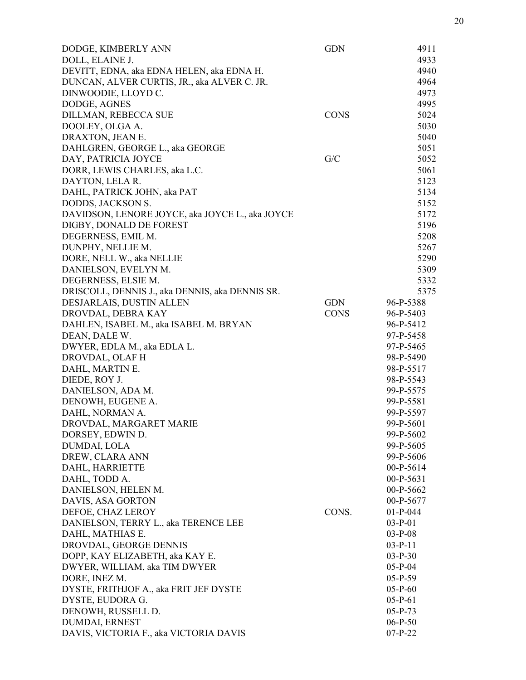| DODGE, KIMBERLY ANN                             | <b>GDN</b>  | 4911        |
|-------------------------------------------------|-------------|-------------|
| DOLL, ELAINE J.                                 |             | 4933        |
| DEVITT, EDNA, aka EDNA HELEN, aka EDNA H.       |             | 4940        |
| DUNCAN, ALVER CURTIS, JR., aka ALVER C. JR.     |             | 4964        |
| DINWOODIE, LLOYD C.                             |             | 4973        |
| DODGE, AGNES                                    |             | 4995        |
| DILLMAN, REBECCA SUE                            | <b>CONS</b> | 5024        |
| DOOLEY, OLGA A.                                 |             | 5030        |
| DRAXTON, JEAN E.                                |             | 5040        |
| DAHLGREN, GEORGE L., aka GEORGE                 |             | 5051        |
| DAY, PATRICIA JOYCE                             | G/C         | 5052        |
| DORR, LEWIS CHARLES, aka L.C.                   |             | 5061        |
| DAYTON, LELA R.                                 |             | 5123        |
| DAHL, PATRICK JOHN, aka PAT                     |             | 5134        |
| DODDS, JACKSON S.                               |             | 5152        |
| DAVIDSON, LENORE JOYCE, aka JOYCE L., aka JOYCE |             | 5172        |
| DIGBY, DONALD DE FOREST                         |             | 5196        |
| DEGERNESS, EMIL M.                              |             | 5208        |
| DUNPHY, NELLIE M.                               |             | 5267        |
| DORE, NELL W., aka NELLIE                       |             | 5290        |
| DANIELSON, EVELYN M.                            |             | 5309        |
| DEGERNESS, ELSIE M.                             |             | 5332        |
| DRISCOLL, DENNIS J., aka DENNIS, aka DENNIS SR. |             | 5375        |
| DESJARLAIS, DUSTIN ALLEN                        | <b>GDN</b>  | 96-P-5388   |
| DROVDAL, DEBRA KAY                              | <b>CONS</b> | 96-P-5403   |
| DAHLEN, ISABEL M., aka ISABEL M. BRYAN          |             | 96-P-5412   |
| DEAN, DALE W.                                   |             | 97-P-5458   |
| DWYER, EDLA M., aka EDLA L.                     |             | 97-P-5465   |
| DROVDAL, OLAF H                                 |             | 98-P-5490   |
|                                                 |             |             |
| DAHL, MARTIN E.                                 |             | 98-P-5517   |
| DIEDE, ROY J.                                   |             | 98-P-5543   |
| DANIELSON, ADA M.                               |             | 99-P-5575   |
| DENOWH, EUGENE A.                               |             | 99-P-5581   |
| DAHL, NORMAN A.                                 |             | 99-P-5597   |
| DROVDAL, MARGARET MARIE                         |             | 99-P-5601   |
| DORSEY, EDWIN D.                                |             | 99-P-5602   |
| DUMDAI, LOLA                                    |             | 99-P-5605   |
| DREW, CLARA ANN                                 |             | 99-P-5606   |
| DAHL, HARRIETTE                                 |             | $00-P-5614$ |
| DAHL, TODD A.                                   |             | $00-P-5631$ |
| DANIELSON, HELEN M.                             |             | 00-P-5662   |
| DAVIS, ASA GORTON                               |             | 00-P-5677   |
| DEFOE, CHAZ LEROY                               | CONS.       | $01-P-044$  |
| DANIELSON, TERRY L., aka TERENCE LEE            |             | $03-P-01$   |
| DAHL, MATHIAS E.                                |             | $03-P-08$   |
| DROVDAL, GEORGE DENNIS                          |             | $03-P-11$   |
| DOPP, KAY ELIZABETH, aka KAY E.                 |             | $03-P-30$   |
| DWYER, WILLIAM, aka TIM DWYER                   |             | $05-P-04$   |
| DORE, INEZ M.                                   |             | $05-P-59$   |
| DYSTE, FRITHJOF A., aka FRIT JEF DYSTE          |             | $05-P-60$   |
| DYSTE, EUDORA G.                                |             | $05-P-61$   |
| DENOWH, RUSSELL D.                              |             | $05-P-73$   |
| DUMDAI, ERNEST                                  |             | $06-P-50$   |
| DAVIS, VICTORIA F., aka VICTORIA DAVIS          |             | $07-P-22$   |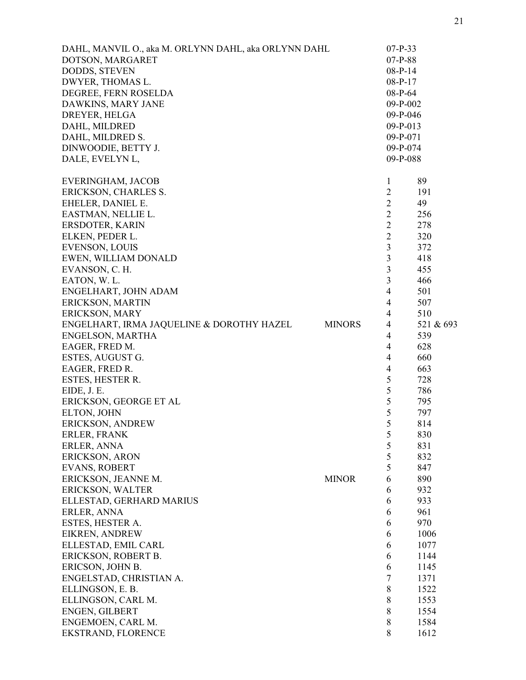| DAHL, MANVIL O., aka M. ORLYNN DAHL, aka ORLYNN DAHL |               | $07-P-33$      |           |
|------------------------------------------------------|---------------|----------------|-----------|
| DOTSON, MARGARET                                     |               | $07-P-88$      |           |
| DODDS, STEVEN                                        |               | $08-P-14$      |           |
| DWYER, THOMAS L.                                     |               | $08-P-17$      |           |
| DEGREE, FERN ROSELDA                                 |               | 08-P-64        |           |
| DAWKINS, MARY JANE                                   |               | 09-P-002       |           |
| DREYER, HELGA                                        |               | 09-P-046       |           |
| DAHL, MILDRED                                        |               | 09-P-013       |           |
| DAHL, MILDRED S.                                     |               | 09-P-071       |           |
| DINWOODIE, BETTY J.                                  |               | 09-P-074       |           |
| DALE, EVELYN L,                                      |               | 09-P-088       |           |
| EVERINGHAM, JACOB                                    |               | $\mathbf{1}$   | 89        |
| ERICKSON, CHARLES S.                                 |               | $\overline{2}$ | 191       |
| EHELER, DANIEL E.                                    |               | $\overline{2}$ | 49        |
| EASTMAN, NELLIE L.                                   |               | $\overline{2}$ | 256       |
| ERSDOTER, KARIN                                      |               | $\overline{2}$ | 278       |
|                                                      |               |                |           |
| ELKEN, PEDER L.                                      |               | $\overline{2}$ | 320       |
| <b>EVENSON, LOUIS</b>                                |               | $\overline{3}$ | 372       |
| EWEN, WILLIAM DONALD                                 |               | 3              | 418       |
| EVANSON, C. H.                                       |               | 3              | 455       |
| EATON, W.L.                                          |               | 3              | 466       |
| ENGELHART, JOHN ADAM                                 |               | $\overline{4}$ | 501       |
| ERICKSON, MARTIN                                     |               | $\overline{4}$ | 507       |
| ERICKSON, MARY                                       |               | $\overline{4}$ | 510       |
| ENGELHART, IRMA JAQUELINE & DOROTHY HAZEL            | <b>MINORS</b> | $\overline{4}$ | 521 & 693 |
| <b>ENGELSON, MARTHA</b>                              |               | 4              | 539       |
| EAGER, FRED M.                                       |               | $\overline{4}$ | 628       |
| ESTES, AUGUST G.                                     |               | $\overline{4}$ | 660       |
| EAGER, FRED R.                                       |               | $\overline{4}$ | 663       |
| ESTES, HESTER R.                                     |               | 5              | 728       |
| EIDE, J. E.                                          |               | 5              | 786       |
| ERICKSON, GEORGE ET AL                               |               | 5              | 795       |
| ELTON, JOHN                                          |               | 5              | 797       |
| ERICKSON, ANDREW                                     |               | 5              | 814       |
| ERLER, FRANK                                         |               | 5              | 830       |
| ERLER, ANNA                                          |               | 5              | 831       |
| ERICKSON, ARON                                       |               | 5              |           |
|                                                      |               |                | 832       |
| <b>EVANS, ROBERT</b>                                 |               | 5              | 847       |
| ERICKSON, JEANNE M.                                  | <b>MINOR</b>  | 6              | 890       |
| ERICKSON, WALTER                                     |               | 6              | 932       |
| ELLESTAD, GERHARD MARIUS                             |               | 6              | 933       |
| ERLER, ANNA                                          |               | 6              | 961       |
| ESTES, HESTER A.                                     |               | 6              | 970       |
| <b>EIKREN, ANDREW</b>                                |               | 6              | 1006      |
| ELLESTAD, EMIL CARL                                  |               | 6              | 1077      |
| ERICKSON, ROBERT B.                                  |               | 6              | 1144      |
| ERICSON, JOHN B.                                     |               | 6              | 1145      |
| ENGELSTAD, CHRISTIAN A.                              |               | 7              | 1371      |
| ELLINGSON, E.B.                                      |               | 8              | 1522      |
| ELLINGSON, CARL M.                                   |               | 8              | 1553      |
| ENGEN, GILBERT                                       |               | 8              | 1554      |
| ENGEMOEN, CARL M.                                    |               | 8              | 1584      |
| EKSTRAND, FLORENCE                                   |               | 8              | 1612      |
|                                                      |               |                |           |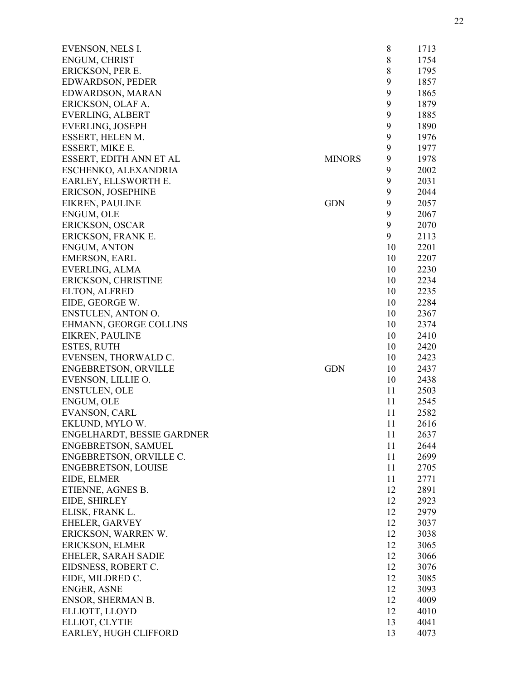| EVENSON, NELS I.            |               | 8     | 1713 |
|-----------------------------|---------------|-------|------|
| ENGUM, CHRIST               |               | $8\,$ | 1754 |
| ERICKSON, PER E.            |               | $\,8$ | 1795 |
| EDWARDSON, PEDER            |               | 9     | 1857 |
| <b>EDWARDSON, MARAN</b>     |               | 9     | 1865 |
| ERICKSON, OLAF A.           |               | 9     | 1879 |
| <b>EVERLING, ALBERT</b>     |               | 9     | 1885 |
| EVERLING, JOSEPH            |               | 9     | 1890 |
| ESSERT, HELEN M.            |               | 9     | 1976 |
| ESSERT, MIKE E.             |               | 9     | 1977 |
| ESSERT, EDITH ANN ET AL     | <b>MINORS</b> | 9     | 1978 |
| ESCHENKO, ALEXANDRIA        |               | 9     | 2002 |
| EARLEY, ELLSWORTH E.        |               | 9     | 2031 |
| ERICSON, JOSEPHINE          |               | 9     | 2044 |
| EIKREN, PAULINE             | <b>GDN</b>    | 9     | 2057 |
| ENGUM, OLE                  |               | 9     | 2067 |
| ERICKSON, OSCAR             |               | 9     | 2070 |
| ERICKSON, FRANK E.          |               | 9     | 2113 |
| <b>ENGUM, ANTON</b>         |               | 10    | 2201 |
| <b>EMERSON, EARL</b>        |               | 10    | 2207 |
| EVERLING, ALMA              |               | 10    | 2230 |
| ERICKSON, CHRISTINE         |               | 10    | 2234 |
| ELTON, ALFRED               |               | 10    | 2235 |
| EIDE, GEORGE W.             |               | 10    | 2284 |
| ENSTULEN, ANTON O.          |               | 10    | 2367 |
| EHMANN, GEORGE COLLINS      |               | 10    | 2374 |
| EIKREN, PAULINE             |               | 10    | 2410 |
| ESTES, RUTH                 |               | 10    | 2420 |
| EVENSEN, THORWALD C.        |               | 10    | 2423 |
| <b>ENGEBRETSON, ORVILLE</b> | <b>GDN</b>    | 10    | 2437 |
| EVENSON, LILLIE O.          |               | 10    | 2438 |
| <b>ENSTULEN, OLE</b>        |               | 11    | 2503 |
| ENGUM, OLE                  |               | 11    | 2545 |
| EVANSON, CARL               |               | 11    | 2582 |
| EKLUND, MYLO W.             |               | 11    | 2616 |
| ENGELHARDT, BESSIE GARDNER  |               | 11    | 2637 |
| ENGEBRETSON, SAMUEL         |               | 11    | 2644 |
| ENGEBRETSON, ORVILLE C.     |               | 11    | 2699 |
| ENGEBRETSON, LOUISE         |               | 11    | 2705 |
| EIDE, ELMER                 |               | 11    | 2771 |
| ETIENNE, AGNES B.           |               | 12    | 2891 |
| EIDE, SHIRLEY               |               | 12    | 2923 |
| ELISK, FRANK L.             |               | 12    | 2979 |
| EHELER, GARVEY              |               | 12    | 3037 |
| ERICKSON, WARREN W.         |               | 12    | 3038 |
| ERICKSON, ELMER             |               | 12    | 3065 |
| EHELER, SARAH SADIE         |               | 12    | 3066 |
| EIDSNESS, ROBERT C.         |               | 12    | 3076 |
| EIDE, MILDRED C.            |               | 12    | 3085 |
| ENGER, ASNE                 |               | 12    | 3093 |
| ENSOR, SHERMAN B.           |               | 12    | 4009 |
| ELLIOTT, LLOYD              |               | 12    | 4010 |
| ELLIOT, CLYTIE              |               | 13    | 4041 |
| EARLEY, HUGH CLIFFORD       |               | 13    | 4073 |
|                             |               |       |      |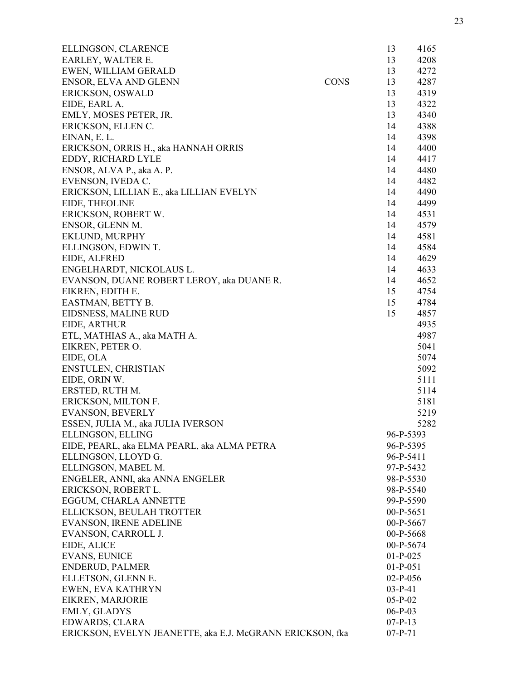| ELLINGSON, CLARENCE                                       |             | 13          | 4165 |
|-----------------------------------------------------------|-------------|-------------|------|
| EARLEY, WALTER E.                                         |             | 13          | 4208 |
| EWEN, WILLIAM GERALD                                      |             | 13          | 4272 |
| ENSOR, ELVA AND GLENN                                     | <b>CONS</b> | 13          | 4287 |
| ERICKSON, OSWALD                                          |             | 13          | 4319 |
| EIDE, EARL A.                                             |             | 13          | 4322 |
| EMLY, MOSES PETER, JR.                                    |             | 13          | 4340 |
| ERICKSON, ELLEN C.                                        |             | 14          | 4388 |
| EINAN, E. L.                                              |             | 14          | 4398 |
| ERICKSON, ORRIS H., aka HANNAH ORRIS                      |             | 14          | 4400 |
| EDDY, RICHARD LYLE                                        |             | 14          | 4417 |
| ENSOR, ALVA P., aka A. P.                                 |             | 14          | 4480 |
| EVENSON, IVEDA C.                                         |             | 14          | 4482 |
| ERICKSON, LILLIAN E., aka LILLIAN EVELYN                  |             | 14          | 4490 |
| EIDE, THEOLINE                                            |             | 14          | 4499 |
| ERICKSON, ROBERT W.                                       |             | 14          | 4531 |
| ENSOR, GLENN M.                                           |             | 14          | 4579 |
| EKLUND, MURPHY                                            |             | 14          | 4581 |
| ELLINGSON, EDWIN T.                                       |             | 14          | 4584 |
| EIDE, ALFRED                                              |             | 14          | 4629 |
| ENGELHARDT, NICKOLAUS L.                                  |             | 14          | 4633 |
| EVANSON, DUANE ROBERT LEROY, aka DUANE R.                 |             | 14          | 4652 |
| EIKREN, EDITH E.                                          |             | 15          | 4754 |
| EASTMAN, BETTY B.                                         |             | 15          | 4784 |
| EIDSNESS, MALINE RUD                                      |             | 15          | 4857 |
| EIDE, ARTHUR                                              |             |             | 4935 |
| ETL, MATHIAS A., aka MATH A.                              |             |             | 4987 |
| EIKREN, PETER O.                                          |             |             | 5041 |
| EIDE, OLA                                                 |             |             | 5074 |
| ENSTULEN, CHRISTIAN                                       |             |             | 5092 |
| EIDE, ORIN W.                                             |             |             | 5111 |
| ERSTED, RUTH M.                                           |             |             | 5114 |
| ERICKSON, MILTON F.                                       |             |             | 5181 |
| <b>EVANSON, BEVERLY</b>                                   |             |             | 5219 |
| ESSEN, JULIA M., aka JULIA IVERSON                        |             |             | 5282 |
| ELLINGSON, ELLING                                         |             | 96-P-5393   |      |
| EIDE, PEARL, aka ELMA PEARL, aka ALMA PETRA               |             | 96-P-5395   |      |
| ELLINGSON, LLOYD G.                                       |             | 96-P-5411   |      |
| ELLINGSON, MABEL M.                                       |             | 97-P-5432   |      |
| ENGELER, ANNI, aka ANNA ENGELER                           |             | 98-P-5530   |      |
| ERICKSON, ROBERT L.                                       |             | 98-P-5540   |      |
| EGGUM, CHARLA ANNETTE                                     |             | 99-P-5590   |      |
| ELLICKSON, BEULAH TROTTER                                 |             | $00-P-5651$ |      |
| <b>EVANSON, IRENE ADELINE</b>                             |             | 00-P-5667   |      |
| EVANSON, CARROLL J.                                       |             | 00-P-5668   |      |
| EIDE, ALICE                                               |             | 00-P-5674   |      |
| <b>EVANS, EUNICE</b>                                      |             | $01-P-025$  |      |
| <b>ENDERUD, PALMER</b>                                    |             | $01-P-051$  |      |
| ELLETSON, GLENN E.                                        |             | $02-P-056$  |      |
| EWEN, EVA KATHRYN                                         |             | $03-P-41$   |      |
| EIKREN, MARJORIE                                          |             | $05-P-02$   |      |
| EMLY, GLADYS                                              |             | $06-P-03$   |      |
| EDWARDS, CLARA                                            |             | $07-P-13$   |      |
| ERICKSON, EVELYN JEANETTE, aka E.J. McGRANN ERICKSON, fka |             | $07-P-71$   |      |
|                                                           |             |             |      |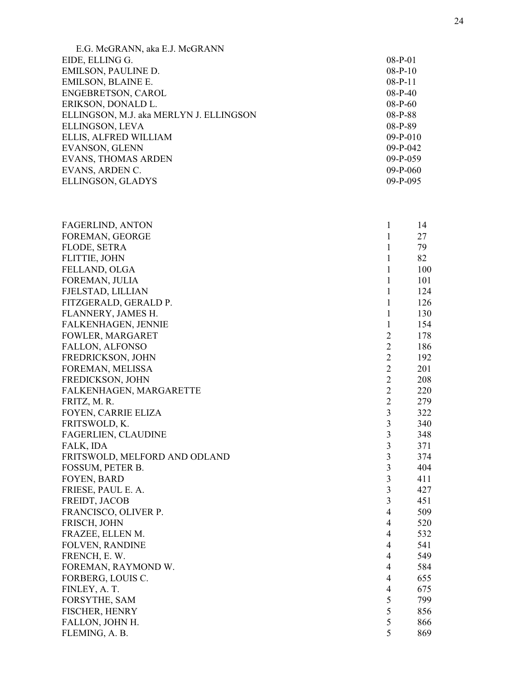| E.G. McGRANN, aka E.J. McGRANN          |            |
|-----------------------------------------|------------|
| EIDE, ELLING G.                         | $08-P-01$  |
| EMILSON, PAULINE D.                     | $08-P-10$  |
| <b>EMILSON, BLAINE E.</b>               | $08-P-11$  |
| <b>ENGEBRETSON, CAROL</b>               | $08-P-40$  |
| ERIKSON, DONALD L.                      | $08-P-60$  |
| ELLINGSON, M.J. aka MERLYN J. ELLINGSON | $08-P-88$  |
| ELLINGSON, LEVA                         | 08-P-89    |
| ELLIS, ALFRED WILLIAM                   | $09-P-010$ |
| <b>EVANSON, GLENN</b>                   | $09-P-042$ |
| <b>EVANS, THOMAS ARDEN</b>              | $09-P-059$ |
| EVANS, ARDEN C.                         | $09-P-060$ |
| ELLINGSON, GLADYS                       | $09-P-095$ |
|                                         |            |

| <b>FAGERLIND, ANTON</b>       | $\mathbf{1}$            | 14  |
|-------------------------------|-------------------------|-----|
| FOREMAN, GEORGE               | $\mathbf{1}$            | 27  |
| FLODE, SETRA                  | $\mathbf{1}$            | 79  |
| FLITTIE, JOHN                 | $\mathbf{1}$            | 82  |
| FELLAND, OLGA                 | $\mathbf{1}$            | 100 |
| FOREMAN, JULIA                | $\mathbf{1}$            | 101 |
| FJELSTAD, LILLIAN             | $\mathbf{1}$            | 124 |
| FITZGERALD, GERALD P.         | $\mathbf{1}$            | 126 |
| FLANNERY, JAMES H.            | $\mathbf{1}$            | 130 |
| <b>FALKENHAGEN, JENNIE</b>    | $\mathbf{1}$            | 154 |
| FOWLER, MARGARET              | $\overline{2}$          | 178 |
| <b>FALLON, ALFONSO</b>        | 2                       | 186 |
| FREDRICKSON, JOHN             | $\overline{2}$          | 192 |
| FOREMAN, MELISSA              | $\overline{2}$          | 201 |
| FREDICKSON, JOHN              | $\overline{2}$          | 208 |
| FALKENHAGEN, MARGARETTE       | $\overline{2}$          | 220 |
| FRITZ, M. R.                  | $\overline{c}$          | 279 |
| <b>FOYEN, CARRIE ELIZA</b>    | 3                       | 322 |
| FRITSWOLD, K.                 | $\overline{\mathbf{3}}$ | 340 |
| <b>FAGERLIEN, CLAUDINE</b>    | $\overline{\mathbf{3}}$ | 348 |
| FALK, IDA                     | $\overline{\mathbf{3}}$ | 371 |
| FRITSWOLD, MELFORD AND ODLAND | $\overline{\mathbf{3}}$ | 374 |
| FOSSUM, PETER B.              | $\overline{\mathbf{3}}$ | 404 |
| <b>FOYEN, BARD</b>            | $\overline{\mathbf{3}}$ | 411 |
| FRIESE, PAUL E. A.            | $\overline{3}$          | 427 |
| FREIDT, JACOB                 | $\overline{\mathbf{3}}$ | 451 |
| FRANCISCO, OLIVER P.          | $\overline{4}$          | 509 |
| FRISCH, JOHN                  | $\overline{4}$          | 520 |
| FRAZEE, ELLEN M.              | $\overline{4}$          | 532 |
| <b>FOLVEN, RANDINE</b>        | $\overline{4}$          | 541 |
| FRENCH, E.W.                  | $\overline{4}$          | 549 |
| FOREMAN, RAYMOND W.           | $\overline{4}$          | 584 |
| FORBERG, LOUIS C.             | $\overline{4}$          | 655 |
| FINLEY, A. T.                 | $\overline{4}$          | 675 |
| FORSYTHE, SAM                 | 5                       | 799 |
| <b>FISCHER, HENRY</b>         | 5                       | 856 |
| FALLON, JOHN H.               | 5                       | 866 |
| FLEMING, A. B.                | 5                       | 869 |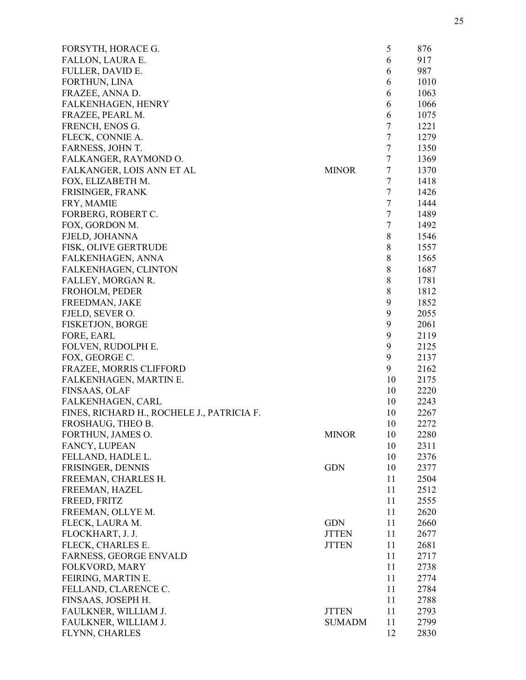| FORSYTH, HORACE G.                         |               | 5       | 876  |
|--------------------------------------------|---------------|---------|------|
| FALLON, LAURA E.                           |               | 6       | 917  |
| FULLER, DAVID E.                           |               | 6       | 987  |
| FORTHUN, LINA                              |               | 6       | 1010 |
| FRAZEE, ANNA D.                            |               | 6       | 1063 |
| <b>FALKENHAGEN, HENRY</b>                  |               | 6       | 1066 |
| FRAZEE, PEARL M.                           |               | 6       | 1075 |
| FRENCH, ENOS G.                            |               | $\tau$  | 1221 |
| FLECK, CONNIE A.                           |               | $\tau$  | 1279 |
| FARNESS, JOHN T.                           |               | $\tau$  | 1350 |
| FALKANGER, RAYMOND O.                      |               | $\tau$  | 1369 |
| FALKANGER, LOIS ANN ET AL                  | <b>MINOR</b>  | $\tau$  | 1370 |
| FOX, ELIZABETH M.                          |               | $\tau$  | 1418 |
| FRISINGER, FRANK                           |               | $\tau$  | 1426 |
| FRY, MAMIE                                 |               | $\tau$  | 1444 |
| FORBERG, ROBERT C.                         |               | $\tau$  | 1489 |
| FOX, GORDON M.                             |               | $\tau$  | 1492 |
| FJELD, JOHANNA                             |               | $8\,$   | 1546 |
| FISK, OLIVE GERTRUDE                       |               | $\,8\,$ | 1557 |
| FALKENHAGEN, ANNA                          |               | $\,8\,$ | 1565 |
| FALKENHAGEN, CLINTON                       |               | 8       | 1687 |
| FALLEY, MORGAN R.                          |               | 8       | 1781 |
| FROHOLM, PEDER                             |               | $\,8\,$ | 1812 |
| FREEDMAN, JAKE                             |               | 9       | 1852 |
| FJELD, SEVER O.                            |               | 9       | 2055 |
| <b>FISKETJON, BORGE</b>                    |               | 9       | 2061 |
| FORE, EARL                                 |               | 9       | 2119 |
| FOLVEN, RUDOLPH E.                         |               | 9       | 2125 |
| FOX, GEORGE C.                             |               | 9       | 2137 |
|                                            |               | 9       | 2162 |
| FRAZEE, MORRIS CLIFFORD                    |               | 10      | 2175 |
| FALKENHAGEN, MARTIN E.<br>FINSAAS, OLAF    |               | 10      |      |
|                                            |               | 10      | 2220 |
| FALKENHAGEN, CARL                          |               |         | 2243 |
| FINES, RICHARD H., ROCHELE J., PATRICIA F. |               | 10      | 2267 |
| FROSHAUG, THEO B.                          |               | 10      | 2272 |
| FORTHUN, JAMES O.                          | <b>MINOR</b>  | 10      | 2280 |
| FANCY, LUPEAN                              |               | 10      | 2311 |
| FELLAND, HADLE L.                          |               | 10      | 2376 |
| FRISINGER, DENNIS                          | <b>GDN</b>    | 10      | 2377 |
| FREEMAN, CHARLES H.                        |               | 11      | 2504 |
| FREEMAN, HAZEL                             |               | 11      | 2512 |
| FREED, FRITZ                               |               | 11      | 2555 |
| FREEMAN, OLLYE M.                          |               | 11      | 2620 |
| FLECK, LAURA M.                            | <b>GDN</b>    | 11      | 2660 |
| FLOCKHART, J. J.                           | <b>JTTEN</b>  | 11      | 2677 |
| FLECK, CHARLES E.                          | <b>JTTEN</b>  | 11      | 2681 |
| <b>FARNESS, GEORGE ENVALD</b>              |               | 11      | 2717 |
| FOLKVORD, MARY                             |               | 11      | 2738 |
| FEIRING, MARTIN E.                         |               | 11      | 2774 |
| FELLAND, CLARENCE C.                       |               | 11      | 2784 |
| FINSAAS, JOSEPH H.                         |               | 11      | 2788 |
| FAULKNER, WILLIAM J.                       | <b>JTTEN</b>  | 11      | 2793 |
| FAULKNER, WILLIAM J.                       | <b>SUMADM</b> | 11      | 2799 |
| FLYNN, CHARLES                             |               | 12      | 2830 |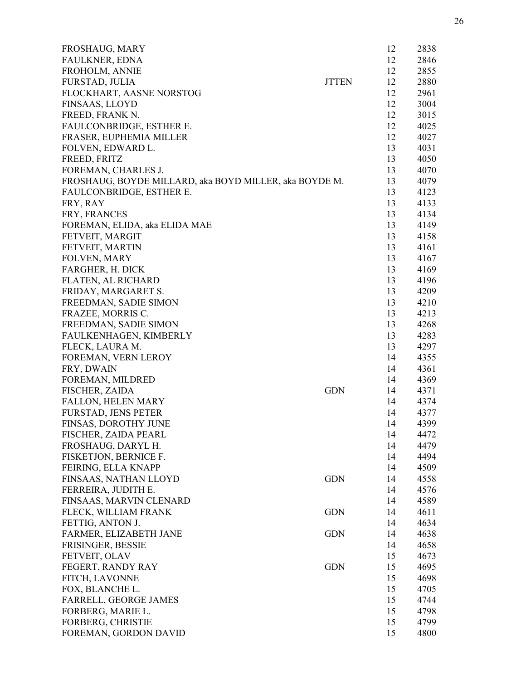| FROSHAUG, MARY                                         |              | 12 | 2838 |
|--------------------------------------------------------|--------------|----|------|
| <b>FAULKNER, EDNA</b>                                  |              | 12 | 2846 |
| FROHOLM, ANNIE                                         |              | 12 | 2855 |
| FURSTAD, JULIA                                         | <b>JTTEN</b> | 12 | 2880 |
| FLOCKHART, AASNE NORSTOG                               |              | 12 | 2961 |
| FINSAAS, LLOYD                                         |              | 12 | 3004 |
| FREED, FRANK N.                                        |              | 12 | 3015 |
| FAULCONBRIDGE, ESTHER E.                               |              | 12 | 4025 |
| FRASER, EUPHEMIA MILLER                                |              | 12 | 4027 |
| FOLVEN, EDWARD L.                                      |              | 13 | 4031 |
| FREED, FRITZ                                           |              | 13 | 4050 |
| FOREMAN, CHARLES J.                                    |              | 13 | 4070 |
| FROSHAUG, BOYDE MILLARD, aka BOYD MILLER, aka BOYDE M. |              | 13 | 4079 |
| FAULCONBRIDGE, ESTHER E.                               |              | 13 | 4123 |
| FRY, RAY                                               |              | 13 | 4133 |
| FRY, FRANCES                                           |              | 13 | 4134 |
| FOREMAN, ELIDA, aka ELIDA MAE                          |              | 13 | 4149 |
| FETVEIT, MARGIT                                        |              | 13 | 4158 |
| FETVEIT, MARTIN                                        |              | 13 | 4161 |
| FOLVEN, MARY                                           |              | 13 | 4167 |
| FARGHER, H. DICK                                       |              | 13 | 4169 |
| FLATEN, AL RICHARD                                     |              | 13 | 4196 |
| FRIDAY, MARGARET S.                                    |              | 13 | 4209 |
| FREEDMAN, SADIE SIMON                                  |              | 13 | 4210 |
| FRAZEE, MORRIS C.                                      |              | 13 | 4213 |
| FREEDMAN, SADIE SIMON                                  |              | 13 | 4268 |
| FAULKENHAGEN, KIMBERLY                                 |              | 13 | 4283 |
| FLECK, LAURA M.                                        |              | 13 | 4297 |
| FOREMAN, VERN LEROY                                    |              | 14 | 4355 |
| FRY, DWAIN                                             |              | 14 | 4361 |
| FOREMAN, MILDRED                                       |              | 14 | 4369 |
| FISCHER, ZAIDA                                         | <b>GDN</b>   | 14 | 4371 |
| <b>FALLON, HELEN MARY</b>                              |              | 14 | 4374 |
| <b>FURSTAD, JENS PETER</b>                             |              | 14 | 4377 |
| FINSAS, DOROTHY JUNE                                   |              | 14 | 4399 |
| FISCHER, ZAIDA PEARL                                   |              | 14 | 4472 |
| FROSHAUG, DARYL H.                                     |              | 14 | 4479 |
| FISKETJON, BERNICE F.                                  |              | 14 | 4494 |
| FEIRING, ELLA KNAPP                                    |              | 14 | 4509 |
| FINSAAS, NATHAN LLOYD                                  | <b>GDN</b>   | 14 | 4558 |
| FERREIRA, JUDITH E.                                    |              | 14 | 4576 |
| FINSAAS, MARVIN CLENARD                                |              | 14 | 4589 |
| FLECK, WILLIAM FRANK                                   | <b>GDN</b>   | 14 | 4611 |
|                                                        |              |    |      |
| FETTIG, ANTON J.                                       |              | 14 | 4634 |
| FARMER, ELIZABETH JANE                                 | <b>GDN</b>   | 14 | 4638 |
| FRISINGER, BESSIE                                      |              | 14 | 4658 |
| FETVEIT, OLAV                                          |              | 15 | 4673 |
| FEGERT, RANDY RAY                                      | <b>GDN</b>   | 15 | 4695 |
| FITCH, LAVONNE                                         |              | 15 | 4698 |
| FOX, BLANCHE L.                                        |              | 15 | 4705 |
| FARRELL, GEORGE JAMES                                  |              | 15 | 4744 |
| FORBERG, MARIE L.                                      |              | 15 | 4798 |
| FORBERG, CHRISTIE                                      |              | 15 | 4799 |
| FOREMAN, GORDON DAVID                                  |              | 15 | 4800 |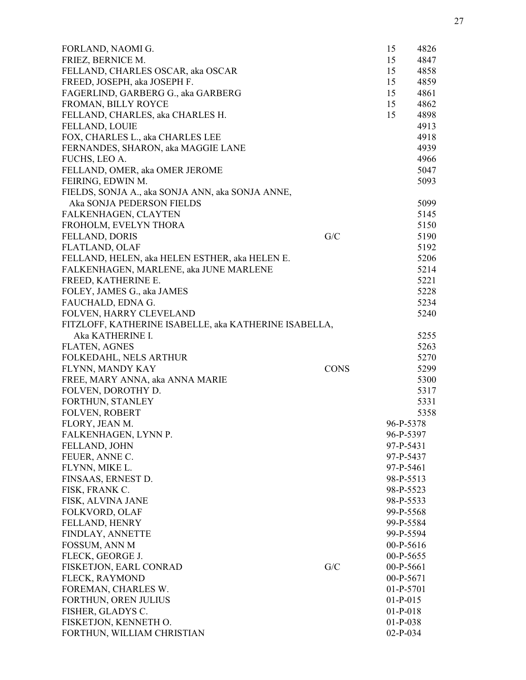| FORLAND, NAOMI G.                                     |             | 15          | 4826 |
|-------------------------------------------------------|-------------|-------------|------|
| FRIEZ, BERNICE M.                                     |             | 15          | 4847 |
| FELLAND, CHARLES OSCAR, aka OSCAR                     |             | 15          | 4858 |
| FREED, JOSEPH, aka JOSEPH F.                          |             | 15          | 4859 |
| FAGERLIND, GARBERG G., aka GARBERG                    |             | 15          | 4861 |
| FROMAN, BILLY ROYCE                                   |             | 15          | 4862 |
| FELLAND, CHARLES, aka CHARLES H.                      |             | 15          | 4898 |
| <b>FELLAND, LOUIE</b>                                 |             |             | 4913 |
| FOX, CHARLES L., aka CHARLES LEE                      |             |             | 4918 |
| FERNANDES, SHARON, aka MAGGIE LANE                    |             |             | 4939 |
| FUCHS, LEO A.                                         |             |             | 4966 |
| FELLAND, OMER, aka OMER JEROME                        |             |             | 5047 |
| FEIRING, EDWIN M.                                     |             |             | 5093 |
| FIELDS, SONJA A., aka SONJA ANN, aka SONJA ANNE,      |             |             |      |
| Aka SONJA PEDERSON FIELDS                             |             |             | 5099 |
| FALKENHAGEN, CLAYTEN                                  |             |             | 5145 |
| FROHOLM, EVELYN THORA                                 |             |             | 5150 |
| <b>FELLAND, DORIS</b>                                 | G/C         |             | 5190 |
| <b>FLATLAND, OLAF</b>                                 |             |             | 5192 |
| FELLAND, HELEN, aka HELEN ESTHER, aka HELEN E.        |             |             | 5206 |
| FALKENHAGEN, MARLENE, aka JUNE MARLENE                |             |             | 5214 |
| FREED, KATHERINE E.                                   |             |             | 5221 |
| FOLEY, JAMES G., aka JAMES                            |             |             | 5228 |
| FAUCHALD, EDNA G.                                     |             |             | 5234 |
| FOLVEN, HARRY CLEVELAND                               |             |             | 5240 |
| FITZLOFF, KATHERINE ISABELLE, aka KATHERINE ISABELLA, |             |             |      |
| Aka KATHERINE I.                                      |             |             | 5255 |
| <b>FLATEN, AGNES</b>                                  |             |             | 5263 |
| FOLKEDAHL, NELS ARTHUR                                |             |             | 5270 |
| FLYNN, MANDY KAY                                      | <b>CONS</b> |             | 5299 |
| FREE, MARY ANNA, aka ANNA MARIE                       |             |             | 5300 |
| FOLVEN, DOROTHY D.                                    |             |             | 5317 |
| <b>FORTHUN, STANLEY</b>                               |             |             | 5331 |
| <b>FOLVEN, ROBERT</b>                                 |             |             | 5358 |
| FLORY, JEAN M.                                        |             | 96-P-5378   |      |
| FALKENHAGEN, LYNN P.                                  |             | 96-P-5397   |      |
| FELLAND, JOHN                                         |             | 97-P-5431   |      |
| FEUER, ANNE C.                                        |             | 97-P-5437   |      |
| FLYNN, MIKE L.                                        |             | 97-P-5461   |      |
| FINSAAS, ERNEST D.                                    |             | 98-P-5513   |      |
| FISK, FRANK C.                                        |             | 98-P-5523   |      |
| FISK, ALVINA JANE                                     |             |             |      |
|                                                       |             | 98-P-5533   |      |
| <b>FOLKVORD, OLAF</b>                                 |             | 99-P-5568   |      |
| FELLAND, HENRY                                        |             | 99-P-5584   |      |
| FINDLAY, ANNETTE                                      |             | 99-P-5594   |      |
| FOSSUM, ANN M                                         |             | 00-P-5616   |      |
| FLECK, GEORGE J.                                      |             | 00-P-5655   |      |
| FISKETJON, EARL CONRAD                                | G/C         | 00-P-5661   |      |
| FLECK, RAYMOND                                        |             | 00-P-5671   |      |
| FOREMAN, CHARLES W.                                   |             | $01-P-5701$ |      |
| FORTHUN, OREN JULIUS                                  |             | $01-P-015$  |      |
| FISHER, GLADYS C.                                     |             | $01-P-018$  |      |
| FISKETJON, KENNETH O.                                 |             | $01-P-038$  |      |
| FORTHUN, WILLIAM CHRISTIAN                            |             | $02-P-034$  |      |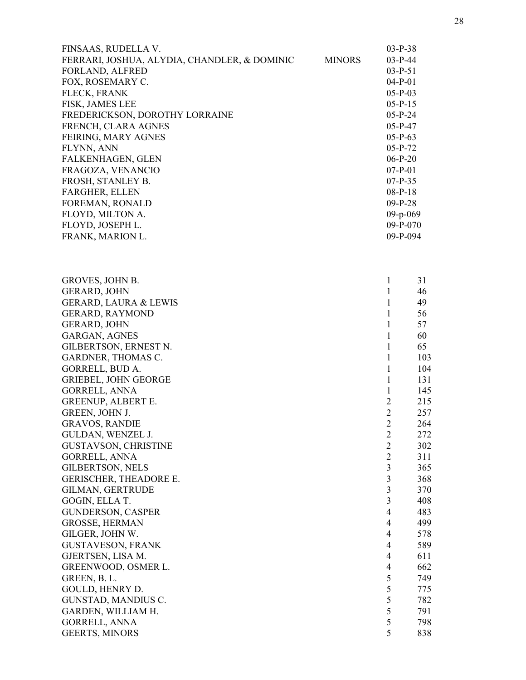| FINSAAS, RUDELLA V.                          |               | $03-P-38$  |
|----------------------------------------------|---------------|------------|
| FERRARI, JOSHUA, ALYDIA, CHANDLER, & DOMINIC | <b>MINORS</b> | $03-P-44$  |
| <b>FORLAND, ALFRED</b>                       |               | $03-P-51$  |
| FOX, ROSEMARY C.                             |               | $04-P-01$  |
| FLECK, FRANK                                 |               | $05-P-03$  |
| FISK, JAMES LEE                              |               | $05-P-15$  |
| FREDERICKSON, DOROTHY LORRAINE               |               | $05-P-24$  |
| FRENCH, CLARA AGNES                          |               | $05-P-47$  |
| FEIRING, MARY AGNES                          |               | $05-P-63$  |
| FLYNN, ANN                                   |               | $05-P-72$  |
| FALKENHAGEN, GLEN                            |               | $06-P-20$  |
| FRAGOZA, VENANCIO                            |               | $07-P-01$  |
| FROSH, STANLEY B.                            |               | $07-P-35$  |
| <b>FARGHER, ELLEN</b>                        |               | $08-P-18$  |
| FOREMAN, RONALD                              |               | $09-P-28$  |
| FLOYD, MILTON A.                             |               | $09-p-069$ |
| FLOYD, JOSEPH L.                             |               | $09-P-070$ |
| FRANK, MARION L.                             |               | $09-P-094$ |
|                                              |               |            |

| <b>GERARD, JOHN</b>              |                         |      |
|----------------------------------|-------------------------|------|
|                                  | 1                       | 46   |
| <b>GERARD, LAURA &amp; LEWIS</b> | 1                       | 49   |
| <b>GERARD, RAYMOND</b>           | 1                       | 56   |
| <b>GERARD, JOHN</b>              | $\mathbf{1}$            | 57   |
| <b>GARGAN, AGNES</b>             | 1                       | 60   |
| GILBERTSON, ERNEST N.            | 1                       | 65   |
| GARDNER, THOMAS C.               | 1                       | 103  |
| GORRELL, BUD A.                  | 1                       | 104  |
| <b>GRIEBEL, JOHN GEORGE</b>      | 1                       | 131  |
| GORRELL, ANNA                    | 1                       | 145  |
| <b>GREENUP, ALBERT E.</b>        | $\overline{2}$          | 215  |
| GREEN, JOHN J.                   | $\overline{c}$          | 257  |
| <b>GRAVOS, RANDIE</b>            | $\overline{2}$          | 264  |
| GULDAN, WENZEL J.                | $\overline{2}$          | 272  |
| <b>GUSTAVSON, CHRISTINE</b>      | $\overline{2}$          | 302  |
| <b>GORRELL, ANNA</b>             | $\overline{c}$          | 311  |
| <b>GILBERTSON, NELS</b>          | 3                       | 365  |
| <b>GERISCHER, THEADORE E.</b>    | $\overline{\mathbf{3}}$ | 368  |
| <b>GILMAN, GERTRUDE</b>          | $\overline{\mathbf{3}}$ | 370  |
| GOGIN, ELLA T.                   | $\overline{\mathbf{3}}$ | 408  |
| <b>GUNDERSON, CASPER</b>         | $\overline{4}$          | 483  |
| <b>GROSSE, HERMAN</b>            | 4                       | 499  |
| GILGER, JOHN W.                  | 4                       | 578  |
| <b>GUSTAVESON, FRANK</b>         | 4                       | 589  |
| GJERTSEN, LISA M.                | $\overline{4}$          | 611  |
| GREENWOOD, OSMER L.              | 4                       | 662  |
| GREEN, B. L.                     | 5                       | 749. |
| GOULD, HENRY D.                  | 5                       | 775  |
| GUNSTAD, MANDIUS C.              | 5                       | 782  |
| GARDEN, WILLIAM H.               | 5                       | 791  |
| <b>GORRELL, ANNA</b>             | 5                       | 798  |
| <b>GEERTS, MINORS</b>            | 5                       | 838  |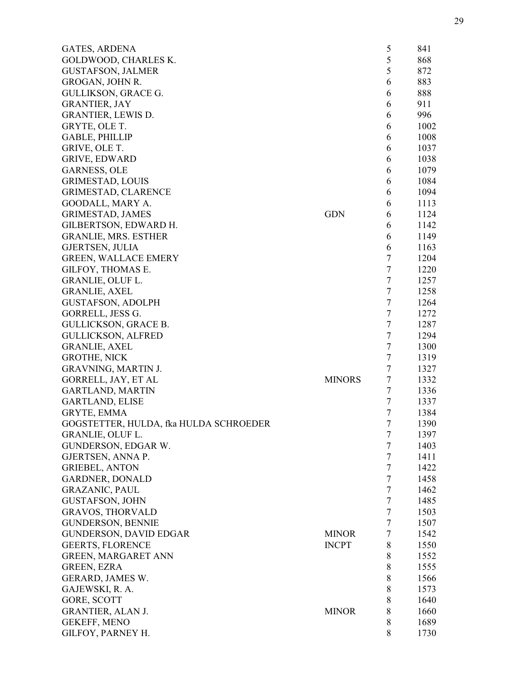| <b>GATES, ARDENA</b>                   |               | 5              | 841  |
|----------------------------------------|---------------|----------------|------|
| GOLDWOOD, CHARLES K.                   |               | 5              | 868  |
| <b>GUSTAFSON, JALMER</b>               |               | 5              | 872  |
| GROGAN, JOHN R.                        |               | 6              | 883  |
| GULLIKSON, GRACE G.                    |               | 6              | 888  |
| <b>GRANTIER, JAY</b>                   |               | 6              | 911  |
| <b>GRANTIER, LEWIS D.</b>              |               | 6              | 996  |
| GRYTE, OLE T.                          |               | 6              | 1002 |
| <b>GABLE, PHILLIP</b>                  |               | 6              | 1008 |
| GRIVE, OLE T.                          |               | 6              | 1037 |
| <b>GRIVE, EDWARD</b>                   |               | 6              | 1038 |
| <b>GARNESS, OLE</b>                    |               | 6              | 1079 |
| <b>GRIMESTAD, LOUIS</b>                |               | 6              | 1084 |
| <b>GRIMESTAD, CLARENCE</b>             |               | 6              | 1094 |
| GOODALL, MARY A.                       |               | 6              | 1113 |
| <b>GRIMESTAD, JAMES</b>                | <b>GDN</b>    | 6              | 1124 |
| GILBERTSON, EDWARD H.                  |               | 6              | 1142 |
| <b>GRANLIE, MRS. ESTHER</b>            |               | 6              | 1149 |
| GJERTSEN, JULIA                        |               | 6              | 1163 |
| <b>GREEN, WALLACE EMERY</b>            |               | 7              | 1204 |
| GILFOY, THOMAS E.                      |               | $\overline{7}$ | 1220 |
| GRANLIE, OLUF L.                       |               | $\tau$         |      |
|                                        |               | $\tau$         | 1257 |
| <b>GRANLIE, AXEL</b>                   |               |                | 1258 |
| <b>GUSTAFSON, ADOLPH</b>               |               | $\tau$         | 1264 |
| GORRELL, JESS G.                       |               | $\tau$         | 1272 |
| GULLICKSON, GRACE B.                   |               | $\tau$         | 1287 |
| <b>GULLICKSON, ALFRED</b>              |               | $\tau$         | 1294 |
| <b>GRANLIE, AXEL</b>                   |               | $\overline{7}$ | 1300 |
| <b>GROTHE, NICK</b>                    |               | $\tau$         | 1319 |
| <b>GRAVNING, MARTIN J.</b>             |               | $\tau$         | 1327 |
| GORRELL, JAY, ET AL                    | <b>MINORS</b> | $\tau$         | 1332 |
| <b>GARTLAND, MARTIN</b>                |               | $\overline{7}$ | 1336 |
| <b>GARTLAND, ELISE</b>                 |               | $\overline{7}$ | 1337 |
| GRYTE, EMMA                            |               | 7              | 1384 |
| GOGSTETTER, HULDA, fka HULDA SCHROEDER |               | 7              | 1390 |
| GRANLIE, OLUF L.                       |               | $\overline{7}$ | 1397 |
| GUNDERSON, EDGAR W.                    |               | $\tau$         | 1403 |
| GJERTSEN, ANNA P.                      |               | $\tau$         | 1411 |
| <b>GRIEBEL, ANTON</b>                  |               | $\tau$         | 1422 |
| <b>GARDNER, DONALD</b>                 |               | $\overline{7}$ | 1458 |
| <b>GRAZANIC, PAUL</b>                  |               | $\tau$         | 1462 |
| <b>GUSTAFSON, JOHN</b>                 |               | $\tau$         | 1485 |
| <b>GRAVOS, THORVALD</b>                |               | $\overline{7}$ | 1503 |
| <b>GUNDERSON, BENNIE</b>               |               | $\tau$         | 1507 |
| <b>GUNDERSON, DAVID EDGAR</b>          | <b>MINOR</b>  | $\tau$         | 1542 |
| <b>GEERTS, FLORENCE</b>                | <b>INCPT</b>  | 8              | 1550 |
| <b>GREEN, MARGARET ANN</b>             |               | 8              | 1552 |
| <b>GREEN, EZRA</b>                     |               | $8\,$          | 1555 |
| GERARD, JAMES W.                       |               | 8              | 1566 |
| GAJEWSKI, R. A.                        |               | 8              | 1573 |
| GORE, SCOTT                            |               | 8              | 1640 |
| <b>GRANTIER, ALAN J.</b>               | <b>MINOR</b>  | 8              | 1660 |
| GEKEFF, MENO                           |               | 8              | 1689 |
| GILFOY, PARNEY H.                      |               | 8              | 1730 |
|                                        |               |                |      |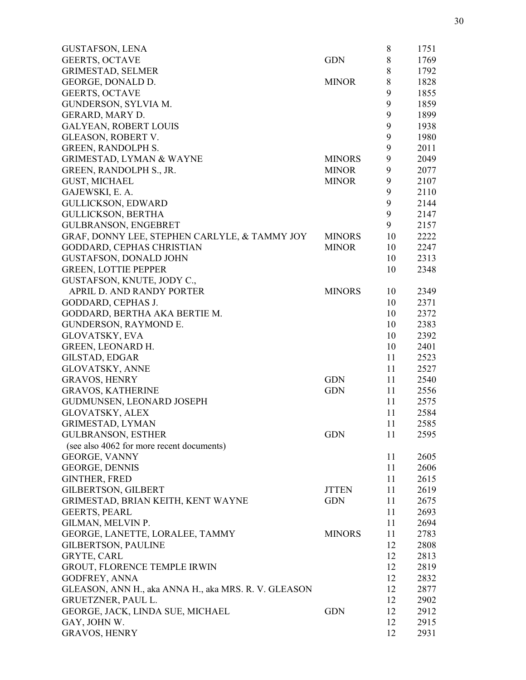| <b>GUSTAFSON, LENA</b>                               |               | 8     | 1751 |
|------------------------------------------------------|---------------|-------|------|
| GEERTS, OCTAVE                                       | <b>GDN</b>    | $8\,$ | 1769 |
| <b>GRIMESTAD, SELMER</b>                             |               | 8     | 1792 |
| GEORGE, DONALD D.                                    | <b>MINOR</b>  | 8     | 1828 |
| <b>GEERTS, OCTAVE</b>                                |               | 9     | 1855 |
| GUNDERSON, SYLVIA M.                                 |               | 9     | 1859 |
| GERARD, MARY D.                                      |               | 9     | 1899 |
| <b>GALYEAN, ROBERT LOUIS</b>                         |               | 9     | 1938 |
| GLEASON, ROBERT V.                                   |               | 9     | 1980 |
| <b>GREEN, RANDOLPH S.</b>                            |               | 9     | 2011 |
| <b>GRIMESTAD, LYMAN &amp; WAYNE</b>                  | <b>MINORS</b> | 9     | 2049 |
| GREEN, RANDOLPH S., JR.                              | <b>MINOR</b>  | 9     | 2077 |
| <b>GUST, MICHAEL</b>                                 | <b>MINOR</b>  | 9     | 2107 |
| GAJEWSKI, E. A.                                      |               | 9     | 2110 |
| <b>GULLICKSON, EDWARD</b>                            |               | 9     | 2144 |
| <b>GULLICKSON, BERTHA</b>                            |               | 9     | 2147 |
| <b>GULBRANSON, ENGEBRET</b>                          |               | 9     | 2157 |
| GRAF, DONNY LEE, STEPHEN CARLYLE, & TAMMY JOY        | <b>MINORS</b> | 10    | 2222 |
| GODDARD, CEPHAS CHRISTIAN                            | <b>MINOR</b>  | 10    | 2247 |
| <b>GUSTAFSON, DONALD JOHN</b>                        |               | 10    | 2313 |
| <b>GREEN, LOTTIE PEPPER</b>                          |               | 10    | 2348 |
| GUSTAFSON, KNUTE, JODY C.,                           |               |       |      |
| APRIL D. AND RANDY PORTER                            | <b>MINORS</b> | 10    | 2349 |
| GODDARD, CEPHAS J.                                   |               | 10    | 2371 |
| GODDARD, BERTHA AKA BERTIE M.                        |               | 10    | 2372 |
| GUNDERSON, RAYMOND E.                                |               | 10    | 2383 |
| <b>GLOVATSKY, EVA</b>                                |               | 10    | 2392 |
| GREEN, LEONARD H.                                    |               | 10    | 2401 |
| GILSTAD, EDGAR                                       |               | 11    | 2523 |
| <b>GLOVATSKY, ANNE</b>                               |               | 11    | 2527 |
| <b>GRAVOS, HENRY</b>                                 | <b>GDN</b>    | 11    | 2540 |
| <b>GRAVOS, KATHERINE</b>                             | <b>GDN</b>    | 11    | 2556 |
| GUDMUNSEN, LEONARD JOSEPH                            |               | 11    | 2575 |
| <b>GLOVATSKY, ALEX</b>                               |               | 11    | 2584 |
| <b>GRIMESTAD, LYMAN</b>                              |               | 11    | 2585 |
| <b>GULBRANSON, ESTHER</b>                            | <b>GDN</b>    | 11    | 2595 |
| (see also 4062 for more recent documents)            |               |       |      |
| <b>GEORGE, VANNY</b>                                 |               | 11    | 2605 |
| <b>GEORGE, DENNIS</b>                                |               | 11    | 2606 |
| <b>GINTHER, FRED</b>                                 |               | 11    | 2615 |
| <b>GILBERTSON, GILBERT</b>                           | <b>JTTEN</b>  | 11    | 2619 |
| GRIMESTAD, BRIAN KEITH, KENT WAYNE                   | <b>GDN</b>    | 11    | 2675 |
| <b>GEERTS, PEARL</b>                                 |               | 11    | 2693 |
| GILMAN, MELVIN P.                                    |               | 11    | 2694 |
| GEORGE, LANETTE, LORALEE, TAMMY                      | <b>MINORS</b> | 11    | 2783 |
| <b>GILBERTSON, PAULINE</b>                           |               | 12    | 2808 |
| <b>GRYTE, CARL</b>                                   |               | 12    | 2813 |
| GROUT, FLORENCE TEMPLE IRWIN                         |               | 12    | 2819 |
| <b>GODFREY, ANNA</b>                                 |               | 12    | 2832 |
| GLEASON, ANN H., aka ANNA H., aka MRS. R. V. GLEASON |               | 12    | 2877 |
| <b>GRUETZNER, PAUL L.</b>                            |               | 12    | 2902 |
| GEORGE, JACK, LINDA SUE, MICHAEL                     | <b>GDN</b>    | 12    | 2912 |
| GAY, JOHN W.                                         |               | 12    | 2915 |
| <b>GRAVOS, HENRY</b>                                 |               | 12    | 2931 |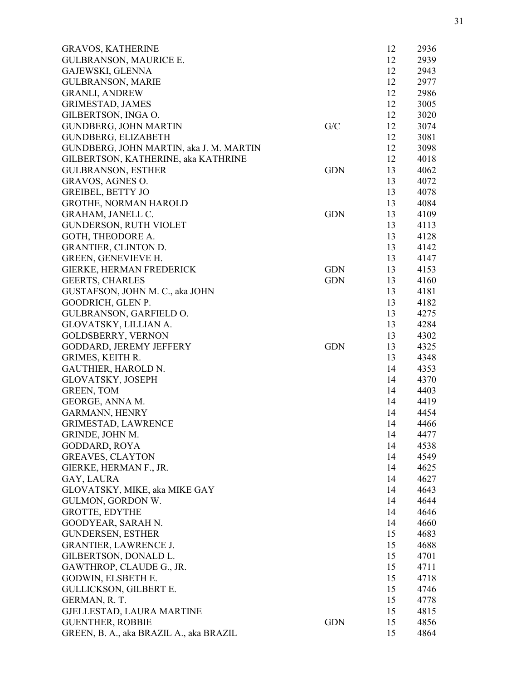| <b>GRAVOS, KATHERINE</b>                |            | 12 | 2936 |
|-----------------------------------------|------------|----|------|
| <b>GULBRANSON, MAURICE E.</b>           |            | 12 | 2939 |
| GAJEWSKI, GLENNA                        |            | 12 | 2943 |
| <b>GULBRANSON, MARIE</b>                |            | 12 | 2977 |
| <b>GRANLI, ANDREW</b>                   |            | 12 | 2986 |
| <b>GRIMESTAD, JAMES</b>                 |            | 12 | 3005 |
| GILBERTSON, INGA O.                     |            | 12 | 3020 |
| <b>GUNDBERG, JOHN MARTIN</b>            | G/C        | 12 | 3074 |
| <b>GUNDBERG, ELIZABETH</b>              |            | 12 | 3081 |
| GUNDBERG, JOHN MARTIN, aka J. M. MARTIN |            | 12 | 3098 |
| GILBERTSON, KATHERINE, aka KATHRINE     |            | 12 | 4018 |
| <b>GULBRANSON, ESTHER</b>               | <b>GDN</b> | 13 | 4062 |
| GRAVOS, AGNES O.                        |            | 13 | 4072 |
| <b>GREIBEL, BETTY JO</b>                |            | 13 | 4078 |
| <b>GROTHE, NORMAN HAROLD</b>            |            | 13 | 4084 |
| GRAHAM, JANELL C.                       | <b>GDN</b> | 13 | 4109 |
| <b>GUNDERSON, RUTH VIOLET</b>           |            | 13 | 4113 |
| GOTH, THEODORE A.                       |            | 13 | 4128 |
|                                         |            | 13 |      |
| <b>GRANTIER, CLINTON D.</b>             |            |    | 4142 |
| <b>GREEN, GENEVIEVE H.</b>              |            | 13 | 4147 |
| GIERKE, HERMAN FREDERICK                | <b>GDN</b> | 13 | 4153 |
| <b>GEERTS, CHARLES</b>                  | <b>GDN</b> | 13 | 4160 |
| GUSTAFSON, JOHN M. C., aka JOHN         |            | 13 | 4181 |
| GOODRICH, GLEN P.                       |            | 13 | 4182 |
| GULBRANSON, GARFIELD O.                 |            | 13 | 4275 |
| GLOVATSKY, LILLIAN A.                   |            | 13 | 4284 |
| <b>GOLDSBERRY, VERNON</b>               |            | 13 | 4302 |
| GODDARD, JEREMY JEFFERY                 | <b>GDN</b> | 13 | 4325 |
| <b>GRIMES, KEITH R.</b>                 |            | 13 | 4348 |
| <b>GAUTHIER, HAROLD N.</b>              |            | 14 | 4353 |
| GLOVATSKY, JOSEPH                       |            | 14 | 4370 |
| <b>GREEN, TOM</b>                       |            | 14 | 4403 |
| GEORGE, ANNA M.                         |            | 14 | 4419 |
| <b>GARMANN, HENRY</b>                   |            | 14 | 4454 |
| <b>GRIMESTAD, LAWRENCE</b>              |            | 14 | 4466 |
| GRINDE, JOHN M.                         |            | 14 | 4477 |
| <b>GODDARD, ROYA</b>                    |            | 14 | 4538 |
| <b>GREAVES, CLAYTON</b>                 |            | 14 | 4549 |
| GIERKE, HERMAN F., JR.                  |            | 14 | 4625 |
| GAY, LAURA                              |            | 14 | 4627 |
| GLOVATSKY, MIKE, aka MIKE GAY           |            | 14 | 4643 |
| GULMON, GORDON W.                       |            | 14 | 4644 |
| <b>GROTTE, EDYTHE</b>                   |            | 14 | 4646 |
| GOODYEAR, SARAH N.                      |            | 14 | 4660 |
| <b>GUNDERSEN, ESTHER</b>                |            | 15 | 4683 |
| <b>GRANTIER, LAWRENCE J.</b>            |            | 15 | 4688 |
| GILBERTSON, DONALD L.                   |            | 15 | 4701 |
| GAWTHROP, CLAUDE G., JR.                |            | 15 | 4711 |
| GODWIN, ELSBETH E.                      |            | 15 | 4718 |
|                                         |            |    |      |
| <b>GULLICKSON, GILBERT E.</b>           |            | 15 | 4746 |
| GERMAN, R. T.                           |            | 15 | 4778 |
| GJELLESTAD, LAURA MARTINE               |            | 15 | 4815 |
| <b>GUENTHER, ROBBIE</b>                 | <b>GDN</b> | 15 | 4856 |
| GREEN, B. A., aka BRAZIL A., aka BRAZIL |            | 15 | 4864 |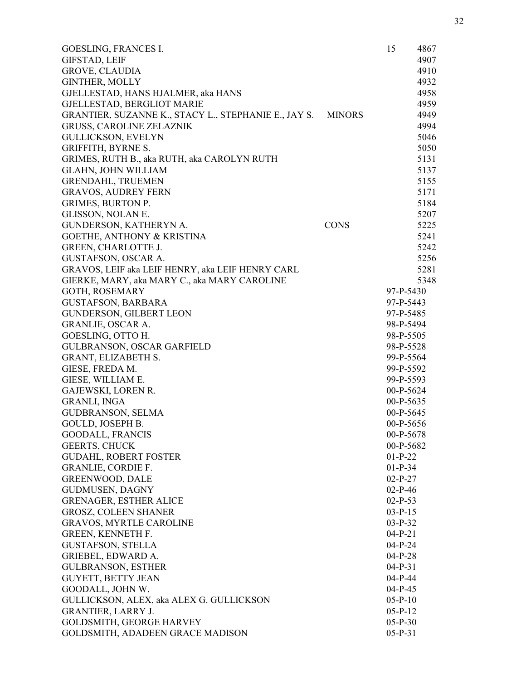| <b>GOESLING, FRANCES I.</b>                          |               | 15        | 4867 |
|------------------------------------------------------|---------------|-----------|------|
| <b>GIFSTAD, LEIF</b>                                 |               |           | 4907 |
| GROVE, CLAUDIA                                       |               |           | 4910 |
| <b>GINTHER, MOLLY</b>                                |               |           | 4932 |
| GJELLESTAD, HANS HJALMER, aka HANS                   |               |           | 4958 |
| GJELLESTAD, BERGLIOT MARIE                           |               |           | 4959 |
| GRANTIER, SUZANNE K., STACY L., STEPHANIE E., JAY S. | <b>MINORS</b> |           | 4949 |
| <b>GRUSS, CAROLINE ZELAZNIK</b>                      |               |           | 4994 |
| <b>GULLICKSON, EVELYN</b>                            |               |           | 5046 |
| <b>GRIFFITH, BYRNE S.</b>                            |               |           | 5050 |
| GRIMES, RUTH B., aka RUTH, aka CAROLYN RUTH          |               |           | 5131 |
| <b>GLAHN, JOHN WILLIAM</b>                           |               |           | 5137 |
| <b>GRENDAHL, TRUEMEN</b>                             |               |           | 5155 |
| <b>GRAVOS, AUDREY FERN</b>                           |               |           | 5171 |
| <b>GRIMES, BURTON P.</b>                             |               |           | 5184 |
| GLISSON, NOLAN E.                                    |               |           | 5207 |
| GUNDERSON, KATHERYN A.                               | <b>CONS</b>   |           | 5225 |
| <b>GOETHE, ANTHONY &amp; KRISTINA</b>                |               |           | 5241 |
| <b>GREEN, CHARLOTTE J.</b>                           |               |           | 5242 |
| <b>GUSTAFSON, OSCAR A.</b>                           |               |           | 5256 |
| GRAVOS, LEIF aka LEIF HENRY, aka LEIF HENRY CARL     |               |           | 5281 |
| GIERKE, MARY, aka MARY C., aka MARY CAROLINE         |               |           | 5348 |
| <b>GOTH, ROSEMARY</b>                                |               | 97-P-5430 |      |
| <b>GUSTAFSON, BARBARA</b>                            |               | 97-P-5443 |      |
| <b>GUNDERSON, GILBERT LEON</b>                       |               | 97-P-5485 |      |
| <b>GRANLIE, OSCAR A.</b>                             |               | 98-P-5494 |      |
| GOESLING, OTTO H.                                    |               | 98-P-5505 |      |
| GULBRANSON, OSCAR GARFIELD                           |               | 98-P-5528 |      |
| <b>GRANT, ELIZABETH S.</b>                           |               | 99-P-5564 |      |
| GIESE, FREDA M.                                      |               | 99-P-5592 |      |
| GIESE, WILLIAM E.                                    |               | 99-P-5593 |      |
| GAJEWSKI, LOREN R.                                   |               | 00-P-5624 |      |
| <b>GRANLI, INGA</b>                                  |               | 00-P-5635 |      |
| <b>GUDBRANSON, SELMA</b>                             |               | 00-P-5645 |      |
| GOULD, JOSEPH B.                                     |               | 00-P-5656 |      |
| <b>GOODALL, FRANCIS</b>                              |               | 00-P-5678 |      |
| GEERTS, CHUCK                                        |               | 00-P-5682 |      |
| <b>GUDAHL, ROBERT FOSTER</b>                         |               | $01-P-22$ |      |
| <b>GRANLIE, CORDIE F.</b>                            |               | $01-P-34$ |      |
| <b>GREENWOOD, DALE</b>                               |               | $02-P-27$ |      |
| <b>GUDMUSEN, DAGNY</b>                               |               | $02-P-46$ |      |
| <b>GRENAGER, ESTHER ALICE</b>                        |               | $02-P-53$ |      |
| <b>GROSZ, COLEEN SHANER</b>                          |               | $03-P-15$ |      |
| <b>GRAVOS, MYRTLE CAROLINE</b>                       |               | $03-P-32$ |      |
| GREEN, KENNETH F.                                    |               | $04-P-21$ |      |
| <b>GUSTAFSON, STELLA</b>                             |               | $04-P-24$ |      |
| <b>GRIEBEL, EDWARD A.</b>                            |               | $04-P-28$ |      |
| <b>GULBRANSON, ESTHER</b>                            |               | $04-P-31$ |      |
| <b>GUYETT, BETTY JEAN</b>                            |               | $04-P-44$ |      |
| GOODALL, JOHN W.                                     |               | $04-P-45$ |      |
| GULLICKSON, ALEX, aka ALEX G. GULLICKSON             |               | $05-P-10$ |      |
| <b>GRANTIER, LARRY J.</b>                            |               | $05-P-12$ |      |
| GOLDSMITH, GEORGE HARVEY                             |               | $05-P-30$ |      |
| GOLDSMITH, ADADEEN GRACE MADISON                     |               | $05-P-31$ |      |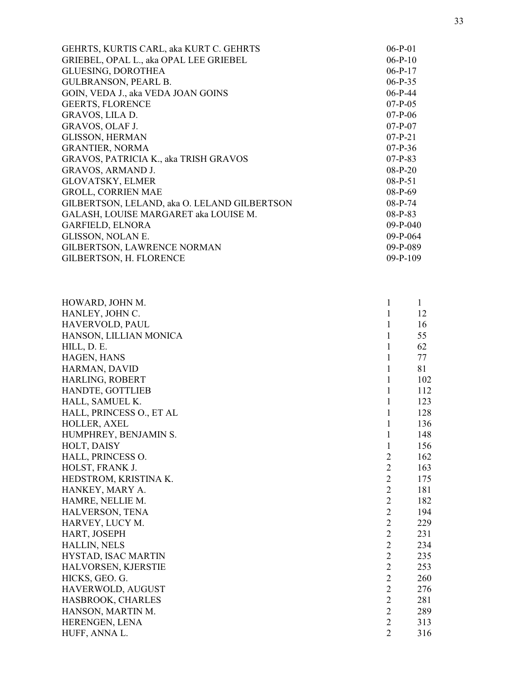| GEHRTS, KURTIS CARL, aka KURT C. GEHRTS      | $06-P-01$  |
|----------------------------------------------|------------|
| GRIEBEL, OPAL L., aka OPAL LEE GRIEBEL       | $06-P-10$  |
| <b>GLUESING, DOROTHEA</b>                    | $06-P-17$  |
| <b>GULBRANSON, PEARL B.</b>                  | $06-P-35$  |
| GOIN, VEDA J., aka VEDA JOAN GOINS           | $06-P-44$  |
| <b>GEERTS, FLORENCE</b>                      | $07-P-05$  |
| GRAVOS, LILA D.                              | $07-P-06$  |
| GRAVOS, OLAF J.                              | $07-P-07$  |
| <b>GLISSON, HERMAN</b>                       | $07-P-21$  |
| <b>GRANTIER, NORMA</b>                       | $07-P-36$  |
| GRAVOS, PATRICIA K., aka TRISH GRAVOS        | $07-P-83$  |
| <b>GRAVOS, ARMAND J.</b>                     | $08-P-20$  |
| <b>GLOVATSKY, ELMER</b>                      | $08-P-51$  |
| <b>GROLL, CORRIEN MAE</b>                    | $08-P-69$  |
| GILBERTSON, LELAND, aka O. LELAND GILBERTSON | $08-P-74$  |
| GALASH, LOUISE MARGARET aka LOUISE M.        | $08-P-83$  |
| <b>GARFIELD, ELNORA</b>                      | $09-P-040$ |
| GLISSON, NOLAN E.                            | $09-P-064$ |
| <b>GILBERTSON, LAWRENCE NORMAN</b>           | $09-P-089$ |
| GILBERTSON, H. FLORENCE                      | $09-P-109$ |
|                                              |            |

| HOWARD, JOHN M.<br>1                   |                | $\mathbf{1}$ |
|----------------------------------------|----------------|--------------|
| HANLEY, JOHN C.<br>$\mathbf{1}$        |                | 12           |
| HAVERVOLD, PAUL<br>$\mathbf{1}$        |                | 16           |
| HANSON, LILLIAN MONICA<br>$\mathbf{1}$ |                | 55           |
| HILL, D. E.<br>1                       |                | 62           |
| HAGEN, HANS<br>1                       |                | 77           |
| HARMAN, DAVID<br>1                     |                | 81           |
| HARLING, ROBERT<br>$\mathbf{1}$        |                | 102          |
| HANDTE, GOTTLIEB<br>1                  |                | 112          |
| HALL, SAMUEL K.<br>1                   |                | 123          |
| HALL, PRINCESS O., ET AL<br>1          |                | 128          |
| $\mathbf{1}$<br>HOLLER, AXEL           |                | 136          |
| HUMPHREY, BENJAMIN S.<br>1             |                | 148          |
| HOLT, DAISY<br>1                       |                | 156          |
| HALL, PRINCESS O.                      | $\overline{2}$ | 162          |
| HOLST, FRANK J.                        | $\overline{2}$ | 163          |
| HEDSTROM, KRISTINA K.                  | $\overline{2}$ | 175          |
| $\sqrt{2}$<br>HANKEY, MARY A.          |                | 181          |
| HAMRE, NELLIE M.                       | $\overline{2}$ | 182          |
| HALVERSON, TENA                        | $\overline{2}$ | 194          |
| HARVEY, LUCY M.                        | $\overline{2}$ | 229          |
| HART, JOSEPH                           | $\overline{2}$ | 231          |
| <b>HALLIN, NELS</b>                    | $\overline{2}$ | 234          |
| HYSTAD, ISAC MARTIN                    | $\overline{2}$ | 235          |
| HALVORSEN, KJERSTIE                    | $\overline{2}$ | 253          |
| HICKS, GEO. G.                         | $\overline{2}$ | 260          |
| HAVERWOLD, AUGUST                      | $\overline{2}$ | 276          |
| $\overline{2}$<br>HASBROOK, CHARLES    |                | 281          |
| HANSON, MARTIN M.                      | $\overline{2}$ | 289          |
| HERENGEN, LENA                         | $\overline{2}$ | 313          |
| HUFF, ANNA L.                          | $\overline{2}$ | 316          |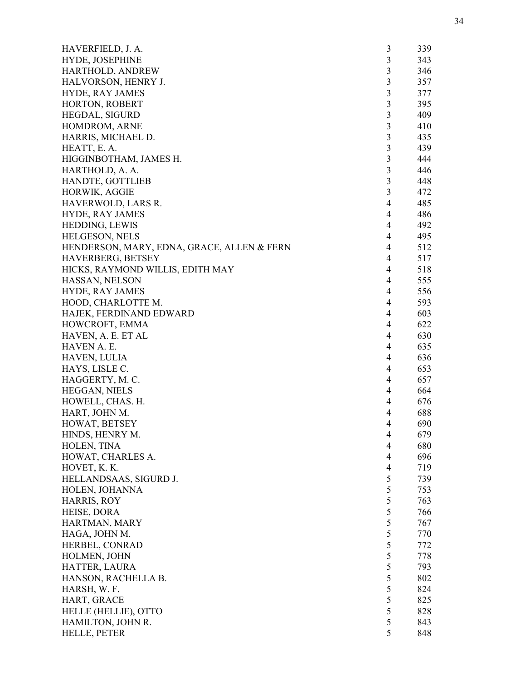| HAVERFIELD, J. A.                          | 3                       | 339 |
|--------------------------------------------|-------------------------|-----|
| HYDE, JOSEPHINE                            | $\mathfrak{Z}$          | 343 |
| HARTHOLD, ANDREW                           | 3                       | 346 |
| HALVORSON, HENRY J.                        | $\overline{3}$          | 357 |
| <b>HYDE, RAY JAMES</b>                     | $\overline{3}$          | 377 |
| HORTON, ROBERT                             | 3                       | 395 |
| HEGDAL, SIGURD                             | 3                       | 409 |
| HOMDROM, ARNE                              | 3                       | 410 |
| HARRIS, MICHAEL D.                         | $\overline{\mathbf{3}}$ | 435 |
| HEATT, E. A.                               | $\overline{3}$          | 439 |
| HIGGINBOTHAM, JAMES H.                     | 3                       | 444 |
| HARTHOLD, A. A.                            | $\overline{3}$          | 446 |
| HANDTE, GOTTLIEB                           | 3                       | 448 |
| HORWIK, AGGIE                              | 3                       | 472 |
| HAVERWOLD, LARS R.                         | $\overline{4}$          | 485 |
| HYDE, RAY JAMES                            | 4                       | 486 |
| HEDDING, LEWIS                             | $\overline{4}$          | 492 |
| HELGESON, NELS                             | $\overline{4}$          | 495 |
| HENDERSON, MARY, EDNA, GRACE, ALLEN & FERN | $\overline{4}$          | 512 |
| HAVERBERG, BETSEY                          | $\overline{4}$          | 517 |
| HICKS, RAYMOND WILLIS, EDITH MAY           | 4                       | 518 |
| HASSAN, NELSON                             | $\overline{4}$          | 555 |
| <b>HYDE, RAY JAMES</b>                     | $\overline{4}$          | 556 |
| HOOD, CHARLOTTE M.                         | $\overline{4}$          | 593 |
| HAJEK, FERDINAND EDWARD                    | $\overline{4}$          | 603 |
|                                            |                         | 622 |
| HOWCROFT, EMMA                             | 4                       |     |
| HAVEN, A. E. ET AL                         | 4                       | 630 |
| HAVEN A. E.                                | 4                       | 635 |
| <b>HAVEN, LULIA</b>                        | 4                       | 636 |
| HAYS, LISLE C.                             | $\overline{4}$          | 653 |
| HAGGERTY, M. C.                            | $\overline{4}$          | 657 |
| HEGGAN, NIELS                              | $\overline{4}$          | 664 |
| HOWELL, CHAS. H.                           | $\overline{4}$          | 676 |
| HART, JOHN M.                              | $\overline{4}$          | 688 |
| HOWAT, BETSEY                              | 4                       | 690 |
| HINDS, HENRY M.                            | 4                       | 679 |
| HOLEN, TINA                                | 4                       | 680 |
| HOWAT, CHARLES A.                          | $\overline{4}$          | 696 |
| HOVET, K. K.                               | $\overline{4}$          | 719 |
| HELLANDSAAS, SIGURD J.                     | 5                       | 739 |
| HOLEN, JOHANNA                             | 5                       | 753 |
| <b>HARRIS, ROY</b>                         | 5                       | 763 |
| HEISE, DORA                                | 5                       | 766 |
| HARTMAN, MARY                              | 5                       | 767 |
| HAGA, JOHN M.                              | 5                       | 770 |
| HERBEL, CONRAD                             | 5                       | 772 |
| HOLMEN, JOHN                               | 5                       | 778 |
| HATTER, LAURA                              | 5                       | 793 |
| HANSON, RACHELLA B.                        | 5                       | 802 |
| HARSH, W. F.                               | 5                       | 824 |
| HART, GRACE                                | 5                       | 825 |
| HELLE (HELLIE), OTTO                       | 5                       | 828 |
| HAMILTON, JOHN R.                          | 5                       | 843 |
| <b>HELLE, PETER</b>                        | 5                       | 848 |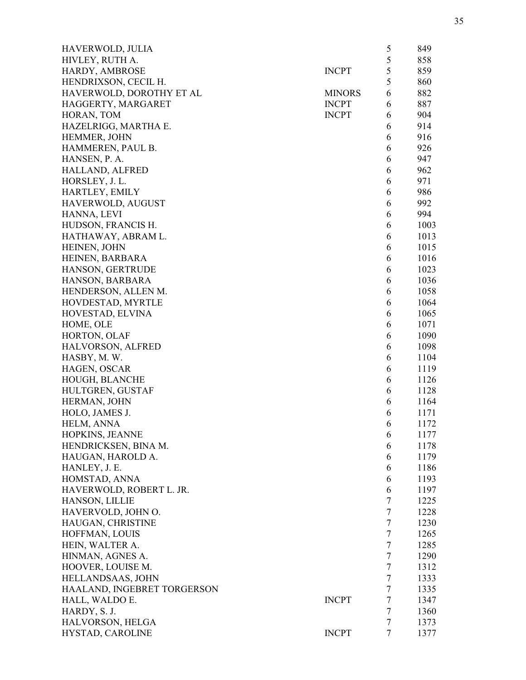| HAVERWOLD, JULIA               |               | 5              | 849  |
|--------------------------------|---------------|----------------|------|
| HIVLEY, RUTH A.                |               | 5              | 858  |
| HARDY, AMBROSE                 | <b>INCPT</b>  | 5              | 859  |
| HENDRIXSON, CECIL H.           |               | 5              | 860  |
| HAVERWOLD, DOROTHY ET AL       | <b>MINORS</b> | 6              | 882  |
| HAGGERTY, MARGARET             | <b>INCPT</b>  | 6              | 887  |
| HORAN, TOM                     | <b>INCPT</b>  | 6              | 904  |
| HAZELRIGG, MARTHA E.           |               | 6              | 914  |
| HEMMER, JOHN                   |               | 6              | 916  |
| HAMMEREN, PAUL B.              |               | 6              | 926  |
| HANSEN, P. A.                  |               | 6              | 947  |
| <b>HALLAND, ALFRED</b>         |               | 6              | 962  |
| HORSLEY, J. L.                 |               | 6              | 971  |
| HARTLEY, EMILY                 |               | 6              | 986  |
| HAVERWOLD, AUGUST              |               | 6              | 992  |
| HANNA, LEVI                    |               | 6              | 994  |
| HUDSON, FRANCIS H.             |               | 6              | 1003 |
| HATHAWAY, ABRAM L.             |               | 6              | 1013 |
| HEINEN, JOHN                   |               | 6              | 1015 |
| HEINEN, BARBARA                |               | 6              | 1016 |
| HANSON, GERTRUDE               |               | 6              | 1023 |
| HANSON, BARBARA                |               | 6              | 1036 |
| HENDERSON, ALLEN M.            |               | 6              | 1058 |
| HOVDESTAD, MYRTLE              |               | 6              | 1064 |
| HOVESTAD, ELVINA               |               | 6              | 1065 |
| HOME, OLE                      |               | 6              | 1071 |
| HORTON, OLAF                   |               | 6              | 1090 |
| HALVORSON, ALFRED              |               | 6              | 1098 |
| HASBY, M.W.                    |               | 6              | 1104 |
|                                |               | 6              |      |
| HAGEN, OSCAR<br>HOUGH, BLANCHE |               | 6              | 1119 |
|                                |               |                | 1126 |
| HULTGREN, GUSTAF               |               | 6              | 1128 |
| HERMAN, JOHN                   |               | 6              | 1164 |
| HOLO, JAMES J.                 |               | 6              | 1171 |
| HELM, ANNA                     |               | 6              | 1172 |
| HOPKINS, JEANNE                |               | 6              | 1177 |
| HENDRICKSEN, BINA M.           |               | 6              | 1178 |
| HAUGAN, HAROLD A.              |               | 6              | 1179 |
| HANLEY, J. E.                  |               | 6              | 1186 |
| HOMSTAD, ANNA                  |               | 6              | 1193 |
| HAVERWOLD, ROBERT L. JR.       |               | 6              | 1197 |
| HANSON, LILLIE                 |               | $\tau$         | 1225 |
| HAVERVOLD, JOHN O.             |               | $\overline{7}$ | 1228 |
| HAUGAN, CHRISTINE              |               | $\tau$         | 1230 |
| HOFFMAN, LOUIS                 |               | $\tau$         | 1265 |
| HEIN, WALTER A.                |               | $\overline{7}$ | 1285 |
| HINMAN, AGNES A.               |               | $\tau$         | 1290 |
| HOOVER, LOUISE M.              |               | $\overline{7}$ | 1312 |
| HELLANDSAAS, JOHN              |               | 7              | 1333 |
| HAALAND, INGEBRET TORGERSON    |               | 7              | 1335 |
| HALL, WALDO E.                 | <b>INCPT</b>  | $\tau$         | 1347 |
| HARDY, S. J.                   |               | $\tau$         | 1360 |
| HALVORSON, HELGA               |               | $\overline{7}$ | 1373 |
| HYSTAD, CAROLINE               | <b>INCPT</b>  | $\overline{7}$ | 1377 |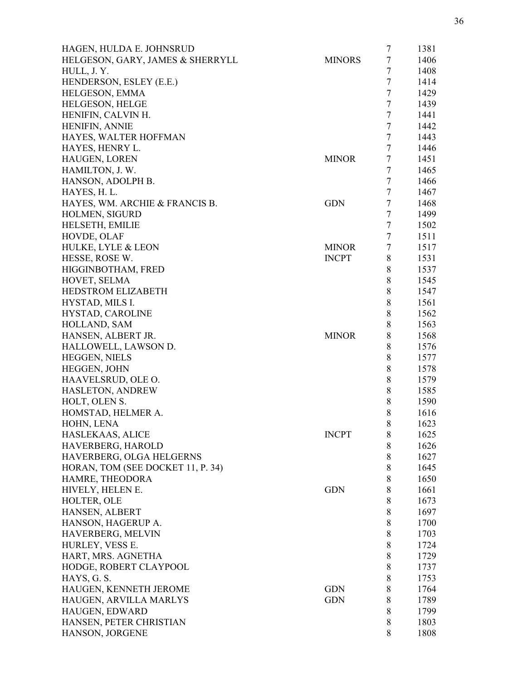| HAGEN, HULDA E. JOHNSRUD          |               | 7              | 1381 |
|-----------------------------------|---------------|----------------|------|
| HELGESON, GARY, JAMES & SHERRYLL  | <b>MINORS</b> | $\tau$         | 1406 |
| HULL, J.Y.                        |               | $\tau$         | 1408 |
| HENDERSON, ESLEY (E.E.)           |               | $\tau$         | 1414 |
| HELGESON, EMMA                    |               | $\tau$         | 1429 |
| HELGESON, HELGE                   |               | $\tau$         | 1439 |
| HENIFIN, CALVIN H.                |               | $\tau$         | 1441 |
| <b>HENIFIN, ANNIE</b>             |               | $\tau$         | 1442 |
| HAYES, WALTER HOFFMAN             |               | $\tau$         | 1443 |
| HAYES, HENRY L.                   |               | $\overline{7}$ | 1446 |
| <b>HAUGEN, LOREN</b>              | <b>MINOR</b>  | $\tau$         | 1451 |
| HAMILTON, J. W.                   |               | $\tau$         | 1465 |
| HANSON, ADOLPH B.                 |               | $\tau$         | 1466 |
| HAYES, H. L.                      |               | 7              | 1467 |
| HAYES, WM. ARCHIE & FRANCIS B.    | <b>GDN</b>    | $\tau$         | 1468 |
| HOLMEN, SIGURD                    |               | $\tau$         | 1499 |
| HELSETH, EMILIE                   |               | $\tau$         | 1502 |
| HOVDE, OLAF                       |               | $\tau$         | 1511 |
| HULKE, LYLE & LEON                | <b>MINOR</b>  | $\tau$         | 1517 |
| HESSE, ROSE W.                    | <b>INCPT</b>  | 8              | 1531 |
| HIGGINBOTHAM, FRED                |               | 8              | 1537 |
|                                   |               |                | 1545 |
| HOVET, SELMA                      |               | 8              |      |
| <b>HEDSTROM ELIZABETH</b>         |               | $\,8\,$        | 1547 |
| HYSTAD, MILS I.                   |               | $8\,$          | 1561 |
| HYSTAD, CAROLINE                  |               | $\,8\,$        | 1562 |
| HOLLAND, SAM                      |               | $8\,$          | 1563 |
| HANSEN, ALBERT JR.                | <b>MINOR</b>  | 8              | 1568 |
| HALLOWELL, LAWSON D.              |               | 8              | 1576 |
| <b>HEGGEN, NIELS</b>              |               | 8              | 1577 |
| HEGGEN, JOHN                      |               | 8              | 1578 |
| HAAVELSRUD, OLE O.                |               | 8              | 1579 |
| HASLETON, ANDREW                  |               | 8              | 1585 |
| HOLT, OLEN S.                     |               | 8              | 1590 |
| HOMSTAD, HELMER A.                |               | 8              | 1616 |
| HOHN, LENA                        |               | 8              | 1623 |
| HASLEKAAS, ALICE                  | <b>INCPT</b>  | 8              | 1625 |
| HAVERBERG, HAROLD                 |               | 8              | 1626 |
| HAVERBERG, OLGA HELGERNS          |               | 8              | 1627 |
| HORAN, TOM (SEE DOCKET 11, P. 34) |               | $\,8\,$        | 1645 |
| HAMRE, THEODORA                   |               | 8              | 1650 |
| HIVELY, HELEN E.                  | <b>GDN</b>    | $\,8\,$        | 1661 |
| HOLTER, OLE                       |               | 8              | 1673 |
| HANSEN, ALBERT                    |               | 8              | 1697 |
| HANSON, HAGERUP A.                |               | 8              | 1700 |
| HAVERBERG, MELVIN                 |               | $\,8\,$        | 1703 |
| HURLEY, VESS E.                   |               | $\,8\,$        | 1724 |
| HART, MRS. AGNETHA                |               | 8              | 1729 |
| HODGE, ROBERT CLAYPOOL            |               | $\,8\,$        | 1737 |
| HAYS, G. S.                       |               | 8              | 1753 |
| HAUGEN, KENNETH JEROME            | <b>GDN</b>    | 8              | 1764 |
| HAUGEN, ARVILLA MARLYS            | <b>GDN</b>    | 8              | 1789 |
| HAUGEN, EDWARD                    |               | 8              | 1799 |
| HANSEN, PETER CHRISTIAN           |               | 8              | 1803 |
| HANSON, JORGENE                   |               | 8              | 1808 |
|                                   |               |                |      |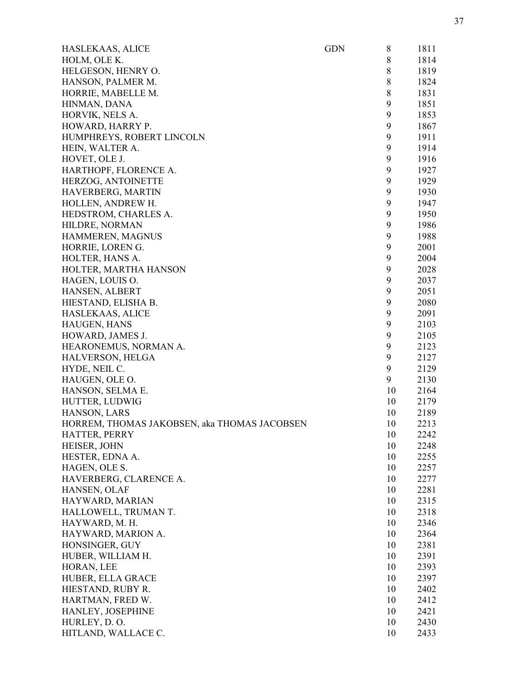| HASLEKAAS, ALICE                             | <b>GDN</b> | 8       | 1811 |
|----------------------------------------------|------------|---------|------|
| HOLM, OLE K.                                 |            | $\,8\,$ | 1814 |
| HELGESON, HENRY O.                           |            | $\,8\,$ | 1819 |
| HANSON, PALMER M.                            |            | $\,8\,$ | 1824 |
| HORRIE, MABELLE M.                           |            | $\,8\,$ | 1831 |
| HINMAN, DANA                                 |            | 9       | 1851 |
| HORVIK, NELS A.                              |            | 9       | 1853 |
| HOWARD, HARRY P.                             |            | 9       | 1867 |
| HUMPHREYS, ROBERT LINCOLN                    |            | 9       | 1911 |
| HEIN, WALTER A.                              |            | 9       | 1914 |
| HOVET, OLE J.                                |            | 9       | 1916 |
| HARTHOPF, FLORENCE A.                        |            | 9       | 1927 |
| HERZOG, ANTOINETTE                           |            | 9       | 1929 |
| HAVERBERG, MARTIN                            |            | 9       | 1930 |
| HOLLEN, ANDREW H.                            |            | 9       | 1947 |
| HEDSTROM, CHARLES A.                         |            | 9       | 1950 |
| HILDRE, NORMAN                               |            | 9       | 1986 |
| HAMMEREN, MAGNUS                             |            | 9       | 1988 |
| HORRIE, LOREN G.                             |            | 9       | 2001 |
| HOLTER, HANS A.                              |            | 9       | 2004 |
| HOLTER, MARTHA HANSON                        |            | 9       | 2028 |
| HAGEN, LOUIS O.                              |            | 9       | 2037 |
| HANSEN, ALBERT                               |            | 9       | 2051 |
| HIESTAND, ELISHA B.                          |            | 9       | 2080 |
| HASLEKAAS, ALICE                             |            | 9       | 2091 |
| <b>HAUGEN, HANS</b>                          |            | 9       | 2103 |
| HOWARD, JAMES J.                             |            | 9       | 2105 |
| HEARONEMUS, NORMAN A.                        |            | 9       | 2123 |
| HALVERSON, HELGA                             |            | 9       | 2127 |
| HYDE, NEIL C.                                |            | 9       | 2129 |
| HAUGEN, OLE O.                               |            | 9       | 2130 |
| HANSON, SELMA E.                             |            | 10      | 2164 |
| HUTTER, LUDWIG                               |            | 10      | 2179 |
| HANSON, LARS                                 |            | 10      | 2189 |
| HORREM, THOMAS JAKOBSEN, aka THOMAS JACOBSEN |            | 10      | 2213 |
| HATTER, PERRY                                |            | 10      | 2242 |
| HEISER, JOHN                                 |            | 10      | 2248 |
| HESTER, EDNA A.                              |            | 10      | 2255 |
| HAGEN, OLE S.                                |            | 10      | 2257 |
| HAVERBERG, CLARENCE A.                       |            | 10      | 2277 |
| HANSEN, OLAF                                 |            | 10      | 2281 |
| HAYWARD, MARIAN                              |            | 10      | 2315 |
| HALLOWELL, TRUMAN T.                         |            | 10      | 2318 |
| HAYWARD, M. H.                               |            | 10      | 2346 |
| HAYWARD, MARION A.                           |            | 10      | 2364 |
| HONSINGER, GUY                               |            | 10      | 2381 |
| HUBER, WILLIAM H.                            |            | 10      | 2391 |
| HORAN, LEE                                   |            | 10      | 2393 |
|                                              |            |         |      |
| HUBER, ELLA GRACE                            |            | 10      | 2397 |
| HIESTAND, RUBY R.                            |            | 10      | 2402 |
| HARTMAN, FRED W.                             |            | 10      | 2412 |
| HANLEY, JOSEPHINE                            |            | 10      | 2421 |
| HURLEY, D.O.                                 |            | 10      | 2430 |
| HITLAND, WALLACE C.                          |            | 10      | 2433 |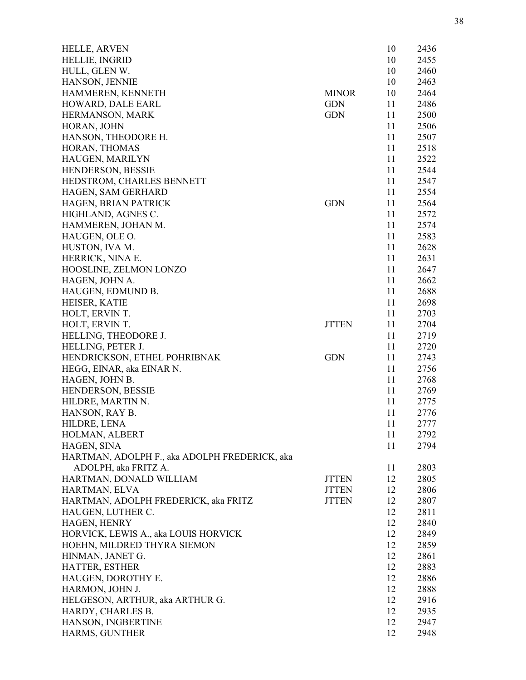| <b>HELLE, ARVEN</b>                                |              | 10       | 2436         |
|----------------------------------------------------|--------------|----------|--------------|
| <b>HELLIE, INGRID</b>                              |              | 10       | 2455         |
| HULL, GLEN W.                                      |              | 10       | 2460         |
| HANSON, JENNIE                                     |              | 10       | 2463         |
| HAMMEREN, KENNETH                                  | <b>MINOR</b> | 10       | 2464         |
| HOWARD, DALE EARL                                  | <b>GDN</b>   | 11       | 2486         |
| HERMANSON, MARK                                    | <b>GDN</b>   | 11       | 2500         |
| HORAN, JOHN                                        |              | 11       | 2506         |
| HANSON, THEODORE H.                                |              | 11       | 2507         |
| HORAN, THOMAS                                      |              | 11       | 2518         |
| HAUGEN, MARILYN                                    |              | 11       | 2522         |
| HENDERSON, BESSIE                                  |              | 11       | 2544         |
| HEDSTROM, CHARLES BENNETT                          |              | 11       | 2547         |
| HAGEN, SAM GERHARD                                 |              | 11       | 2554         |
| HAGEN, BRIAN PATRICK                               | <b>GDN</b>   | 11       | 2564         |
| HIGHLAND, AGNES C.                                 |              | 11       | 2572         |
| HAMMEREN, JOHAN M.                                 |              | 11       | 2574         |
| HAUGEN, OLE O.                                     |              | 11       | 2583         |
| HUSTON, IVA M.                                     |              | 11       | 2628         |
| HERRICK, NINA E.                                   |              | 11       | 2631         |
| HOOSLINE, ZELMON LONZO                             |              | 11       | 2647         |
| HAGEN, JOHN A.                                     |              | 11       | 2662         |
| HAUGEN, EDMUND B.                                  |              | 11       | 2688         |
| HEISER, KATIE                                      |              | 11       | 2698         |
| HOLT, ERVIN T.                                     |              | 11       | 2703         |
| HOLT, ERVIN T.                                     | <b>JTTEN</b> | 11       | 2704         |
| HELLING, THEODORE J.                               |              | 11       | 2719         |
| HELLING, PETER J.                                  |              | 11       | 2720         |
| HENDRICKSON, ETHEL POHRIBNAK                       | <b>GDN</b>   | 11       | 2743         |
| HEGG, EINAR, aka EINAR N.                          |              | 11       | 2756         |
| HAGEN, JOHN B.                                     |              | 11       | 2768         |
| HENDERSON, BESSIE                                  |              | 11       | 2769         |
| HILDRE, MARTIN N.                                  |              | 11       | 2775         |
| HANSON, RAY B.                                     |              | 11       | 2776         |
| HILDRE, LENA                                       |              | 11       | 2777         |
| HOLMAN, ALBERT                                     |              | 11       | 2792         |
| HAGEN, SINA                                        |              | 11       | 2794         |
| HARTMAN, ADOLPH F., aka ADOLPH FREDERICK, aka      |              |          |              |
| ADOLPH, aka FRITZ A.                               |              | 11       | 2803         |
| HARTMAN, DONALD WILLIAM                            | <b>JTTEN</b> | 12       | 2805         |
| HARTMAN, ELVA                                      | <b>JTTEN</b> | 12       | 2806         |
| HARTMAN, ADOLPH FREDERICK, aka FRITZ               | <b>JTTEN</b> | 12       | 2807         |
| HAUGEN, LUTHER C.                                  |              | 12       | 2811         |
| HAGEN, HENRY                                       |              | 12       | 2840         |
| HORVICK, LEWIS A., aka LOUIS HORVICK               |              | 12       | 2849         |
| HOEHN, MILDRED THYRA SIEMON                        |              | 12       | 2859         |
| HINMAN, JANET G.                                   |              | 12       | 2861         |
| HATTER, ESTHER                                     |              | 12       | 2883         |
| HAUGEN, DOROTHY E.                                 |              | 12       | 2886         |
|                                                    |              |          |              |
| HARMON, JOHN J.<br>HELGESON, ARTHUR, aka ARTHUR G. |              | 12<br>12 | 2888<br>2916 |
| HARDY, CHARLES B.                                  |              | 12       | 2935         |
| HANSON, INGBERTINE                                 |              | 12       | 2947         |
| HARMS, GUNTHER                                     |              | 12       | 2948         |
|                                                    |              |          |              |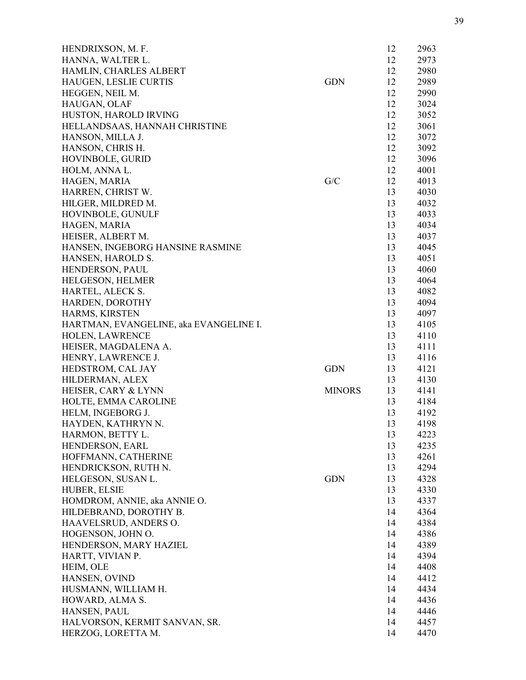| HENDRIXSON, M. F.                                   |               | 12       | 2963         |
|-----------------------------------------------------|---------------|----------|--------------|
| HANNA, WALTER L.                                    |               | 12       | 2973         |
| HAMLIN, CHARLES ALBERT                              |               | 12       | 2980         |
| HAUGEN, LESLIE CURTIS                               | <b>GDN</b>    | 12       | 2989         |
| HEGGEN, NEIL M.                                     |               | 12       | 2990         |
| HAUGAN, OLAF                                        |               | 12       | 3024         |
| HUSTON, HAROLD IRVING                               |               | 12       | 3052         |
| HELLANDSAAS, HANNAH CHRISTINE                       |               | 12       | 3061         |
| HANSON, MILLA J.                                    |               | 12       | 3072         |
| HANSON, CHRIS H.                                    |               | 12       | 3092         |
| HOVINBOLE, GURID                                    |               | 12       | 3096         |
| HOLM, ANNA L.                                       |               | 12       | 4001         |
| HAGEN, MARIA                                        | G/C           | 12       | 4013         |
| HARREN, CHRIST W.                                   |               | 13       | 4030         |
| HILGER, MILDRED M.                                  |               | 13       | 4032         |
| HOVINBOLE, GUNULF                                   |               | 13       | 4033         |
| HAGEN, MARIA                                        |               | 13       | 4034         |
| HEISER, ALBERT M.                                   |               | 13       | 4037         |
| HANSEN, INGEBORG HANSINE RASMINE                    |               | 13       | 4045         |
| HANSEN, HAROLD S.                                   |               | 13       | 4051         |
| HENDERSON, PAUL                                     |               | 13       | 4060         |
| <b>HELGESON, HELMER</b>                             |               | 13       | 4064         |
| HARTEL, ALECK S.                                    |               | 13       | 4082         |
| HARDEN, DOROTHY                                     |               | 13       | 4094         |
| HARMS, KIRSTEN                                      |               | 13       | 4097         |
| HARTMAN, EVANGELINE, aka EVANGELINE I.              |               | 13       | 4105         |
| <b>HOLEN, LAWRENCE</b>                              |               | 13       | 4110         |
| HEISER, MAGDALENA A.                                |               | 13       | 4111         |
| HENRY, LAWRENCE J.                                  |               | 13       | 4116         |
| HEDSTROM, CAL JAY                                   | <b>GDN</b>    | 13       | 4121         |
| HILDERMAN, ALEX                                     |               | 13       | 4130         |
| HEISER, CARY & LYNN                                 | <b>MINORS</b> | 13       | 4141         |
| HOLTE, EMMA CAROLINE                                |               | 13       | 4184         |
| HELM, INGEBORG J.                                   |               | 13       | 4192         |
| HAYDEN, KATHRYN N.                                  |               | 13       | 4198         |
| HARMON, BETTY L.                                    |               | 13       | 4223         |
| HENDERSON, EARL                                     |               | 13       | 4235         |
| HOFFMANN, CATHERINE                                 |               | 13       | 4261         |
| HENDRICKSON, RUTH N.                                |               | 13       | 4294         |
| HELGESON, SUSAN L.                                  | <b>GDN</b>    | 13       | 4328         |
| <b>HUBER, ELSIE</b>                                 |               | 13       | 4330         |
| HOMDROM, ANNIE, aka ANNIE O.                        |               | 13       | 4337         |
| HILDEBRAND, DOROTHY B.                              |               | 14       | 4364         |
| HAAVELSRUD, ANDERS O.                               |               | 14       | 4384         |
| HOGENSON, JOHN O.                                   |               | 14       | 4386         |
| HENDERSON, MARY HAZIEL                              |               | 14       | 4389         |
| HARTT, VIVIAN P.                                    |               | 14       | 4394         |
| HEIM, OLE                                           |               | 14       | 4408         |
|                                                     |               |          |              |
| HANSEN, OVIND                                       |               | 14<br>14 | 4412<br>4434 |
| HUSMANN, WILLIAM H.                                 |               |          |              |
| HOWARD, ALMA S.<br>HANSEN, PAUL                     |               | 14       | 4436<br>4446 |
|                                                     |               | 14<br>14 |              |
| HALVORSON, KERMIT SANVAN, SR.<br>HERZOG, LORETTA M. |               | 14       | 4457<br>4470 |
|                                                     |               |          |              |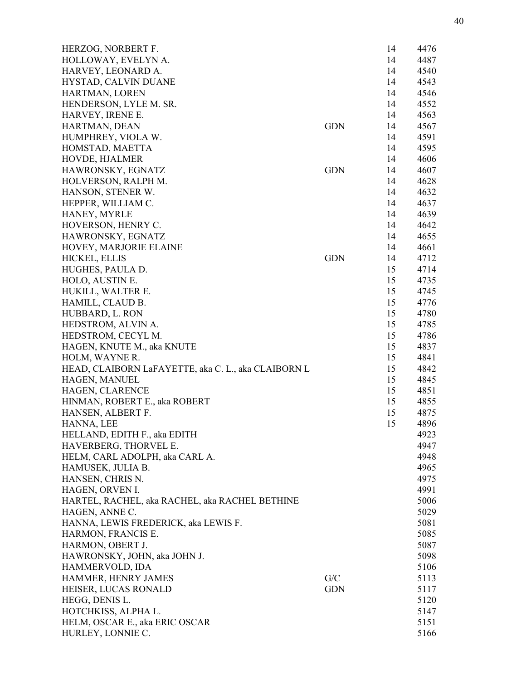| HERZOG, NORBERT F.                                  |            | 14 | 4476 |
|-----------------------------------------------------|------------|----|------|
| HOLLOWAY, EVELYN A.                                 |            | 14 | 4487 |
| HARVEY, LEONARD A.                                  |            | 14 | 4540 |
| HYSTAD, CALVIN DUANE                                |            | 14 | 4543 |
| HARTMAN, LOREN                                      |            | 14 | 4546 |
| HENDERSON, LYLE M. SR.                              |            | 14 | 4552 |
| HARVEY, IRENE E.                                    |            | 14 | 4563 |
| HARTMAN, DEAN                                       | <b>GDN</b> | 14 | 4567 |
| HUMPHREY, VIOLA W.                                  |            | 14 | 4591 |
| HOMSTAD, MAETTA                                     |            | 14 | 4595 |
| HOVDE, HJALMER                                      |            | 14 | 4606 |
| HAWRONSKY, EGNATZ                                   | <b>GDN</b> | 14 | 4607 |
| HOLVERSON, RALPH M.                                 |            | 14 | 4628 |
| HANSON, STENER W.                                   |            | 14 | 4632 |
| HEPPER, WILLIAM C.                                  |            | 14 | 4637 |
| HANEY, MYRLE                                        |            | 14 | 4639 |
| HOVERSON, HENRY C.                                  |            | 14 | 4642 |
| HAWRONSKY, EGNATZ                                   |            | 14 | 4655 |
| HOVEY, MARJORIE ELAINE                              |            | 14 | 4661 |
| HICKEL, ELLIS                                       | <b>GDN</b> | 14 | 4712 |
| HUGHES, PAULA D.                                    |            | 15 | 4714 |
| HOLO, AUSTIN E.                                     |            | 15 | 4735 |
| HUKILL, WALTER E.                                   |            | 15 | 4745 |
| HAMILL, CLAUD B.                                    |            | 15 | 4776 |
| HUBBARD, L. RON                                     |            | 15 | 4780 |
| HEDSTROM, ALVIN A.                                  |            | 15 | 4785 |
| HEDSTROM, CECYL M.                                  |            | 15 | 4786 |
| HAGEN, KNUTE M., aka KNUTE                          |            | 15 | 4837 |
| HOLM, WAYNE R.                                      |            | 15 | 4841 |
| HEAD, CLAIBORN LaFAYETTE, aka C. L., aka CLAIBORN L |            | 15 | 4842 |
| HAGEN, MANUEL                                       |            | 15 | 4845 |
| HAGEN, CLARENCE                                     |            | 15 | 4851 |
| HINMAN, ROBERT E., aka ROBERT                       |            | 15 | 4855 |
| HANSEN, ALBERT F.                                   |            | 15 | 4875 |
| HANNA, LEE                                          |            | 15 | 4896 |
| HELLAND, EDITH F., aka EDITH                        |            |    | 4923 |
| HAVERBERG, THORVEL E.                               |            |    | 4947 |
| HELM, CARL ADOLPH, aka CARL A.                      |            |    | 4948 |
| HAMUSEK, JULIA B.                                   |            |    | 4965 |
| HANSEN, CHRIS N.                                    |            |    | 4975 |
| HAGEN, ORVEN I.                                     |            |    | 4991 |
| HARTEL, RACHEL, aka RACHEL, aka RACHEL BETHINE      |            |    | 5006 |
| HAGEN, ANNE C.                                      |            |    | 5029 |
| HANNA, LEWIS FREDERICK, aka LEWIS F.                |            |    | 5081 |
| HARMON, FRANCIS E.                                  |            |    | 5085 |
| HARMON, OBERT J.                                    |            |    | 5087 |
| HAWRONSKY, JOHN, aka JOHN J.                        |            |    | 5098 |
| HAMMERVOLD, IDA                                     |            |    | 5106 |
| HAMMER, HENRY JAMES                                 | G/C        |    | 5113 |
| HEISER, LUCAS RONALD                                | <b>GDN</b> |    | 5117 |
| HEGG, DENIS L.                                      |            |    | 5120 |
| HOTCHKISS, ALPHA L.                                 |            |    | 5147 |
| HELM, OSCAR E., aka ERIC OSCAR                      |            |    | 5151 |
| HURLEY, LONNIE C.                                   |            |    | 5166 |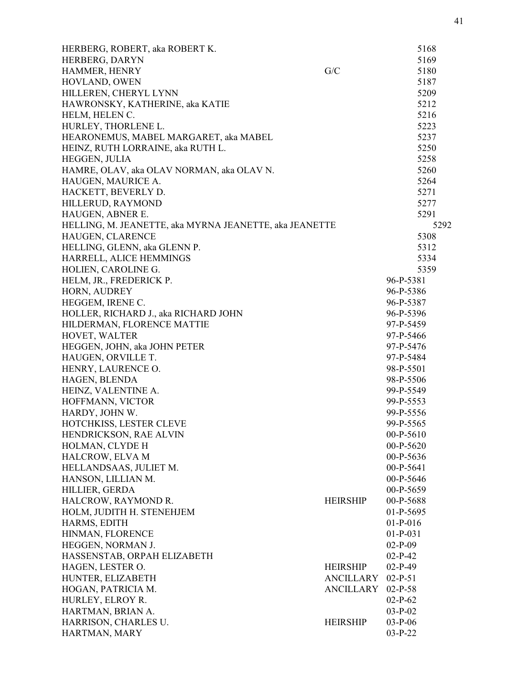| HERBERG, ROBERT, aka ROBERT K.                         |                  | 5168       |
|--------------------------------------------------------|------------------|------------|
| HERBERG, DARYN                                         |                  | 5169       |
| HAMMER, HENRY                                          | G/C              | 5180       |
| HOVLAND, OWEN                                          |                  | 5187       |
| HILLEREN, CHERYL LYNN                                  |                  | 5209       |
| HAWRONSKY, KATHERINE, aka KATIE                        |                  | 5212       |
| HELM, HELEN C.                                         |                  | 5216       |
| HURLEY, THORLENE L.                                    |                  | 5223       |
| HEARONEMUS, MABEL MARGARET, aka MABEL                  |                  | 5237       |
| HEINZ, RUTH LORRAINE, aka RUTH L.                      |                  | 5250       |
| HEGGEN, JULIA                                          |                  | 5258       |
| HAMRE, OLAV, aka OLAV NORMAN, aka OLAV N.              |                  | 5260       |
| HAUGEN, MAURICE A.                                     |                  | 5264       |
| HACKETT, BEVERLY D.                                    |                  | 5271       |
| HILLERUD, RAYMOND                                      |                  | 5277       |
| HAUGEN, ABNER E.                                       |                  | 5291       |
| HELLING, M. JEANETTE, aka MYRNA JEANETTE, aka JEANETTE |                  | 5292       |
| HAUGEN, CLARENCE                                       |                  | 5308       |
| HELLING, GLENN, aka GLENN P.                           |                  | 5312       |
| HARRELL, ALICE HEMMINGS                                |                  | 5334       |
| HOLIEN, CAROLINE G.                                    |                  | 5359       |
| HELM, JR., FREDERICK P.                                |                  | 96-P-5381  |
| HORN, AUDREY                                           |                  | 96-P-5386  |
| HEGGEM, IRENE C.                                       |                  | 96-P-5387  |
| HOLLER, RICHARD J., aka RICHARD JOHN                   |                  | 96-P-5396  |
| HILDERMAN, FLORENCE MATTIE                             |                  | 97-P-5459  |
| HOVET, WALTER                                          |                  | 97-P-5466  |
| HEGGEN, JOHN, aka JOHN PETER                           |                  | 97-P-5476  |
| HAUGEN, ORVILLE T.                                     |                  | 97-P-5484  |
| HENRY, LAURENCE O.                                     |                  | 98-P-5501  |
| HAGEN, BLENDA                                          |                  | 98-P-5506  |
| HEINZ, VALENTINE A.                                    |                  | 99-P-5549  |
| HOFFMANN, VICTOR                                       |                  | 99-P-5553  |
| HARDY, JOHN W.                                         |                  | 99-P-5556  |
| HOTCHKISS, LESTER CLEVE                                |                  | 99-P-5565  |
| HENDRICKSON, RAE ALVIN                                 |                  | 00-P-5610  |
| HOLMAN, CLYDE H                                        |                  | 00-P-5620  |
| HALCROW, ELVA M                                        |                  | 00-P-5636  |
| HELLANDSAAS, JULIET M.                                 |                  | 00-P-5641  |
| HANSON, LILLIAN M.                                     |                  | 00-P-5646  |
| HILLIER, GERDA                                         |                  | 00-P-5659  |
| HALCROW, RAYMOND R.                                    | <b>HEIRSHIP</b>  | 00-P-5688  |
| HOLM, JUDITH H. STENEHJEM                              |                  | 01-P-5695  |
| HARMS, EDITH                                           |                  | $01-P-016$ |
| HINMAN, FLORENCE                                       |                  | $01-P-031$ |
| HEGGEN, NORMAN J.                                      |                  | $02-P-09$  |
| HASSENSTAB, ORPAH ELIZABETH                            |                  | $02-P-42$  |
| HAGEN, LESTER O.                                       | <b>HEIRSHIP</b>  | $02-P-49$  |
| HUNTER, ELIZABETH                                      | <b>ANCILLARY</b> | $02-P-51$  |
| HOGAN, PATRICIA M.                                     | <b>ANCILLARY</b> | $02-P-58$  |
| HURLEY, ELROY R.                                       |                  | $02-P-62$  |
| HARTMAN, BRIAN A.                                      |                  | $03-P-02$  |
| HARRISON, CHARLES U.                                   | <b>HEIRSHIP</b>  | $03-P-06$  |
| HARTMAN, MARY                                          |                  | $03-P-22$  |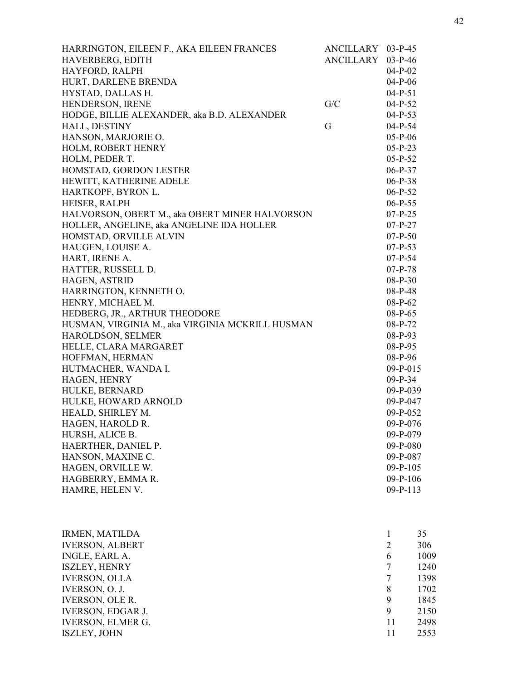| HARRINGTON, EILEEN F., AKA EILEEN FRANCES        | ANCILLARY 03-P-45 |                |      |
|--------------------------------------------------|-------------------|----------------|------|
| HAVERBERG, EDITH                                 | ANCILLARY 03-P-46 |                |      |
| HAYFORD, RALPH                                   |                   | $04-P-02$      |      |
| HURT, DARLENE BRENDA                             |                   | $04-P-06$      |      |
| HYSTAD, DALLAS H.                                |                   | $04-P-51$      |      |
| HENDERSON, IRENE                                 | G/C               | $04-P-52$      |      |
| HODGE, BILLIE ALEXANDER, aka B.D. ALEXANDER      |                   | $04-P-53$      |      |
| HALL, DESTINY                                    | G                 | $04-P-54$      |      |
| HANSON, MARJORIE O.                              |                   | $05-P-06$      |      |
| HOLM, ROBERT HENRY                               |                   | $05-P-23$      |      |
| HOLM, PEDER T.                                   |                   | $05-P-52$      |      |
| HOMSTAD, GORDON LESTER                           |                   | $06-P-37$      |      |
| HEWITT, KATHERINE ADELE                          |                   | $06-P-38$      |      |
| HARTKOPF, BYRON L.                               |                   | $06-P-52$      |      |
| HEISER, RALPH                                    |                   | $06-P-55$      |      |
| HALVORSON, OBERT M., aka OBERT MINER HALVORSON   |                   | $07-P-25$      |      |
| HOLLER, ANGELINE, aka ANGELINE IDA HOLLER        |                   | $07-P-27$      |      |
| HOMSTAD, ORVILLE ALVIN                           |                   | $07-P-50$      |      |
| HAUGEN, LOUISE A.                                |                   | $07-P-53$      |      |
| HART, IRENE A.                                   |                   | $07-P-54$      |      |
| HATTER, RUSSELL D.                               |                   | $07-P-78$      |      |
| HAGEN, ASTRID                                    |                   | $08-P-30$      |      |
| HARRINGTON, KENNETH O.                           |                   | 08-P-48        |      |
| HENRY, MICHAEL M.                                |                   | $08-P-62$      |      |
| HEDBERG, JR., ARTHUR THEODORE                    |                   | $08-P-65$      |      |
| HUSMAN, VIRGINIA M., aka VIRGINIA MCKRILL HUSMAN |                   | 08-P-72        |      |
| HAROLDSON, SELMER                                |                   | $08-P-93$      |      |
|                                                  |                   |                |      |
| HELLE, CLARA MARGARET                            |                   | 08-P-95        |      |
| HOFFMAN, HERMAN                                  |                   | 08-P-96        |      |
| HUTMACHER, WANDA I.                              |                   | $09-P-015$     |      |
| HAGEN, HENRY                                     |                   | $09-P-34$      |      |
| HULKE, BERNARD                                   |                   | $09-P-039$     |      |
| HULKE, HOWARD ARNOLD                             |                   | 09-P-047       |      |
| HEALD, SHIRLEY M.                                |                   | 09-P-052       |      |
| HAGEN, HAROLD R.                                 |                   | 09-P-076       |      |
| HURSH, ALICE B.                                  |                   | 09-P-079       |      |
| HAERTHER, DANIEL P.                              |                   | 09-P-080       |      |
| HANSON, MAXINE C.                                |                   | 09-P-087       |      |
| HAGEN, ORVILLE W.                                |                   | $09 - P - 105$ |      |
| HAGBERRY, EMMAR.                                 |                   | 09-P-106       |      |
| HAMRE, HELEN V.                                  |                   | 09-P-113       |      |
|                                                  |                   |                |      |
|                                                  |                   |                |      |
| <b>IRMEN, MATILDA</b>                            |                   | $\mathbf{1}$   | 35   |
| <b>IVERSON, ALBERT</b>                           |                   | $\overline{2}$ | 306  |
| INGLE, EARL A.                                   |                   | 6              | 1009 |
| <b>ISZLEY, HENRY</b>                             |                   | 7              | 1240 |
| <b>IVERSON, OLLA</b>                             |                   | $\tau$         | 1398 |
| IVERSON, O. J.                                   |                   | 8              | 1702 |
| <b>IVERSON, OLE R.</b>                           |                   | 9              | 1845 |
| <b>IVERSON, EDGAR J.</b>                         |                   | 9              | 2150 |
| <b>IVERSON, ELMER G.</b>                         |                   | 11             | 2498 |
| <b>ISZLEY, JOHN</b>                              |                   | 11             | 2553 |
|                                                  |                   |                |      |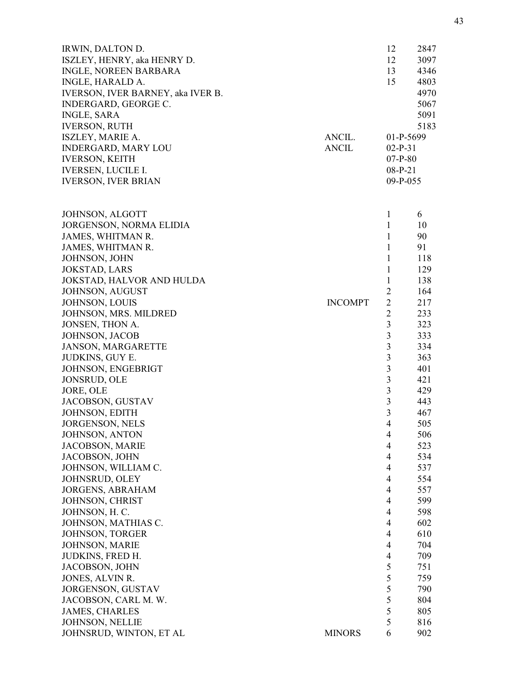| IRWIN, DALTON D.                         |                | 12                               | 2847 |
|------------------------------------------|----------------|----------------------------------|------|
| ISZLEY, HENRY, aka HENRY D.              |                | 12                               | 3097 |
| <b>INGLE, NOREEN BARBARA</b>             |                | 13                               | 4346 |
| INGLE, HARALD A.                         |                | 15                               | 4803 |
| <b>IVERSON, IVER BARNEY, aka IVER B.</b> |                |                                  | 4970 |
| INDERGARD, GEORGE C.                     |                |                                  | 5067 |
| <b>INGLE, SARA</b>                       |                |                                  | 5091 |
| <b>IVERSON, RUTH</b>                     |                |                                  | 5183 |
| <b>ISZLEY, MARIE A.</b>                  | ANCIL.         | 01-P-5699                        |      |
| <b>INDERGARD, MARY LOU</b>               | ANCIL          | $02-P-31$                        |      |
| <b>IVERSON, KEITH</b>                    |                | $07-P-80$                        |      |
| <b>IVERSEN, LUCILE I.</b>                |                | $08-P-21$                        |      |
| <b>IVERSON, IVER BRIAN</b>               |                | $09-P-055$                       |      |
| <b>JOHNSON, ALGOTT</b>                   |                | $\mathbf{1}$                     | 6    |
| JORGENSON, NORMA ELIDIA                  |                | $\mathbf{1}$                     | 10   |
| JAMES, WHITMAN R.                        |                | $\mathbf{1}$                     | 90   |
| JAMES, WHITMAN R.                        |                | $\mathbf{1}$                     | 91   |
| JOHNSON, JOHN                            |                | $\mathbf{1}$                     | 118  |
| <b>JOKSTAD, LARS</b>                     |                | $\mathbf{1}$                     | 129  |
| JOKSTAD, HALVOR AND HULDA                |                | $\mathbf{1}$                     | 138  |
| JOHNSON, AUGUST                          |                | $\overline{2}$                   | 164  |
| JOHNSON, LOUIS                           | <b>INCOMPT</b> | $\overline{2}$                   | 217  |
| JOHNSON, MRS. MILDRED                    |                | $\overline{2}$                   | 233  |
| JONSEN, THON A.                          |                | $\overline{3}$                   | 323  |
| JOHNSON, JACOB                           |                | 3                                | 333  |
| <b>JANSON, MARGARETTE</b>                |                | 3                                | 334  |
|                                          |                | 3                                | 363  |
| JUDKINS, GUY E.                          |                |                                  |      |
| JOHNSON, ENGEBRIGT                       |                | 3                                | 401  |
| <b>JONSRUD, OLE</b>                      |                | $\mathfrak{Z}$<br>$\overline{3}$ | 421  |
| JORE, OLE                                |                | $\overline{3}$                   | 429  |
| JACOBSON, GUSTAV                         |                |                                  | 443  |
| <b>JOHNSON, EDITH</b>                    |                | $\overline{3}$                   | 467  |
| <b>JORGENSON, NELS</b>                   |                | $\overline{4}$                   | 505  |
| JOHNSON, ANTON                           |                | $\overline{4}$                   | 506  |
| JACOBSON, MARIE                          |                | $\overline{4}$                   | 523  |
| JACOBSON, JOHN                           |                | $\overline{4}$                   | 534  |
| JOHNSON, WILLIAM C.                      |                | $\overline{4}$                   | 537  |
| <b>JOHNSRUD, OLEY</b>                    |                | $\overline{4}$                   | 554  |
| <b>JORGENS, ABRAHAM</b>                  |                | $\overline{4}$                   | 557  |
| JOHNSON, CHRIST                          |                | 4                                | 599  |
| JOHNSON, H. C.                           |                | $\overline{4}$                   | 598  |
| JOHNSON, MATHIAS C.                      |                | $\overline{4}$                   | 602  |
| JOHNSON, TORGER                          |                | $\overline{4}$                   | 610  |
| <b>JOHNSON, MARIE</b>                    |                | $\overline{4}$                   | 704  |
| <b>JUDKINS, FRED H.</b>                  |                | 4                                | 709  |
| <b>JACOBSON, JOHN</b>                    |                | 5                                | 751  |
| JONES, ALVIN R.                          |                | 5                                | 759  |
| <b>JORGENSON, GUSTAV</b>                 |                | 5                                | 790  |
| JACOBSON, CARL M. W.                     |                | 5                                | 804  |
| <b>JAMES, CHARLES</b>                    |                | 5                                | 805  |
| <b>JOHNSON, NELLIE</b>                   |                | 5                                | 816  |
| JOHNSRUD, WINTON, ET AL                  | <b>MINORS</b>  | 6                                | 902  |
|                                          |                |                                  |      |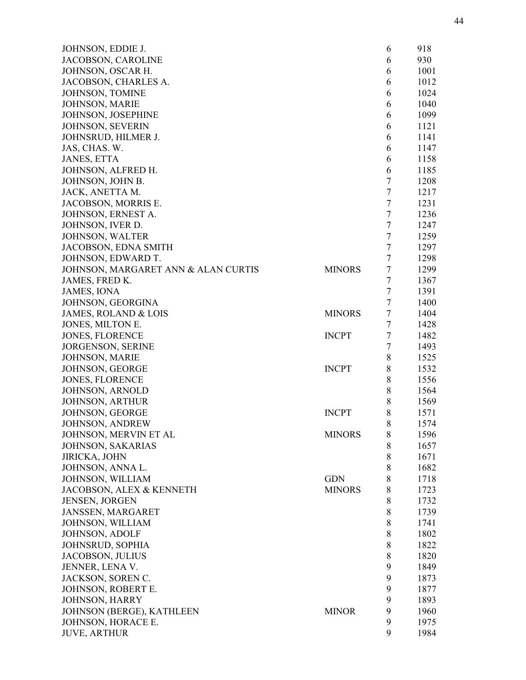| JOHNSON, EDDIE J.                   |               | 6                | 918  |
|-------------------------------------|---------------|------------------|------|
| JACOBSON, CAROLINE                  |               | 6                | 930  |
| JOHNSON, OSCAR H.                   |               | 6                | 1001 |
| JACOBSON, CHARLES A.                |               | 6                | 1012 |
| JOHNSON, TOMINE                     |               | 6                | 1024 |
| JOHNSON, MARIE                      |               | 6                | 1040 |
| JOHNSON, JOSEPHINE                  |               | 6                | 1099 |
| <b>JOHNSON, SEVERIN</b>             |               | 6                | 1121 |
| JOHNSRUD, HILMER J.                 |               | 6                | 1141 |
| JAS, CHAS. W.                       |               | 6                | 1147 |
| <b>JANES, ETTA</b>                  |               | 6                | 1158 |
| JOHNSON, ALFRED H.                  |               | 6                | 1185 |
| JOHNSON, JOHN B.                    |               | $\sqrt{ }$       | 1208 |
| JACK, ANETTA M.                     |               | $\boldsymbol{7}$ | 1217 |
| JACOBSON, MORRIS E.                 |               | $\boldsymbol{7}$ | 1231 |
| JOHNSON, ERNEST A.                  |               | $\tau$           | 1236 |
| JOHNSON, IVER D.                    |               | $\tau$           | 1247 |
|                                     |               | $\boldsymbol{7}$ | 1259 |
| JOHNSON, WALTER                     |               | $\tau$           |      |
| JACOBSON, EDNA SMITH                |               |                  | 1297 |
| JOHNSON, EDWARD T.                  |               | 7                | 1298 |
| JOHNSON, MARGARET ANN & ALAN CURTIS | <b>MINORS</b> | $\tau$           | 1299 |
| JAMES, FRED K.                      |               | $\boldsymbol{7}$ | 1367 |
| <b>JAMES, IONA</b>                  |               | $\tau$           | 1391 |
| JOHNSON, GEORGINA                   |               | 7                | 1400 |
| <b>JAMES, ROLAND &amp; LOIS</b>     | <b>MINORS</b> | $\tau$           | 1404 |
| JONES, MILTON E.                    |               | $\overline{7}$   | 1428 |
| <b>JONES, FLORENCE</b>              | <b>INCPT</b>  | 7                | 1482 |
| <b>JORGENSON, SERINE</b>            |               | $\boldsymbol{7}$ | 1493 |
| <b>JOHNSON, MARIE</b>               |               | 8                | 1525 |
| JOHNSON, GEORGE                     | <b>INCPT</b>  | 8                | 1532 |
| <b>JONES, FLORENCE</b>              |               | 8                | 1556 |
| JOHNSON, ARNOLD                     |               | 8                | 1564 |
| <b>JOHNSON, ARTHUR</b>              |               | 8                | 1569 |
| JOHNSON, GEORGE                     | <b>INCPT</b>  | 8                | 1571 |
| <b>JOHNSON, ANDREW</b>              |               | 8                | 1574 |
| JOHNSON, MERVIN ET AL               | <b>MINORS</b> | 8                | 1596 |
| <b>JOHNSON, SAKARIAS</b>            |               | 8                | 1657 |
| JIRICKA, JOHN                       |               | 8                | 1671 |
| JOHNSON, ANNA L.                    |               | 8                | 1682 |
| JOHNSON, WILLIAM                    | <b>GDN</b>    | 8                | 1718 |
| JACOBSON, ALEX & KENNETH            | <b>MINORS</b> | 8                | 1723 |
| <b>JENSEN, JORGEN</b>               |               | 8                | 1732 |
| JANSSEN, MARGARET                   |               | 8                | 1739 |
| JOHNSON, WILLIAM                    |               | 8                | 1741 |
| JOHNSON, ADOLF                      |               | 8                | 1802 |
| <b>JOHNSRUD, SOPHIA</b>             |               | 8                | 1822 |
| JACOBSON, JULIUS                    |               | 8                | 1820 |
| JENNER, LENA V.                     |               | 9                | 1849 |
| JACKSON, SOREN C.                   |               | 9                | 1873 |
|                                     |               |                  |      |
| JOHNSON, ROBERT E.                  |               | 9                | 1877 |
| <b>JOHNSON, HARRY</b>               |               | 9                | 1893 |
| JOHNSON (BERGE), KATHLEEN           | <b>MINOR</b>  | 9                | 1960 |
| JOHNSON, HORACE E.                  |               | 9                | 1975 |
| <b>JUVE, ARTHUR</b>                 |               | 9                | 1984 |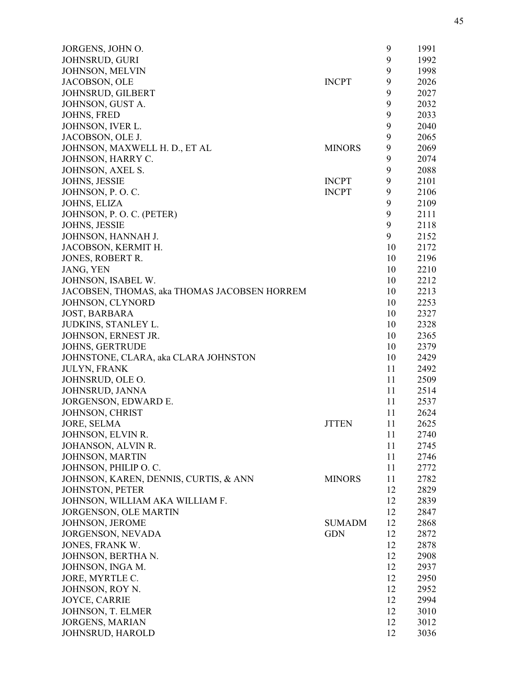| JORGENS, JOHN O.                             |               | 9  | 1991 |
|----------------------------------------------|---------------|----|------|
| <b>JOHNSRUD, GURI</b>                        |               | 9  | 1992 |
| <b>JOHNSON, MELVIN</b>                       |               | 9  | 1998 |
| JACOBSON, OLE                                | <b>INCPT</b>  | 9  | 2026 |
| JOHNSRUD, GILBERT                            |               | 9  | 2027 |
| JOHNSON, GUST A.                             |               | 9  | 2032 |
| JOHNS, FRED                                  |               | 9  | 2033 |
| JOHNSON, IVER L.                             |               | 9  | 2040 |
| JACOBSON, OLE J.                             |               | 9  | 2065 |
| JOHNSON, MAXWELL H. D., ET AL                | <b>MINORS</b> | 9  | 2069 |
| JOHNSON, HARRY C.                            |               | 9  | 2074 |
| JOHNSON, AXEL S.                             |               | 9  | 2088 |
| JOHNS, JESSIE                                | <b>INCPT</b>  | 9  | 2101 |
| JOHNSON, P.O.C.                              | <b>INCPT</b>  | 9  | 2106 |
| JOHNS, ELIZA                                 |               | 9  | 2109 |
| JOHNSON, P. O. C. (PETER)                    |               | 9  | 2111 |
| JOHNS, JESSIE                                |               | 9  | 2118 |
| JOHNSON, HANNAH J.                           |               | 9  | 2152 |
| JACOBSON, KERMIT H.                          |               | 10 | 2172 |
|                                              |               |    |      |
| JONES, ROBERT R.                             |               | 10 | 2196 |
| JANG, YEN                                    |               | 10 | 2210 |
| JOHNSON, ISABEL W.                           |               | 10 | 2212 |
| JACOBSEN, THOMAS, aka THOMAS JACOBSEN HORREM |               | 10 | 2213 |
| JOHNSON, CLYNORD                             |               | 10 | 2253 |
| <b>JOST, BARBARA</b>                         |               | 10 | 2327 |
| JUDKINS, STANLEY L.                          |               | 10 | 2328 |
| JOHNSON, ERNEST JR.                          |               | 10 | 2365 |
| JOHNS, GERTRUDE                              |               | 10 | 2379 |
| JOHNSTONE, CLARA, aka CLARA JOHNSTON         |               | 10 | 2429 |
| <b>JULYN, FRANK</b>                          |               | 11 | 2492 |
| JOHNSRUD, OLE O.                             |               | 11 | 2509 |
| JOHNSRUD, JANNA                              |               | 11 | 2514 |
| JORGENSON, EDWARD E.                         |               | 11 | 2537 |
| JOHNSON, CHRIST                              |               | 11 | 2624 |
| <b>JORE, SELMA</b>                           | <b>JTTEN</b>  | 11 | 2625 |
| JOHNSON, ELVIN R.                            |               | 11 | 2740 |
| JOHANSON, ALVIN R.                           |               | 11 | 2745 |
| JOHNSON, MARTIN                              |               | 11 | 2746 |
| JOHNSON, PHILIP O. C.                        |               | 11 | 2772 |
| JOHNSON, KAREN, DENNIS, CURTIS, & ANN        | <b>MINORS</b> | 11 | 2782 |
| <b>JOHNSTON, PETER</b>                       |               | 12 | 2829 |
| JOHNSON, WILLIAM AKA WILLIAM F.              |               | 12 | 2839 |
| JORGENSON, OLE MARTIN                        |               | 12 | 2847 |
| JOHNSON, JEROME                              | <b>SUMADM</b> | 12 | 2868 |
| JORGENSON, NEVADA                            | <b>GDN</b>    | 12 | 2872 |
| JONES, FRANK W.                              |               | 12 | 2878 |
| JOHNSON, BERTHA N.                           |               | 12 | 2908 |
| JOHNSON, INGA M.                             |               | 12 | 2937 |
| JORE, MYRTLE C.                              |               | 12 | 2950 |
| JOHNSON, ROY N.                              |               | 12 | 2952 |
| JOYCE, CARRIE                                |               | 12 | 2994 |
| JOHNSON, T. ELMER                            |               | 12 | 3010 |
| <b>JORGENS, MARIAN</b>                       |               | 12 | 3012 |
| JOHNSRUD, HAROLD                             |               | 12 | 3036 |
|                                              |               |    |      |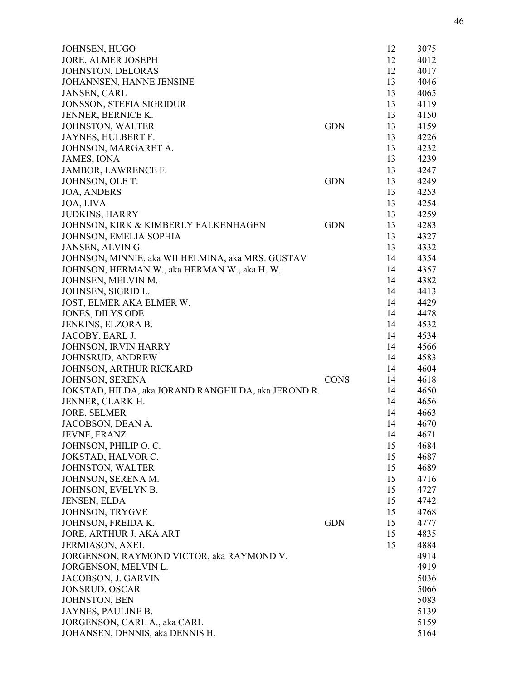| JOHNSEN, HUGO                                       |             | 12 | 3075 |
|-----------------------------------------------------|-------------|----|------|
| JORE, ALMER JOSEPH                                  |             | 12 | 4012 |
| JOHNSTON, DELORAS                                   |             | 12 | 4017 |
| JOHANNSEN, HANNE JENSINE                            |             | 13 | 4046 |
| JANSEN, CARL                                        |             | 13 | 4065 |
| JONSSON, STEFIA SIGRIDUR                            |             | 13 | 4119 |
| JENNER, BERNICE K.                                  |             | 13 | 4150 |
| JOHNSTON, WALTER                                    | <b>GDN</b>  | 13 | 4159 |
| JAYNES, HULBERT F.                                  |             | 13 | 4226 |
| JOHNSON, MARGARET A.                                |             | 13 | 4232 |
| <b>JAMES, IONA</b>                                  |             | 13 | 4239 |
| JAMBOR, LAWRENCE F.                                 |             | 13 | 4247 |
| JOHNSON, OLE T.                                     | <b>GDN</b>  | 13 | 4249 |
| <b>JOA, ANDERS</b>                                  |             | 13 | 4253 |
| JOA, LIVA                                           |             | 13 | 4254 |
| <b>JUDKINS, HARRY</b>                               |             | 13 | 4259 |
| JOHNSON, KIRK & KIMBERLY FALKENHAGEN                | <b>GDN</b>  | 13 | 4283 |
| JOHNSON, EMELIA SOPHIA                              |             | 13 | 4327 |
| JANSEN, ALVIN G.                                    |             | 13 | 4332 |
| JOHNSON, MINNIE, aka WILHELMINA, aka MRS. GUSTAV    |             | 14 | 4354 |
| JOHNSON, HERMAN W., aka HERMAN W., aka H. W.        |             | 14 | 4357 |
| JOHNSEN, MELVIN M.                                  |             | 14 | 4382 |
| JOHNSEN, SIGRID L.                                  |             | 14 | 4413 |
| JOST, ELMER AKA ELMER W.                            |             | 14 | 4429 |
| JONES, DILYS ODE                                    |             | 14 | 4478 |
| JENKINS, ELZORA B.                                  |             | 14 | 4532 |
| JACOBY, EARL J.                                     |             | 14 | 4534 |
| JOHNSON, IRVIN HARRY                                |             | 14 | 4566 |
| JOHNSRUD, ANDREW                                    |             | 14 | 4583 |
| JOHNSON, ARTHUR RICKARD                             |             | 14 | 4604 |
| JOHNSON, SERENA                                     | <b>CONS</b> | 14 | 4618 |
| JOKSTAD, HILDA, aka JORAND RANGHILDA, aka JEROND R. |             | 14 | 4650 |
| JENNER, CLARK H.                                    |             | 14 | 4656 |
| <b>JORE, SELMER</b>                                 |             | 14 | 4663 |
| JACOBSON, DEAN A.                                   |             | 14 | 4670 |
| JEVNE, FRANZ                                        |             | 14 | 4671 |
| JOHNSON, PHILIP O. C.                               |             | 15 | 4684 |
| JOKSTAD, HALVOR C.                                  |             | 15 | 4687 |
| <b>JOHNSTON, WALTER</b>                             |             | 15 | 4689 |
| JOHNSON, SERENA M.                                  |             | 15 | 4716 |
| JOHNSON, EVELYN B.                                  |             | 15 | 4727 |
| <b>JENSEN, ELDA</b>                                 |             | 15 | 4742 |
| JOHNSON, TRYGVE                                     |             | 15 | 4768 |
| JOHNSON, FREIDA K.                                  | <b>GDN</b>  | 15 | 4777 |
| JORE, ARTHUR J. AKA ART                             |             | 15 | 4835 |
| <b>JERMIASON, AXEL</b>                              |             | 15 | 4884 |
| JORGENSON, RAYMOND VICTOR, aka RAYMOND V.           |             |    | 4914 |
| JORGENSON, MELVIN L.                                |             |    | 4919 |
| JACOBSON, J. GARVIN                                 |             |    | 5036 |
| <b>JONSRUD, OSCAR</b>                               |             |    | 5066 |
| JOHNSTON, BEN                                       |             |    | 5083 |
| JAYNES, PAULINE B.                                  |             |    | 5139 |
| JORGENSON, CARL A., aka CARL                        |             |    | 5159 |
| JOHANSEN, DENNIS, aka DENNIS H.                     |             |    | 5164 |
|                                                     |             |    |      |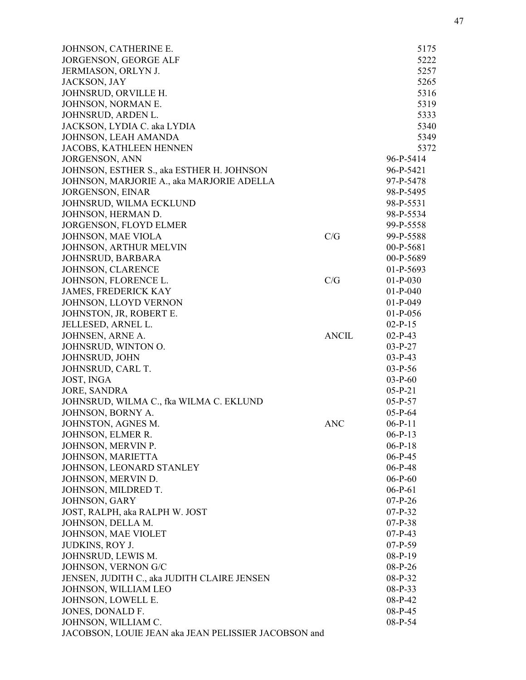| JOHNSON, CATHERINE E.                                |              | 5175       |
|------------------------------------------------------|--------------|------------|
| <b>JORGENSON, GEORGE ALF</b>                         |              | 5222       |
| JERMIASON, ORLYN J.                                  |              | 5257       |
| JACKSON, JAY                                         |              | 5265       |
| JOHNSRUD, ORVILLE H.                                 |              | 5316       |
| JOHNSON, NORMAN E.                                   |              | 5319       |
| JOHNSRUD, ARDEN L.                                   |              | 5333       |
| JACKSON, LYDIA C. aka LYDIA                          |              | 5340       |
| JOHNSON, LEAH AMANDA                                 |              | 5349       |
| JACOBS, KATHLEEN HENNEN                              |              | 5372       |
| JORGENSON, ANN                                       |              | 96-P-5414  |
| JOHNSON, ESTHER S., aka ESTHER H. JOHNSON            |              | 96-P-5421  |
| JOHNSON, MARJORIE A., aka MARJORIE ADELLA            |              | 97-P-5478  |
| <b>JORGENSON, EINAR</b>                              |              | 98-P-5495  |
| JOHNSRUD, WILMA ECKLUND                              |              | 98-P-5531  |
| JOHNSON, HERMAN D.                                   |              | 98-P-5534  |
| JORGENSON, FLOYD ELMER                               |              | 99-P-5558  |
| JOHNSON, MAE VIOLA                                   | C/G          | 99-P-5588  |
| JOHNSON, ARTHUR MELVIN                               |              | 00-P-5681  |
| JOHNSRUD, BARBARA                                    |              | 00-P-5689  |
| JOHNSON, CLARENCE                                    |              | 01-P-5693  |
| JOHNSON, FLORENCE L.                                 | C/G          | $01-P-030$ |
| <b>JAMES, FREDERICK KAY</b>                          |              | $01-P-040$ |
| JOHNSON, LLOYD VERNON                                |              | $01-P-049$ |
| JOHNSTON, JR, ROBERT E.                              |              | $01-P-056$ |
|                                                      |              | $02-P-15$  |
| JELLESED, ARNEL L.                                   | <b>ANCIL</b> |            |
| JOHNSEN, ARNE A.                                     |              | $02-P-43$  |
| JOHNSRUD, WINTON O.                                  |              | $03-P-27$  |
| JOHNSRUD, JOHN                                       |              | $03-P-43$  |
| JOHNSRUD, CARL T.                                    |              | $03-P-56$  |
| JOST, INGA                                           |              | $03-P-60$  |
| <b>JORE, SANDRA</b>                                  |              | $05-P-21$  |
| JOHNSRUD, WILMA C., fka WILMA C. EKLUND              |              | $05-P-57$  |
| JOHNSON, BORNY A.                                    |              | $05-P-64$  |
| JOHNSTON, AGNES M.                                   | <b>ANC</b>   | $06-P-11$  |
| JOHNSON, ELMER R.                                    |              | $06-P-13$  |
| JOHNSON, MERVIN P.                                   |              | $06-P-18$  |
| JOHNSON, MARIETTA                                    |              | $06-P-45$  |
| JOHNSON, LEONARD STANLEY                             |              | $06-P-48$  |
| JOHNSON, MERVIN D.                                   |              | $06-P-60$  |
| JOHNSON, MILDRED T.                                  |              | $06-P-61$  |
| JOHNSON, GARY                                        |              | $07-P-26$  |
| JOST, RALPH, aka RALPH W. JOST                       |              | $07-P-32$  |
| JOHNSON, DELLA M.                                    |              | $07-P-38$  |
| JOHNSON, MAE VIOLET                                  |              | $07-P-43$  |
| JUDKINS, ROY J.                                      |              | $07-P-59$  |
| JOHNSRUD, LEWIS M.                                   |              | $08-P-19$  |
| JOHNSON, VERNON G/C                                  |              | 08-P-26    |
| JENSEN, JUDITH C., aka JUDITH CLAIRE JENSEN          |              | 08-P-32    |
| JOHNSON, WILLIAM LEO                                 |              | 08-P-33    |
| JOHNSON, LOWELL E.                                   |              | 08-P-42    |
| JONES, DONALD F.                                     |              | $08-P-45$  |
| JOHNSON, WILLIAM C.                                  |              | 08-P-54    |
| JACOBSON, LOUIE JEAN aka JEAN PELISSIER JACOBSON and |              |            |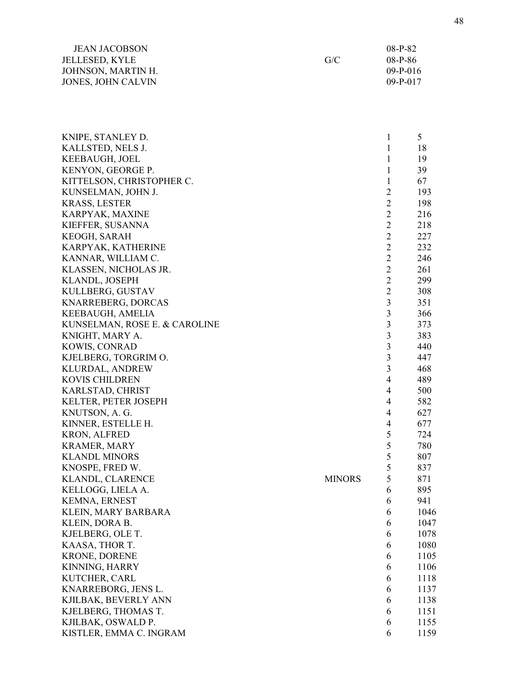| <b>JEAN JACOBSON</b>  |     | 08-P-82    |
|-----------------------|-----|------------|
| <b>JELLESED, KYLE</b> | G/C | $08-P-86$  |
| JOHNSON, MARTIN H.    |     | $09-P-016$ |
| JONES, JOHN CALVIN    |     | $09-P-017$ |

| KNIPE, STANLEY D.             |               | 1              | 5    |
|-------------------------------|---------------|----------------|------|
| KALLSTED, NELS J.             |               | 1              | 18   |
| KEEBAUGH, JOEL                |               | 1              | 19   |
| KENYON, GEORGE P.             |               | 1              | 39   |
| KITTELSON, CHRISTOPHER C.     |               | 1              | 67   |
| KUNSELMAN, JOHN J.            |               | $\overline{2}$ | 193  |
| <b>KRASS, LESTER</b>          |               | $\overline{2}$ | 198  |
| KARPYAK, MAXINE               |               | $\overline{2}$ | 216  |
| KIEFFER, SUSANNA              |               | $\overline{2}$ | 218  |
| KEOGH, SARAH                  |               | $\overline{c}$ | 227  |
|                               |               | $\overline{2}$ |      |
| KARPYAK, KATHERINE            |               |                | 232  |
| KANNAR, WILLIAM C.            |               | $\overline{2}$ | 246  |
| KLASSEN, NICHOLAS JR.         |               | $\overline{2}$ | 261  |
| KLANDL, JOSEPH                |               | $\overline{2}$ | 299  |
| KULLBERG, GUSTAV              |               | $\overline{2}$ | 308  |
| KNARREBERG, DORCAS            |               | 3              | 351  |
| KEEBAUGH, AMELIA              |               | 3              | 366  |
| KUNSELMAN, ROSE E. & CAROLINE |               | 3              | 373  |
| KNIGHT, MARY A.               |               | 3              | 383  |
| KOWIS, CONRAD                 |               | 3              | 440  |
| KJELBERG, TORGRIM O.          |               | 3              | 447  |
| <b>KLURDAL, ANDREW</b>        |               | 3              | 468  |
| <b>KOVIS CHILDREN</b>         |               | $\overline{4}$ | 489  |
| KARLSTAD, CHRIST              |               | 4              | 500  |
| KELTER, PETER JOSEPH          |               | $\overline{4}$ | 582  |
| KNUTSON, A. G.                |               | $\overline{4}$ | 627  |
| KINNER, ESTELLE H.            |               | $\overline{4}$ | 677  |
| <b>KRON, ALFRED</b>           |               | 5              | 724  |
| <b>KRAMER, MARY</b>           |               | 5              | 780  |
| <b>KLANDL MINORS</b>          |               | 5              | 807  |
| KNOSPE, FRED W.               |               | 5              | 837  |
| KLANDL, CLARENCE              | <b>MINORS</b> | 5              | 871  |
| KELLOGG, LIELA A.             |               | 6              | 895  |
| KEMNA, ERNEST                 |               | 6              | 941  |
| KLEIN, MARY BARBARA           |               | 6              | 1046 |
| KLEIN, DORA B.                |               | 6              | 1047 |
| KJELBERG, OLE T.              |               | 6              | 1078 |
| KAASA, THOR T.                |               | 6              | 1080 |
| <b>KRONE, DORENE</b>          |               | 6              | 1105 |
| KINNING, HARRY                |               | 6              | 1106 |
| KUTCHER, CARL                 |               | 6              | 1118 |
| KNARREBORG, JENS L.           |               | 6              | 1137 |
| KJILBAK, BEVERLY ANN          |               | 6              | 1138 |
| KJELBERG, THOMAS T.           |               | 6              | 1151 |
| KJILBAK, OSWALD P.            |               | 6              | 1155 |
| KISTLER, EMMA C. INGRAM       |               | 6              | 1159 |
|                               |               |                |      |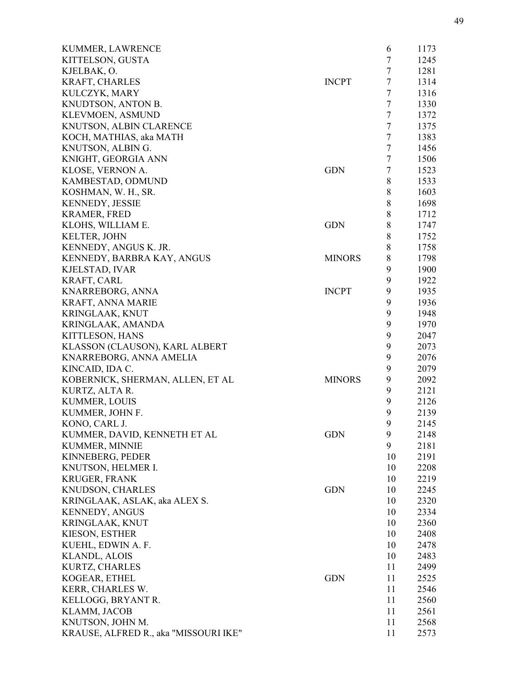| KUMMER, LAWRENCE                      |               | 6              | 1173 |
|---------------------------------------|---------------|----------------|------|
| KITTELSON, GUSTA                      |               | $\tau$         | 1245 |
| KJELBAK, O.                           |               | $\tau$         | 1281 |
| <b>KRAFT, CHARLES</b>                 | <b>INCPT</b>  | $\tau$         | 1314 |
| KULCZYK, MARY                         |               | $\tau$         | 1316 |
| KNUDTSON, ANTON B.                    |               | 7              | 1330 |
| KLEVMOEN, ASMUND                      |               | $\tau$         | 1372 |
| KNUTSON, ALBIN CLARENCE               |               | $\tau$         | 1375 |
| KOCH, MATHIAS, aka MATH               |               | $\tau$         | 1383 |
| KNUTSON, ALBIN G.                     |               | $\overline{7}$ | 1456 |
| KNIGHT, GEORGIA ANN                   |               | $\tau$         | 1506 |
| KLOSE, VERNON A.                      | <b>GDN</b>    | $\tau$         | 1523 |
| KAMBESTAD, ODMUND                     |               | 8              | 1533 |
| KOSHMAN, W. H., SR.                   |               | 8              | 1603 |
| <b>KENNEDY, JESSIE</b>                |               | 8              | 1698 |
| <b>KRAMER, FRED</b>                   |               | $\,8\,$        | 1712 |
| KLOHS, WILLIAM E.                     | <b>GDN</b>    | $\,8\,$        | 1747 |
| <b>KELTER, JOHN</b>                   |               | $\,8\,$        | 1752 |
| KENNEDY, ANGUS K. JR.                 |               | $8\,$          | 1758 |
| KENNEDY, BARBRA KAY, ANGUS            | <b>MINORS</b> | 8              | 1798 |
| KJELSTAD, IVAR                        |               | 9              | 1900 |
| <b>KRAFT, CARL</b>                    |               | 9              | 1922 |
| KNARREBORG, ANNA                      | <b>INCPT</b>  | 9              | 1935 |
| KRAFT, ANNA MARIE                     |               | 9              | 1936 |
|                                       |               | 9              | 1948 |
| <b>KRINGLAAK, KNUT</b>                |               | 9              | 1970 |
| KRINGLAAK, AMANDA                     |               | 9              |      |
| KITTLESON, HANS                       |               |                | 2047 |
| KLASSON (CLAUSON), KARL ALBERT        |               | 9              | 2073 |
| KNARREBORG, ANNA AMELIA               |               | 9              | 2076 |
| KINCAID, IDA C.                       |               | 9              | 2079 |
| KOBERNICK, SHERMAN, ALLEN, ET AL      | <b>MINORS</b> | 9              | 2092 |
| KURTZ, ALTA R.                        |               | 9              | 2121 |
| KUMMER, LOUIS                         |               | 9              | 2126 |
| KUMMER, JOHN F.                       |               | 9              | 2139 |
| KONO, CARL J.                         |               | 9              | 2145 |
| KUMMER, DAVID, KENNETH ET AL          | <b>GDN</b>    | 9              | 2148 |
| KUMMER, MINNIE                        |               | 9              | 2181 |
| KINNEBERG, PEDER                      |               | 10             | 2191 |
| KNUTSON, HELMER I.                    |               | 10             | 2208 |
| <b>KRUGER, FRANK</b>                  |               | 10             | 2219 |
| KNUDSON, CHARLES                      | <b>GDN</b>    | 10             | 2245 |
| KRINGLAAK, ASLAK, aka ALEX S.         |               | 10             | 2320 |
| <b>KENNEDY, ANGUS</b>                 |               | 10             | 2334 |
| KRINGLAAK, KNUT                       |               | 10             | 2360 |
| KIESON, ESTHER                        |               | 10             | 2408 |
| KUEHL, EDWIN A. F.                    |               | 10             | 2478 |
| <b>KLANDL, ALOIS</b>                  |               | 10             | 2483 |
| KURTZ, CHARLES                        |               | 11             | 2499 |
| KOGEAR, ETHEL                         | <b>GDN</b>    | 11             | 2525 |
| KERR, CHARLES W.                      |               | 11             | 2546 |
| KELLOGG, BRYANT R.                    |               | 11             | 2560 |
| KLAMM, JACOB                          |               | 11             | 2561 |
| KNUTSON, JOHN M.                      |               | 11             | 2568 |
| KRAUSE, ALFRED R., aka "MISSOURI IKE" |               | 11             | 2573 |
|                                       |               |                |      |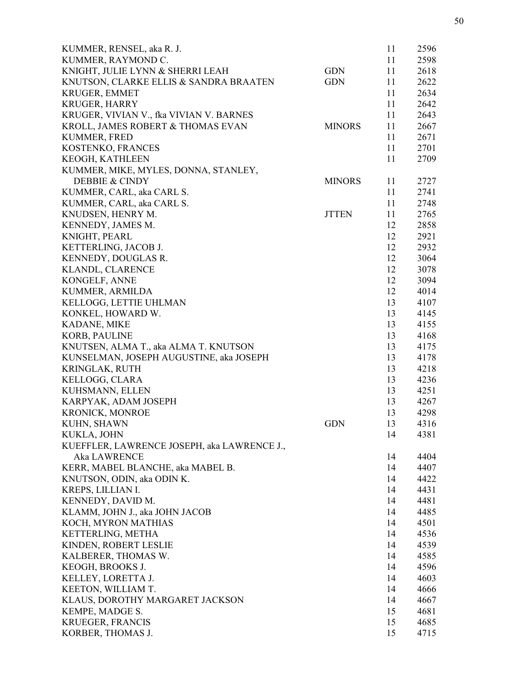| KUMMER, RENSEL, aka R. J.                   |               | 11       | 2596 |
|---------------------------------------------|---------------|----------|------|
| KUMMER, RAYMOND C.                          |               | 11       | 2598 |
| KNIGHT, JULIE LYNN & SHERRI LEAH            | <b>GDN</b>    | 11       | 2618 |
| KNUTSON, CLARKE ELLIS & SANDRA BRAATEN      | <b>GDN</b>    | 11       | 2622 |
| KRUGER, EMMET                               |               | 11       | 2634 |
| <b>KRUGER, HARRY</b>                        |               | 11       | 2642 |
| KRUGER, VIVIAN V., fka VIVIAN V. BARNES     |               | 11       | 2643 |
| KROLL, JAMES ROBERT & THOMAS EVAN           | <b>MINORS</b> | 11       | 2667 |
| <b>KUMMER, FRED</b>                         |               | 11       | 2671 |
| KOSTENKO, FRANCES                           |               | 11       | 2701 |
| KEOGH, KATHLEEN                             |               | 11       | 2709 |
| KUMMER, MIKE, MYLES, DONNA, STANLEY,        |               |          |      |
| DEBBIE & CINDY                              | <b>MINORS</b> | 11       | 2727 |
| KUMMER, CARL, aka CARL S.                   |               | 11       | 2741 |
| KUMMER, CARL, aka CARL S.                   |               | 11       | 2748 |
| KNUDSEN, HENRY M.                           | <b>JTTEN</b>  | 11       | 2765 |
| KENNEDY, JAMES M.                           |               | 12       | 2858 |
| KNIGHT, PEARL                               |               | 12       | 2921 |
| KETTERLING, JACOB J.                        |               | 12       | 2932 |
| KENNEDY, DOUGLAS R.                         |               | 12       | 3064 |
| KLANDL, CLARENCE                            |               | 12       | 3078 |
| KONGELF, ANNE                               |               | 12       | 3094 |
| KUMMER, ARMILDA                             |               | 12       | 4014 |
|                                             |               |          |      |
| KELLOGG, LETTIE UHLMAN                      |               | 13<br>13 | 4107 |
| KONKEL, HOWARD W.                           |               |          | 4145 |
| KADANE, MIKE                                |               | 13       | 4155 |
| <b>KORB, PAULINE</b>                        |               | 13       | 4168 |
| KNUTSEN, ALMA T., aka ALMA T. KNUTSON       |               | 13       | 4175 |
| KUNSELMAN, JOSEPH AUGUSTINE, aka JOSEPH     |               | 13       | 4178 |
| KRINGLAK, RUTH                              |               | 13       | 4218 |
| KELLOGG, CLARA                              |               | 13       | 4236 |
| KUHSMANN, ELLEN                             |               | 13       | 4251 |
| KARPYAK, ADAM JOSEPH                        |               | 13       | 4267 |
| <b>KRONICK, MONROE</b>                      |               | 13       | 4298 |
| KUHN, SHAWN                                 | <b>GDN</b>    | 13       | 4316 |
| KUKLA, JOHN                                 |               | 14       | 4381 |
| KUEFFLER, LAWRENCE JOSEPH, aka LAWRENCE J., |               |          |      |
| <b>Aka LAWRENCE</b>                         |               | 14       | 4404 |
| KERR, MABEL BLANCHE, aka MABEL B.           |               | 14       | 4407 |
| KNUTSON, ODIN, aka ODIN K.                  |               | 14       | 4422 |
| KREPS, LILLIAN I.                           |               | 14       | 4431 |
| KENNEDY, DAVID M.                           |               | 14       | 4481 |
| KLAMM, JOHN J., aka JOHN JACOB              |               | 14       | 4485 |
| KOCH, MYRON MATHIAS                         |               | 14       | 4501 |
| KETTERLING, METHA                           |               | 14       | 4536 |
| KINDEN, ROBERT LESLIE                       |               | 14       | 4539 |
| KALBERER, THOMAS W.                         |               | 14       | 4585 |
| KEOGH, BROOKS J.                            |               | 14       | 4596 |
| KELLEY, LORETTA J.                          |               | 14       | 4603 |
| KEETON, WILLIAM T.                          |               | 14       | 4666 |
| KLAUS, DOROTHY MARGARET JACKSON             |               | 14       | 4667 |
| KEMPE, MADGE S.                             |               | 15       | 4681 |
| KRUEGER, FRANCIS                            |               | 15       | 4685 |
| KORBER, THOMAS J.                           |               | 15       | 4715 |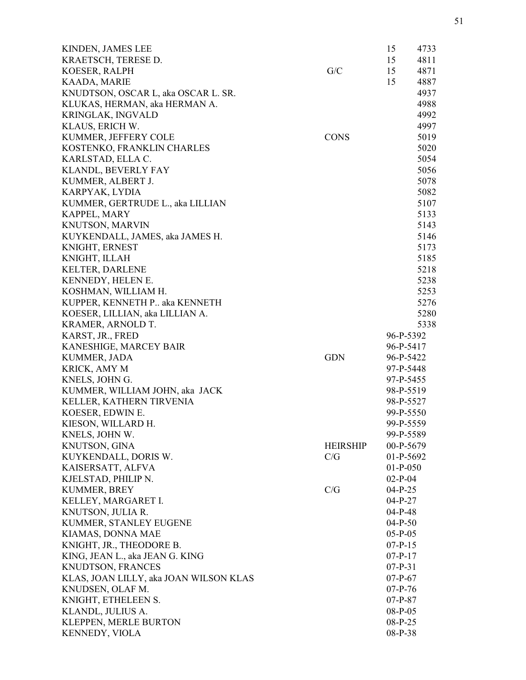| KINDEN, JAMES LEE                      |                 | 15          | 4733 |
|----------------------------------------|-----------------|-------------|------|
| KRAETSCH, TERESE D.                    |                 | 15          | 4811 |
| KOESER, RALPH                          | G/C             | 15          | 4871 |
| KAADA, MARIE                           |                 | 15          | 4887 |
| KNUDTSON, OSCAR L, aka OSCAR L. SR.    |                 |             | 4937 |
| KLUKAS, HERMAN, aka HERMAN A.          |                 |             | 4988 |
| KRINGLAK, INGVALD                      |                 |             | 4992 |
| KLAUS, ERICH W.                        |                 |             | 4997 |
| KUMMER, JEFFERY COLE                   | <b>CONS</b>     |             | 5019 |
| KOSTENKO, FRANKLIN CHARLES             |                 |             | 5020 |
| KARLSTAD, ELLA C.                      |                 |             | 5054 |
| KLANDL, BEVERLY FAY                    |                 |             | 5056 |
| KUMMER, ALBERT J.                      |                 |             | 5078 |
| KARPYAK, LYDIA                         |                 |             | 5082 |
| KUMMER, GERTRUDE L., aka LILLIAN       |                 |             | 5107 |
| KAPPEL, MARY                           |                 |             | 5133 |
| KNUTSON, MARVIN                        |                 |             | 5143 |
| KUYKENDALL, JAMES, aka JAMES H.        |                 |             | 5146 |
| KNIGHT, ERNEST                         |                 |             | 5173 |
| KNIGHT, ILLAH                          |                 |             | 5185 |
| <b>KELTER, DARLENE</b>                 |                 |             | 5218 |
| KENNEDY, HELEN E.                      |                 |             | 5238 |
| KOSHMAN, WILLIAM H.                    |                 |             | 5253 |
| KUPPER, KENNETH P aka KENNETH          |                 |             | 5276 |
| KOESER, LILLIAN, aka LILLIAN A.        |                 |             | 5280 |
| KRAMER, ARNOLD T.                      |                 |             | 5338 |
| KARST, JR., FRED                       |                 | 96-P-5392   |      |
| KANESHIGE, MARCEY BAIR                 |                 | 96-P-5417   |      |
| KUMMER, JADA                           | <b>GDN</b>      | 96-P-5422   |      |
| KRICK, AMY M                           |                 | 97-P-5448   |      |
| KNELS, JOHN G.                         |                 | 97-P-5455   |      |
| KUMMER, WILLIAM JOHN, aka JACK         |                 | 98-P-5519   |      |
| KELLER, KATHERN TIRVENIA               |                 | 98-P-5527   |      |
| KOESER, EDWIN E.                       |                 | 99-P-5550   |      |
| KIESON, WILLARD H.                     |                 | 99-P-5559   |      |
| KNELS, JOHN W.                         |                 | 99-P-5589   |      |
| KNUTSON, GINA                          | <b>HEIRSHIP</b> | 00-P-5679   |      |
| KUYKENDALL, DORIS W.                   | C/G             | $01-P-5692$ |      |
| KAISERSATT, ALFVA                      |                 | $01-P-050$  |      |
| KJELSTAD, PHILIP N.                    |                 | $02-P-04$   |      |
| KUMMER, BREY                           | C/G             | $04-P-25$   |      |
| KELLEY, MARGARET I.                    |                 | $04-P-27$   |      |
| KNUTSON, JULIA R.                      |                 | $04-P-48$   |      |
| KUMMER, STANLEY EUGENE                 |                 | $04-P-50$   |      |
| KIAMAS, DONNA MAE                      |                 | $05-P-05$   |      |
| KNIGHT, JR., THEODORE B.               |                 | $07-P-15$   |      |
| KING, JEAN L., aka JEAN G. KING        |                 | $07-P-17$   |      |
| KNUDTSON, FRANCES                      |                 | $07-P-31$   |      |
| KLAS, JOAN LILLY, aka JOAN WILSON KLAS |                 | $07-P-67$   |      |
| KNUDSEN, OLAF M.                       |                 | $07-P-76$   |      |
| KNIGHT, ETHELEEN S.                    |                 | $07-P-87$   |      |
| KLANDL, JULIUS A.                      |                 | $08-P-05$   |      |
| KLEPPEN, MERLE BURTON                  |                 | $08-P-25$   |      |
| KENNEDY, VIOLA                         |                 | 08-P-38     |      |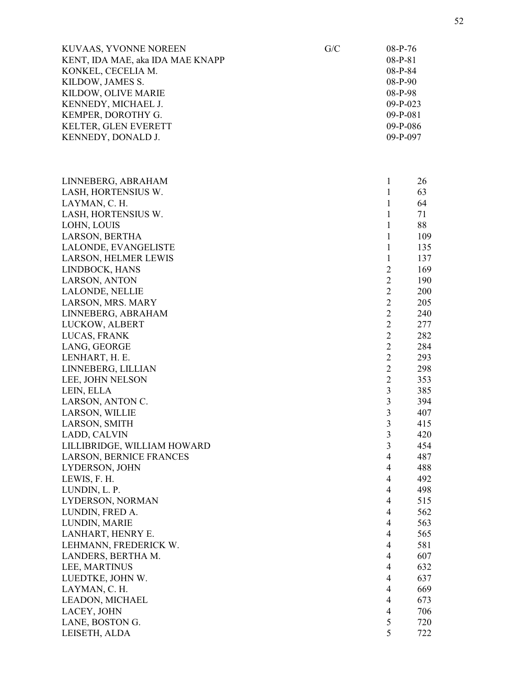| KUVAAS, YVONNE NOREEN               | G/C | 08-P-76                          |            |
|-------------------------------------|-----|----------------------------------|------------|
| KENT, IDA MAE, aka IDA MAE KNAPP    |     | $08-P-81$                        |            |
| KONKEL, CECELIA M.                  |     | 08-P-84                          |            |
| KILDOW, JAMES S.                    |     | 08-P-90                          |            |
| KILDOW, OLIVE MARIE                 |     | 08-P-98                          |            |
| KENNEDY, MICHAEL J.                 |     | $09-P-023$                       |            |
| KEMPER, DOROTHY G.                  |     | $09-P-081$                       |            |
| KELTER, GLEN EVERETT                |     | 09-P-086                         |            |
| KENNEDY, DONALD J.                  |     | 09-P-097                         |            |
|                                     |     |                                  |            |
| LINNEBERG, ABRAHAM                  |     | $\mathbf{1}$                     | 26         |
| LASH, HORTENSIUS W.                 |     | $\mathbf{1}$                     | 63         |
| LAYMAN, C. H.                       |     | $\mathbf{1}$                     | 64         |
| LASH, HORTENSIUS W.                 |     | $\mathbf{1}$                     | 71         |
| LOHN, LOUIS                         |     | $\mathbf{1}$                     | 88         |
| LARSON, BERTHA                      |     | $\mathbf{1}$                     | 109        |
| LALONDE, EVANGELISTE                |     | $\mathbf{1}$                     | 135        |
| LARSON, HELMER LEWIS                |     | $\mathbf{1}$                     | 137        |
| LINDBOCK, HANS                      |     | $\overline{2}$                   | 169        |
| LARSON, ANTON                       |     | $\overline{2}$                   | 190        |
| LALONDE, NELLIE                     |     | $\overline{2}$                   | 200        |
| LARSON, MRS. MARY                   |     | $\overline{2}$                   | 205        |
| LINNEBERG, ABRAHAM                  |     | $\overline{2}$                   | 240        |
| LUCKOW, ALBERT                      |     | $\overline{2}$                   | 277        |
| LUCAS, FRANK                        |     | $\overline{2}$                   | 282        |
| LANG, GEORGE                        |     | $\overline{2}$                   | 284        |
| LENHART, H. E.                      |     | $\overline{2}$                   | 293        |
| LINNEBERG, LILLIAN                  |     | $\overline{2}$                   | 298        |
| LEE, JOHN NELSON                    |     | $\overline{2}$                   | 353        |
| LEIN, ELLA                          |     | 3                                | 385        |
| LARSON, ANTON C.                    |     | $\mathfrak{Z}$                   | 394        |
| LARSON, WILLIE                      |     | $\overline{\mathbf{3}}$          | 407        |
| LARSON, SMITH                       |     | 3                                | 415        |
| LADD, CALVIN                        |     | 3                                | 420        |
| LILLIBRIDGE, WILLIAM HOWARD         |     | 3                                | 454        |
| <b>LARSON, BERNICE FRANCES</b>      |     | $\overline{4}$                   | 487        |
| LYDERSON, JOHN                      |     | $\overline{4}$                   | 488        |
| LEWIS, F. H.                        |     | $\overline{4}$<br>$\overline{4}$ | 492        |
| LUNDIN, L. P.                       |     | $\overline{4}$                   | 498<br>515 |
| LYDERSON, NORMAN<br>LUNDIN, FRED A. |     | $\overline{4}$                   | 562        |
| LUNDIN, MARIE                       |     | $\overline{4}$                   | 563        |
| LANHART, HENRY E.                   |     | $\overline{4}$                   | 565        |
| LEHMANN, FREDERICK W.               |     | $\overline{4}$                   | 581        |
|                                     |     | $\overline{4}$                   | 607        |
| LANDERS, BERTHA M.<br>LEE, MARTINUS |     | $\overline{4}$                   | 632        |
| LUEDTKE, JOHN W.                    |     | $\overline{4}$                   | 637        |
| LAYMAN, C. H.                       |     | $\overline{4}$                   | 669        |
| LEADON, MICHAEL                     |     | $\overline{4}$                   | 673        |
| LACEY, JOHN                         |     | $\overline{4}$                   | 706        |
| LANE, BOSTON G.                     |     | 5                                | 720        |
| LEISETH, ALDA                       |     | 5                                | 722        |
|                                     |     |                                  |            |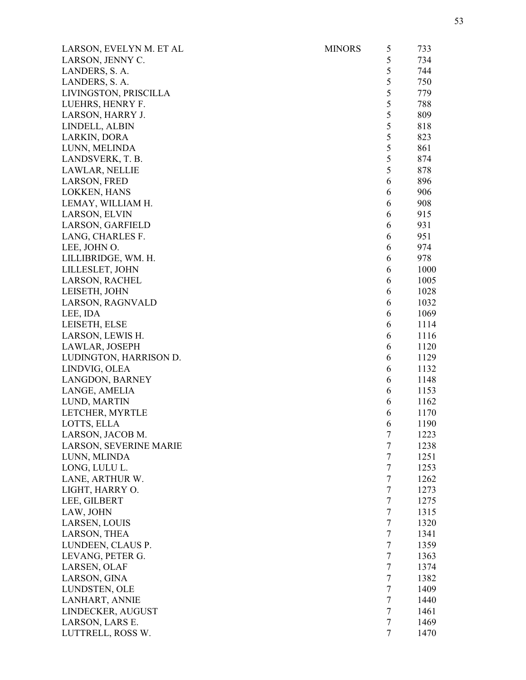| LARSON, EVELYN M. ET AL | <b>MINORS</b> | 5              | 733  |
|-------------------------|---------------|----------------|------|
| LARSON, JENNY C.        |               | 5              | 734  |
| LANDERS, S. A.          |               | 5              | 744  |
| LANDERS, S. A.          |               | 5              | 750  |
| LIVINGSTON, PRISCILLA   |               | 5              | 779  |
| LUEHRS, HENRY F.        |               | 5              | 788  |
| LARSON, HARRY J.        |               | 5              | 809  |
| LINDELL, ALBIN          |               | 5              | 818  |
| LARKIN, DORA            |               | 5              | 823  |
| LUNN, MELINDA           |               | 5              | 861  |
| LANDSVERK, T. B.        |               | 5              | 874  |
| LAWLAR, NELLIE          |               | 5              | 878  |
| LARSON, FRED            |               | 6              | 896  |
| LOKKEN, HANS            |               | 6              | 906  |
| LEMAY, WILLIAM H.       |               | 6              | 908  |
| LARSON, ELVIN           |               | 6              | 915  |
| LARSON, GARFIELD        |               | 6              | 931  |
| LANG, CHARLES F.        |               | 6              | 951  |
| LEE, JOHN O.            |               | 6              | 974  |
| LILLIBRIDGE, WM. H.     |               | 6              | 978  |
| LILLESLET, JOHN         |               | 6              | 1000 |
| LARSON, RACHEL          |               | 6              | 1005 |
| LEISETH, JOHN           |               | 6              | 1028 |
| LARSON, RAGNVALD        |               | 6              | 1032 |
| LEE, IDA                |               | 6              | 1069 |
| LEISETH, ELSE           |               | 6              | 1114 |
| LARSON, LEWIS H.        |               | 6              | 1116 |
| LAWLAR, JOSEPH          |               | 6              | 1120 |
| LUDINGTON, HARRISON D.  |               | 6              | 1129 |
| LINDVIG, OLEA           |               | 6              | 1132 |
| LANGDON, BARNEY         |               | 6              | 1148 |
| LANGE, AMELIA           |               | 6              | 1153 |
| LUND, MARTIN            |               | 6              | 1162 |
| LETCHER, MYRTLE         |               | 6              | 1170 |
| LOTTS, ELLA             |               | 6              | 1190 |
| LARSON, JACOB M.        |               | 7              | 1223 |
| LARSON, SEVERINE MARIE  |               | $\overline{7}$ | 1238 |
| LUNN, MLINDA            |               | 7              | 1251 |
| LONG, LULU L.           |               | $\tau$         | 1253 |
| LANE, ARTHUR W.         |               | $\tau$         | 1262 |
| LIGHT, HARRY O.         |               | $\tau$         | 1273 |
| LEE, GILBERT            |               | 7              | 1275 |
| LAW, JOHN               |               | $\overline{7}$ | 1315 |
| LARSEN, LOUIS           |               | $\tau$         | 1320 |
| LARSON, THEA            |               | $\tau$         | 1341 |
| LUNDEEN, CLAUS P.       |               | $\tau$         | 1359 |
| LEVANG, PETER G.        |               | 7              | 1363 |
| LARSEN, OLAF            |               | $\tau$         | 1374 |
| LARSON, GINA            |               | $\tau$         | 1382 |
| LUNDSTEN, OLE           |               | $\tau$         | 1409 |
| LANHART, ANNIE          |               | $\tau$         | 1440 |
| LINDECKER, AUGUST       |               | $\tau$         | 1461 |
| LARSON, LARS E.         |               | 7              | 1469 |
| LUTTRELL, ROSS W.       |               | $\tau$         | 1470 |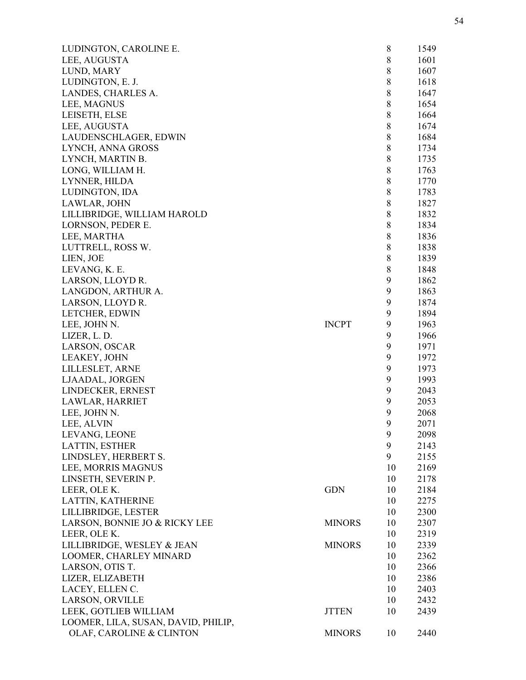| LUDINGTON, CAROLINE E.              |               | 8           | 1549 |
|-------------------------------------|---------------|-------------|------|
| LEE, AUGUSTA                        |               | $\,8\,$     | 1601 |
| LUND, MARY                          |               | $\,8\,$     | 1607 |
| LUDINGTON, E. J.                    |               | $\,8\,$     | 1618 |
| LANDES, CHARLES A.                  |               | $8\,$       | 1647 |
| LEE, MAGNUS                         |               | 8           | 1654 |
| LEISETH, ELSE                       |               | 8           | 1664 |
| LEE, AUGUSTA                        |               | 8           | 1674 |
| LAUDENSCHLAGER, EDWIN               |               | $8\,$       | 1684 |
| LYNCH, ANNA GROSS                   |               | $8\,$       | 1734 |
| LYNCH, MARTIN B.                    |               | $\,$ 8 $\,$ | 1735 |
| LONG, WILLIAM H.                    |               | $8\,$       | 1763 |
| LYNNER, HILDA                       |               | 8           | 1770 |
| LUDINGTON, IDA                      |               | 8           | 1783 |
| LAWLAR, JOHN                        |               | $\,8\,$     | 1827 |
| LILLIBRIDGE, WILLIAM HAROLD         |               | $8\,$       | 1832 |
| LORNSON, PEDER E.                   |               | $8\,$       | 1834 |
| LEE, MARTHA                         |               | $8\,$       | 1836 |
| LUTTRELL, ROSS W.                   |               | $8\,$       | 1838 |
| LIEN, JOE                           |               | 8           | 1839 |
| LEVANG, K. E.                       |               | 8           | 1848 |
| LARSON, LLOYD R.                    |               | 9           | 1862 |
| LANGDON, ARTHUR A.                  |               | 9           | 1863 |
| LARSON, LLOYD R.                    |               | 9           | 1874 |
| LETCHER, EDWIN                      |               | 9           | 1894 |
|                                     | <b>INCPT</b>  | 9           | 1963 |
| LEE, JOHN N.                        |               | 9           |      |
| LIZER, L. D.                        |               |             | 1966 |
| LARSON, OSCAR                       |               | 9           | 1971 |
| LEAKEY, JOHN                        |               | 9           | 1972 |
| LILLESLET, ARNE                     |               | 9           | 1973 |
| LJAADAL, JORGEN                     |               | 9           | 1993 |
| LINDECKER, ERNEST                   |               | 9           | 2043 |
| LAWLAR, HARRIET                     |               | 9           | 2053 |
| LEE, JOHN N.                        |               | 9           | 2068 |
| LEE, ALVIN                          |               | 9           | 2071 |
| LEVANG, LEONE                       |               | 9           | 2098 |
| LATTIN, ESTHER                      |               | 9           | 2143 |
| LINDSLEY, HERBERT S.                |               | 9           | 2155 |
| LEE, MORRIS MAGNUS                  |               | 10          | 2169 |
| LINSETH, SEVERIN P.                 |               | 10          | 2178 |
| LEER, OLE K.                        | <b>GDN</b>    | 10          | 2184 |
| LATTIN, KATHERINE                   |               | 10          | 2275 |
| LILLIBRIDGE, LESTER                 |               | 10          | 2300 |
| LARSON, BONNIE JO & RICKY LEE       | <b>MINORS</b> | 10          | 2307 |
| LEER, OLE K.                        |               | 10          | 2319 |
| LILLIBRIDGE, WESLEY & JEAN          | <b>MINORS</b> | 10          | 2339 |
| LOOMER, CHARLEY MINARD              |               | 10          | 2362 |
| LARSON, OTIS T.                     |               | 10          | 2366 |
| LIZER, ELIZABETH                    |               | 10          | 2386 |
| LACEY, ELLEN C.                     |               | 10          | 2403 |
| LARSON, ORVILLE                     |               | 10          | 2432 |
| LEEK, GOTLIEB WILLIAM               | <b>JTTEN</b>  | 10          | 2439 |
| LOOMER, LILA, SUSAN, DAVID, PHILIP, |               |             |      |
| <b>OLAF, CAROLINE &amp; CLINTON</b> | <b>MINORS</b> | 10          | 2440 |
|                                     |               |             |      |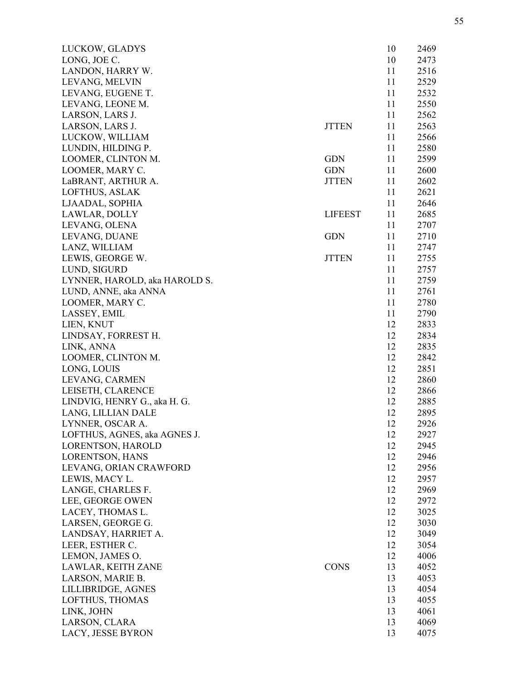| LUCKOW, GLADYS                |                | 10 | 2469 |
|-------------------------------|----------------|----|------|
| LONG, JOE C.                  |                | 10 | 2473 |
| LANDON, HARRY W.              |                | 11 | 2516 |
| LEVANG, MELVIN                |                | 11 | 2529 |
| LEVANG, EUGENE T.             |                | 11 | 2532 |
| LEVANG, LEONE M.              |                | 11 | 2550 |
| LARSON, LARS J.               |                | 11 | 2562 |
| LARSON, LARS J.               | <b>JTTEN</b>   | 11 | 2563 |
| LUCKOW, WILLIAM               |                | 11 | 2566 |
| LUNDIN, HILDING P.            |                | 11 | 2580 |
| LOOMER, CLINTON M.            | <b>GDN</b>     | 11 | 2599 |
| LOOMER, MARY C.               | <b>GDN</b>     | 11 | 2600 |
| LaBRANT, ARTHUR A.            | <b>JTTEN</b>   | 11 | 2602 |
| LOFTHUS, ASLAK                |                | 11 | 2621 |
| LJAADAL, SOPHIA               |                | 11 | 2646 |
| LAWLAR, DOLLY                 | <b>LIFEEST</b> | 11 | 2685 |
| LEVANG, OLENA                 |                | 11 | 2707 |
| LEVANG, DUANE                 | <b>GDN</b>     | 11 | 2710 |
| LANZ, WILLIAM                 |                | 11 | 2747 |
| LEWIS, GEORGE W.              | <b>JTTEN</b>   | 11 | 2755 |
| LUND, SIGURD                  |                | 11 | 2757 |
| LYNNER, HAROLD, aka HAROLD S. |                | 11 | 2759 |
| LUND, ANNE, aka ANNA          |                | 11 | 2761 |
| LOOMER, MARY C.               |                | 11 | 2780 |
| LASSEY, EMIL                  |                | 11 | 2790 |
| LIEN, KNUT                    |                | 12 | 2833 |
| LINDSAY, FORREST H.           |                | 12 | 2834 |
| LINK, ANNA                    |                | 12 | 2835 |
| LOOMER, CLINTON M.            |                | 12 | 2842 |
| LONG, LOUIS                   |                | 12 | 2851 |
| LEVANG, CARMEN                |                | 12 | 2860 |
| LEISETH, CLARENCE             |                | 12 | 2866 |
| LINDVIG, HENRY G., aka H. G.  |                | 12 | 2885 |
| LANG, LILLIAN DALE            |                | 12 | 2895 |
| LYNNER, OSCAR A.              |                | 12 | 2926 |
| LOFTHUS, AGNES, aka AGNES J.  |                | 12 | 2927 |
| LORENTSON, HAROLD             |                | 12 | 2945 |
| LORENTSON, HANS               |                | 12 | 2946 |
| LEVANG, ORIAN CRAWFORD        |                | 12 | 2956 |
| LEWIS, MACY L.                |                | 12 | 2957 |
| LANGE, CHARLES F.             |                | 12 | 2969 |
| LEE, GEORGE OWEN              |                | 12 | 2972 |
| LACEY, THOMAS L.              |                | 12 | 3025 |
| LARSEN, GEORGE G.             |                | 12 | 3030 |
| LANDSAY, HARRIET A.           |                | 12 | 3049 |
| LEER, ESTHER C.               |                | 12 | 3054 |
| LEMON, JAMES O.               |                | 12 | 4006 |
| LAWLAR, KEITH ZANE            | <b>CONS</b>    | 13 | 4052 |
| LARSON, MARIE B.              |                | 13 | 4053 |
| LILLIBRIDGE, AGNES            |                | 13 | 4054 |
| LOFTHUS, THOMAS               |                | 13 | 4055 |
| LINK, JOHN                    |                | 13 | 4061 |
| LARSON, CLARA                 |                | 13 | 4069 |
| LACY, JESSE BYRON             |                | 13 | 4075 |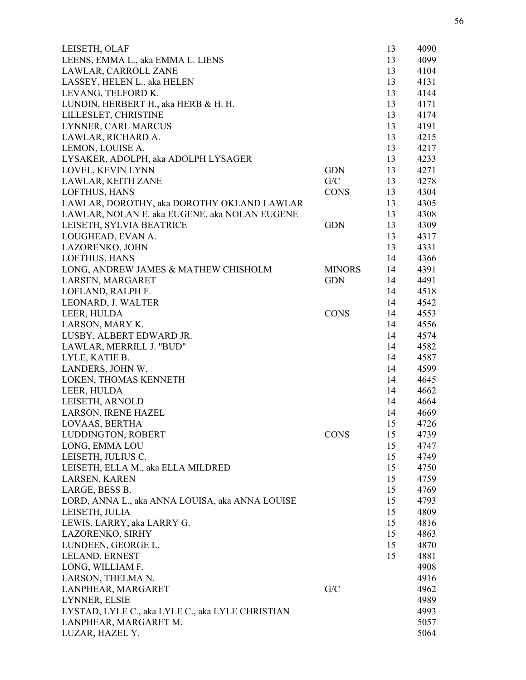| LEISETH, OLAF                                    |               | 13 | 4090 |
|--------------------------------------------------|---------------|----|------|
| LEENS, EMMA L., aka EMMA L. LIENS                |               | 13 | 4099 |
| LAWLAR, CARROLL ZANE                             |               | 13 | 4104 |
| LASSEY, HELEN L., aka HELEN                      |               | 13 | 4131 |
| LEVANG, TELFORD K.                               |               | 13 | 4144 |
| LUNDIN, HERBERT H., aka HERB & H. H.             |               | 13 | 4171 |
| LILLESLET, CHRISTINE                             |               | 13 | 4174 |
| LYNNER, CARL MARCUS                              |               | 13 | 4191 |
| LAWLAR, RICHARD A.                               |               | 13 | 4215 |
| LEMON, LOUISE A.                                 |               | 13 | 4217 |
| LYSAKER, ADOLPH, aka ADOLPH LYSAGER              |               | 13 | 4233 |
| LOVEL, KEVIN LYNN                                | <b>GDN</b>    | 13 | 4271 |
| LAWLAR, KEITH ZANE                               | G/C           | 13 | 4278 |
| LOFTHUS, HANS                                    | <b>CONS</b>   | 13 | 4304 |
| LAWLAR, DOROTHY, aka DOROTHY OKLAND LAWLAR       |               | 13 | 4305 |
| LAWLAR, NOLAN E. aka EUGENE, aka NOLAN EUGENE    |               | 13 | 4308 |
| LEISETH, SYLVIA BEATRICE                         | <b>GDN</b>    | 13 | 4309 |
| LOUGHEAD, EVAN A.                                |               | 13 | 4317 |
| LAZORENKO, JOHN                                  |               | 13 | 4331 |
| LOFTHUS, HANS                                    |               |    | 4366 |
|                                                  |               | 14 |      |
| LONG, ANDREW JAMES & MATHEW CHISHOLM             | <b>MINORS</b> | 14 | 4391 |
| LARSEN, MARGARET                                 | <b>GDN</b>    | 14 | 4491 |
| LOFLAND, RALPH F.                                |               | 14 | 4518 |
| LEONARD, J. WALTER                               |               | 14 | 4542 |
| LEER, HULDA                                      | <b>CONS</b>   | 14 | 4553 |
| LARSON, MARY K.                                  |               | 14 | 4556 |
| LUSBY, ALBERT EDWARD JR.                         |               | 14 | 4574 |
| LAWLAR, MERRILL J. "BUD"                         |               | 14 | 4582 |
| LYLE, KATIE B.                                   |               | 14 | 4587 |
| LANDERS, JOHN W.                                 |               | 14 | 4599 |
| LOKEN, THOMAS KENNETH                            |               | 14 | 4645 |
| LEER, HULDA                                      |               | 14 | 4662 |
| LEISETH, ARNOLD                                  |               | 14 | 4664 |
| <b>LARSON, IRENE HAZEL</b>                       |               | 14 | 4669 |
| LOVAAS, BERTHA                                   |               | 15 | 4726 |
| LUDDINGTON, ROBERT                               | <b>CONS</b>   | 15 | 4739 |
| LONG, EMMA LOU                                   |               | 15 | 4747 |
| LEISETH, JULIUS C.                               |               | 15 | 4749 |
| LEISETH, ELLA M., aka ELLA MILDRED               |               | 15 | 4750 |
| LARSEN, KAREN                                    |               | 15 | 4759 |
| LARGE, BESS B.                                   |               | 15 | 4769 |
| LORD, ANNA L., aka ANNA LOUISA, aka ANNA LOUISE  |               | 15 | 4793 |
| LEISETH, JULIA                                   |               | 15 | 4809 |
| LEWIS, LARRY, aka LARRY G.                       |               | 15 | 4816 |
| LAZORENKO, SIRHY                                 |               | 15 | 4863 |
| LUNDEEN, GEORGE L.                               |               | 15 | 4870 |
| LELAND, ERNEST                                   |               | 15 | 4881 |
| LONG, WILLIAM F.                                 |               |    | 4908 |
| LARSON, THELMA N.                                |               |    | 4916 |
| LANPHEAR, MARGARET                               | G/C           |    | 4962 |
| LYNNER, ELSIE                                    |               |    | 4989 |
| LYSTAD, LYLE C., aka LYLE C., aka LYLE CHRISTIAN |               |    | 4993 |
| LANPHEAR, MARGARET M.                            |               |    | 5057 |
| LUZAR, HAZEL Y.                                  |               |    | 5064 |
|                                                  |               |    |      |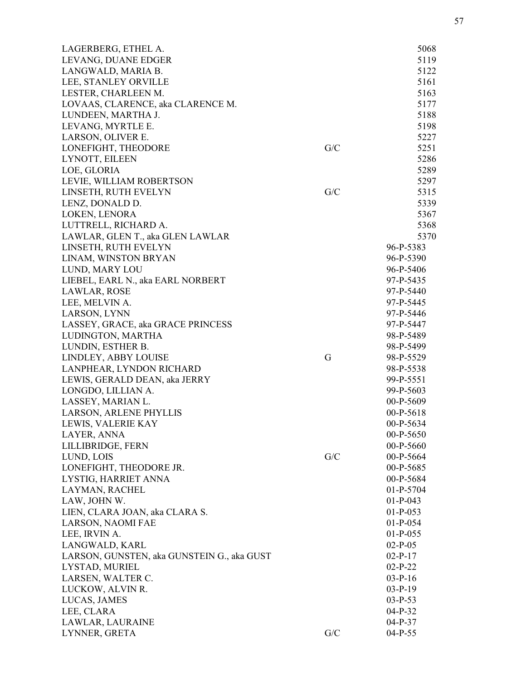| LAGERBERG, ETHEL A.                        |     | 5068        |
|--------------------------------------------|-----|-------------|
| LEVANG, DUANE EDGER                        |     | 5119        |
| LANGWALD, MARIA B.                         |     | 5122        |
| LEE, STANLEY ORVILLE                       |     | 5161        |
| LESTER, CHARLEEN M.                        |     | 5163        |
| LOVAAS, CLARENCE, aka CLARENCE M.          |     | 5177        |
| LUNDEEN, MARTHA J.                         |     | 5188        |
| LEVANG, MYRTLE E.                          |     | 5198        |
| LARSON, OLIVER E.                          |     | 5227        |
| LONEFIGHT, THEODORE                        | G/C | 5251        |
| LYNOTT, EILEEN                             |     | 5286        |
| LOE, GLORIA                                |     | 5289        |
| LEVIE, WILLIAM ROBERTSON                   |     | 5297        |
| LINSETH, RUTH EVELYN                       | G/C | 5315        |
| LENZ, DONALD D.                            |     | 5339        |
| LOKEN, LENORA                              |     | 5367        |
| LUTTRELL, RICHARD A.                       |     | 5368        |
| LAWLAR, GLEN T., aka GLEN LAWLAR           |     | 5370        |
| LINSETH, RUTH EVELYN                       |     | 96-P-5383   |
| LINAM, WINSTON BRYAN                       |     | 96-P-5390   |
| LUND, MARY LOU                             |     | 96-P-5406   |
| LIEBEL, EARL N., aka EARL NORBERT          |     | 97-P-5435   |
| LAWLAR, ROSE                               |     | 97-P-5440   |
| LEE, MELVIN A.                             |     | 97-P-5445   |
| LARSON, LYNN                               |     | 97-P-5446   |
| LASSEY, GRACE, aka GRACE PRINCESS          |     | 97-P-5447   |
| LUDINGTON, MARTHA                          |     | 98-P-5489   |
| LUNDIN, ESTHER B.                          |     | 98-P-5499   |
| LINDLEY, ABBY LOUISE                       | G   | 98-P-5529   |
| LANPHEAR, LYNDON RICHARD                   |     | 98-P-5538   |
| LEWIS, GERALD DEAN, aka JERRY              |     | 99-P-5551   |
| LONGDO, LILLIAN A.                         |     | 99-P-5603   |
| LASSEY, MARIAN L.                          |     | 00-P-5609   |
| LARSON, ARLENE PHYLLIS                     |     | $00-P-5618$ |
| LEWIS, VALERIE KAY                         |     | 00-P-5634   |
| LAYER, ANNA                                |     | 00-P-5650   |
| LILLIBRIDGE, FERN                          |     | 00-P-5660   |
| LUND, LOIS                                 | G/C | 00-P-5664   |
| LONEFIGHT, THEODORE JR.                    |     | 00-P-5685   |
| LYSTIG, HARRIET ANNA                       |     | 00-P-5684   |
| LAYMAN, RACHEL                             |     | 01-P-5704   |
| LAW, JOHN W.                               |     | $01-P-043$  |
| LIEN, CLARA JOAN, aka CLARA S.             |     | $01-P-053$  |
| LARSON, NAOMI FAE                          |     | $01-P-054$  |
| LEE, IRVIN A.                              |     | $01-P-055$  |
| LANGWALD, KARL                             |     | $02-P-05$   |
| LARSON, GUNSTEN, aka GUNSTEIN G., aka GUST |     | $02-P-17$   |
| LYSTAD, MURIEL                             |     | $02-P-22$   |
| LARSEN, WALTER C.                          |     | $03-P-16$   |
| LUCKOW, ALVIN R.                           |     | $03-P-19$   |
| LUCAS, JAMES                               |     | $03-P-53$   |
| LEE, CLARA                                 |     | $04-P-32$   |
| LAWLAR, LAURAINE                           |     | $04-P-37$   |
| LYNNER, GRETA                              | G/C | $04-P-55$   |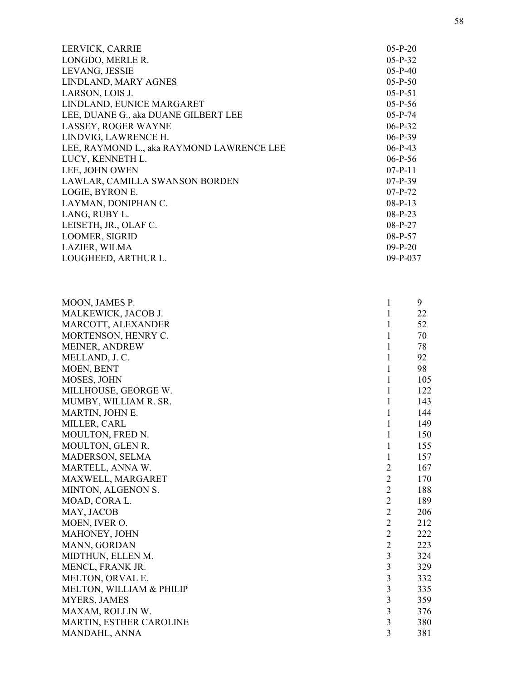| LERVICK, CARRIE                           | $05-P-20$  |
|-------------------------------------------|------------|
| LONGDO, MERLE R.                          | $05-P-32$  |
| LEVANG, JESSIE                            | $05-P-40$  |
| LINDLAND, MARY AGNES                      | $05-P-50$  |
| LARSON, LOIS J.                           | $05-P-51$  |
| LINDLAND, EUNICE MARGARET                 | $05-P-56$  |
| LEE, DUANE G., aka DUANE GILBERT LEE      | $05-P-74$  |
| LASSEY, ROGER WAYNE                       | $06-P-32$  |
| LINDVIG, LAWRENCE H.                      | $06-P-39$  |
| LEE, RAYMOND L., aka RAYMOND LAWRENCE LEE | $06-P-43$  |
| LUCY, KENNETH L.                          | $06-P-56$  |
| LEE, JOHN OWEN                            | $07-P-11$  |
| LAWLAR, CAMILLA SWANSON BORDEN            | $07-P-39$  |
| LOGIE, BYRON E.                           | $07-P-72$  |
| LAYMAN, DONIPHAN C.                       | $08-P-13$  |
| LANG, RUBY L.                             | $08-P-23$  |
| LEISETH, JR., OLAF C.                     | $08-P-27$  |
| <b>LOOMER, SIGRID</b>                     | $08-P-57$  |
| LAZIER, WILMA                             | $09-P-20$  |
| LOUGHEED, ARTHUR L.                       | $09-P-037$ |
|                                           |            |

| MOON, JAMES P.           | 1                       | 9   |
|--------------------------|-------------------------|-----|
| MALKEWICK, JACOB J.      | 1                       | 22  |
| MARCOTT, ALEXANDER       | 1                       | 52  |
| MORTENSON, HENRY C.      | 1                       | 70  |
| <b>MEINER, ANDREW</b>    | 1                       | 78  |
| MELLAND, J.C.            | 1                       | 92  |
| MOEN, BENT               | 1                       | 98  |
| MOSES, JOHN              | $\mathbf{1}$            | 105 |
| MILLHOUSE, GEORGE W.     | $\mathbf{1}$            | 122 |
| MUMBY, WILLIAM R. SR.    | 1                       | 143 |
| MARTIN, JOHN E.          | 1                       | 144 |
| MILLER, CARL             | $\mathbf{1}$            | 149 |
| MOULTON, FRED N.         | $\mathbf{1}$            | 150 |
| MOULTON, GLEN R.         | $\mathbf{1}$            | 155 |
| MADERSON, SELMA          | 1                       | 157 |
| MARTELL, ANNA W.         | $\overline{2}$          | 167 |
| MAXWELL, MARGARET        | $\overline{2}$          | 170 |
| MINTON, ALGENON S.       | $\overline{2}$          | 188 |
| MOAD, CORA L.            | $\overline{2}$          | 189 |
| MAY, JACOB               | $\overline{2}$          | 206 |
| MOEN, IVER O.            | $\overline{2}$          | 212 |
| MAHONEY, JOHN            | $\overline{2}$          | 222 |
| MANN, GORDAN             | $\overline{2}$          | 223 |
| MIDTHUN, ELLEN M.        | 3                       | 324 |
| MENCL, FRANK JR.         | $\overline{3}$          | 329 |
| MELTON, ORVAL E.         | 3                       | 332 |
| MELTON, WILLIAM & PHILIP | $\overline{\mathbf{3}}$ | 335 |
| <b>MYERS, JAMES</b>      | $\overline{\mathbf{3}}$ | 359 |
| MAXAM, ROLLIN W.         | $\overline{3}$          | 376 |
| MARTIN, ESTHER CAROLINE  | $\overline{\mathbf{3}}$ | 380 |
| MANDAHL, ANNA            | 3                       | 381 |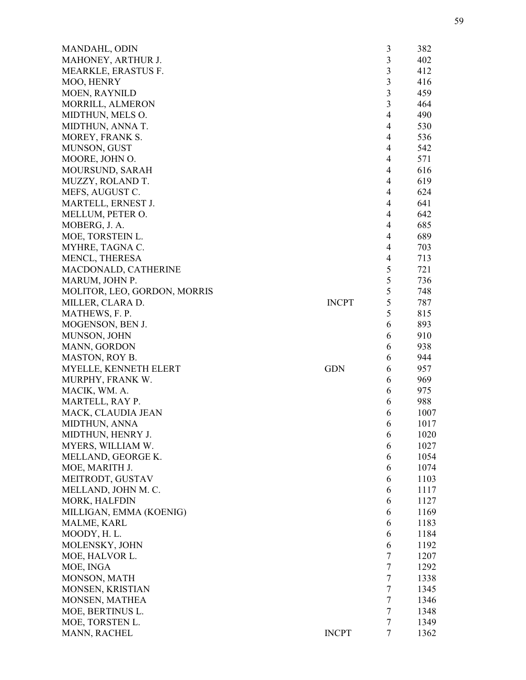| MANDAHL, ODIN                |              | 3              | 382  |
|------------------------------|--------------|----------------|------|
| MAHONEY, ARTHUR J.           |              | 3              | 402  |
| MEARKLE, ERASTUS F.          |              | 3              | 412  |
| MOO, HENRY                   |              | 3              | 416  |
| <b>MOEN, RAYNILD</b>         |              | 3              | 459  |
| MORRILL, ALMERON             |              | 3              | 464  |
| MIDTHUN, MELS O.             |              | 4              | 490  |
| MIDTHUN, ANNA T.             |              | $\overline{4}$ | 530  |
| MOREY, FRANK S.              |              | 4              | 536  |
| MUNSON, GUST                 |              | 4              | 542  |
| MOORE, JOHN O.               |              | 4              | 571  |
| MOURSUND, SARAH              |              | 4              | 616  |
| MUZZY, ROLAND T.             |              | 4              | 619  |
| MEFS, AUGUST C.              |              | 4              | 624  |
| MARTELL, ERNEST J.           |              | 4              | 641  |
|                              |              | 4              | 642  |
| MELLUM, PETER O.             |              |                |      |
| MOBERG, J. A.                |              | 4              | 685  |
| MOE, TORSTEIN L.             |              | $\overline{4}$ | 689  |
| MYHRE, TAGNA C.              |              | 4              | 703  |
| MENCL, THERESA               |              | 4              | 713  |
| MACDONALD, CATHERINE         |              | 5              | 721  |
| MARUM, JOHN P.               |              | 5              | 736  |
| MOLITOR, LEO, GORDON, MORRIS |              | 5              | 748  |
| MILLER, CLARA D.             | <b>INCPT</b> | 5              | 787  |
| MATHEWS, F. P.               |              | 5              | 815  |
| MOGENSON, BEN J.             |              | 6              | 893  |
| MUNSON, JOHN                 |              | 6              | 910  |
| <b>MANN, GORDON</b>          |              | 6              | 938  |
| <b>MASTON, ROY B.</b>        |              | 6              | 944  |
| MYELLE, KENNETH ELERT        | <b>GDN</b>   | 6              | 957  |
| MURPHY, FRANK W.             |              | 6              | 969  |
| MACIK, WM. A.                |              | 6              | 975  |
| MARTELL, RAY P.              |              | 6              | 988  |
| MACK, CLAUDIA JEAN           |              | 6              | 1007 |
| <b>MIDTHUN, ANNA</b>         |              | 6              | 1017 |
| MIDTHUN, HENRY J.            |              | 6              | 1020 |
| MYERS, WILLIAM W.            |              | 6              | 1027 |
| MELLAND, GEORGE K.           |              |                |      |
|                              |              | 6              | 1054 |
| MOE, MARITH J.               |              | 6              | 1074 |
| MEITRODT, GUSTAV             |              | 6              | 1103 |
| MELLAND, JOHN M. C.          |              | 6              | 1117 |
| MORK, HALFDIN                |              | 6              | 1127 |
| MILLIGAN, EMMA (KOENIG)      |              | 6              | 1169 |
| MALME, KARL                  |              | 6              | 1183 |
| MOODY, H.L.                  |              | 6              | 1184 |
| MOLENSKY, JOHN               |              | 6              | 1192 |
| MOE, HALVOR L.               |              | 7              | 1207 |
| MOE, INGA                    |              | 7              | 1292 |
| MONSON, MATH                 |              | 7              | 1338 |
| MONSEN, KRISTIAN             |              | $\tau$         | 1345 |
| MONSEN, MATHEA               |              | 7              | 1346 |
| MOE, BERTINUS L.             |              | 7              | 1348 |
| MOE, TORSTEN L.              |              | $\tau$         | 1349 |
| MANN, RACHEL                 | <b>INCPT</b> | $\overline{7}$ | 1362 |
|                              |              |                |      |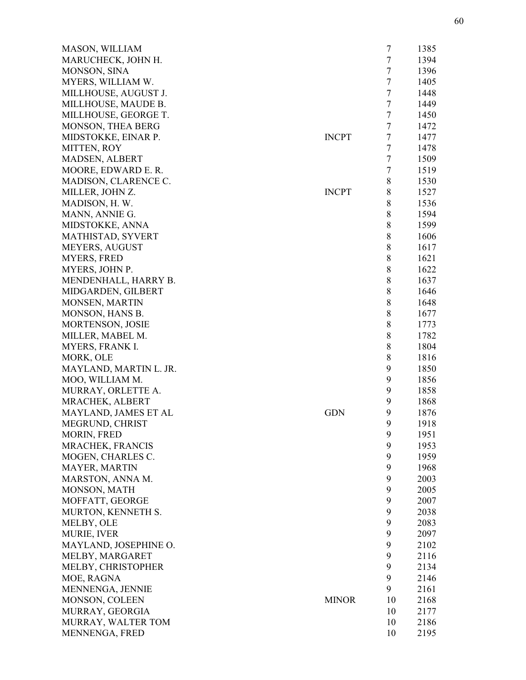| MASON, WILLIAM          |              | $\overline{7}$ | 1385 |
|-------------------------|--------------|----------------|------|
| MARUCHECK, JOHN H.      |              | $\tau$         | 1394 |
| MONSON, SINA            |              | $\overline{7}$ | 1396 |
| MYERS, WILLIAM W.       |              | $\tau$         | 1405 |
| MILLHOUSE, AUGUST J.    |              | $\overline{7}$ | 1448 |
| MILLHOUSE, MAUDE B.     |              | $\tau$         | 1449 |
| MILLHOUSE, GEORGE T.    |              | $\overline{7}$ | 1450 |
| MONSON, THEA BERG       |              | $\tau$         | 1472 |
| MIDSTOKKE, EINAR P.     | <b>INCPT</b> | $\overline{7}$ | 1477 |
| MITTEN, ROY             |              | $\tau$         | 1478 |
| <b>MADSEN, ALBERT</b>   |              | $\tau$         | 1509 |
| MOORE, EDWARD E. R.     |              | $\overline{7}$ | 1519 |
| MADISON, CLARENCE C.    |              | 8              | 1530 |
| MILLER, JOHN Z.         | <b>INCPT</b> | 8              | 1527 |
| MADISON, H. W.          |              | 8              | 1536 |
| MANN, ANNIE G.          |              | $\,8\,$        | 1594 |
| MIDSTOKKE, ANNA         |              | $\,8\,$        | 1599 |
| MATHISTAD, SYVERT       |              | 8              | 1606 |
| <b>MEYERS, AUGUST</b>   |              | $\,8\,$        | 1617 |
| <b>MYERS, FRED</b>      |              | 8              | 1621 |
| MYERS, JOHN P.          |              | 8              | 1622 |
| MENDENHALL, HARRY B.    |              | 8              | 1637 |
| MIDGARDEN, GILBERT      |              | $\,8\,$        | 1646 |
| MONSEN, MARTIN          |              | $\,8\,$        | 1648 |
| MONSON, HANS B.         |              | $\,8\,$        | 1677 |
| <b>MORTENSON, JOSIE</b> |              | $\,8\,$        | 1773 |
| MILLER, MABEL M.        |              | 8              | 1782 |
| MYERS, FRANK I.         |              | 8              | 1804 |
| MORK, OLE               |              | 8              | 1816 |
| MAYLAND, MARTIN L. JR.  |              | 9              | 1850 |
| MOO, WILLIAM M.         |              | 9              | 1856 |
| MURRAY, ORLETTE A.      |              | 9              | 1858 |
| MRACHEK, ALBERT         |              | 9              | 1868 |
| MAYLAND, JAMES ET AL    | <b>GDN</b>   | 9              | 1876 |
| MEGRUND, CHRIST         |              | 9              | 1918 |
| MORIN, FRED             |              | 9              | 1951 |
| MRACHEK, FRANCIS        |              | 9              | 1953 |
| MOGEN, CHARLES C.       |              | 9              | 1959 |
| MAYER, MARTIN           |              | 9              | 1968 |
| MARSTON, ANNA M.        |              | 9              | 2003 |
| MONSON, MATH            |              | 9              | 2005 |
| MOFFATT, GEORGE         |              | 9              | 2007 |
| MURTON, KENNETH S.      |              | 9              | 2038 |
| MELBY, OLE              |              | 9              | 2083 |
| <b>MURIE, IVER</b>      |              | 9              | 2097 |
| MAYLAND, JOSEPHINE O.   |              | 9              | 2102 |
| MELBY, MARGARET         |              | 9              | 2116 |
| MELBY, CHRISTOPHER      |              | 9              | 2134 |
| MOE, RAGNA              |              | 9              | 2146 |
| MENNENGA, JENNIE        |              | 9              | 2161 |
| MONSON, COLEEN          | <b>MINOR</b> | 10             | 2168 |
| MURRAY, GEORGIA         |              | 10             | 2177 |
| MURRAY, WALTER TOM      |              | 10             | 2186 |
| MENNENGA, FRED          |              | 10             | 2195 |
|                         |              |                |      |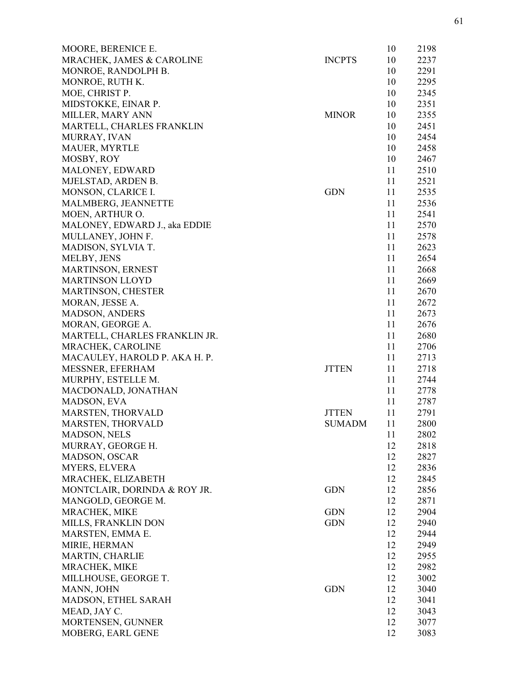| MOORE, BERENICE E.            |               | 10 | 2198 |
|-------------------------------|---------------|----|------|
| MRACHEK, JAMES & CAROLINE     | <b>INCPTS</b> | 10 | 2237 |
| MONROE, RANDOLPH B.           |               | 10 | 2291 |
| MONROE, RUTH K.               |               | 10 | 2295 |
| MOE, CHRIST P.                |               | 10 | 2345 |
| MIDSTOKKE, EINAR P.           |               | 10 | 2351 |
| MILLER, MARY ANN              | <b>MINOR</b>  | 10 | 2355 |
| MARTELL, CHARLES FRANKLIN     |               | 10 | 2451 |
| MURRAY, IVAN                  |               | 10 | 2454 |
| MAUER, MYRTLE                 |               | 10 | 2458 |
| MOSBY, ROY                    |               | 10 | 2467 |
| MALONEY, EDWARD               |               | 11 | 2510 |
| MJELSTAD, ARDEN B.            |               | 11 | 2521 |
| MONSON, CLARICE I.            | <b>GDN</b>    | 11 | 2535 |
| MALMBERG, JEANNETTE           |               | 11 | 2536 |
| MOEN, ARTHUR O.               |               | 11 | 2541 |
| MALONEY, EDWARD J., aka EDDIE |               | 11 | 2570 |
| MULLANEY, JOHN F.             |               | 11 | 2578 |
|                               |               |    |      |
| MADISON, SYLVIA T.            |               | 11 | 2623 |
| MELBY, JENS                   |               | 11 | 2654 |
| MARTINSON, ERNEST             |               | 11 | 2668 |
| <b>MARTINSON LLOYD</b>        |               | 11 | 2669 |
| MARTINSON, CHESTER            |               | 11 | 2670 |
| MORAN, JESSE A.               |               | 11 | 2672 |
| <b>MADSON, ANDERS</b>         |               | 11 | 2673 |
| MORAN, GEORGE A.              |               | 11 | 2676 |
| MARTELL, CHARLES FRANKLIN JR. |               | 11 | 2680 |
| MRACHEK, CAROLINE             |               | 11 | 2706 |
| MACAULEY, HAROLD P. AKA H. P. |               | 11 | 2713 |
| MESSNER, EFERHAM              | <b>JTTEN</b>  | 11 | 2718 |
| MURPHY, ESTELLE M.            |               | 11 | 2744 |
| MACDONALD, JONATHAN           |               | 11 | 2778 |
| MADSON, EVA                   |               | 11 | 2787 |
| MARSTEN, THORVALD             | <b>JTTEN</b>  | 11 | 2791 |
| MARSTEN, THORVALD             | <b>SUMADM</b> | 11 | 2800 |
| MADSON, NELS                  |               | 11 | 2802 |
| MURRAY, GEORGE H.             |               | 12 | 2818 |
| <b>MADSON, OSCAR</b>          |               | 12 | 2827 |
| <b>MYERS, ELVERA</b>          |               | 12 | 2836 |
| MRACHEK, ELIZABETH            |               | 12 | 2845 |
| MONTCLAIR, DORINDA & ROY JR.  | <b>GDN</b>    | 12 | 2856 |
| MANGOLD, GEORGE M.            |               | 12 | 2871 |
| MRACHEK, MIKE                 | <b>GDN</b>    | 12 | 2904 |
| MILLS, FRANKLIN DON           | <b>GDN</b>    | 12 | 2940 |
| MARSTEN, EMMA E.              |               | 12 | 2944 |
| MIRIE, HERMAN                 |               | 12 | 2949 |
|                               |               |    |      |
| <b>MARTIN, CHARLIE</b>        |               | 12 | 2955 |
| MRACHEK, MIKE                 |               | 12 | 2982 |
| MILLHOUSE, GEORGE T.          |               | 12 | 3002 |
| MANN, JOHN                    | <b>GDN</b>    | 12 | 3040 |
| MADSON, ETHEL SARAH           |               | 12 | 3041 |
| MEAD, JAY C.                  |               | 12 | 3043 |
| MORTENSEN, GUNNER             |               | 12 | 3077 |
| MOBERG, EARL GENE             |               | 12 | 3083 |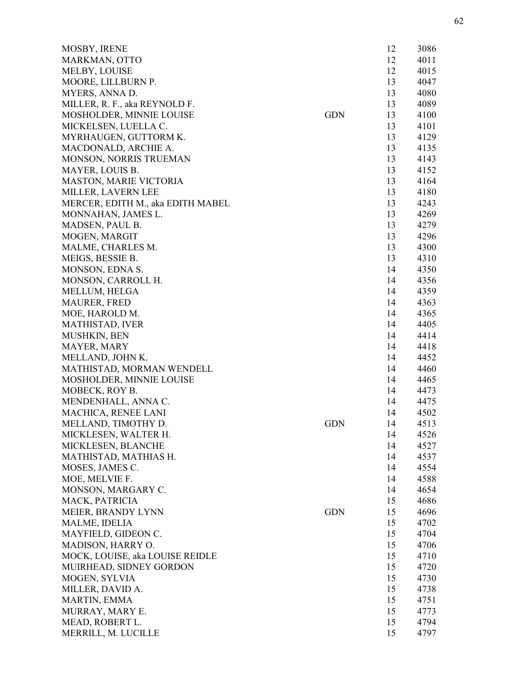| MOSBY, IRENE                      |            | 12 | 3086 |
|-----------------------------------|------------|----|------|
| MARKMAN, OTTO                     |            | 12 | 4011 |
| MELBY, LOUISE                     |            | 12 | 4015 |
| MOORE, LILLBURN P.                |            | 13 | 4047 |
| MYERS, ANNA D.                    |            | 13 | 4080 |
| MILLER, R. F., aka REYNOLD F.     |            | 13 | 4089 |
| MOSHOLDER, MINNIE LOUISE          | <b>GDN</b> | 13 | 4100 |
| MICKELSEN, LUELLA C.              |            | 13 | 4101 |
| MYRHAUGEN, GUTTORM K.             |            | 13 | 4129 |
| MACDONALD, ARCHIE A.              |            | 13 | 4135 |
| MONSON, NORRIS TRUEMAN            |            | 13 | 4143 |
| MAYER, LOUIS B.                   |            | 13 | 4152 |
| <b>MASTON, MARIE VICTORIA</b>     |            | 13 | 4164 |
| MILLER, LAVERN LEE                |            | 13 | 4180 |
| MERCER, EDITH M., aka EDITH MABEL |            | 13 | 4243 |
| MONNAHAN, JAMES L.                |            | 13 | 4269 |
| MADSEN, PAUL B.                   |            | 13 | 4279 |
| MOGEN, MARGIT                     |            | 13 | 4296 |
| MALME, CHARLES M.                 |            | 13 | 4300 |
| MEIGS, BESSIE B.                  |            | 13 | 4310 |
| MONSON, EDNA S.                   |            | 14 | 4350 |
| MONSON, CARROLL H.                |            | 14 | 4356 |
| MELLUM, HELGA                     |            | 14 | 4359 |
| <b>MAURER, FRED</b>               |            | 14 | 4363 |
| MOE, HAROLD M.                    |            | 14 | 4365 |
| <b>MATHISTAD, IVER</b>            |            | 14 | 4405 |
| MUSHKIN, BEN                      |            | 14 | 4414 |
| MAYER, MARY                       |            | 14 | 4418 |
| MELLAND, JOHN K.                  |            | 14 | 4452 |
| MATHISTAD, MORMAN WENDELL         |            | 14 | 4460 |
| MOSHOLDER, MINNIE LOUISE          |            | 14 | 4465 |
| MOBECK, ROY B.                    |            | 14 | 4473 |
| MENDENHALL, ANNA C.               |            | 14 | 4475 |
| MACHICA, RENEE LANI               |            | 14 | 4502 |
| MELLAND, TIMOTHY D.               | <b>GDN</b> | 14 | 4513 |
| MICKLESEN, WALTER H.              |            | 14 | 4526 |
| MICKLESEN, BLANCHE                |            | 14 | 4527 |
| MATHISTAD, MATHIAS H.             |            | 14 | 4537 |
| MOSES, JAMES C.                   |            | 14 | 4554 |
| MOE, MELVIE F.                    |            | 14 | 4588 |
| MONSON, MARGARY C.                |            | 14 | 4654 |
| MACK, PATRICIA                    |            | 15 | 4686 |
| MEIER, BRANDY LYNN                | <b>GDN</b> | 15 | 4696 |
| MALME, IDELIA                     |            | 15 | 4702 |
| MAYFIELD, GIDEON C.               |            | 15 | 4704 |
| MADISON, HARRY O.                 |            | 15 | 4706 |
| MOCK, LOUISE, aka LOUISE REIDLE   |            | 15 | 4710 |
| MUIRHEAD, SIDNEY GORDON           |            | 15 |      |
|                                   |            |    | 4720 |
| MOGEN, SYLVIA                     |            | 15 | 4730 |
| MILLER, DAVID A.                  |            | 15 | 4738 |
| MARTIN, EMMA                      |            | 15 | 4751 |
| MURRAY, MARY E.                   |            | 15 | 4773 |
| MEAD, ROBERT L.                   |            | 15 | 4794 |
| MERRILL, M. LUCILLE               |            | 15 | 4797 |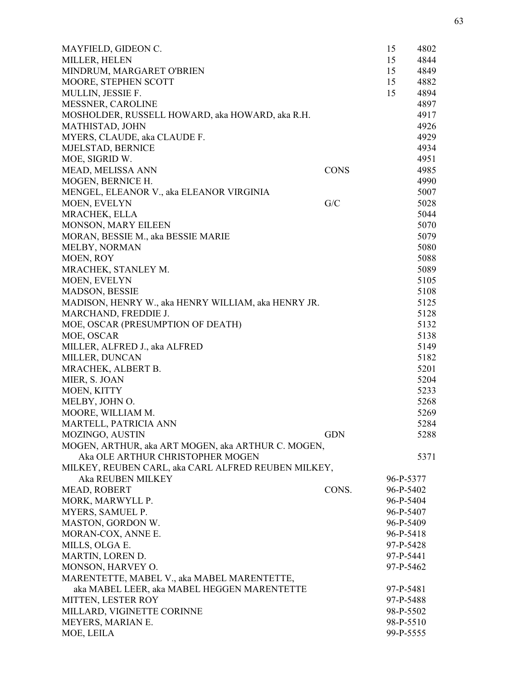| MAYFIELD, GIDEON C.                                 |             | 15        | 4802 |
|-----------------------------------------------------|-------------|-----------|------|
| MILLER, HELEN                                       |             | 15        | 4844 |
| MINDRUM, MARGARET O'BRIEN                           |             | 15        | 4849 |
| MOORE, STEPHEN SCOTT                                |             | 15        | 4882 |
| MULLIN, JESSIE F.                                   |             | 15        | 4894 |
| <b>MESSNER, CAROLINE</b>                            |             |           | 4897 |
| MOSHOLDER, RUSSELL HOWARD, aka HOWARD, aka R.H.     |             |           | 4917 |
| <b>MATHISTAD, JOHN</b>                              |             |           | 4926 |
| MYERS, CLAUDE, aka CLAUDE F.                        |             |           | 4929 |
| MJELSTAD, BERNICE                                   |             |           | 4934 |
| MOE, SIGRID W.                                      |             |           | 4951 |
| MEAD, MELISSA ANN                                   | <b>CONS</b> |           | 4985 |
| MOGEN, BERNICE H.                                   |             |           | 4990 |
| MENGEL, ELEANOR V., aka ELEANOR VIRGINIA            |             |           | 5007 |
| MOEN, EVELYN                                        | G/C         |           | 5028 |
| MRACHEK, ELLA                                       |             |           | 5044 |
| MONSON, MARY EILEEN                                 |             |           | 5070 |
| MORAN, BESSIE M., aka BESSIE MARIE                  |             |           | 5079 |
| MELBY, NORMAN                                       |             |           | 5080 |
| MOEN, ROY                                           |             |           | 5088 |
| MRACHEK, STANLEY M.                                 |             |           | 5089 |
| MOEN, EVELYN                                        |             |           | 5105 |
| <b>MADSON, BESSIE</b>                               |             |           | 5108 |
| MADISON, HENRY W., aka HENRY WILLIAM, aka HENRY JR. |             |           | 5125 |
| MARCHAND, FREDDIE J.                                |             |           | 5128 |
| MOE, OSCAR (PRESUMPTION OF DEATH)                   |             |           | 5132 |
| MOE, OSCAR                                          |             |           | 5138 |
| MILLER, ALFRED J., aka ALFRED                       |             |           | 5149 |
| MILLER, DUNCAN                                      |             |           | 5182 |
| MRACHEK, ALBERT B.                                  |             |           | 5201 |
| MIER, S. JOAN                                       |             |           | 5204 |
| MOEN, KITTY                                         |             |           | 5233 |
| MELBY, JOHN O.                                      |             |           | 5268 |
| MOORE, WILLIAM M.                                   |             |           | 5269 |
| MARTELL, PATRICIA ANN                               |             |           | 5284 |
| MOZINGO, AUSTIN                                     | <b>GDN</b>  |           | 5288 |
| MOGEN, ARTHUR, aka ART MOGEN, aka ARTHUR C. MOGEN,  |             |           |      |
| Aka OLE ARTHUR CHRISTOPHER MOGEN                    |             |           | 5371 |
| MILKEY, REUBEN CARL, aka CARL ALFRED REUBEN MILKEY, |             |           |      |
| Aka REUBEN MILKEY                                   |             | 96-P-5377 |      |
| MEAD, ROBERT                                        | CONS.       | 96-P-5402 |      |
| MORK, MARWYLL P.                                    |             | 96-P-5404 |      |
| MYERS, SAMUEL P.                                    |             | 96-P-5407 |      |
| MASTON, GORDON W.                                   |             | 96-P-5409 |      |
| MORAN-COX, ANNE E.                                  |             | 96-P-5418 |      |
| MILLS, OLGA E.                                      |             | 97-P-5428 |      |
| MARTIN, LOREN D.                                    |             | 97-P-5441 |      |
| MONSON, HARVEY O.                                   |             | 97-P-5462 |      |
| MARENTETTE, MABEL V., aka MABEL MARENTETTE,         |             |           |      |
| aka MABEL LEER, aka MABEL HEGGEN MARENTETTE         |             | 97-P-5481 |      |
| MITTEN, LESTER ROY                                  |             | 97-P-5488 |      |
| MILLARD, VIGINETTE CORINNE                          |             | 98-P-5502 |      |
| MEYERS, MARIAN E.                                   |             | 98-P-5510 |      |
| MOE, LEILA                                          |             | 99-P-5555 |      |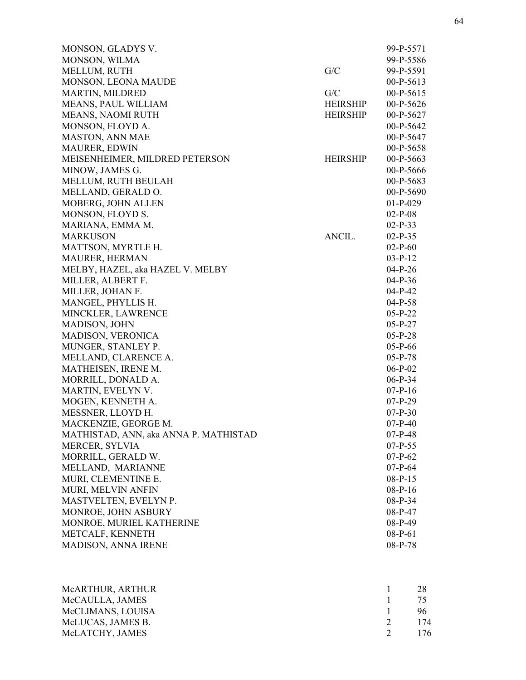| MONSON, GLADYS V.                     |                 | 99-P-5571   |
|---------------------------------------|-----------------|-------------|
| MONSON, WILMA                         |                 | 99-P-5586   |
| MELLUM, RUTH                          | G/C             | 99-P-5591   |
| MONSON, LEONA MAUDE                   |                 | $00-P-5613$ |
| <b>MARTIN, MILDRED</b>                | G/C             | $00-P-5615$ |
| MEANS, PAUL WILLIAM                   | HEIRSHIP        | $00-P-5626$ |
| MEANS, NAOMI RUTH                     | <b>HEIRSHIP</b> | $00-P-5627$ |
| MONSON, FLOYD A.                      |                 | $00-P-5642$ |
| <b>MASTON, ANN MAE</b>                |                 | 00-P-5647   |
| <b>MAURER, EDWIN</b>                  |                 | $00-P-5658$ |
| MEISENHEIMER, MILDRED PETERSON        | <b>HEIRSHIP</b> | $00-P-5663$ |
| MINOW, JAMES G.                       |                 | 00-P-5666   |
| MELLUM, RUTH BEULAH                   |                 | 00-P-5683   |
| MELLAND, GERALD O.                    |                 | $00-P-5690$ |
| MOBERG, JOHN ALLEN                    |                 | $01-P-029$  |
| MONSON, FLOYD S.                      |                 | $02-P-08$   |
| MARIANA, EMMA M.                      |                 | $02-P-33$   |
| <b>MARKUSON</b>                       | ANCIL.          | $02-P-35$   |
| MATTSON, MYRTLE H.                    |                 | $02-P-60$   |
| MAURER, HERMAN                        |                 | $03-P-12$   |
| MELBY, HAZEL, aka HAZEL V. MELBY      |                 | $04-P-26$   |
| MILLER, ALBERT F.                     |                 | $04-P-36$   |
| MILLER, JOHAN F.                      |                 | $04-P-42$   |
| MANGEL, PHYLLIS H.                    |                 | $04-P-58$   |
| MINCKLER, LAWRENCE                    |                 | $05-P-22$   |
| MADISON, JOHN                         |                 | $05-P-27$   |
| <b>MADISON, VERONICA</b>              |                 | $05-P-28$   |
| MUNGER, STANLEY P.                    |                 | $05-P-66$   |
| MELLAND, CLARENCE A.                  |                 | $05-P-78$   |
| MATHEISEN, IRENE M.                   |                 | $06-P-02$   |
| MORRILL, DONALD A.                    |                 | $06-P-34$   |
| MARTIN, EVELYN V.                     |                 | $07-P-16$   |
| MOGEN, KENNETH A.                     |                 | $07-P-29$   |
| MESSNER, LLOYD H.                     |                 | $07-P-30$   |
| MACKENZIE, GEORGE M.                  |                 | $07-P-40$   |
| MATHISTAD, ANN, aka ANNA P. MATHISTAD |                 | $07-P-48$   |
| MERCER, SYLVIA                        |                 | $07-P-55$   |
| MORRILL, GERALD W.                    |                 | $07-P-62$   |
| MELLAND, MARIANNE                     |                 | $07-P-64$   |
| MURI, CLEMENTINE E.                   |                 | $08-P-15$   |
| MURI, MELVIN ANFIN                    |                 | $08-P-16$   |
| MASTVELTEN, EVELYN P.                 |                 | 08-P-34     |
| MONROE, JOHN ASBURY                   |                 | 08-P-47     |
| MONROE, MURIEL KATHERINE              |                 | 08-P-49     |
| METCALF, KENNETH                      |                 | $08-P-61$   |
| MADISON, ANNA IRENE                   |                 | 08-P-78     |
|                                       |                 |             |

| MCARTHUR, ARTHUR  |                | -28 |
|-------------------|----------------|-----|
| McCAULLA, JAMES   | $\frac{1}{75}$ |     |
| McCLIMANS, LOUISA |                | -96 |
| McLUCAS, JAMES B. | $\gamma$       | 174 |
| McLATCHY, JAMES   | $\mathcal{D}$  | 176 |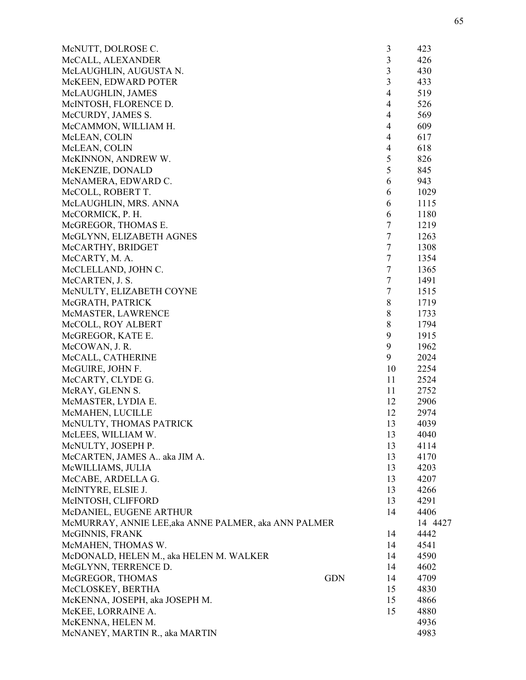| McNUTT, DOLROSE C.                                   |            | 3                       | 423     |
|------------------------------------------------------|------------|-------------------------|---------|
| McCALL, ALEXANDER                                    |            | $\overline{\mathbf{3}}$ | 426     |
| McLAUGHLIN, AUGUSTA N.                               |            | $\overline{\mathbf{3}}$ | 430     |
| McKEEN, EDWARD POTER                                 |            | $\overline{3}$          | 433     |
| McLAUGHLIN, JAMES                                    |            | $\overline{4}$          | 519     |
| McINTOSH, FLORENCE D.                                |            | $\overline{4}$          | 526     |
| McCURDY, JAMES S.                                    |            | $\overline{4}$          | 569     |
| McCAMMON, WILLIAM H.                                 |            | $\overline{4}$          | 609     |
| McLEAN, COLIN                                        |            | $\overline{4}$          | 617     |
| McLEAN, COLIN                                        |            | $\overline{4}$          | 618     |
| McKINNON, ANDREW W.                                  |            | 5                       | 826     |
| McKENZIE, DONALD                                     |            | 5                       | 845     |
| McNAMERA, EDWARD C.                                  |            | 6                       | 943     |
| McCOLL, ROBERT T.                                    |            | 6                       | 1029    |
| McLAUGHLIN, MRS. ANNA                                |            | 6                       | 1115    |
| McCORMICK, P. H.                                     |            | 6                       | 1180    |
| McGREGOR, THOMAS E.                                  |            | $\tau$                  | 1219    |
| McGLYNN, ELIZABETH AGNES                             |            | $\tau$                  | 1263    |
| McCARTHY, BRIDGET                                    |            | $\tau$                  | 1308    |
| McCARTY, M. A.                                       |            | $\tau$                  | 1354    |
| McCLELLAND, JOHN C.                                  |            | $\tau$                  | 1365    |
| McCARTEN, J. S.                                      |            | $\tau$                  | 1491    |
| McNULTY, ELIZABETH COYNE                             |            | $\tau$                  | 1515    |
| McGRATH, PATRICK                                     |            | $\,$ 8 $\,$             | 1719    |
| McMASTER, LAWRENCE                                   |            | $\,$ 8 $\,$             | 1733    |
| McCOLL, ROY ALBERT                                   |            | $\,8\,$                 | 1794    |
| McGREGOR, KATE E.                                    |            | 9                       | 1915    |
| McCOWAN, J. R.                                       |            | 9                       | 1962    |
| McCALL, CATHERINE                                    |            | 9                       | 2024    |
| McGUIRE, JOHN F.                                     |            | 10                      | 2254    |
| McCARTY, CLYDE G.                                    |            | 11                      | 2524    |
| McRAY, GLENN S.                                      |            | 11                      | 2752    |
| McMASTER, LYDIA E.                                   |            | 12                      | 2906    |
| McMAHEN, LUCILLE                                     |            | 12                      | 2974    |
| McNULTY, THOMAS PATRICK                              |            | 13                      | 4039    |
| McLEES, WILLIAM W.                                   |            | 13                      | 4040    |
| McNULTY, JOSEPH P.                                   |            | 13                      | 4114    |
| McCARTEN, JAMES A aka JIM A.                         |            | 13                      | 4170    |
| McWILLIAMS, JULIA                                    |            | 13                      | 4203    |
| McCABE, ARDELLA G.                                   |            | 13                      | 4207    |
| McINTYRE, ELSIE J.                                   |            | 13                      | 4266    |
| McINTOSH, CLIFFORD                                   |            | 13                      | 4291    |
| McDANIEL, EUGENE ARTHUR                              |            | 14                      | 4406    |
| McMURRAY, ANNIE LEE, aka ANNE PALMER, aka ANN PALMER |            |                         | 14 4427 |
| McGINNIS, FRANK                                      |            | 14                      | 4442    |
| McMAHEN, THOMAS W.                                   |            | 14                      | 4541    |
| McDONALD, HELEN M., aka HELEN M. WALKER              |            | 14                      | 4590    |
| McGLYNN, TERRENCE D.                                 |            | 14                      | 4602    |
| McGREGOR, THOMAS                                     | <b>GDN</b> | 14                      | 4709    |
| McCLOSKEY, BERTHA                                    |            | 15                      | 4830    |
| McKENNA, JOSEPH, aka JOSEPH M.                       |            | 15                      | 4866    |
| McKEE, LORRAINE A.                                   |            | 15                      | 4880    |
| McKENNA, HELEN M.                                    |            |                         | 4936    |
| McNANEY, MARTIN R., aka MARTIN                       |            |                         | 4983    |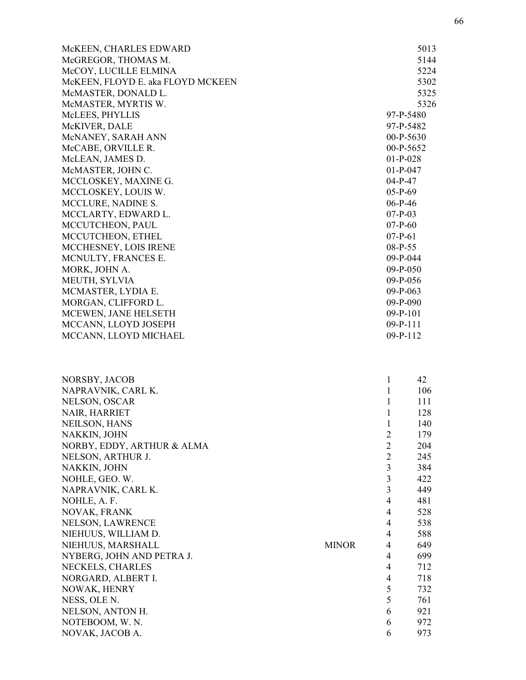| McKEEN, CHARLES EDWARD<br>McGREGOR, THOMAS M.<br>McCOY, LUCILLE ELMINA<br>McKEEN, FLOYD E. aka FLOYD MCKEEN<br>McMASTER, DONALD L.<br>McMASTER, MYRTIS W.<br>McLEES, PHYLLIS<br>McKIVER, DALE<br>McNANEY, SARAH ANN<br>McCABE, ORVILLE R.<br>McLEAN, JAMES D.<br>McMASTER, JOHN C.<br>MCCLOSKEY, MAXINE G.<br>MCCLOSKEY, LOUIS W.<br>MCCLURE, NADINE S.<br>MCCLARTY, EDWARD L.<br>MCCUTCHEON, PAUL<br>MCCUTCHEON, ETHEL<br>MCCHESNEY, LOIS IRENE<br>MCNULTY, FRANCES E.<br>MORK, JOHN A.<br>MEUTH, SYLVIA<br>MCMASTER, LYDIA E.<br>MORGAN, CLIFFORD L.<br>MCEWEN, JANE HELSETH<br>MCCANN, LLOYD JOSEPH<br>MCCANN, LLOYD MICHAEL |              | $01-P-028$<br>$01-P-047$<br>$04-P-47$<br>$05-P-69$<br>$06-P-46$<br>$07-P-03$<br>$07-P-60$<br>$07-P-61$<br>08-P-55<br>$09-P-044$<br>$09-P-050$<br>09-P-056<br>$09-P-063$<br>$09-P-090$<br>$09-P-101$<br>$09-P-111$<br>$09-P-112$ | 5013<br>5144<br>5224<br>5302<br>5325<br>5326<br>97-P-5480<br>97-P-5482<br>$00-P-5630$<br>00-P-5652 |
|---------------------------------------------------------------------------------------------------------------------------------------------------------------------------------------------------------------------------------------------------------------------------------------------------------------------------------------------------------------------------------------------------------------------------------------------------------------------------------------------------------------------------------------------------------------------------------------------------------------------------------|--------------|---------------------------------------------------------------------------------------------------------------------------------------------------------------------------------------------------------------------------------|----------------------------------------------------------------------------------------------------|
| NORSBY, JACOB                                                                                                                                                                                                                                                                                                                                                                                                                                                                                                                                                                                                                   | <b>MINOR</b> | 1                                                                                                                                                                                                                               | 42                                                                                                 |
| NAPRAVNIK, CARL K.                                                                                                                                                                                                                                                                                                                                                                                                                                                                                                                                                                                                              |              | $\mathbf{1}$                                                                                                                                                                                                                    | 106                                                                                                |
| NELSON, OSCAR                                                                                                                                                                                                                                                                                                                                                                                                                                                                                                                                                                                                                   |              | 1                                                                                                                                                                                                                               | 111                                                                                                |
| <b>NAIR, HARRIET</b>                                                                                                                                                                                                                                                                                                                                                                                                                                                                                                                                                                                                            |              | 1                                                                                                                                                                                                                               | 128                                                                                                |
| <b>NEILSON, HANS</b>                                                                                                                                                                                                                                                                                                                                                                                                                                                                                                                                                                                                            |              | 1                                                                                                                                                                                                                               | 140                                                                                                |
| NAKKIN, JOHN                                                                                                                                                                                                                                                                                                                                                                                                                                                                                                                                                                                                                    |              | $\overline{2}$                                                                                                                                                                                                                  | 179                                                                                                |
| NORBY, EDDY, ARTHUR & ALMA                                                                                                                                                                                                                                                                                                                                                                                                                                                                                                                                                                                                      |              | $\overline{2}$                                                                                                                                                                                                                  | 204                                                                                                |
| NELSON, ARTHUR J.                                                                                                                                                                                                                                                                                                                                                                                                                                                                                                                                                                                                               |              | $\overline{2}$                                                                                                                                                                                                                  | 245                                                                                                |
| NAKKIN, JOHN                                                                                                                                                                                                                                                                                                                                                                                                                                                                                                                                                                                                                    |              | 3                                                                                                                                                                                                                               | 384                                                                                                |
| NOHLE, GEO. W.                                                                                                                                                                                                                                                                                                                                                                                                                                                                                                                                                                                                                  |              | 3                                                                                                                                                                                                                               | 422                                                                                                |
| NAPRAVNIK, CARL K.                                                                                                                                                                                                                                                                                                                                                                                                                                                                                                                                                                                                              |              | $\overline{3}$                                                                                                                                                                                                                  | 449                                                                                                |
| NOHLE, A. F.                                                                                                                                                                                                                                                                                                                                                                                                                                                                                                                                                                                                                    |              | $\overline{4}$                                                                                                                                                                                                                  | 481                                                                                                |
| <b>NOVAK, FRANK</b>                                                                                                                                                                                                                                                                                                                                                                                                                                                                                                                                                                                                             |              | $\overline{4}$                                                                                                                                                                                                                  | 528                                                                                                |
| <b>NELSON, LAWRENCE</b>                                                                                                                                                                                                                                                                                                                                                                                                                                                                                                                                                                                                         |              | 4                                                                                                                                                                                                                               | 538                                                                                                |
| NIEHUUS, WILLIAM D.                                                                                                                                                                                                                                                                                                                                                                                                                                                                                                                                                                                                             |              | 4                                                                                                                                                                                                                               | 588                                                                                                |
| NIEHUUS, MARSHALL                                                                                                                                                                                                                                                                                                                                                                                                                                                                                                                                                                                                               |              | $\overline{4}$                                                                                                                                                                                                                  | 649                                                                                                |
| NYBERG, JOHN AND PETRA J.                                                                                                                                                                                                                                                                                                                                                                                                                                                                                                                                                                                                       |              | $\overline{4}$                                                                                                                                                                                                                  | 699                                                                                                |
| NECKELS, CHARLES                                                                                                                                                                                                                                                                                                                                                                                                                                                                                                                                                                                                                |              | $\overline{4}$                                                                                                                                                                                                                  | 712                                                                                                |
| NORGARD, ALBERT I.                                                                                                                                                                                                                                                                                                                                                                                                                                                                                                                                                                                                              |              | 4                                                                                                                                                                                                                               | 718                                                                                                |
| NOWAK, HENRY                                                                                                                                                                                                                                                                                                                                                                                                                                                                                                                                                                                                                    |              | 5                                                                                                                                                                                                                               | 732                                                                                                |
| NESS, OLE N.                                                                                                                                                                                                                                                                                                                                                                                                                                                                                                                                                                                                                    |              | 5                                                                                                                                                                                                                               | 761                                                                                                |
| NELSON, ANTON H.                                                                                                                                                                                                                                                                                                                                                                                                                                                                                                                                                                                                                |              | 6                                                                                                                                                                                                                               | 921                                                                                                |
| NOTEBOOM, W. N.                                                                                                                                                                                                                                                                                                                                                                                                                                                                                                                                                                                                                 |              | 6                                                                                                                                                                                                                               | 972                                                                                                |
| NOVAK, JACOB A.                                                                                                                                                                                                                                                                                                                                                                                                                                                                                                                                                                                                                 |              | 6                                                                                                                                                                                                                               | 973                                                                                                |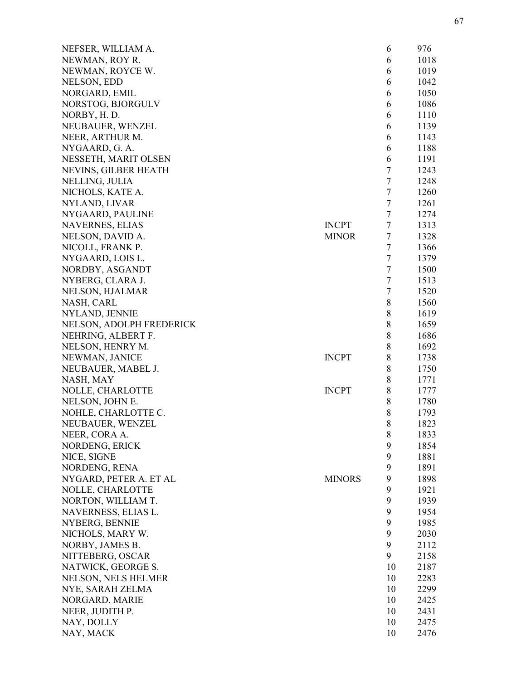| NEFSER, WILLIAM A.       |               | 6                | 976  |
|--------------------------|---------------|------------------|------|
| NEWMAN, ROY R.           |               | 6                | 1018 |
| NEWMAN, ROYCE W.         |               | 6                | 1019 |
| NELSON, EDD              |               | 6                | 1042 |
| NORGARD, EMIL            |               | 6                | 1050 |
| NORSTOG, BJORGULV        |               | 6                | 1086 |
| NORBY, H.D.              |               | 6                | 1110 |
| NEUBAUER, WENZEL         |               | 6                | 1139 |
| NEER, ARTHUR M.          |               | 6                | 1143 |
| NYGAARD, G. A.           |               | 6                | 1188 |
| NESSETH, MARIT OLSEN     |               | 6                | 1191 |
| NEVINS, GILBER HEATH     |               | $\tau$           | 1243 |
| NELLING, JULIA           |               | 7                | 1248 |
| NICHOLS, KATE A.         |               | $\tau$           | 1260 |
| NYLAND, LIVAR            |               | $\tau$           | 1261 |
| NYGAARD, PAULINE         |               | $\tau$           | 1274 |
| <b>NAVERNES, ELIAS</b>   | <b>INCPT</b>  | $\tau$           | 1313 |
| NELSON, DAVID A.         | <b>MINOR</b>  | $\tau$           | 1328 |
| NICOLL, FRANK P.         |               | 7                | 1366 |
| NYGAARD, LOIS L.         |               | $\tau$           | 1379 |
| NORDBY, ASGANDT          |               | 7                | 1500 |
| NYBERG, CLARA J.         |               | $\tau$           | 1513 |
|                          |               | $\boldsymbol{7}$ | 1520 |
| NELSON, HJALMAR          |               | $\,8$            | 1560 |
| NASH, CARL               |               | 8                | 1619 |
| NYLAND, JENNIE           |               |                  |      |
| NELSON, ADOLPH FREDERICK |               | $\,8$            | 1659 |
| NEHRING, ALBERT F.       |               | 8                | 1686 |
| NELSON, HENRY M.         |               | 8                | 1692 |
| NEWMAN, JANICE           | <b>INCPT</b>  | 8                | 1738 |
| NEUBAUER, MABEL J.       |               | $\,8$            | 1750 |
| NASH, MAY                |               | 8                | 1771 |
| NOLLE, CHARLOTTE         | <b>INCPT</b>  | 8                | 1777 |
| NELSON, JOHN E.          |               | 8                | 1780 |
| NOHLE, CHARLOTTE C.      |               | 8                | 1793 |
| NEUBAUER, WENZEL         |               | 8                | 1823 |
| NEER, CORA A.            |               | 8                | 1833 |
| NORDENG, ERICK           |               | 9                | 1854 |
| NICE, SIGNE              |               | 9                | 1881 |
| NORDENG, RENA            |               | 9                | 1891 |
| NYGARD, PETER A. ET AL   | <b>MINORS</b> | 9                | 1898 |
| NOLLE, CHARLOTTE         |               | 9                | 1921 |
| NORTON, WILLIAM T.       |               | 9                | 1939 |
| NAVERNESS, ELIAS L.      |               | 9                | 1954 |
| NYBERG, BENNIE           |               | 9                | 1985 |
| NICHOLS, MARY W.         |               | 9                | 2030 |
| NORBY, JAMES B.          |               | 9                | 2112 |
| NITTEBERG, OSCAR         |               | 9                | 2158 |
| NATWICK, GEORGE S.       |               | 10               | 2187 |
| NELSON, NELS HELMER      |               | 10               | 2283 |
| NYE, SARAH ZELMA         |               | 10               | 2299 |
| NORGARD, MARIE           |               | 10               | 2425 |
| NEER, JUDITH P.          |               | 10               | 2431 |
| NAY, DOLLY               |               | 10               | 2475 |
| NAY, MACK                |               | 10               | 2476 |
|                          |               |                  |      |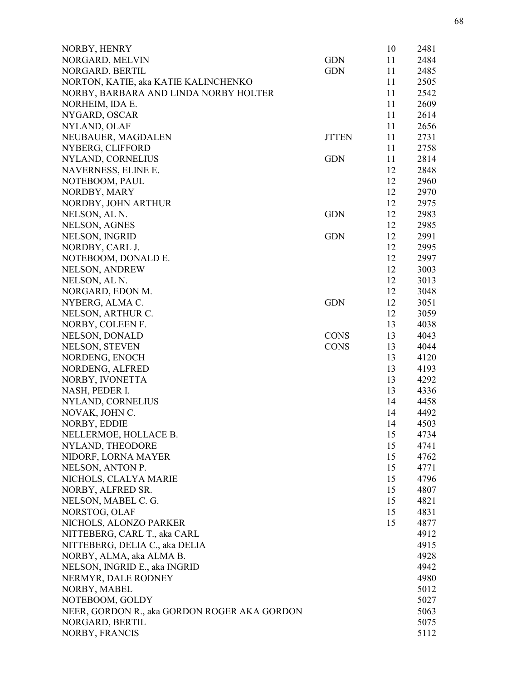| 11<br>2484<br><b>GDN</b><br><b>GDN</b><br>11<br>2485<br>11<br>2505<br>11<br>2542<br>11<br>2609<br>11<br>2614<br>2656<br>11<br>2731<br><b>JTTEN</b><br>11<br>11<br>2758<br><b>GDN</b><br>11<br>2814<br>NYLAND, CORNELIUS<br>12<br>2848<br>NAVERNESS, ELINE E.<br>2960<br>NOTEBOOM, PAUL<br>12<br>NORDBY, MARY<br>2970<br>12<br>NORDBY, JOHN ARTHUR<br>2975<br>12<br>NELSON, AL N.<br><b>GDN</b><br>2983<br>12<br><b>NELSON, AGNES</b><br>2985<br>12<br>NELSON, INGRID<br><b>GDN</b><br>2991<br>12<br>NORDBY, CARL J.<br>12<br>2995<br>NOTEBOOM, DONALD E.<br>12<br>2997<br>12<br>3003<br><b>NELSON, ANDREW</b><br>NELSON, AL N.<br>12<br>3013<br>NORGARD, EDON M.<br>3048<br>12<br>NYBERG, ALMA C.<br><b>GDN</b><br>3051<br>12<br>12<br>3059<br>NELSON, ARTHUR C.<br>13<br>4038<br>NORBY, COLEEN F.<br><b>CONS</b><br>4043<br><b>NELSON, DONALD</b><br>13<br>NELSON, STEVEN<br><b>CONS</b><br>4044<br>13<br>4120<br>NORDENG, ENOCH<br>13<br>NORDENG, ALFRED<br>13<br>4193<br>NORBY, IVONETTA<br>4292<br>13<br>NASH, PEDER I.<br>13<br>4336<br>14<br>NYLAND, CORNELIUS<br>4458<br>NOVAK, JOHN C.<br>14<br>4492<br>NORBY, EDDIE<br>4503<br>14<br>NELLERMOE, HOLLACE B.<br>4734<br>15<br>NYLAND, THEODORE<br>4741<br>15<br>NIDORF, LORNA MAYER<br>15<br>4762<br>NELSON, ANTON P.<br>15<br>4771<br>NICHOLS, CLALYA MARIE<br>15<br>4796<br>NORBY, ALFRED SR.<br>15<br>4807<br>NELSON, MABEL C. G.<br>15<br>4821<br>NORSTOG, OLAF<br>4831<br>15<br>NICHOLS, ALONZO PARKER<br>15<br>4877<br>NITTEBERG, CARL T., aka CARL<br>4912<br>NITTEBERG, DELIA C., aka DELIA<br>4915<br>NORBY, ALMA, aka ALMA B.<br>4928<br>4942<br>4980<br>5012<br>5027<br>5063<br>5075<br>5112 | NORBY, HENRY                                 | 10 | 2481 |
|----------------------------------------------------------------------------------------------------------------------------------------------------------------------------------------------------------------------------------------------------------------------------------------------------------------------------------------------------------------------------------------------------------------------------------------------------------------------------------------------------------------------------------------------------------------------------------------------------------------------------------------------------------------------------------------------------------------------------------------------------------------------------------------------------------------------------------------------------------------------------------------------------------------------------------------------------------------------------------------------------------------------------------------------------------------------------------------------------------------------------------------------------------------------------------------------------------------------------------------------------------------------------------------------------------------------------------------------------------------------------------------------------------------------------------------------------------------------------------------------------------------------------------------------------------------------------------------------------------------------------------------------------------------|----------------------------------------------|----|------|
|                                                                                                                                                                                                                                                                                                                                                                                                                                                                                                                                                                                                                                                                                                                                                                                                                                                                                                                                                                                                                                                                                                                                                                                                                                                                                                                                                                                                                                                                                                                                                                                                                                                                | NORGARD, MELVIN                              |    |      |
|                                                                                                                                                                                                                                                                                                                                                                                                                                                                                                                                                                                                                                                                                                                                                                                                                                                                                                                                                                                                                                                                                                                                                                                                                                                                                                                                                                                                                                                                                                                                                                                                                                                                | NORGARD, BERTIL                              |    |      |
|                                                                                                                                                                                                                                                                                                                                                                                                                                                                                                                                                                                                                                                                                                                                                                                                                                                                                                                                                                                                                                                                                                                                                                                                                                                                                                                                                                                                                                                                                                                                                                                                                                                                | NORTON, KATIE, aka KATIE KALINCHENKO         |    |      |
|                                                                                                                                                                                                                                                                                                                                                                                                                                                                                                                                                                                                                                                                                                                                                                                                                                                                                                                                                                                                                                                                                                                                                                                                                                                                                                                                                                                                                                                                                                                                                                                                                                                                | NORBY, BARBARA AND LINDA NORBY HOLTER        |    |      |
|                                                                                                                                                                                                                                                                                                                                                                                                                                                                                                                                                                                                                                                                                                                                                                                                                                                                                                                                                                                                                                                                                                                                                                                                                                                                                                                                                                                                                                                                                                                                                                                                                                                                | NORHEIM, IDA E.                              |    |      |
|                                                                                                                                                                                                                                                                                                                                                                                                                                                                                                                                                                                                                                                                                                                                                                                                                                                                                                                                                                                                                                                                                                                                                                                                                                                                                                                                                                                                                                                                                                                                                                                                                                                                | NYGARD, OSCAR                                |    |      |
|                                                                                                                                                                                                                                                                                                                                                                                                                                                                                                                                                                                                                                                                                                                                                                                                                                                                                                                                                                                                                                                                                                                                                                                                                                                                                                                                                                                                                                                                                                                                                                                                                                                                | NYLAND, OLAF                                 |    |      |
|                                                                                                                                                                                                                                                                                                                                                                                                                                                                                                                                                                                                                                                                                                                                                                                                                                                                                                                                                                                                                                                                                                                                                                                                                                                                                                                                                                                                                                                                                                                                                                                                                                                                | NEUBAUER, MAGDALEN                           |    |      |
|                                                                                                                                                                                                                                                                                                                                                                                                                                                                                                                                                                                                                                                                                                                                                                                                                                                                                                                                                                                                                                                                                                                                                                                                                                                                                                                                                                                                                                                                                                                                                                                                                                                                | NYBERG, CLIFFORD                             |    |      |
|                                                                                                                                                                                                                                                                                                                                                                                                                                                                                                                                                                                                                                                                                                                                                                                                                                                                                                                                                                                                                                                                                                                                                                                                                                                                                                                                                                                                                                                                                                                                                                                                                                                                |                                              |    |      |
|                                                                                                                                                                                                                                                                                                                                                                                                                                                                                                                                                                                                                                                                                                                                                                                                                                                                                                                                                                                                                                                                                                                                                                                                                                                                                                                                                                                                                                                                                                                                                                                                                                                                |                                              |    |      |
|                                                                                                                                                                                                                                                                                                                                                                                                                                                                                                                                                                                                                                                                                                                                                                                                                                                                                                                                                                                                                                                                                                                                                                                                                                                                                                                                                                                                                                                                                                                                                                                                                                                                |                                              |    |      |
|                                                                                                                                                                                                                                                                                                                                                                                                                                                                                                                                                                                                                                                                                                                                                                                                                                                                                                                                                                                                                                                                                                                                                                                                                                                                                                                                                                                                                                                                                                                                                                                                                                                                |                                              |    |      |
|                                                                                                                                                                                                                                                                                                                                                                                                                                                                                                                                                                                                                                                                                                                                                                                                                                                                                                                                                                                                                                                                                                                                                                                                                                                                                                                                                                                                                                                                                                                                                                                                                                                                |                                              |    |      |
|                                                                                                                                                                                                                                                                                                                                                                                                                                                                                                                                                                                                                                                                                                                                                                                                                                                                                                                                                                                                                                                                                                                                                                                                                                                                                                                                                                                                                                                                                                                                                                                                                                                                |                                              |    |      |
|                                                                                                                                                                                                                                                                                                                                                                                                                                                                                                                                                                                                                                                                                                                                                                                                                                                                                                                                                                                                                                                                                                                                                                                                                                                                                                                                                                                                                                                                                                                                                                                                                                                                |                                              |    |      |
|                                                                                                                                                                                                                                                                                                                                                                                                                                                                                                                                                                                                                                                                                                                                                                                                                                                                                                                                                                                                                                                                                                                                                                                                                                                                                                                                                                                                                                                                                                                                                                                                                                                                |                                              |    |      |
|                                                                                                                                                                                                                                                                                                                                                                                                                                                                                                                                                                                                                                                                                                                                                                                                                                                                                                                                                                                                                                                                                                                                                                                                                                                                                                                                                                                                                                                                                                                                                                                                                                                                |                                              |    |      |
|                                                                                                                                                                                                                                                                                                                                                                                                                                                                                                                                                                                                                                                                                                                                                                                                                                                                                                                                                                                                                                                                                                                                                                                                                                                                                                                                                                                                                                                                                                                                                                                                                                                                |                                              |    |      |
|                                                                                                                                                                                                                                                                                                                                                                                                                                                                                                                                                                                                                                                                                                                                                                                                                                                                                                                                                                                                                                                                                                                                                                                                                                                                                                                                                                                                                                                                                                                                                                                                                                                                |                                              |    |      |
|                                                                                                                                                                                                                                                                                                                                                                                                                                                                                                                                                                                                                                                                                                                                                                                                                                                                                                                                                                                                                                                                                                                                                                                                                                                                                                                                                                                                                                                                                                                                                                                                                                                                |                                              |    |      |
|                                                                                                                                                                                                                                                                                                                                                                                                                                                                                                                                                                                                                                                                                                                                                                                                                                                                                                                                                                                                                                                                                                                                                                                                                                                                                                                                                                                                                                                                                                                                                                                                                                                                |                                              |    |      |
|                                                                                                                                                                                                                                                                                                                                                                                                                                                                                                                                                                                                                                                                                                                                                                                                                                                                                                                                                                                                                                                                                                                                                                                                                                                                                                                                                                                                                                                                                                                                                                                                                                                                |                                              |    |      |
|                                                                                                                                                                                                                                                                                                                                                                                                                                                                                                                                                                                                                                                                                                                                                                                                                                                                                                                                                                                                                                                                                                                                                                                                                                                                                                                                                                                                                                                                                                                                                                                                                                                                |                                              |    |      |
|                                                                                                                                                                                                                                                                                                                                                                                                                                                                                                                                                                                                                                                                                                                                                                                                                                                                                                                                                                                                                                                                                                                                                                                                                                                                                                                                                                                                                                                                                                                                                                                                                                                                |                                              |    |      |
|                                                                                                                                                                                                                                                                                                                                                                                                                                                                                                                                                                                                                                                                                                                                                                                                                                                                                                                                                                                                                                                                                                                                                                                                                                                                                                                                                                                                                                                                                                                                                                                                                                                                |                                              |    |      |
|                                                                                                                                                                                                                                                                                                                                                                                                                                                                                                                                                                                                                                                                                                                                                                                                                                                                                                                                                                                                                                                                                                                                                                                                                                                                                                                                                                                                                                                                                                                                                                                                                                                                |                                              |    |      |
|                                                                                                                                                                                                                                                                                                                                                                                                                                                                                                                                                                                                                                                                                                                                                                                                                                                                                                                                                                                                                                                                                                                                                                                                                                                                                                                                                                                                                                                                                                                                                                                                                                                                |                                              |    |      |
|                                                                                                                                                                                                                                                                                                                                                                                                                                                                                                                                                                                                                                                                                                                                                                                                                                                                                                                                                                                                                                                                                                                                                                                                                                                                                                                                                                                                                                                                                                                                                                                                                                                                |                                              |    |      |
|                                                                                                                                                                                                                                                                                                                                                                                                                                                                                                                                                                                                                                                                                                                                                                                                                                                                                                                                                                                                                                                                                                                                                                                                                                                                                                                                                                                                                                                                                                                                                                                                                                                                |                                              |    |      |
|                                                                                                                                                                                                                                                                                                                                                                                                                                                                                                                                                                                                                                                                                                                                                                                                                                                                                                                                                                                                                                                                                                                                                                                                                                                                                                                                                                                                                                                                                                                                                                                                                                                                |                                              |    |      |
|                                                                                                                                                                                                                                                                                                                                                                                                                                                                                                                                                                                                                                                                                                                                                                                                                                                                                                                                                                                                                                                                                                                                                                                                                                                                                                                                                                                                                                                                                                                                                                                                                                                                |                                              |    |      |
|                                                                                                                                                                                                                                                                                                                                                                                                                                                                                                                                                                                                                                                                                                                                                                                                                                                                                                                                                                                                                                                                                                                                                                                                                                                                                                                                                                                                                                                                                                                                                                                                                                                                |                                              |    |      |
|                                                                                                                                                                                                                                                                                                                                                                                                                                                                                                                                                                                                                                                                                                                                                                                                                                                                                                                                                                                                                                                                                                                                                                                                                                                                                                                                                                                                                                                                                                                                                                                                                                                                |                                              |    |      |
|                                                                                                                                                                                                                                                                                                                                                                                                                                                                                                                                                                                                                                                                                                                                                                                                                                                                                                                                                                                                                                                                                                                                                                                                                                                                                                                                                                                                                                                                                                                                                                                                                                                                |                                              |    |      |
|                                                                                                                                                                                                                                                                                                                                                                                                                                                                                                                                                                                                                                                                                                                                                                                                                                                                                                                                                                                                                                                                                                                                                                                                                                                                                                                                                                                                                                                                                                                                                                                                                                                                |                                              |    |      |
|                                                                                                                                                                                                                                                                                                                                                                                                                                                                                                                                                                                                                                                                                                                                                                                                                                                                                                                                                                                                                                                                                                                                                                                                                                                                                                                                                                                                                                                                                                                                                                                                                                                                |                                              |    |      |
|                                                                                                                                                                                                                                                                                                                                                                                                                                                                                                                                                                                                                                                                                                                                                                                                                                                                                                                                                                                                                                                                                                                                                                                                                                                                                                                                                                                                                                                                                                                                                                                                                                                                |                                              |    |      |
|                                                                                                                                                                                                                                                                                                                                                                                                                                                                                                                                                                                                                                                                                                                                                                                                                                                                                                                                                                                                                                                                                                                                                                                                                                                                                                                                                                                                                                                                                                                                                                                                                                                                |                                              |    |      |
|                                                                                                                                                                                                                                                                                                                                                                                                                                                                                                                                                                                                                                                                                                                                                                                                                                                                                                                                                                                                                                                                                                                                                                                                                                                                                                                                                                                                                                                                                                                                                                                                                                                                |                                              |    |      |
|                                                                                                                                                                                                                                                                                                                                                                                                                                                                                                                                                                                                                                                                                                                                                                                                                                                                                                                                                                                                                                                                                                                                                                                                                                                                                                                                                                                                                                                                                                                                                                                                                                                                |                                              |    |      |
|                                                                                                                                                                                                                                                                                                                                                                                                                                                                                                                                                                                                                                                                                                                                                                                                                                                                                                                                                                                                                                                                                                                                                                                                                                                                                                                                                                                                                                                                                                                                                                                                                                                                |                                              |    |      |
|                                                                                                                                                                                                                                                                                                                                                                                                                                                                                                                                                                                                                                                                                                                                                                                                                                                                                                                                                                                                                                                                                                                                                                                                                                                                                                                                                                                                                                                                                                                                                                                                                                                                |                                              |    |      |
|                                                                                                                                                                                                                                                                                                                                                                                                                                                                                                                                                                                                                                                                                                                                                                                                                                                                                                                                                                                                                                                                                                                                                                                                                                                                                                                                                                                                                                                                                                                                                                                                                                                                |                                              |    |      |
|                                                                                                                                                                                                                                                                                                                                                                                                                                                                                                                                                                                                                                                                                                                                                                                                                                                                                                                                                                                                                                                                                                                                                                                                                                                                                                                                                                                                                                                                                                                                                                                                                                                                |                                              |    |      |
|                                                                                                                                                                                                                                                                                                                                                                                                                                                                                                                                                                                                                                                                                                                                                                                                                                                                                                                                                                                                                                                                                                                                                                                                                                                                                                                                                                                                                                                                                                                                                                                                                                                                |                                              |    |      |
|                                                                                                                                                                                                                                                                                                                                                                                                                                                                                                                                                                                                                                                                                                                                                                                                                                                                                                                                                                                                                                                                                                                                                                                                                                                                                                                                                                                                                                                                                                                                                                                                                                                                |                                              |    |      |
|                                                                                                                                                                                                                                                                                                                                                                                                                                                                                                                                                                                                                                                                                                                                                                                                                                                                                                                                                                                                                                                                                                                                                                                                                                                                                                                                                                                                                                                                                                                                                                                                                                                                | NELSON, INGRID E., aka INGRID                |    |      |
|                                                                                                                                                                                                                                                                                                                                                                                                                                                                                                                                                                                                                                                                                                                                                                                                                                                                                                                                                                                                                                                                                                                                                                                                                                                                                                                                                                                                                                                                                                                                                                                                                                                                | NERMYR, DALE RODNEY                          |    |      |
|                                                                                                                                                                                                                                                                                                                                                                                                                                                                                                                                                                                                                                                                                                                                                                                                                                                                                                                                                                                                                                                                                                                                                                                                                                                                                                                                                                                                                                                                                                                                                                                                                                                                | NORBY, MABEL                                 |    |      |
|                                                                                                                                                                                                                                                                                                                                                                                                                                                                                                                                                                                                                                                                                                                                                                                                                                                                                                                                                                                                                                                                                                                                                                                                                                                                                                                                                                                                                                                                                                                                                                                                                                                                | NOTEBOOM, GOLDY                              |    |      |
|                                                                                                                                                                                                                                                                                                                                                                                                                                                                                                                                                                                                                                                                                                                                                                                                                                                                                                                                                                                                                                                                                                                                                                                                                                                                                                                                                                                                                                                                                                                                                                                                                                                                | NEER, GORDON R., aka GORDON ROGER AKA GORDON |    |      |
|                                                                                                                                                                                                                                                                                                                                                                                                                                                                                                                                                                                                                                                                                                                                                                                                                                                                                                                                                                                                                                                                                                                                                                                                                                                                                                                                                                                                                                                                                                                                                                                                                                                                | NORGARD, BERTIL                              |    |      |
|                                                                                                                                                                                                                                                                                                                                                                                                                                                                                                                                                                                                                                                                                                                                                                                                                                                                                                                                                                                                                                                                                                                                                                                                                                                                                                                                                                                                                                                                                                                                                                                                                                                                | NORBY, FRANCIS                               |    |      |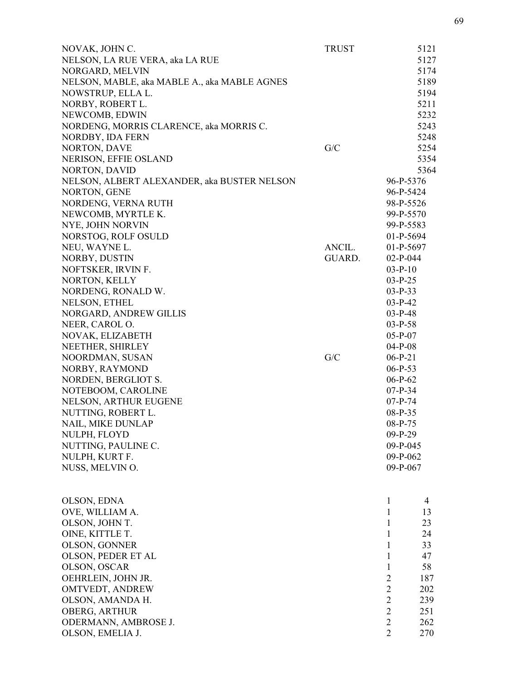| NOVAK, JOHN C.                               | <b>TRUST</b> |                | 5121 |
|----------------------------------------------|--------------|----------------|------|
| NELSON, LA RUE VERA, aka LA RUE              |              |                | 5127 |
| NORGARD, MELVIN                              |              |                | 5174 |
| NELSON, MABLE, aka MABLE A., aka MABLE AGNES |              |                | 5189 |
| NOWSTRUP, ELLA L.                            |              |                | 5194 |
| NORBY, ROBERT L.                             |              |                | 5211 |
| NEWCOMB, EDWIN                               |              |                | 5232 |
| NORDENG, MORRIS CLARENCE, aka MORRIS C.      |              |                | 5243 |
| NORDBY, IDA FERN                             |              |                | 5248 |
| <b>NORTON, DAVE</b>                          | G/C          |                | 5254 |
| NERISON, EFFIE OSLAND                        |              |                | 5354 |
| <b>NORTON, DAVID</b>                         |              |                | 5364 |
| NELSON, ALBERT ALEXANDER, aka BUSTER NELSON  |              | 96-P-5376      |      |
| NORTON, GENE                                 |              | 96-P-5424      |      |
| NORDENG, VERNA RUTH                          |              | 98-P-5526      |      |
| NEWCOMB, MYRTLE K.                           |              | 99-P-5570      |      |
| NYE, JOHN NORVIN                             |              | 99-P-5583      |      |
| NORSTOG, ROLF OSULD                          |              | $01-P-5694$    |      |
| NEU, WAYNE L.                                | ANCIL.       | $01-P-5697$    |      |
| NORBY, DUSTIN                                | GUARD.       | $02-P-044$     |      |
| NOFTSKER, IRVIN F.                           |              | $03-P-10$      |      |
| NORTON, KELLY                                |              | $03-P-25$      |      |
| NORDENG, RONALD W.                           |              | $03-P-33$      |      |
| NELSON, ETHEL                                |              | $03-P-42$      |      |
| NORGARD, ANDREW GILLIS                       |              | $03-P-48$      |      |
| NEER, CAROL O.                               |              | $03-P-58$      |      |
| NOVAK, ELIZABETH                             |              | $05-P-07$      |      |
| NEETHER, SHIRLEY                             |              | $04-P-08$      |      |
| NOORDMAN, SUSAN                              | G/C          | $06-P-21$      |      |
| NORBY, RAYMOND                               |              | $06-P-53$      |      |
| NORDEN, BERGLIOT S.                          |              | $06-P-62$      |      |
| NOTEBOOM, CAROLINE                           |              | $07-P-34$      |      |
| <b>NELSON, ARTHUR EUGENE</b>                 |              | $07-P-74$      |      |
| NUTTING, ROBERT L.                           |              | 08-P-35        |      |
| <b>NAIL, MIKE DUNLAP</b>                     |              | $08-P-75$      |      |
| NULPH, FLOYD                                 |              | $09-P-29$      |      |
| NUTTING, PAULINE C.                          |              | 09-P-045       |      |
| NULPH, KURT F.                               |              | 09-P-062       |      |
| NUSS, MELVIN O.                              |              | 09-P-067       |      |
|                                              |              |                |      |
| OLSON, EDNA                                  |              | $\mathbf{1}$   | 4    |
| OVE, WILLIAM A.                              |              | $\mathbf{1}$   | 13   |
| OLSON, JOHN T.                               |              | 1              | 23   |
| OINE, KITTLE T.                              |              | $\mathbf{1}$   | 24   |
| OLSON, GONNER                                |              | $\mathbf{1}$   | 33   |
| OLSON, PEDER ET AL                           |              | 1              | 47   |
| OLSON, OSCAR                                 |              | $\mathbf{1}$   | 58   |
| OEHRLEIN, JOHN JR.                           |              | $\overline{2}$ | 187  |
| OMTVEDT, ANDREW                              |              | $\overline{2}$ | 202  |
| OLSON, AMANDA H.                             |              | $\overline{2}$ | 239  |
| OBERG, ARTHUR                                |              | $\overline{2}$ | 251  |
| ODERMANN, AMBROSE J.                         |              | $\overline{2}$ | 262  |
| OLSON, EMELIA J.                             |              | $\overline{2}$ | 270  |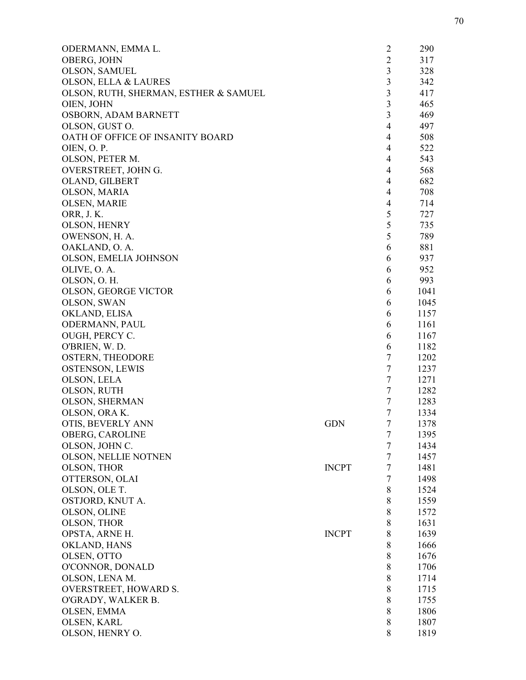| ODERMANN, EMMA L.                     |              | $\overline{2}$ | 290  |
|---------------------------------------|--------------|----------------|------|
| OBERG, JOHN                           |              | $\overline{2}$ | 317  |
| OLSON, SAMUEL                         |              | 3              | 328  |
| OLSON, ELLA & LAURES                  |              | $\overline{3}$ | 342  |
| OLSON, RUTH, SHERMAN, ESTHER & SAMUEL |              | $\overline{3}$ | 417  |
| OIEN, JOHN                            |              | 3              | 465  |
| OSBORN, ADAM BARNETT                  |              | $\overline{3}$ | 469  |
| OLSON, GUST O.                        |              | $\overline{4}$ | 497  |
| OATH OF OFFICE OF INSANITY BOARD      |              | $\overline{4}$ | 508  |
| OIEN, O. P.                           |              | $\overline{4}$ | 522  |
| OLSON, PETER M.                       |              | $\overline{4}$ | 543  |
| OVERSTREET, JOHN G.                   |              | $\overline{4}$ | 568  |
| OLAND, GILBERT                        |              | $\overline{4}$ | 682  |
| OLSON, MARIA                          |              | $\overline{4}$ | 708  |
| OLSEN, MARIE                          |              | $\overline{4}$ | 714  |
| ORR, J. K.                            |              | 5              | 727  |
| OLSON, HENRY                          |              | 5              | 735  |
| OWENSON, H. A.                        |              | 5              | 789  |
| OAKLAND, O. A.                        |              | 6              | 881  |
| OLSON, EMELIA JOHNSON                 |              | 6              | 937  |
| OLIVE, O. A.                          |              | 6              | 952  |
| OLSON, O. H.                          |              | 6              | 993  |
|                                       |              | 6              |      |
| <b>OLSON, GEORGE VICTOR</b>           |              |                | 1041 |
| OLSON, SWAN                           |              | 6<br>6         | 1045 |
| OKLAND, ELISA                         |              |                | 1157 |
| ODERMANN, PAUL                        |              | 6              | 1161 |
| OUGH, PERCY C.                        |              | 6              | 1167 |
| O'BRIEN, W.D.                         |              | 6              | 1182 |
| <b>OSTERN, THEODORE</b>               |              | $\tau$         | 1202 |
| <b>OSTENSON, LEWIS</b>                |              | $\tau$         | 1237 |
| OLSON, LELA                           |              | $\tau$         | 1271 |
| OLSON, RUTH                           |              | $\tau$         | 1282 |
| <b>OLSON, SHERMAN</b>                 |              | $\overline{7}$ | 1283 |
| OLSON, ORA K.                         |              | $\overline{7}$ | 1334 |
| OTIS, BEVERLY ANN                     | <b>GDN</b>   | 7              | 1378 |
| OBERG, CAROLINE                       |              | $\overline{7}$ | 1395 |
| OLSON, JOHN C.                        |              | $\tau$         | 1434 |
| OLSON, NELLIE NOTNEN                  |              | $\tau$         | 1457 |
| OLSON, THOR                           | <b>INCPT</b> | $\tau$         | 1481 |
| OTTERSON, OLAI                        |              | $\tau$         | 1498 |
| OLSON, OLE T.                         |              | 8              | 1524 |
| OSTJORD, KNUT A.                      |              | 8              | 1559 |
| OLSON, OLINE                          |              | 8              | 1572 |
| OLSON, THOR                           |              | 8              | 1631 |
| OPSTA, ARNE H.                        | <b>INCPT</b> | 8              | 1639 |
| OKLAND, HANS                          |              | 8              | 1666 |
| OLSEN, OTTO                           |              | 8              | 1676 |
| O'CONNOR, DONALD                      |              | 8              | 1706 |
| OLSON, LENA M.                        |              | 8              | 1714 |
| <b>OVERSTREET, HOWARD S.</b>          |              | 8              | 1715 |
| O'GRADY, WALKER B.                    |              | 8              | 1755 |
| OLSEN, EMMA                           |              | 8              | 1806 |
| OLSEN, KARL                           |              | 8              | 1807 |
| OLSON, HENRY O.                       |              | 8              | 1819 |
|                                       |              |                |      |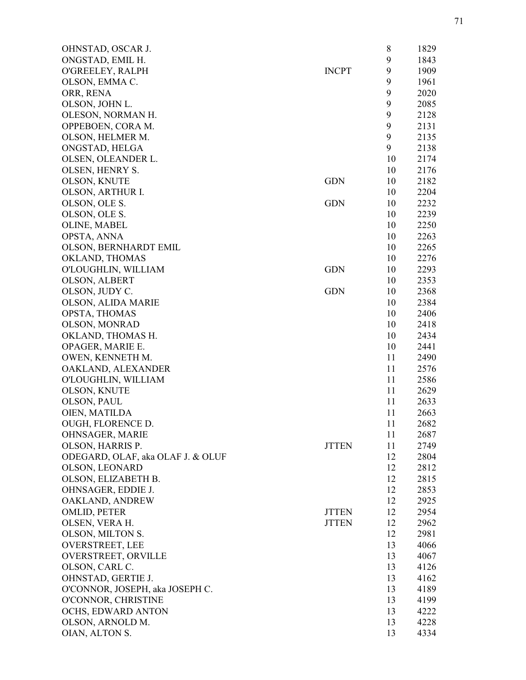| OHNSTAD, OSCAR J.                 |              | 8  | 1829 |
|-----------------------------------|--------------|----|------|
| ONGSTAD, EMIL H.                  |              | 9  | 1843 |
| O'GREELEY, RALPH                  | <b>INCPT</b> | 9  | 1909 |
| OLSON, EMMA C.                    |              | 9  | 1961 |
| ORR, RENA                         |              | 9  | 2020 |
| OLSON, JOHN L.                    |              | 9  | 2085 |
| OLESON, NORMAN H.                 |              | 9  | 2128 |
| OPPEBOEN, CORA M.                 |              | 9  | 2131 |
| OLSON, HELMER M.                  |              | 9  | 2135 |
| ONGSTAD, HELGA                    |              | 9  | 2138 |
| OLSEN, OLEANDER L.                |              | 10 | 2174 |
| OLSEN, HENRY S.                   |              | 10 | 2176 |
| OLSON, KNUTE                      | <b>GDN</b>   | 10 | 2182 |
| OLSON, ARTHUR I.                  |              | 10 | 2204 |
| OLSON, OLE S.                     | <b>GDN</b>   | 10 | 2232 |
| OLSON, OLE S.                     |              | 10 | 2239 |
| OLINE, MABEL                      |              | 10 | 2250 |
|                                   |              | 10 | 2263 |
| OPSTA, ANNA                       |              | 10 |      |
| OLSON, BERNHARDT EMIL             |              |    | 2265 |
| OKLAND, THOMAS                    |              | 10 | 2276 |
| O'LOUGHLIN, WILLIAM               | <b>GDN</b>   | 10 | 2293 |
| OLSON, ALBERT                     |              | 10 | 2353 |
| OLSON, JUDY C.                    | <b>GDN</b>   | 10 | 2368 |
| OLSON, ALIDA MARIE                |              | 10 | 2384 |
| OPSTA, THOMAS                     |              | 10 | 2406 |
| <b>OLSON, MONRAD</b>              |              | 10 | 2418 |
| OKLAND, THOMAS H.                 |              | 10 | 2434 |
| OPAGER, MARIE E.                  |              | 10 | 2441 |
| OWEN, KENNETH M.                  |              | 11 | 2490 |
| OAKLAND, ALEXANDER                |              | 11 | 2576 |
| O'LOUGHLIN, WILLIAM               |              | 11 | 2586 |
| OLSON, KNUTE                      |              | 11 | 2629 |
| OLSON, PAUL                       |              | 11 | 2633 |
| OIEN, MATILDA                     |              | 11 | 2663 |
| <b>OUGH, FLORENCE D.</b>          |              | 11 | 2682 |
| OHNSAGER, MARIE                   |              | 11 | 2687 |
| OLSON, HARRIS P.                  | <b>JTTEN</b> | 11 | 2749 |
| ODEGARD, OLAF, aka OLAF J. & OLUF |              | 12 | 2804 |
| OLSON, LEONARD                    |              | 12 | 2812 |
| OLSON, ELIZABETH B.               |              | 12 | 2815 |
| OHNSAGER, EDDIE J.                |              | 12 | 2853 |
| OAKLAND, ANDREW                   |              | 12 | 2925 |
| OMLID, PETER                      | <b>JTTEN</b> | 12 | 2954 |
| OLSEN, VERA H.                    | <b>JTTEN</b> | 12 | 2962 |
| OLSON, MILTON S.                  |              | 12 | 2981 |
| <b>OVERSTREET, LEE</b>            |              | 13 | 4066 |
|                                   |              |    |      |
| OVERSTREET, ORVILLE               |              | 13 | 4067 |
| OLSON, CARL C.                    |              | 13 | 4126 |
| OHNSTAD, GERTIE J.                |              | 13 | 4162 |
| O'CONNOR, JOSEPH, aka JOSEPH C.   |              | 13 | 4189 |
| O'CONNOR, CHRISTINE               |              | 13 | 4199 |
| OCHS, EDWARD ANTON                |              | 13 | 4222 |
| OLSON, ARNOLD M.                  |              | 13 | 4228 |
| OIAN, ALTON S.                    |              | 13 | 4334 |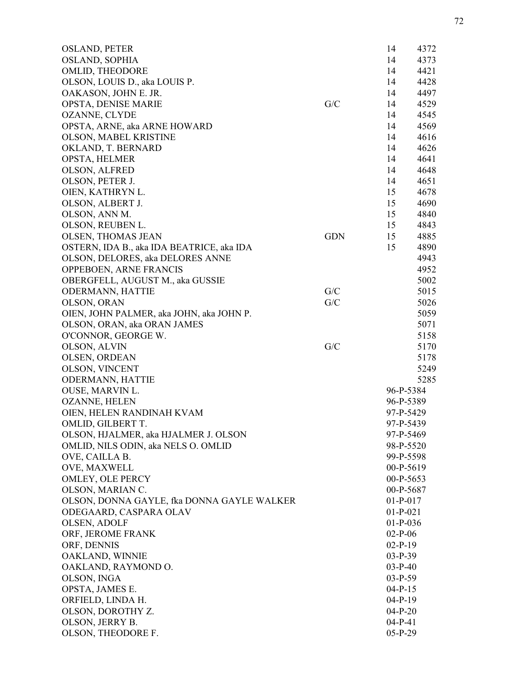| <b>OSLAND, PETER</b>                       |            | 14         | 4372 |
|--------------------------------------------|------------|------------|------|
| <b>OSLAND, SOPHIA</b>                      |            | 14         | 4373 |
| OMLID, THEODORE                            |            | 14         | 4421 |
| OLSON, LOUIS D., aka LOUIS P.              |            | 14         | 4428 |
| OAKASON, JOHN E. JR.                       |            | 14         | 4497 |
| <b>OPSTA, DENISE MARIE</b>                 | G/C        | 14         | 4529 |
| <b>OZANNE, CLYDE</b>                       |            | 14         | 4545 |
| OPSTA, ARNE, aka ARNE HOWARD               |            | 14         | 4569 |
| OLSON, MABEL KRISTINE                      |            | 14         | 4616 |
| OKLAND, T. BERNARD                         |            | 14         | 4626 |
| OPSTA, HELMER                              |            | 14         | 4641 |
| OLSON, ALFRED                              |            | 14         | 4648 |
| OLSON, PETER J.                            |            | 14         | 4651 |
| OIEN, KATHRYN L.                           |            | 15         | 4678 |
| OLSON, ALBERT J.                           |            | 15         | 4690 |
| OLSON, ANN M.                              |            | 15         | 4840 |
| OLSON, REUBEN L.                           |            | 15         | 4843 |
|                                            |            |            | 4885 |
| <b>OLSEN, THOMAS JEAN</b>                  | <b>GDN</b> | 15         |      |
| OSTERN, IDA B., aka IDA BEATRICE, aka IDA  |            | 15         | 4890 |
| OLSON, DELORES, aka DELORES ANNE           |            |            | 4943 |
| OPPEBOEN, ARNE FRANCIS                     |            |            | 4952 |
| OBERGFELL, AUGUST M., aka GUSSIE           |            |            | 5002 |
| <b>ODERMANN, HATTIE</b>                    | G/C        |            | 5015 |
| OLSON, ORAN                                | G/C        |            | 5026 |
| OIEN, JOHN PALMER, aka JOHN, aka JOHN P.   |            |            | 5059 |
| OLSON, ORAN, aka ORAN JAMES                |            |            | 5071 |
| O'CONNOR, GEORGE W.                        |            |            | 5158 |
| OLSON, ALVIN                               | G/C        |            | 5170 |
| OLSEN, ORDEAN                              |            |            | 5178 |
| OLSON, VINCENT                             |            |            | 5249 |
| ODERMANN, HATTIE                           |            |            | 5285 |
| OUSE, MARVIN L.                            |            | 96-P-5384  |      |
| <b>OZANNE, HELEN</b>                       |            | 96-P-5389  |      |
| OIEN, HELEN RANDINAH KVAM                  |            | 97-P-5429  |      |
| OMLID, GILBERT T.                          |            | 97-P-5439  |      |
| OLSON, HJALMER, aka HJALMER J. OLSON       |            | 97-P-5469  |      |
| OMLID, NILS ODIN, aka NELS O. OMLID        |            | 98-P-5520  |      |
| OVE, CAILLA B.                             |            | 99-P-5598  |      |
| OVE, MAXWELL                               |            | 00-P-5619  |      |
| OMLEY, OLE PERCY                           |            | 00-P-5653  |      |
| OLSON, MARIAN C.                           |            | 00-P-5687  |      |
| OLSON, DONNA GAYLE, fka DONNA GAYLE WALKER |            | $01-P-017$ |      |
| ODEGAARD, CASPARA OLAV                     |            | $01-P-021$ |      |
| OLSEN, ADOLF                               |            | $01-P-036$ |      |
|                                            |            | $02-P-06$  |      |
| ORF, JEROME FRANK                          |            |            |      |
| ORF, DENNIS                                |            | $02-P-19$  |      |
| OAKLAND, WINNIE                            |            | $03-P-39$  |      |
| OAKLAND, RAYMOND O.                        |            | $03-P-40$  |      |
| OLSON, INGA                                |            | $03-P-59$  |      |
| OPSTA, JAMES E.                            |            | $04-P-15$  |      |
| ORFIELD, LINDA H.                          |            | $04-P-19$  |      |
| OLSON, DOROTHY Z.                          |            | $04-P-20$  |      |
| OLSON, JERRY B.                            |            | $04-P-41$  |      |
| OLSON, THEODORE F.                         |            | $05-P-29$  |      |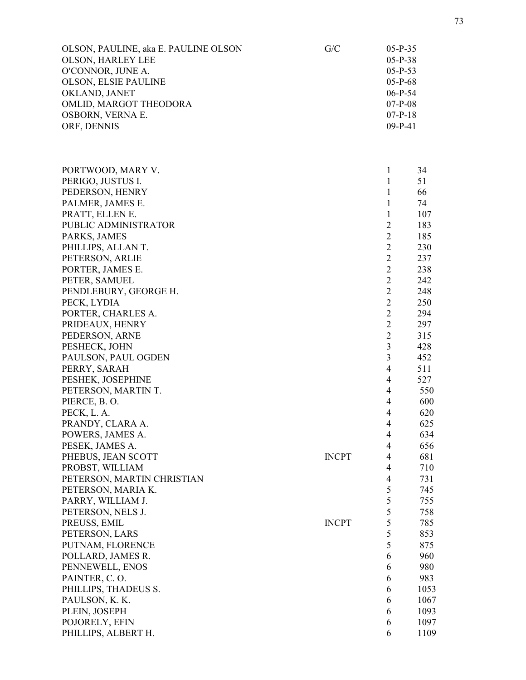| OLSON, PAULINE, aka E. PAULINE OLSON<br><b>OLSON, HARLEY LEE</b><br>O'CONNOR, JUNE A.<br><b>OLSON, ELSIE PAULINE</b> | G/C          | $05-P-35$<br>$05-P-38$<br>$05-P-53$<br>$05-P-68$ |            |
|----------------------------------------------------------------------------------------------------------------------|--------------|--------------------------------------------------|------------|
| OKLAND, JANET                                                                                                        |              | $06-P-54$                                        |            |
| OMLID, MARGOT THEODORA                                                                                               |              | $07-P-08$                                        |            |
| OSBORN, VERNA E.<br>ORF, DENNIS                                                                                      |              | $07-P-18$<br>$09-P-41$                           |            |
|                                                                                                                      |              |                                                  |            |
| PORTWOOD, MARY V.                                                                                                    |              | $\mathbf{1}$                                     | 34         |
| PERIGO, JUSTUS I.                                                                                                    |              | $\mathbf{1}$                                     | 51         |
| PEDERSON, HENRY                                                                                                      |              | $\mathbf{1}$                                     | 66         |
| PALMER, JAMES E.                                                                                                     |              | 1                                                | 74         |
| PRATT, ELLEN E.                                                                                                      |              | $\mathbf{1}$                                     | 107        |
| PUBLIC ADMINISTRATOR                                                                                                 |              | $\overline{2}$                                   | 183        |
| PARKS, JAMES                                                                                                         |              | $\overline{2}$                                   | 185        |
| PHILLIPS, ALLAN T.                                                                                                   |              | $\overline{2}$                                   | 230        |
| PETERSON, ARLIE                                                                                                      |              | $\overline{2}$                                   | 237        |
| PORTER, JAMES E.                                                                                                     |              | $\sqrt{2}$                                       | 238        |
| PETER, SAMUEL                                                                                                        |              | $\overline{2}$                                   | 242        |
| PENDLEBURY, GEORGE H.                                                                                                |              | $\overline{2}$                                   | 248        |
| PECK, LYDIA                                                                                                          |              | $\overline{2}$                                   | 250        |
| PORTER, CHARLES A.                                                                                                   |              | $\overline{2}$                                   | 294        |
| PRIDEAUX, HENRY                                                                                                      |              | $\overline{2}$                                   | 297        |
| PEDERSON, ARNE                                                                                                       |              | $\overline{2}$                                   | 315        |
| PESHECK, JOHN                                                                                                        |              | $\mathfrak{Z}$<br>3                              | 428        |
| PAULSON, PAUL OGDEN                                                                                                  |              | $\overline{4}$                                   | 452        |
| PERRY, SARAH<br>PESHEK, JOSEPHINE                                                                                    |              | $\overline{4}$                                   | 511<br>527 |
| PETERSON, MARTIN T.                                                                                                  |              | $\overline{4}$                                   | 550        |
| PIERCE, B.O.                                                                                                         |              | $\overline{4}$                                   | 600        |
| PECK, L. A.                                                                                                          |              | $\overline{4}$                                   | 620        |
| PRANDY, CLARA A.                                                                                                     |              | $\overline{4}$                                   | 625        |
| POWERS, JAMES A.                                                                                                     |              | 4                                                | 634        |
| PESEK, JAMES A.                                                                                                      |              | 4                                                | 656        |
| PHEBUS, JEAN SCOTT                                                                                                   | <b>INCPT</b> | $\overline{4}$                                   | 681        |
| PROBST, WILLIAM                                                                                                      |              | $\overline{4}$                                   | 710        |
| PETERSON, MARTIN CHRISTIAN                                                                                           |              | $\overline{4}$                                   | 731        |
| PETERSON, MARIA K.                                                                                                   |              | 5                                                | 745        |
| PARRY, WILLIAM J.                                                                                                    |              | 5                                                | 755        |
| PETERSON, NELS J.                                                                                                    |              | 5                                                | 758        |
| PREUSS, EMIL                                                                                                         | <b>INCPT</b> | 5                                                | 785        |
| PETERSON, LARS                                                                                                       |              | 5                                                | 853        |
| PUTNAM, FLORENCE                                                                                                     |              | 5                                                | 875        |
| POLLARD, JAMES R.                                                                                                    |              | 6                                                | 960        |
| PENNEWELL, ENOS                                                                                                      |              | 6                                                | 980        |
| PAINTER, C.O.                                                                                                        |              | 6                                                | 983        |
| PHILLIPS, THADEUS S.                                                                                                 |              | 6                                                | 1053       |
| PAULSON, K. K.                                                                                                       |              | 6                                                | 1067       |
| PLEIN, JOSEPH                                                                                                        |              | 6                                                | 1093       |
| POJORELY, EFIN                                                                                                       |              | 6                                                | 1097       |
| PHILLIPS, ALBERT H.                                                                                                  |              | 6                                                | 1109       |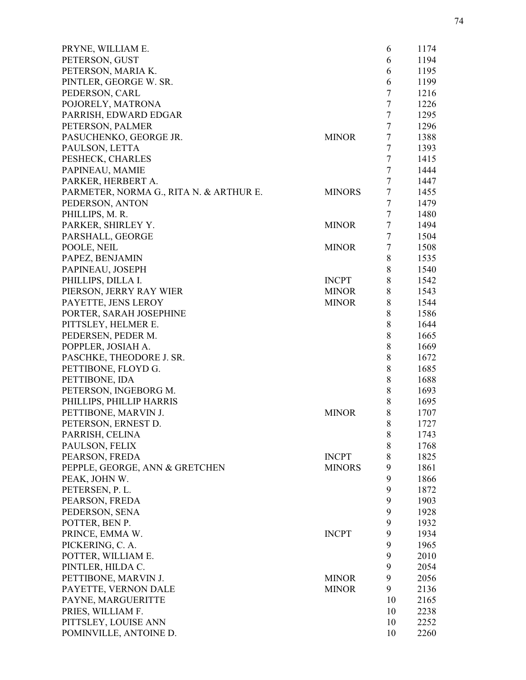| PRYNE, WILLIAM E.                       |               | 6      | 1174 |
|-----------------------------------------|---------------|--------|------|
| PETERSON, GUST                          |               | 6      | 1194 |
| PETERSON, MARIA K.                      |               | 6      | 1195 |
| PINTLER, GEORGE W. SR.                  |               | 6      | 1199 |
| PEDERSON, CARL                          |               | $\tau$ | 1216 |
| POJORELY, MATRONA                       |               | $\tau$ | 1226 |
| PARRISH, EDWARD EDGAR                   |               | $\tau$ | 1295 |
| PETERSON, PALMER                        |               | $\tau$ | 1296 |
| PASUCHENKO, GEORGE JR.                  | <b>MINOR</b>  | $\tau$ | 1388 |
| PAULSON, LETTA                          |               | $\tau$ | 1393 |
| PESHECK, CHARLES                        |               | $\tau$ | 1415 |
| PAPINEAU, MAMIE                         |               | $\tau$ | 1444 |
| PARKER, HERBERT A.                      |               | 7      | 1447 |
| PARMETER, NORMA G., RITA N. & ARTHUR E. | <b>MINORS</b> | $\tau$ | 1455 |
| PEDERSON, ANTON                         |               | $\tau$ | 1479 |
| PHILLIPS, M. R.                         |               | $\tau$ | 1480 |
| PARKER, SHIRLEY Y.                      | <b>MINOR</b>  | $\tau$ | 1494 |
| PARSHALL, GEORGE                        |               | $\tau$ | 1504 |
| POOLE, NEIL                             | <b>MINOR</b>  | $\tau$ | 1508 |
| PAPEZ, BENJAMIN                         |               | 8      | 1535 |
| PAPINEAU, JOSEPH                        |               | 8      | 1540 |
|                                         |               |        |      |
| PHILLIPS, DILLA I.                      | <b>INCPT</b>  | 8      | 1542 |
| PIERSON, JERRY RAY WIER                 | <b>MINOR</b>  | 8      | 1543 |
| PAYETTE, JENS LEROY                     | <b>MINOR</b>  | 8      | 1544 |
| PORTER, SARAH JOSEPHINE                 |               | 8      | 1586 |
| PITTSLEY, HELMER E.                     |               | $8\,$  | 1644 |
| PEDERSEN, PEDER M.                      |               | 8      | 1665 |
| POPPLER, JOSIAH A.                      |               | 8      | 1669 |
| PASCHKE, THEODORE J. SR.                |               | 8      | 1672 |
| PETTIBONE, FLOYD G.                     |               | 8      | 1685 |
| PETTIBONE, IDA                          |               | 8      | 1688 |
| PETERSON, INGEBORG M.                   |               | 8      | 1693 |
| PHILLIPS, PHILLIP HARRIS                |               | 8      | 1695 |
| PETTIBONE, MARVIN J.                    | <b>MINOR</b>  | 8      | 1707 |
| PETERSON, ERNEST D.                     |               | 8      | 1727 |
| PARRISH, CELINA                         |               | 8      | 1743 |
| PAULSON, FELIX                          |               | 8      | 1768 |
| PEARSON, FREDA                          | <b>INCPT</b>  | 8      | 1825 |
| PEPPLE, GEORGE, ANN & GRETCHEN          | <b>MINORS</b> | 9      | 1861 |
| PEAK, JOHN W.                           |               | 9      | 1866 |
| PETERSEN, P. L.                         |               | 9      | 1872 |
| PEARSON, FREDA                          |               | 9      | 1903 |
| PEDERSON, SENA                          |               | 9      | 1928 |
| POTTER, BEN P.                          |               | 9      | 1932 |
| PRINCE, EMMA W.                         | <b>INCPT</b>  | 9      | 1934 |
| PICKERING, C. A.                        |               | 9      | 1965 |
| POTTER, WILLIAM E.                      |               | 9      | 2010 |
| PINTLER, HILDA C.                       |               | 9      | 2054 |
| PETTIBONE, MARVIN J.                    | <b>MINOR</b>  | 9      | 2056 |
| PAYETTE, VERNON DALE                    | <b>MINOR</b>  | 9      | 2136 |
| PAYNE, MARGUERITTE                      |               | 10     | 2165 |
| PRIES, WILLIAM F.                       |               | 10     | 2238 |
| PITTSLEY, LOUISE ANN                    |               | 10     | 2252 |
| POMINVILLE, ANTOINE D.                  |               | 10     | 2260 |
|                                         |               |        |      |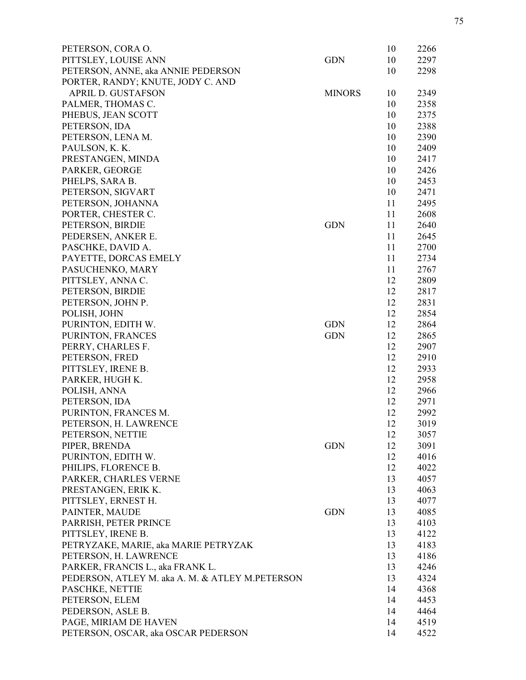| PETERSON, CORA O.                               |               | 10 | 2266 |
|-------------------------------------------------|---------------|----|------|
| PITTSLEY, LOUISE ANN                            | <b>GDN</b>    | 10 | 2297 |
| PETERSON, ANNE, aka ANNIE PEDERSON              |               | 10 | 2298 |
| PORTER, RANDY; KNUTE, JODY C. AND               |               |    |      |
| <b>APRIL D. GUSTAFSON</b>                       | <b>MINORS</b> | 10 | 2349 |
| PALMER, THOMAS C.                               |               | 10 | 2358 |
| PHEBUS, JEAN SCOTT                              |               | 10 | 2375 |
| PETERSON, IDA                                   |               | 10 | 2388 |
| PETERSON, LENA M.                               |               | 10 | 2390 |
| PAULSON, K. K.                                  |               | 10 | 2409 |
| PRESTANGEN, MINDA                               |               | 10 | 2417 |
| PARKER, GEORGE                                  |               | 10 | 2426 |
| PHELPS, SARA B.                                 |               | 10 | 2453 |
| PETERSON, SIGVART                               |               | 10 | 2471 |
| PETERSON, JOHANNA                               |               | 11 | 2495 |
| PORTER, CHESTER C.                              |               | 11 | 2608 |
| PETERSON, BIRDIE                                | <b>GDN</b>    | 11 | 2640 |
| PEDERSEN, ANKER E.                              |               | 11 | 2645 |
| PASCHKE, DAVID A.                               |               | 11 | 2700 |
| PAYETTE, DORCAS EMELY                           |               | 11 | 2734 |
| PASUCHENKO, MARY                                |               | 11 | 2767 |
| PITTSLEY, ANNA C.                               |               | 12 | 2809 |
| PETERSON, BIRDIE                                |               | 12 | 2817 |
| PETERSON, JOHN P.                               |               | 12 | 2831 |
| POLISH, JOHN                                    |               | 12 | 2854 |
| PURINTON, EDITH W.                              | <b>GDN</b>    | 12 | 2864 |
| PURINTON, FRANCES                               | <b>GDN</b>    | 12 | 2865 |
| PERRY, CHARLES F.                               |               | 12 | 2907 |
| PETERSON, FRED                                  |               | 12 | 2910 |
| PITTSLEY, IRENE B.                              |               | 12 | 2933 |
| PARKER, HUGH K.                                 |               | 12 | 2958 |
| POLISH, ANNA                                    |               | 12 | 2966 |
| PETERSON, IDA                                   |               | 12 | 2971 |
| PURINTON, FRANCES M.                            |               | 12 | 2992 |
| PETERSON, H. LAWRENCE                           |               | 12 | 3019 |
| PETERSON, NETTIE                                |               | 12 | 3057 |
| PIPER, BRENDA                                   | <b>GDN</b>    | 12 | 3091 |
| PURINTON, EDITH W.                              |               | 12 | 4016 |
| PHILIPS, FLORENCE B.                            |               | 12 | 4022 |
| PARKER, CHARLES VERNE                           |               | 13 | 4057 |
| PRESTANGEN, ERIK K.                             |               | 13 | 4063 |
| PITTSLEY, ERNEST H.                             |               | 13 | 4077 |
| PAINTER, MAUDE                                  | <b>GDN</b>    | 13 | 4085 |
| PARRISH, PETER PRINCE                           |               | 13 | 4103 |
| PITTSLEY, IRENE B.                              |               | 13 | 4122 |
| PETRYZAKE, MARIE, aka MARIE PETRYZAK            |               | 13 | 4183 |
| PETERSON, H. LAWRENCE                           |               | 13 | 4186 |
| PARKER, FRANCIS L., aka FRANK L.                |               | 13 | 4246 |
| PEDERSON, ATLEY M. aka A. M. & ATLEY M.PETERSON |               | 13 | 4324 |
| PASCHKE, NETTIE                                 |               | 14 | 4368 |
| PETERSON, ELEM                                  |               | 14 | 4453 |
| PEDERSON, ASLE B.                               |               | 14 | 4464 |
| PAGE, MIRIAM DE HAVEN                           |               | 14 | 4519 |
| PETERSON, OSCAR, aka OSCAR PEDERSON             |               | 14 | 4522 |
|                                                 |               |    |      |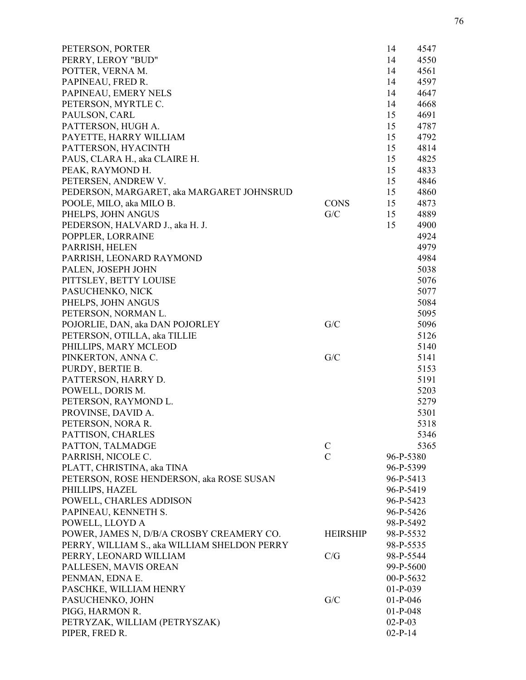| PETERSON, PORTER                             |                 | 14<br>4547 |
|----------------------------------------------|-----------------|------------|
| PERRY, LEROY "BUD"                           |                 | 14<br>4550 |
| POTTER, VERNA M.                             |                 | 4561<br>14 |
| PAPINEAU, FRED R.                            |                 | 14<br>4597 |
| PAPINEAU, EMERY NELS                         |                 | 14<br>4647 |
| PETERSON, MYRTLE C.                          |                 | 4668<br>14 |
| PAULSON, CARL                                |                 | 4691<br>15 |
| PATTERSON, HUGH A.                           |                 | 15<br>4787 |
| PAYETTE, HARRY WILLIAM                       |                 | 15<br>4792 |
| PATTERSON, HYACINTH                          |                 | 15<br>4814 |
| PAUS, CLARA H., aka CLAIRE H.                |                 | 15<br>4825 |
| PEAK, RAYMOND H.                             |                 | 15<br>4833 |
| PETERSEN, ANDREW V.                          |                 | 4846<br>15 |
| PEDERSON, MARGARET, aka MARGARET JOHNSRUD    |                 | 4860<br>15 |
| POOLE, MILO, aka MILO B.                     | <b>CONS</b>     | 4873<br>15 |
| PHELPS, JOHN ANGUS                           | G/C             | 15<br>4889 |
| PEDERSON, HALVARD J., aka H. J.              |                 | 15<br>4900 |
| POPPLER, LORRAINE                            |                 | 4924       |
| PARRISH, HELEN                               |                 | 4979       |
| PARRISH, LEONARD RAYMOND                     |                 | 4984       |
| PALEN, JOSEPH JOHN                           |                 | 5038       |
| PITTSLEY, BETTY LOUISE                       |                 | 5076       |
| PASUCHENKO, NICK                             |                 | 5077       |
| PHELPS, JOHN ANGUS                           |                 | 5084       |
| PETERSON, NORMAN L.                          |                 | 5095       |
| POJORLIE, DAN, aka DAN POJORLEY              | G/C             | 5096       |
| PETERSON, OTILLA, aka TILLIE                 |                 | 5126       |
| PHILLIPS, MARY MCLEOD                        |                 | 5140       |
| PINKERTON, ANNA C.                           | G/C             | 5141       |
| PURDY, BERTIE B.                             |                 | 5153       |
| PATTERSON, HARRY D.                          |                 | 5191       |
| POWELL, DORIS M.                             |                 | 5203       |
| PETERSON, RAYMOND L.                         |                 | 5279       |
| PROVINSE, DAVID A.                           |                 | 5301       |
| PETERSON, NORA R.                            |                 | 5318       |
| PATTISON, CHARLES                            |                 | 5346       |
| PATTON, TALMADGE                             | $\mathcal{C}$   | 5365       |
| PARRISH, NICOLE C.                           | $\mathcal{C}$   | 96-P-5380  |
| PLATT, CHRISTINA, aka TINA                   |                 | 96-P-5399  |
| PETERSON, ROSE HENDERSON, aka ROSE SUSAN     |                 | 96-P-5413  |
| PHILLIPS, HAZEL                              |                 | 96-P-5419  |
| POWELL, CHARLES ADDISON                      |                 | 96-P-5423  |
| PAPINEAU, KENNETH S.                         |                 | 96-P-5426  |
| POWELL, LLOYD A                              |                 | 98-P-5492  |
|                                              | <b>HEIRSHIP</b> | 98-P-5532  |
| POWER, JAMES N, D/B/A CROSBY CREAMERY CO.    |                 |            |
| PERRY, WILLIAM S., aka WILLIAM SHELDON PERRY | C/G             | 98-P-5535  |
| PERRY, LEONARD WILLIAM                       |                 | 98-P-5544  |
| PALLESEN, MAVIS OREAN                        |                 | 99-P-5600  |
| PENMAN, EDNA E.                              |                 | 00-P-5632  |
| PASCHKE, WILLIAM HENRY                       |                 | $01-P-039$ |
| PASUCHENKO, JOHN                             | G/C             | $01-P-046$ |
| PIGG, HARMON R.                              |                 | $01-P-048$ |
| PETRYZAK, WILLIAM (PETRYSZAK)                |                 | $02-P-03$  |
| PIPER, FRED R.                               |                 | $02-P-14$  |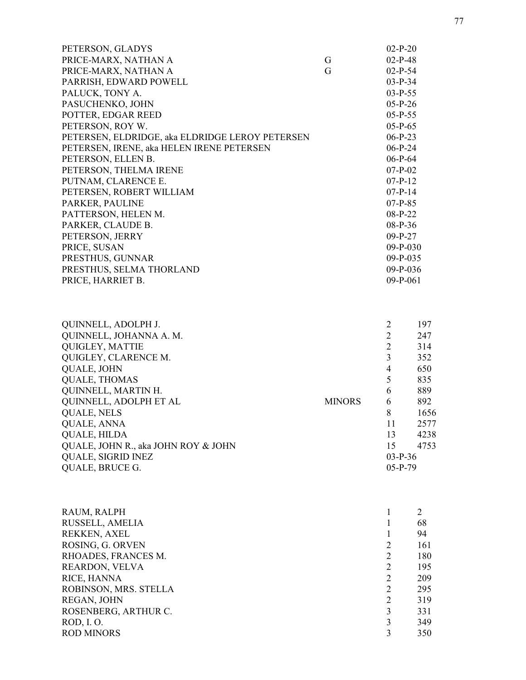| PETERSON, GLADYS                                |   | $02-P-20$  |
|-------------------------------------------------|---|------------|
| PRICE-MARX, NATHAN A                            | G | $02-P-48$  |
| PRICE-MARX, NATHAN A                            | G | $02-P-54$  |
| PARRISH, EDWARD POWELL                          |   | $03-P-34$  |
| PALUCK, TONY A.                                 |   | $03-P-55$  |
| PASUCHENKO, JOHN                                |   | $05-P-26$  |
| POTTER, EDGAR REED                              |   | $05-P-55$  |
| PETERSON, ROY W.                                |   | $05-P-65$  |
| PETERSEN, ELDRIDGE, aka ELDRIDGE LEROY PETERSEN |   | $06-P-23$  |
| PETERSEN, IRENE, aka HELEN IRENE PETERSEN       |   | $06-P-24$  |
| PETERSON, ELLEN B.                              |   | $06-P-64$  |
| PETERSON, THELMA IRENE                          |   | $07-P-02$  |
| PUTNAM, CLARENCE E.                             |   | $07-P-12$  |
| PETERSEN, ROBERT WILLIAM                        |   | $07-P-14$  |
| PARKER, PAULINE                                 |   | $07-P-85$  |
| PATTERSON, HELEN M.                             |   | $08-P-22$  |
| PARKER, CLAUDE B.                               |   | $08-P-36$  |
| PETERSON, JERRY                                 |   | $09-P-27$  |
| PRICE, SUSAN                                    |   | $09-P-030$ |
| PRESTHUS, GUNNAR                                |   | 09-P-035   |
| PRESTHUS, SELMA THORLAND                        |   | $09-P-036$ |
| PRICE, HARRIET B.                               |   | $09-P-061$ |
|                                                 |   |            |

| QUINNELL, ADOLPH J.                 |               |           | 197  |
|-------------------------------------|---------------|-----------|------|
| QUINNELL, JOHANNA A. M.             |               |           | 247  |
| <b>QUIGLEY, MATTIE</b>              |               |           | 314  |
| QUIGLEY, CLARENCE M.                |               |           | 352  |
| <b>QUALE, JOHN</b>                  |               | 4         | 650  |
| <b>QUALE, THOMAS</b>                |               |           | 835  |
| QUINNELL, MARTIN H.                 |               | 6         | 889  |
| QUINNELL, ADOLPH ET AL              | <b>MINORS</b> | 6         | 892  |
| <b>QUALE, NELS</b>                  |               | 8         | 1656 |
| <b>QUALE, ANNA</b>                  |               | 11        | 2577 |
| <b>QUALE, HILDA</b>                 |               | 13        | 4238 |
| QUALE, JOHN R., aka JOHN ROY & JOHN |               | 15        | 4753 |
| <b>QUALE, SIGRID INEZ</b>           |               | $03-P-36$ |      |
| <b>QUALE, BRUCE G.</b>              |               | $05-P-79$ |      |

| RAUM, RALPH           |   | $\overline{2}$ |
|-----------------------|---|----------------|
| RUSSELL, AMELIA       |   | 68             |
| REKKEN, AXEL          |   | 94             |
| ROSING, G. ORVEN      | 2 | 161            |
| RHOADES, FRANCES M.   | 2 | 180            |
| REARDON, VELVA        | 2 | 195            |
| RICE, HANNA           | 2 | 209            |
| ROBINSON, MRS. STELLA | 2 | 295            |
| REGAN, JOHN           | 2 | 319            |
| ROSENBERG, ARTHUR C.  | 3 | 331            |
| ROD, I. O.            | 3 | 349            |
| <b>ROD MINORS</b>     | 3 | 350            |
|                       |   |                |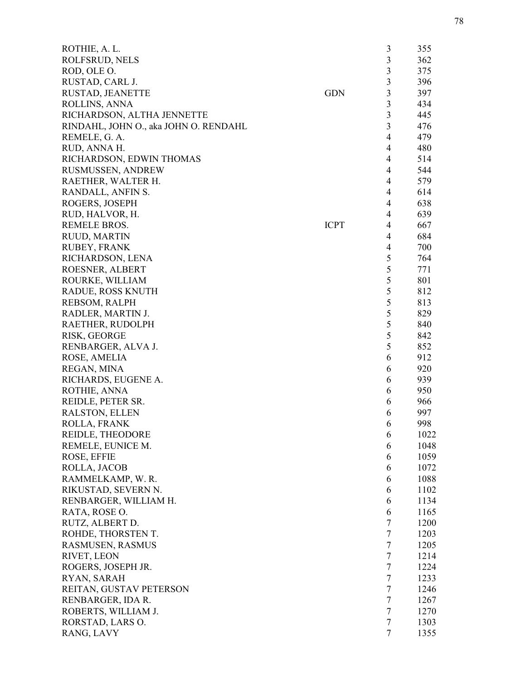| ROTHIE, A. L.                         |             | 3              | 355  |
|---------------------------------------|-------------|----------------|------|
| ROLFSRUD, NELS                        |             | 3              | 362  |
| ROD, OLE O.                           |             | 3              | 375  |
| RUSTAD, CARL J.                       |             | $\overline{3}$ | 396  |
| RUSTAD, JEANETTE                      | <b>GDN</b>  | 3              | 397  |
| ROLLINS, ANNA                         |             | 3              | 434  |
| RICHARDSON, ALTHA JENNETTE            |             | 3              | 445  |
| RINDAHL, JOHN O., aka JOHN O. RENDAHL |             | 3              | 476  |
| REMELE, G. A.                         |             | $\overline{4}$ | 479  |
| RUD, ANNA H.                          |             | $\overline{4}$ | 480  |
| RICHARDSON, EDWIN THOMAS              |             | $\overline{4}$ | 514  |
| RUSMUSSEN, ANDREW                     |             | $\overline{4}$ | 544  |
| RAETHER, WALTER H.                    |             | $\overline{4}$ | 579  |
| RANDALL, ANFIN S.                     |             | 4              | 614  |
| ROGERS, JOSEPH                        |             | 4              | 638  |
| RUD, HALVOR, H.                       |             | $\overline{4}$ | 639  |
| <b>REMELE BROS.</b>                   | <b>ICPT</b> | 4              | 667  |
| RUUD, MARTIN                          |             | $\overline{4}$ | 684  |
| RUBEY, FRANK                          |             | 4              | 700  |
|                                       |             | 5              | 764  |
| RICHARDSON, LENA                      |             |                |      |
| ROESNER, ALBERT                       |             | 5              | 771  |
| ROURKE, WILLIAM                       |             | 5              | 801  |
| RADUE, ROSS KNUTH                     |             | $\mathfrak s$  | 812  |
| REBSOM, RALPH                         |             | 5              | 813  |
| RADLER, MARTIN J.                     |             | 5              | 829  |
| RAETHER, RUDOLPH                      |             | 5              | 840  |
| RISK, GEORGE                          |             | 5              | 842  |
| RENBARGER, ALVA J.                    |             | 5              | 852  |
| ROSE, AMELIA                          |             | 6              | 912  |
| REGAN, MINA                           |             | 6              | 920  |
| RICHARDS, EUGENE A.                   |             | 6              | 939  |
| ROTHIE, ANNA                          |             | 6              | 950  |
| REIDLE, PETER SR.                     |             | 6              | 966  |
| <b>RALSTON, ELLEN</b>                 |             | 6              | 997  |
| ROLLA, FRANK                          |             | 6              | 998  |
| REIDLE, THEODORE                      |             | 6              | 1022 |
| REMELE, EUNICE M.                     |             | 6              | 1048 |
| ROSE, EFFIE                           |             | 6              | 1059 |
| ROLLA, JACOB                          |             | 6              | 1072 |
| RAMMELKAMP, W. R.                     |             | 6              | 1088 |
| RIKUSTAD, SEVERN N.                   |             | 6              | 1102 |
| RENBARGER, WILLIAM H.                 |             | 6              | 1134 |
| RATA, ROSE O.                         |             | 6              | 1165 |
| RUTZ, ALBERT D.                       |             | $\tau$         | 1200 |
| ROHDE, THORSTEN T.                    |             | $\tau$         | 1203 |
| RASMUSEN, RASMUS                      |             | $\tau$         | 1205 |
| RIVET, LEON                           |             | $\tau$         | 1214 |
| ROGERS, JOSEPH JR.                    |             | $\overline{7}$ | 1224 |
| RYAN, SARAH                           |             | 7              | 1233 |
| REITAN, GUSTAV PETERSON               |             | $\tau$         | 1246 |
| RENBARGER, IDA R.                     |             | $\tau$         | 1267 |
| ROBERTS, WILLIAM J.                   |             | $\tau$         | 1270 |
| RORSTAD, LARS O.                      |             | $\overline{7}$ | 1303 |
| RANG, LAVY                            |             | $\overline{7}$ | 1355 |
|                                       |             |                |      |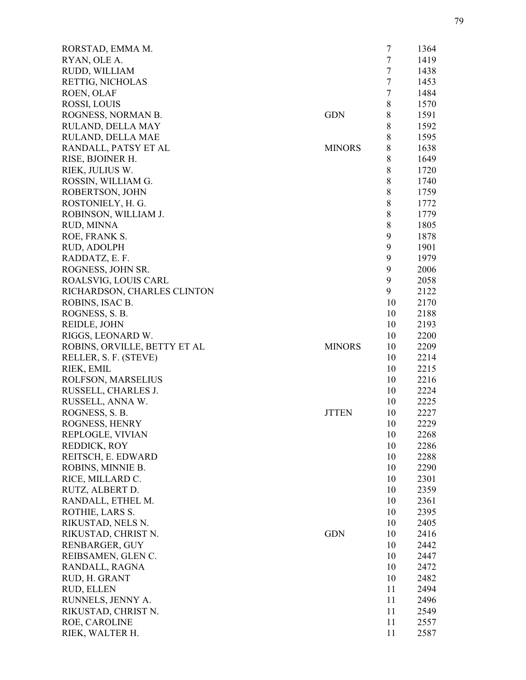| RORSTAD, EMMA M.             |               | $\overline{7}$ | 1364 |
|------------------------------|---------------|----------------|------|
| RYAN, OLE A.                 |               | $\tau$         | 1419 |
| RUDD, WILLIAM                |               | $\tau$         | 1438 |
| RETTIG, NICHOLAS             |               | $\tau$         | 1453 |
| ROEN, OLAF                   |               | $\tau$         | 1484 |
| ROSSI, LOUIS                 |               | 8              | 1570 |
| ROGNESS, NORMAN B.           | <b>GDN</b>    | 8              | 1591 |
| RULAND, DELLA MAY            |               | 8              | 1592 |
| RULAND, DELLA MAE            |               | $8\,$          | 1595 |
| RANDALL, PATSY ET AL         | <b>MINORS</b> | $\,8$          | 1638 |
| RISE, BJOINER H.             |               | $\,$ 8 $\,$    | 1649 |
| RIEK, JULIUS W.              |               | 8              | 1720 |
| ROSSIN, WILLIAM G.           |               | $\,8$          | 1740 |
| ROBERTSON, JOHN              |               | 8              | 1759 |
| ROSTONIELY, H. G.            |               | $\,8$          | 1772 |
| ROBINSON, WILLIAM J.         |               | $\,8$          | 1779 |
| RUD, MINNA                   |               | $\,8$          | 1805 |
| ROE, FRANK S.                |               | 9              | 1878 |
| RUD, ADOLPH                  |               | 9              | 1901 |
| RADDATZ, E. F.               |               | 9              | 1979 |
| ROGNESS, JOHN SR.            |               | 9              | 2006 |
|                              |               | 9              |      |
| ROALSVIG, LOUIS CARL         |               | 9              | 2058 |
| RICHARDSON, CHARLES CLINTON  |               |                | 2122 |
| ROBINS, ISAC B.              |               | 10             | 2170 |
| ROGNESS, S. B.               |               | 10             | 2188 |
| REIDLE, JOHN                 |               | 10             | 2193 |
| RIGGS, LEONARD W.            |               | 10             | 2200 |
| ROBINS, ORVILLE, BETTY ET AL | <b>MINORS</b> | 10             | 2209 |
| RELLER, S. F. (STEVE)        |               | 10             | 2214 |
| RIEK, EMIL                   |               | 10             | 2215 |
| ROLFSON, MARSELIUS           |               | 10             | 2216 |
| RUSSELL, CHARLES J.          |               | 10             | 2224 |
| RUSSELL, ANNA W.             |               | 10             | 2225 |
| ROGNESS, S.B.                | <b>JTTEN</b>  | 10             | 2227 |
| ROGNESS, HENRY               |               | 10             | 2229 |
| REPLOGLE, VIVIAN             |               | 10             | 2268 |
| REDDICK, ROY                 |               | 10             | 2286 |
| REITSCH, E. EDWARD           |               | 10             | 2288 |
| ROBINS, MINNIE B.            |               | 10             | 2290 |
| RICE, MILLARD C.             |               | 10             | 2301 |
| RUTZ, ALBERT D.              |               | 10             | 2359 |
| RANDALL, ETHEL M.            |               | 10             | 2361 |
| ROTHIE, LARS S.              |               | 10             | 2395 |
| RIKUSTAD, NELS N.            |               | 10             | 2405 |
| RIKUSTAD, CHRIST N.          | <b>GDN</b>    | 10             | 2416 |
| RENBARGER, GUY               |               | 10             | 2442 |
| REIBSAMEN, GLEN C.           |               | 10             | 2447 |
| RANDALL, RAGNA               |               | 10             | 2472 |
| RUD, H. GRANT                |               | 10             | 2482 |
| RUD, ELLEN                   |               | 11             | 2494 |
| RUNNELS, JENNY A.            |               | 11             | 2496 |
| RIKUSTAD, CHRIST N.          |               | 11             | 2549 |
| ROE, CAROLINE                |               | 11             | 2557 |
| RIEK, WALTER H.              |               | 11             | 2587 |
|                              |               |                |      |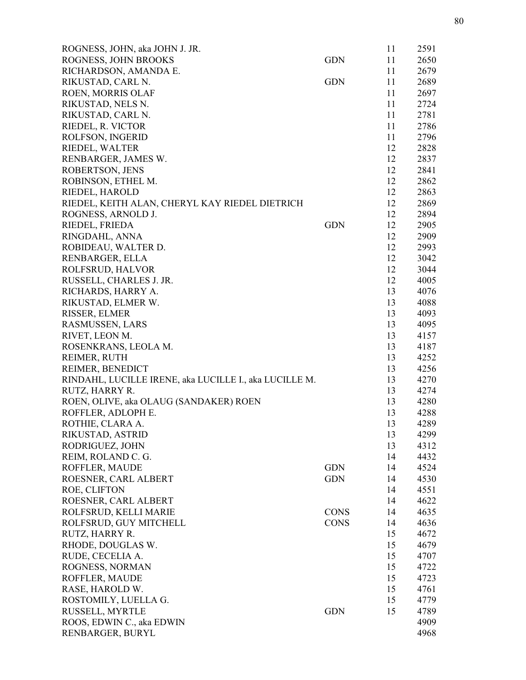| ROGNESS, JOHN, aka JOHN J. JR.                         |             | 11 | 2591 |
|--------------------------------------------------------|-------------|----|------|
| ROGNESS, JOHN BROOKS                                   | <b>GDN</b>  | 11 | 2650 |
| RICHARDSON, AMANDA E.                                  |             | 11 | 2679 |
| RIKUSTAD, CARL N.                                      | <b>GDN</b>  | 11 | 2689 |
| ROEN, MORRIS OLAF                                      |             | 11 | 2697 |
| RIKUSTAD, NELS N.                                      |             | 11 | 2724 |
| RIKUSTAD, CARL N.                                      |             | 11 | 2781 |
| RIEDEL, R. VICTOR                                      |             | 11 | 2786 |
| ROLFSON, INGERID                                       |             | 11 | 2796 |
| RIEDEL, WALTER                                         |             | 12 | 2828 |
| RENBARGER, JAMES W.                                    |             | 12 | 2837 |
| ROBERTSON, JENS                                        |             | 12 | 2841 |
| ROBINSON, ETHEL M.                                     |             | 12 | 2862 |
| RIEDEL, HAROLD                                         |             | 12 | 2863 |
| RIEDEL, KEITH ALAN, CHERYL KAY RIEDEL DIETRICH         |             | 12 | 2869 |
| ROGNESS, ARNOLD J.                                     |             | 12 | 2894 |
| RIEDEL, FRIEDA                                         | <b>GDN</b>  | 12 | 2905 |
| RINGDAHL, ANNA                                         |             | 12 | 2909 |
| ROBIDEAU, WALTER D.                                    |             | 12 | 2993 |
| RENBARGER, ELLA                                        |             | 12 | 3042 |
| ROLFSRUD, HALVOR                                       |             | 12 | 3044 |
| RUSSELL, CHARLES J. JR.                                |             | 12 | 4005 |
| RICHARDS, HARRY A.                                     |             | 13 | 4076 |
| RIKUSTAD, ELMER W.                                     |             | 13 | 4088 |
|                                                        |             | 13 | 4093 |
| RISSER, ELMER                                          |             |    |      |
| RASMUSSEN, LARS                                        |             | 13 | 4095 |
| RIVET, LEON M.                                         |             | 13 | 4157 |
| ROSENKRANS, LEOLA M.                                   |             | 13 | 4187 |
| REIMER, RUTH                                           |             | 13 | 4252 |
| REIMER, BENEDICT                                       |             | 13 | 4256 |
| RINDAHL, LUCILLE IRENE, aka LUCILLE I., aka LUCILLE M. |             | 13 | 4270 |
| RUTZ, HARRY R.                                         |             | 13 | 4274 |
| ROEN, OLIVE, aka OLAUG (SANDAKER) ROEN                 |             | 13 | 4280 |
| ROFFLER, ADLOPH E.                                     |             | 13 | 4288 |
| ROTHIE, CLARA A.                                       |             | 13 | 4289 |
| RIKUSTAD, ASTRID                                       |             | 13 | 4299 |
| RODRIGUEZ, JOHN                                        |             | 13 | 4312 |
| REIM, ROLAND C. G.                                     |             | 14 | 4432 |
| ROFFLER, MAUDE                                         | <b>GDN</b>  | 14 | 4524 |
| ROESNER, CARL ALBERT                                   | <b>GDN</b>  | 14 | 4530 |
| ROE, CLIFTON                                           |             | 14 | 4551 |
| ROESNER, CARL ALBERT                                   |             | 14 | 4622 |
| ROLFSRUD, KELLI MARIE                                  | <b>CONS</b> | 14 | 4635 |
| ROLFSRUD, GUY MITCHELL                                 | <b>CONS</b> | 14 | 4636 |
| RUTZ, HARRY R.                                         |             | 15 | 4672 |
| RHODE, DOUGLAS W.                                      |             | 15 | 4679 |
| RUDE, CECELIA A.                                       |             | 15 | 4707 |
| ROGNESS, NORMAN                                        |             | 15 | 4722 |
| ROFFLER, MAUDE                                         |             | 15 | 4723 |
| RASE, HAROLD W.                                        |             | 15 | 4761 |
| ROSTOMILY, LUELLA G.                                   |             | 15 | 4779 |
| RUSSELL, MYRTLE                                        | <b>GDN</b>  | 15 | 4789 |
| ROOS, EDWIN C., aka EDWIN                              |             |    | 4909 |
| RENBARGER, BURYL                                       |             |    | 4968 |
|                                                        |             |    |      |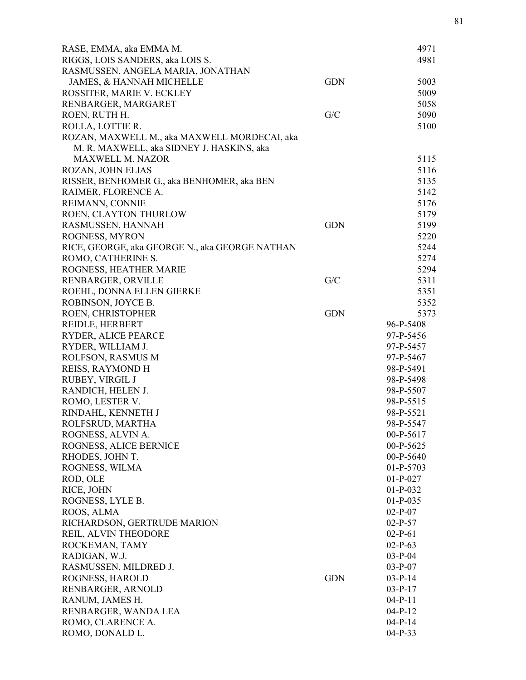| RASE, EMMA, aka EMMA M.                        |            | 4971        |
|------------------------------------------------|------------|-------------|
| RIGGS, LOIS SANDERS, aka LOIS S.               |            | 4981        |
| RASMUSSEN, ANGELA MARIA, JONATHAN              |            |             |
| JAMES, & HANNAH MICHELLE                       | <b>GDN</b> | 5003        |
| ROSSITER, MARIE V. ECKLEY                      |            | 5009        |
| RENBARGER, MARGARET                            |            | 5058        |
| ROEN, RUTH H.                                  | G/C        | 5090        |
| ROLLA, LOTTIE R.                               |            | 5100        |
| ROZAN, MAXWELL M., aka MAXWELL MORDECAI, aka   |            |             |
| M. R. MAXWELL, aka SIDNEY J. HASKINS, aka      |            |             |
| <b>MAXWELL M. NAZOR</b>                        |            | 5115        |
| ROZAN, JOHN ELIAS                              |            | 5116        |
| RISSER, BENHOMER G., aka BENHOMER, aka BEN     |            | 5135        |
| RAIMER, FLORENCE A.                            |            | 5142        |
| REIMANN, CONNIE                                |            | 5176        |
| ROEN, CLAYTON THURLOW                          |            | 5179        |
| RASMUSSEN, HANNAH                              | <b>GDN</b> | 5199        |
| ROGNESS, MYRON                                 |            | 5220        |
| RICE, GEORGE, aka GEORGE N., aka GEORGE NATHAN |            | 5244        |
| ROMO, CATHERINE S.                             |            | 5274        |
| ROGNESS, HEATHER MARIE                         |            | 5294        |
| RENBARGER, ORVILLE                             | G/C        | 5311        |
| ROEHL, DONNA ELLEN GIERKE                      |            | 5351        |
| ROBINSON, JOYCE B.                             |            | 5352        |
| ROEN, CHRISTOPHER                              | <b>GDN</b> | 5373        |
| REIDLE, HERBERT                                |            | 96-P-5408   |
| RYDER, ALICE PEARCE                            |            | 97-P-5456   |
| RYDER, WILLIAM J.                              |            | 97-P-5457   |
| ROLFSON, RASMUS M                              |            | 97-P-5467   |
| REISS, RAYMOND H                               |            | 98-P-5491   |
| RUBEY, VIRGIL J                                |            | 98-P-5498   |
| RANDICH, HELEN J.                              |            | 98-P-5507   |
| ROMO, LESTER V.                                |            | 98-P-5515   |
| RINDAHL, KENNETH J                             |            | 98-P-5521   |
| ROLFSRUD, MARTHA                               |            | 98-P-5547   |
| ROGNESS, ALVIN A.                              |            | 00-P-5617   |
| ROGNESS, ALICE BERNICE                         |            | 00-P-5625   |
| RHODES, JOHN T.                                |            | $00-P-5640$ |
| ROGNESS, WILMA                                 |            | $01-P-5703$ |
| ROD, OLE                                       |            | $01-P-027$  |
| RICE, JOHN                                     |            | $01-P-032$  |
| ROGNESS, LYLE B.                               |            | $01-P-035$  |
| ROOS, ALMA                                     |            | $02-P-07$   |
| RICHARDSON, GERTRUDE MARION                    |            | $02-P-57$   |
| REIL, ALVIN THEODORE                           |            | $02-P-61$   |
| ROCKEMAN, TAMY                                 |            | $02-P-63$   |
| RADIGAN, W.J.                                  |            | $03-P-04$   |
| RASMUSSEN, MILDRED J.                          |            | $03-P-07$   |
| ROGNESS, HAROLD                                | <b>GDN</b> | $03-P-14$   |
| RENBARGER, ARNOLD                              |            | $03-P-17$   |
| RANUM, JAMES H.                                |            | $04-P-11$   |
| RENBARGER, WANDA LEA                           |            | $04-P-12$   |
| ROMO, CLARENCE A.                              |            | $04-P-14$   |
| ROMO, DONALD L.                                |            | $04-P-33$   |
|                                                |            |             |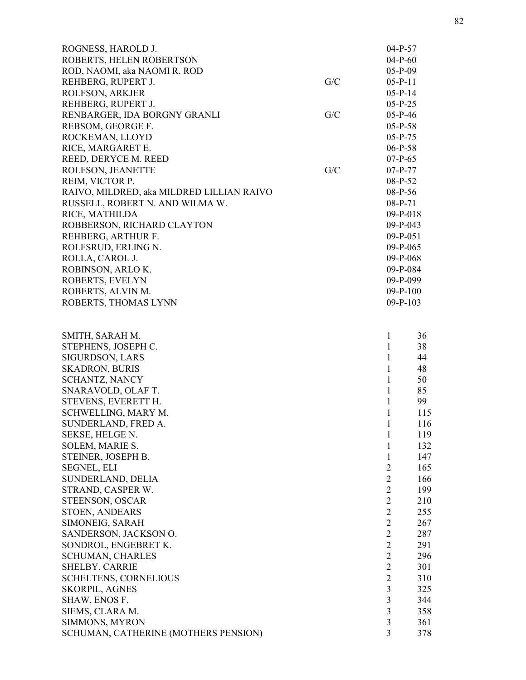| ROGNESS, HAROLD J.                         |     | $04-P-57$                        |            |
|--------------------------------------------|-----|----------------------------------|------------|
| ROBERTS, HELEN ROBERTSON                   |     | $04-P-60$                        |            |
| ROD, NAOMI, aka NAOMI R. ROD               |     | $05-P-09$                        |            |
| REHBERG, RUPERT J.                         | G/C | $05-P-11$                        |            |
| ROLFSON, ARKJER                            |     | $05-P-14$                        |            |
| REHBERG, RUPERT J.                         |     | $05-P-25$                        |            |
| RENBARGER, IDA BORGNY GRANLI               | G/C | $05-P-46$                        |            |
| REBSOM, GEORGE F.                          |     | $05-P-58$                        |            |
| ROCKEMAN, LLOYD                            |     | $05-P-75$                        |            |
| RICE, MARGARET E.                          |     | $06-P-58$                        |            |
| REED, DERYCE M. REED                       |     | $07-P-65$                        |            |
| ROLFSON, JEANETTE                          | G/C | $07-P-77$                        |            |
| REIM, VICTOR P.                            |     | 08-P-52                          |            |
| RAIVO, MILDRED, aka MILDRED LILLIAN RAIVO  |     | 08-P-56                          |            |
| RUSSELL, ROBERT N. AND WILMA W.            |     | 08-P-71                          |            |
| RICE, MATHILDA                             |     | $09-P-018$                       |            |
| ROBBERSON, RICHARD CLAYTON                 |     | $09-P-043$                       |            |
| REHBERG, ARTHUR F.                         |     | $09-P-051$                       |            |
| ROLFSRUD, ERLING N.                        |     | $09-P-065$                       |            |
| ROLLA, CAROL J.                            |     | $09-P-068$                       |            |
| ROBINSON, ARLO K.                          |     | 09-P-084                         |            |
| ROBERTS, EVELYN                            |     | $09-P-099$                       |            |
| ROBERTS, ALVIN M.                          |     | $09-P-100$                       |            |
| ROBERTS, THOMAS LYNN                       |     | $09 - P - 103$                   |            |
|                                            |     |                                  |            |
| SMITH, SARAH M.                            |     | 1                                | 36<br>38   |
| STEPHENS, JOSEPH C.                        |     | 1<br>$\mathbf{1}$                | 44         |
| SIGURDSON, LARS                            |     | $\mathbf{1}$                     |            |
| <b>SKADRON, BURIS</b>                      |     | $\mathbf{1}$                     | 48         |
| <b>SCHANTZ, NANCY</b>                      |     | $\mathbf{1}$                     | 50<br>85   |
| SNARAVOLD, OLAF T.<br>STEVENS, EVERETT H.  |     | 1                                | 99         |
|                                            |     |                                  |            |
| SCHWELLING, MARY M.<br>SUNDERLAND, FRED A. |     | 1<br>1                           | 115<br>116 |
|                                            |     |                                  |            |
| SEKSE, HELGE N.<br>SOLEM, MARIE S.         |     | 1<br>1                           | 119<br>132 |
| STEINER, JOSEPH B.                         |     | 1                                |            |
|                                            |     |                                  | 147        |
| SEGNEL, ELI<br>SUNDERLAND, DELIA           |     | $\overline{2}$<br>$\overline{2}$ | 165        |
| STRAND, CASPER W.                          |     | $\overline{2}$                   | 166<br>199 |
| STEENSON, OSCAR                            |     | $\overline{2}$                   | 210        |
|                                            |     | $\overline{2}$                   | 255        |
| STOEN, ANDEARS<br>SIMONEIG, SARAH          |     | $\overline{2}$                   |            |
| SANDERSON, JACKSON O.                      |     | $\overline{2}$                   | 267<br>287 |
| SONDROL, ENGEBRET K.                       |     | $\overline{2}$                   | 291        |
|                                            |     | $\overline{2}$                   |            |
| <b>SCHUMAN, CHARLES</b>                    |     | $\overline{2}$                   | 296        |
| SHELBY, CARRIE                             |     | $\overline{2}$                   | 301<br>310 |
| <b>SCHELTENS, CORNELIOUS</b>               |     | 3                                | 325        |
| SKORPIL, AGNES                             |     | 3                                |            |
| SHAW, ENOS F.<br>SIEMS, CLARA M.           |     | 3                                | 344        |
|                                            |     | 3                                | 358        |
| SIMMONS, MYRON                             |     | 3                                | 361        |
| SCHUMAN, CATHERINE (MOTHERS PENSION)       |     |                                  | 378        |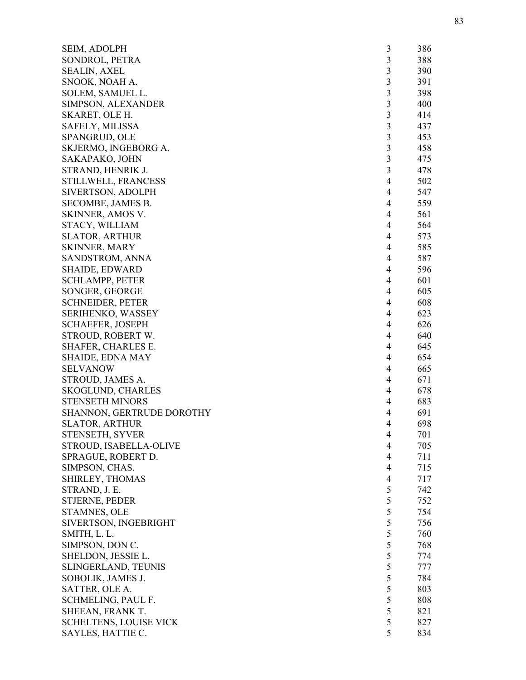| SEIM, ADOLPH                     | 3              | 386 |
|----------------------------------|----------------|-----|
| SONDROL, PETRA                   | $\mathfrak{Z}$ | 388 |
| <b>SEALIN, AXEL</b>              | 3              | 390 |
| SNOOK, NOAH A.                   | $\overline{3}$ | 391 |
| SOLEM, SAMUEL L.                 | 3              | 398 |
| SIMPSON, ALEXANDER               | $\mathfrak{Z}$ | 400 |
| SKARET, OLE H.                   | $\mathfrak{Z}$ | 414 |
| SAFELY, MILISSA                  | $\mathfrak{Z}$ | 437 |
| SPANGRUD, OLE                    | $\mathfrak{Z}$ | 453 |
| SKJERMO, INGEBORG A.             | $\overline{3}$ | 458 |
| SAKAPAKO, JOHN                   | 3              | 475 |
| STRAND, HENRIK J.                | 3              | 478 |
| STILLWELL, FRANCESS              | 4              | 502 |
| SIVERTSON, ADOLPH                | 4              | 547 |
| SECOMBE, JAMES B.                | $\overline{4}$ | 559 |
| SKINNER, AMOS V.                 | 4              | 561 |
| STACY, WILLIAM                   | 4              | 564 |
| <b>SLATOR, ARTHUR</b>            | $\overline{4}$ | 573 |
| <b>SKINNER, MARY</b>             | 4              | 585 |
| SANDSTROM, ANNA                  | $\overline{4}$ | 587 |
| <b>SHAIDE, EDWARD</b>            | 4              | 596 |
| <b>SCHLAMPP, PETER</b>           | $\overline{4}$ | 601 |
| SONGER, GEORGE                   | 4              | 605 |
| <b>SCHNEIDER, PETER</b>          | $\overline{4}$ | 608 |
| SERIHENKO, WASSEY                | $\overline{4}$ | 623 |
| <b>SCHAEFER, JOSEPH</b>          | 4              | 626 |
| STROUD, ROBERT W.                | 4              | 640 |
| SHAFER, CHARLES E.               | 4              | 645 |
| <b>SHAIDE, EDNA MAY</b>          | 4              | 654 |
| <b>SELVANOW</b>                  | 4              | 665 |
| STROUD, JAMES A.                 | 4              | 671 |
| <b>SKOGLUND, CHARLES</b>         | 4              | 678 |
| <b>STENSETH MINORS</b>           | 4              | 683 |
| <b>SHANNON, GERTRUDE DOROTHY</b> | 4              | 691 |
| <b>SLATOR, ARTHUR</b>            | 4              | 698 |
| STENSETH, SYVER                  | 4              | 701 |
| STROUD, ISABELLA-OLIVE           | $\overline{4}$ | 705 |
| SPRAGUE, ROBERT D.               | $\overline{4}$ | 711 |
| SIMPSON, CHAS.                   | $\overline{4}$ | 715 |
| SHIRLEY, THOMAS                  | $\overline{4}$ | 717 |
| STRAND, J. E.                    | 5              | 742 |
| STJERNE, PEDER                   | 5              | 752 |
| STAMNES, OLE                     | 5              | 754 |
| SIVERTSON, INGEBRIGHT            | 5              | 756 |
| SMITH, L. L.                     | 5              | 760 |
| SIMPSON, DON C.                  | 5              | 768 |
| SHELDON, JESSIE L.               | 5              | 774 |
| SLINGERLAND, TEUNIS              | 5              | 777 |
| SOBOLIK, JAMES J.                | 5              | 784 |
| SATTER, OLE A.                   | 5              | 803 |
| SCHMELING, PAUL F.               | 5              | 808 |
| SHEEAN, FRANK T.                 | 5              | 821 |
| <b>SCHELTENS, LOUISE VICK</b>    | 5              | 827 |
| SAYLES, HATTIE C.                | 5              | 834 |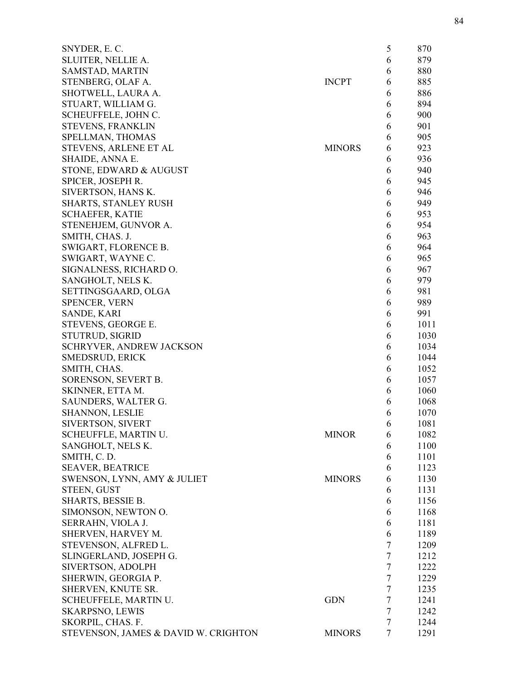| SNYDER, E.C.                         |               | 5      | 870  |
|--------------------------------------|---------------|--------|------|
| SLUITER, NELLIE A.                   |               | 6      | 879  |
| SAMSTAD, MARTIN                      |               | 6      | 880  |
| STENBERG, OLAF A.                    | <b>INCPT</b>  | 6      | 885  |
| SHOTWELL, LAURA A.                   |               | 6      | 886  |
| STUART, WILLIAM G.                   |               | 6      | 894  |
| SCHEUFFELE, JOHN C.                  |               | 6      | 900  |
| <b>STEVENS, FRANKLIN</b>             |               | 6      | 901  |
| SPELLMAN, THOMAS                     |               | 6      | 905  |
| STEVENS, ARLENE ET AL                | <b>MINORS</b> | 6      | 923  |
| SHAIDE, ANNA E.                      |               | 6      | 936  |
| STONE, EDWARD & AUGUST               |               | 6      | 940  |
| SPICER, JOSEPH R.                    |               | 6      | 945  |
| SIVERTSON, HANS K.                   |               | 6      | 946  |
| SHARTS, STANLEY RUSH                 |               | 6      | 949  |
| <b>SCHAEFER, KATIE</b>               |               | 6      | 953  |
| STENEHJEM, GUNVOR A.                 |               | 6      | 954  |
| SMITH, CHAS. J.                      |               | 6      | 963  |
| SWIGART, FLORENCE B.                 |               |        | 964  |
|                                      |               | 6      |      |
| SWIGART, WAYNE C.                    |               | 6      | 965  |
| SIGNALNESS, RICHARD O.               |               | 6      | 967  |
| SANGHOLT, NELS K.                    |               | 6      | 979  |
| SETTINGSGAARD, OLGA                  |               | 6      | 981  |
| <b>SPENCER, VERN</b>                 |               | 6      | 989  |
| SANDE, KARI                          |               | 6      | 991  |
| STEVENS, GEORGE E.                   |               | 6      | 1011 |
| <b>STUTRUD, SIGRID</b>               |               | 6      | 1030 |
| <b>SCHRYVER, ANDREW JACKSON</b>      |               | 6      | 1034 |
| SMEDSRUD, ERICK                      |               | 6      | 1044 |
| SMITH, CHAS.                         |               | 6      | 1052 |
| SORENSON, SEVERT B.                  |               | 6      | 1057 |
| SKINNER, ETTA M.                     |               | 6      | 1060 |
| SAUNDERS, WALTER G.                  |               | 6      | 1068 |
| <b>SHANNON, LESLIE</b>               |               | 6      | 1070 |
| SIVERTSON, SIVERT                    |               | 6      | 1081 |
| SCHEUFFLE, MARTIN U.                 | <b>MINOR</b>  | 6      | 1082 |
| SANGHOLT, NELS K.                    |               | 6      | 1100 |
| SMITH, C.D.                          |               | 6      | 1101 |
| <b>SEAVER, BEATRICE</b>              |               | 6      | 1123 |
| SWENSON, LYNN, AMY & JULIET          | <b>MINORS</b> | 6      | 1130 |
| <b>STEEN, GUST</b>                   |               | 6      | 1131 |
| SHARTS, BESSIE B.                    |               | 6      | 1156 |
| SIMONSON, NEWTON O.                  |               | 6      | 1168 |
| SERRAHN, VIOLA J.                    |               | 6      | 1181 |
| SHERVEN, HARVEY M.                   |               | 6      | 1189 |
| STEVENSON, ALFRED L.                 |               | 7      | 1209 |
| SLINGERLAND, JOSEPH G.               |               | 7      | 1212 |
| SIVERTSON, ADOLPH                    |               | 7      | 1222 |
| SHERWIN, GEORGIA P.                  |               | 7      | 1229 |
| SHERVEN, KNUTE SR.                   |               | $\tau$ | 1235 |
| SCHEUFFELE, MARTIN U.                | <b>GDN</b>    | $\tau$ | 1241 |
| <b>SKARPSNO, LEWIS</b>               |               | $\tau$ | 1242 |
| SKORPIL, CHAS. F.                    |               | 7      | 1244 |
| STEVENSON, JAMES & DAVID W. CRIGHTON | <b>MINORS</b> | 7      | 1291 |
|                                      |               |        |      |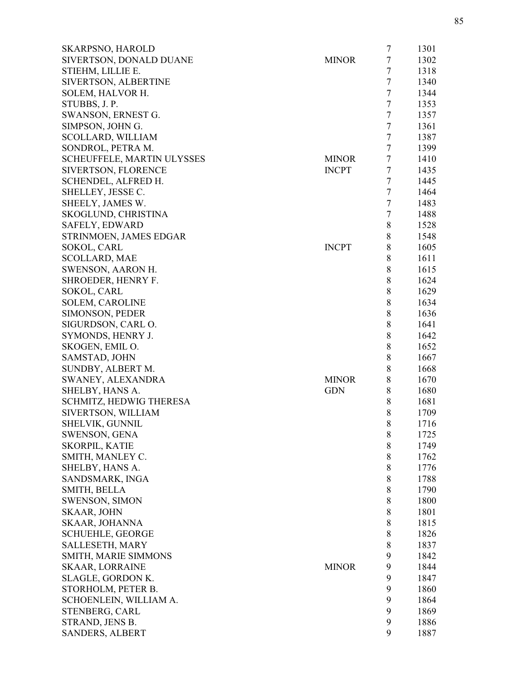| <b>SKARPSNO, HAROLD</b>           |              | 7      | 1301 |
|-----------------------------------|--------------|--------|------|
| SIVERTSON, DONALD DUANE           | <b>MINOR</b> | $\tau$ | 1302 |
| STIEHM, LILLIE E.                 |              | $\tau$ | 1318 |
| SIVERTSON, ALBERTINE              |              | $\tau$ | 1340 |
| SOLEM, HALVOR H.                  |              | $\tau$ | 1344 |
| STUBBS, J. P.                     |              | $\tau$ | 1353 |
| SWANSON, ERNEST G.                |              | $\tau$ | 1357 |
| SIMPSON, JOHN G.                  |              | $\tau$ | 1361 |
| <b>SCOLLARD, WILLIAM</b>          |              | $\tau$ | 1387 |
| SONDROL, PETRA M.                 |              | $\tau$ | 1399 |
| <b>SCHEUFFELE, MARTIN ULYSSES</b> | <b>MINOR</b> | $\tau$ | 1410 |
| SIVERTSON, FLORENCE               | <b>INCPT</b> | $\tau$ | 1435 |
| SCHENDEL, ALFRED H.               |              | $\tau$ | 1445 |
| SHELLEY, JESSE C.                 |              | $\tau$ | 1464 |
| SHEELY, JAMES W.                  |              | $\tau$ | 1483 |
| SKOGLUND, CHRISTINA               |              | $\tau$ | 1488 |
| SAFELY, EDWARD                    |              | 8      | 1528 |
| STRINMOEN, JAMES EDGAR            |              | 8      | 1548 |
| SOKOL, CARL                       | <b>INCPT</b> | $8\,$  | 1605 |
| <b>SCOLLARD, MAE</b>              |              | 8      | 1611 |
| <b>SWENSON, AARON H.</b>          |              | 8      | 1615 |
| SHROEDER, HENRY F.                |              | 8      | 1624 |
| SOKOL, CARL                       |              | 8      | 1629 |
| <b>SOLEM, CAROLINE</b>            |              | 8      | 1634 |
| SIMONSON, PEDER                   |              | 8      | 1636 |
| SIGURDSON, CARL O.                |              | $8\,$  | 1641 |
| SYMONDS, HENRY J.                 |              | 8      | 1642 |
| SKOGEN, EMIL O.                   |              | 8      | 1652 |
| SAMSTAD, JOHN                     |              | 8      | 1667 |
| SUNDBY, ALBERT M.                 |              | 8      | 1668 |
| SWANEY, ALEXANDRA                 | <b>MINOR</b> | 8      | 1670 |
| SHELBY, HANS A.                   | <b>GDN</b>   | 8      | 1680 |
| <b>SCHMITZ, HEDWIG THERESA</b>    |              | 8      | 1681 |
| SIVERTSON, WILLIAM                |              | 8      | 1709 |
| SHELVIK, GUNNIL                   |              | 8      | 1716 |
| SWENSON, GENA                     |              | 8      | 1725 |
| SKORPIL, KATIE                    |              | 8      | 1749 |
| SMITH, MANLEY C.                  |              | 8      | 1762 |
| SHELBY, HANS A.                   |              | 8      | 1776 |
| SANDSMARK, INGA                   |              | 8      | 1788 |
| <b>SMITH, BELLA</b>               |              | $\,8$  | 1790 |
|                                   |              | 8      |      |
| <b>SWENSON, SIMON</b>             |              |        | 1800 |
| <b>SKAAR, JOHN</b>                |              | 8      | 1801 |
| SKAAR, JOHANNA                    |              | 8      | 1815 |
| <b>SCHUEHLE, GEORGE</b>           |              | 8      | 1826 |
| SALLESETH, MARY                   |              | $\,8$  | 1837 |
| SMITH, MARIE SIMMONS              |              | 9      | 1842 |
| <b>SKAAR, LORRAINE</b>            | <b>MINOR</b> | 9      | 1844 |
| SLAGLE, GORDON K.                 |              | 9      | 1847 |
| STORHOLM, PETER B.                |              | 9      | 1860 |
| SCHOENLEIN, WILLIAM A.            |              | 9      | 1864 |
| STENBERG, CARL                    |              | 9      | 1869 |
| STRAND, JENS B.                   |              | 9      | 1886 |
| <b>SANDERS, ALBERT</b>            |              | 9      | 1887 |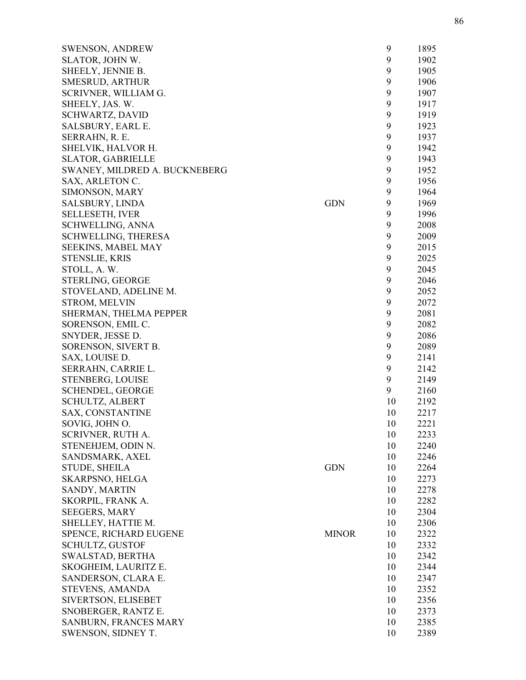| <b>SWENSON, ANDREW</b>        |              | 9  | 1895 |
|-------------------------------|--------------|----|------|
| SLATOR, JOHN W.               |              | 9  | 1902 |
| SHEELY, JENNIE B.             |              | 9  | 1905 |
| SMESRUD, ARTHUR               |              | 9  | 1906 |
| SCRIVNER, WILLIAM G.          |              | 9  | 1907 |
| SHEELY, JAS. W.               |              | 9  | 1917 |
| <b>SCHWARTZ, DAVID</b>        |              | 9  | 1919 |
| SALSBURY, EARL E.             |              | 9  | 1923 |
| SERRAHN, R. E.                |              | 9  | 1937 |
| SHELVIK, HALVOR H.            |              | 9  | 1942 |
| <b>SLATOR, GABRIELLE</b>      |              | 9  | 1943 |
| SWANEY, MILDRED A. BUCKNEBERG |              | 9  | 1952 |
| SAX, ARLETON C.               |              | 9  | 1956 |
| SIMONSON, MARY                |              | 9  | 1964 |
| <b>SALSBURY, LINDA</b>        | <b>GDN</b>   | 9  | 1969 |
| SELLESETH, IVER               |              | 9  | 1996 |
| <b>SCHWELLING, ANNA</b>       |              | 9  | 2008 |
| <b>SCHWELLING, THERESA</b>    |              | 9  | 2009 |
| <b>SEEKINS, MABEL MAY</b>     |              | 9  | 2015 |
| <b>STENSLIE, KRIS</b>         |              | 9  | 2025 |
| STOLL, A.W.                   |              | 9  | 2045 |
| STERLING, GEORGE              |              | 9  | 2046 |
| STOVELAND, ADELINE M.         |              | 9  | 2052 |
| <b>STROM, MELVIN</b>          |              | 9  | 2072 |
| SHERMAN, THELMA PEPPER        |              | 9  | 2081 |
| SORENSON, EMIL C.             |              | 9  | 2082 |
| SNYDER, JESSE D.              |              | 9  | 2086 |
| SORENSON, SIVERT B.           |              | 9  | 2089 |
| SAX, LOUISE D.                |              | 9  | 2141 |
| SERRAHN, CARRIE L.            |              | 9  | 2142 |
| STENBERG, LOUISE              |              | 9  | 2149 |
| <b>SCHENDEL, GEORGE</b>       |              | 9  | 2160 |
| <b>SCHULTZ, ALBERT</b>        |              | 10 | 2192 |
| <b>SAX, CONSTANTINE</b>       |              | 10 | 2217 |
| SOVIG, JOHN O.                |              | 10 | 2221 |
| SCRIVNER, RUTH A.             |              | 10 | 2233 |
| STENEHJEM, ODIN N.            |              | 10 | 2240 |
| SANDSMARK, AXEL               |              | 10 | 2246 |
| <b>STUDE, SHEILA</b>          | <b>GDN</b>   | 10 | 2264 |
| SKARPSNO, HELGA               |              | 10 | 2273 |
| SANDY, MARTIN                 |              | 10 | 2278 |
| SKORPIL, FRANK A.             |              | 10 | 2282 |
| <b>SEEGERS, MARY</b>          |              | 10 | 2304 |
| SHELLEY, HATTIE M.            |              | 10 | 2306 |
| SPENCE, RICHARD EUGENE        | <b>MINOR</b> | 10 | 2322 |
| <b>SCHULTZ, GUSTOF</b>        |              | 10 | 2332 |
| SWALSTAD, BERTHA              |              | 10 | 2342 |
| SKOGHEIM, LAURITZ E.          |              | 10 | 2344 |
| SANDERSON, CLARA E.           |              | 10 | 2347 |
| STEVENS, AMANDA               |              | 10 | 2352 |
| SIVERTSON, ELISEBET           |              | 10 | 2356 |
| SNOBERGER, RANTZ E.           |              | 10 | 2373 |
| SANBURN, FRANCES MARY         |              | 10 | 2385 |
| SWENSON, SIDNEY T.            |              | 10 | 2389 |
|                               |              |    |      |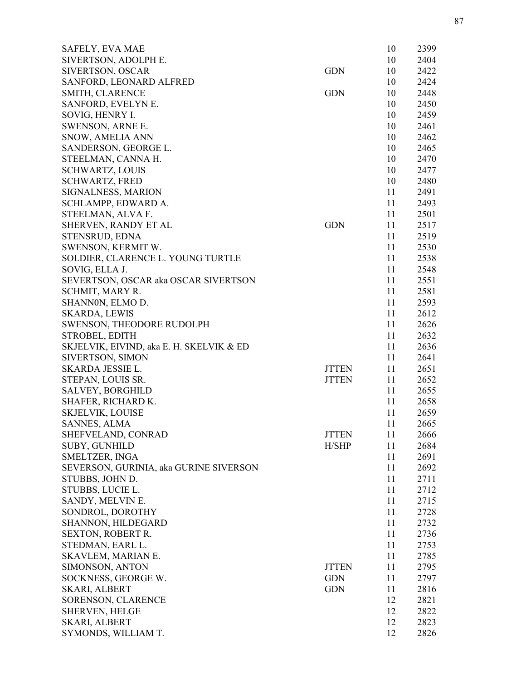| SAFELY, EVA MAE                          |              | 10 | 2399 |
|------------------------------------------|--------------|----|------|
| SIVERTSON, ADOLPH E.                     |              | 10 | 2404 |
| SIVERTSON, OSCAR                         | <b>GDN</b>   | 10 | 2422 |
| SANFORD, LEONARD ALFRED                  |              | 10 | 2424 |
| SMITH, CLARENCE                          | <b>GDN</b>   | 10 | 2448 |
| SANFORD, EVELYN E.                       |              | 10 | 2450 |
| SOVIG, HENRY I.                          |              | 10 | 2459 |
| SWENSON, ARNE E.                         |              | 10 | 2461 |
| SNOW, AMELIA ANN                         |              | 10 | 2462 |
| SANDERSON, GEORGE L.                     |              | 10 | 2465 |
| STEELMAN, CANNA H.                       |              | 10 | 2470 |
| <b>SCHWARTZ, LOUIS</b>                   |              | 10 | 2477 |
| <b>SCHWARTZ, FRED</b>                    |              | 10 | 2480 |
| SIGNALNESS, MARION                       |              | 11 | 2491 |
| SCHLAMPP, EDWARD A.                      |              | 11 | 2493 |
| STEELMAN, ALVA F.                        |              | 11 | 2501 |
| SHERVEN, RANDY ET AL                     | <b>GDN</b>   | 11 | 2517 |
| STENSRUD, EDNA                           |              | 11 | 2519 |
| SWENSON, KERMIT W.                       |              | 11 | 2530 |
| SOLDIER, CLARENCE L. YOUNG TURTLE        |              | 11 | 2538 |
| SOVIG, ELLA J.                           |              | 11 | 2548 |
| SEVERTSON, OSCAR aka OSCAR SIVERTSON     |              | 11 | 2551 |
| SCHMIT, MARY R.                          |              | 11 | 2581 |
| SHANNON, ELMO D.                         |              | 11 | 2593 |
| <b>SKARDA, LEWIS</b>                     |              | 11 | 2612 |
|                                          |              | 11 | 2626 |
| SWENSON, THEODORE RUDOLPH                |              |    |      |
| STROBEL, EDITH                           |              | 11 | 2632 |
| SKJELVIK, EIVIND, aka E. H. SKELVIK & ED |              | 11 | 2636 |
| SIVERTSON, SIMON                         |              | 11 | 2641 |
| SKARDA JESSIE L.                         | <b>JTTEN</b> | 11 | 2651 |
| STEPAN, LOUIS SR.                        | <b>JTTEN</b> | 11 | 2652 |
| <b>SALVEY, BORGHILD</b>                  |              | 11 | 2655 |
| SHAFER, RICHARD K.                       |              | 11 | 2658 |
| <b>SKJELVIK, LOUISE</b>                  |              | 11 | 2659 |
| <b>SANNES, ALMA</b>                      |              | 11 | 2665 |
| SHEFVELAND, CONRAD                       | <b>JTTEN</b> | 11 | 2666 |
| <b>SUBY, GUNHILD</b>                     | H/SHP        | 11 | 2684 |
| SMELTZER, INGA                           |              | 11 | 2691 |
| SEVERSON, GURINIA, aka GURINE SIVERSON   |              | 11 | 2692 |
| STUBBS, JOHN D.                          |              | 11 | 2711 |
| STUBBS, LUCIE L.                         |              | 11 | 2712 |
| SANDY, MELVIN E.                         |              | 11 | 2715 |
| SONDROL, DOROTHY                         |              | 11 | 2728 |
| SHANNON, HILDEGARD                       |              | 11 | 2732 |
| <b>SEXTON, ROBERT R.</b>                 |              | 11 | 2736 |
| STEDMAN, EARL L.                         |              | 11 | 2753 |
| SKAVLEM, MARIAN E.                       |              | 11 | 2785 |
| SIMONSON, ANTON                          | <b>JTTEN</b> | 11 | 2795 |
| SOCKNESS, GEORGE W.                      | <b>GDN</b>   | 11 | 2797 |
| <b>SKARI, ALBERT</b>                     | <b>GDN</b>   | 11 | 2816 |
| SORENSON, CLARENCE                       |              | 12 | 2821 |
| SHERVEN, HELGE                           |              | 12 | 2822 |
| SKARI, ALBERT                            |              | 12 | 2823 |
| SYMONDS, WILLIAM T.                      |              | 12 | 2826 |
|                                          |              |    |      |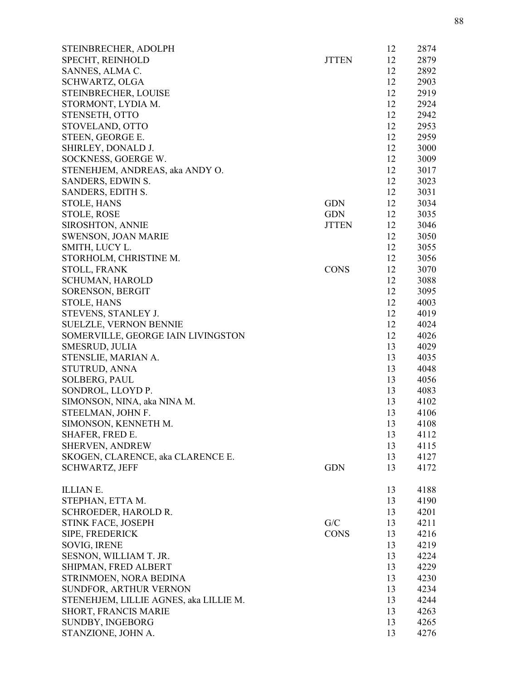| STEINBRECHER, ADOLPH                   |              | 12 | 2874 |
|----------------------------------------|--------------|----|------|
| SPECHT, REINHOLD                       | <b>JTTEN</b> | 12 | 2879 |
| SANNES, ALMA C.                        |              | 12 | 2892 |
| SCHWARTZ, OLGA                         |              | 12 | 2903 |
| STEINBRECHER, LOUISE                   |              | 12 | 2919 |
| STORMONT, LYDIA M.                     |              | 12 | 2924 |
| STENSETH, OTTO                         |              | 12 | 2942 |
| STOVELAND, OTTO                        |              | 12 | 2953 |
| STEEN, GEORGE E.                       |              | 12 | 2959 |
| SHIRLEY, DONALD J.                     |              | 12 | 3000 |
| SOCKNESS, GOERGE W.                    |              | 12 | 3009 |
| STENEHJEM, ANDREAS, aka ANDY O.        |              | 12 | 3017 |
| SANDERS, EDWIN S.                      |              | 12 | 3023 |
| SANDERS, EDITH S.                      |              | 12 | 3031 |
| <b>STOLE, HANS</b>                     | <b>GDN</b>   | 12 | 3034 |
| STOLE, ROSE                            | <b>GDN</b>   | 12 | 3035 |
| <b>SIROSHTON, ANNIE</b>                | <b>JTTEN</b> | 12 | 3046 |
| SWENSON, JOAN MARIE                    |              | 12 | 3050 |
| SMITH, LUCY L.                         |              | 12 | 3055 |
| STORHOLM, CHRISTINE M.                 |              | 12 | 3056 |
| STOLL, FRANK                           | <b>CONS</b>  | 12 | 3070 |
| <b>SCHUMAN, HAROLD</b>                 |              | 12 | 3088 |
| SORENSON, BERGIT                       |              | 12 | 3095 |
| <b>STOLE, HANS</b>                     |              | 12 | 4003 |
| STEVENS, STANLEY J.                    |              | 12 | 4019 |
| <b>SUELZLE, VERNON BENNIE</b>          |              | 12 | 4024 |
| SOMERVILLE, GEORGE IAIN LIVINGSTON     |              | 12 | 4026 |
| SMESRUD, JULIA                         |              | 13 | 4029 |
| STENSLIE, MARIAN A.                    |              | 13 | 4035 |
| STUTRUD, ANNA                          |              | 13 | 4048 |
| SOLBERG, PAUL                          |              | 13 | 4056 |
| SONDROL, LLOYD P.                      |              | 13 | 4083 |
| SIMONSON, NINA, aka NINA M.            |              | 13 | 4102 |
| STEELMAN, JOHN F.                      |              | 13 | 4106 |
| SIMONSON, KENNETH M.                   |              | 13 | 4108 |
| SHAFER, FRED E.                        |              | 13 | 4112 |
| SHERVEN, ANDREW                        |              | 13 | 4115 |
| SKOGEN, CLARENCE, aka CLARENCE E.      |              | 13 | 4127 |
| <b>SCHWARTZ, JEFF</b>                  | <b>GDN</b>   | 13 | 4172 |
|                                        |              |    |      |
| ILLIAN E.                              |              | 13 | 4188 |
| STEPHAN, ETTA M.                       |              | 13 | 4190 |
| SCHROEDER, HAROLD R.                   |              | 13 | 4201 |
| STINK FACE, JOSEPH                     | G/C          | 13 | 4211 |
| SIPE, FREDERICK                        | <b>CONS</b>  | 13 | 4216 |
| SOVIG, IRENE                           |              | 13 | 4219 |
| SESNON, WILLIAM T. JR.                 |              | 13 | 4224 |
| SHIPMAN, FRED ALBERT                   |              | 13 | 4229 |
| STRINMOEN, NORA BEDINA                 |              | 13 | 4230 |
| SUNDFOR, ARTHUR VERNON                 |              | 13 | 4234 |
| STENEHJEM, LILLIE AGNES, aka LILLIE M. |              | 13 | 4244 |
| SHORT, FRANCIS MARIE                   |              | 13 | 4263 |
| SUNDBY, INGEBORG                       |              | 13 | 4265 |
| STANZIONE, JOHN A.                     |              | 13 | 4276 |
|                                        |              |    |      |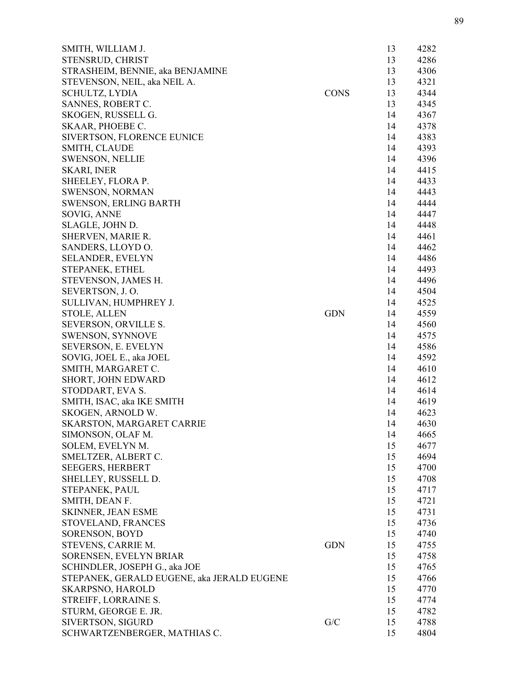| SMITH, WILLIAM J.                          |             | 13 | 4282 |
|--------------------------------------------|-------------|----|------|
| STENSRUD, CHRIST                           |             | 13 | 4286 |
| STRASHEIM, BENNIE, aka BENJAMINE           |             | 13 | 4306 |
| STEVENSON, NEIL, aka NEIL A.               |             | 13 | 4321 |
| <b>SCHULTZ, LYDIA</b>                      | <b>CONS</b> | 13 | 4344 |
| SANNES, ROBERT C.                          |             | 13 | 4345 |
| SKOGEN, RUSSELL G.                         |             | 14 | 4367 |
| SKAAR, PHOEBE C.                           |             | 14 | 4378 |
| SIVERTSON, FLORENCE EUNICE                 |             | 14 | 4383 |
| SMITH, CLAUDE                              |             | 14 | 4393 |
| <b>SWENSON, NELLIE</b>                     |             | 14 | 4396 |
| <b>SKARI, INER</b>                         |             | 14 | 4415 |
| SHEELEY, FLORA P.                          |             | 14 | 4433 |
| <b>SWENSON, NORMAN</b>                     |             | 14 | 4443 |
| <b>SWENSON, ERLING BARTH</b>               |             | 14 | 4444 |
| SOVIG, ANNE                                |             | 14 | 4447 |
| SLAGLE, JOHN D.                            |             | 14 | 4448 |
| SHERVEN, MARIE R.                          |             | 14 | 4461 |
| SANDERS, LLOYD O.                          |             | 14 | 4462 |
| <b>SELANDER, EVELYN</b>                    |             | 14 | 4486 |
| STEPANEK, ETHEL                            |             | 14 | 4493 |
| STEVENSON, JAMES H.                        |             | 14 | 4496 |
| SEVERTSON, J.O.                            |             | 14 | 4504 |
| SULLIVAN, HUMPHREY J.                      |             | 14 | 4525 |
| <b>STOLE, ALLEN</b>                        | <b>GDN</b>  | 14 | 4559 |
| SEVERSON, ORVILLE S.                       |             | 14 | 4560 |
| <b>SWENSON, SYNNOVE</b>                    |             | 14 | 4575 |
| SEVERSON, E. EVELYN                        |             | 14 | 4586 |
| SOVIG, JOEL E., aka JOEL                   |             | 14 | 4592 |
| SMITH, MARGARET C.                         |             | 14 | 4610 |
| SHORT, JOHN EDWARD                         |             | 14 | 4612 |
| STODDART, EVA S.                           |             | 14 | 4614 |
| SMITH, ISAC, aka IKE SMITH                 |             | 14 | 4619 |
| SKOGEN, ARNOLD W.                          |             | 14 | 4623 |
| SKARSTON, MARGARET CARRIE                  |             | 14 | 4630 |
| SIMONSON, OLAF M.                          |             | 14 | 4665 |
| SOLEM, EVELYN M.                           |             | 15 | 4677 |
| SMELTZER, ALBERT C.                        |             | 15 | 4694 |
| <b>SEEGERS, HERBERT</b>                    |             | 15 | 4700 |
| SHELLEY, RUSSELL D.                        |             | 15 | 4708 |
| STEPANEK, PAUL                             |             | 15 | 4717 |
| SMITH, DEAN F.                             |             | 15 | 4721 |
| <b>SKINNER, JEAN ESME</b>                  |             | 15 | 4731 |
| STOVELAND, FRANCES                         |             | 15 | 4736 |
| SORENSON, BOYD                             |             | 15 | 4740 |
| STEVENS, CARRIE M.                         | <b>GDN</b>  | 15 | 4755 |
| SORENSEN, EVELYN BRIAR                     |             | 15 | 4758 |
| SCHINDLER, JOSEPH G., aka JOE              |             | 15 | 4765 |
| STEPANEK, GERALD EUGENE, aka JERALD EUGENE |             | 15 | 4766 |
| <b>SKARPSNO, HAROLD</b>                    |             | 15 | 4770 |
| STREIFF, LORRAINE S.                       |             | 15 | 4774 |
| STURM, GEORGE E. JR.                       |             | 15 | 4782 |
| SIVERTSON, SIGURD                          | G/C         | 15 | 4788 |
| SCHWARTZENBERGER, MATHIAS C.               |             | 15 | 4804 |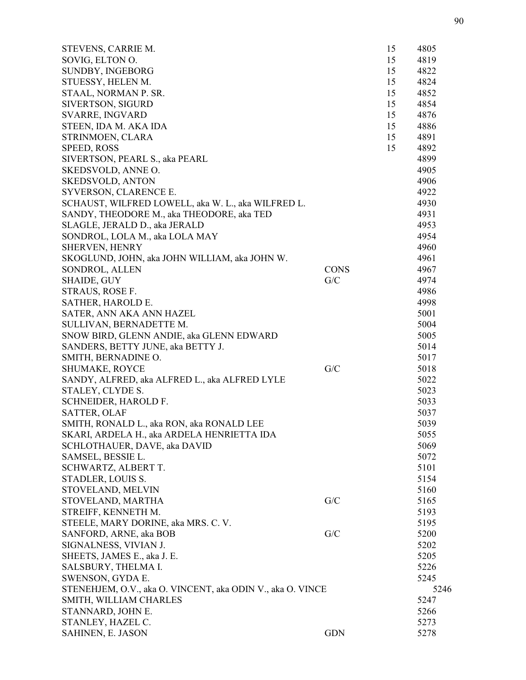| STEVENS, CARRIE M.                                         |             | 15 | 4805 |
|------------------------------------------------------------|-------------|----|------|
| SOVIG, ELTON O.                                            |             | 15 | 4819 |
| <b>SUNDBY, INGEBORG</b>                                    |             | 15 | 4822 |
| STUESSY, HELEN M.                                          |             | 15 | 4824 |
| STAAL, NORMAN P. SR.                                       |             | 15 | 4852 |
| <b>SIVERTSON, SIGURD</b>                                   |             | 15 | 4854 |
| <b>SVARRE, INGVARD</b>                                     |             | 15 | 4876 |
| STEEN, IDA M. AKA IDA                                      |             | 15 | 4886 |
| STRINMOEN, CLARA                                           |             | 15 | 4891 |
| SPEED, ROSS                                                |             | 15 | 4892 |
| SIVERTSON, PEARL S., aka PEARL                             |             |    | 4899 |
| SKEDSVOLD, ANNE O.                                         |             |    | 4905 |
| <b>SKEDSVOLD, ANTON</b>                                    |             |    | 4906 |
| SYVERSON, CLARENCE E.                                      |             |    | 4922 |
| SCHAUST, WILFRED LOWELL, aka W. L., aka WILFRED L.         |             |    | 4930 |
| SANDY, THEODORE M., aka THEODORE, aka TED                  |             |    | 4931 |
| SLAGLE, JERALD D., aka JERALD                              |             |    | 4953 |
| SONDROL, LOLA M., aka LOLA MAY                             |             |    | 4954 |
| <b>SHERVEN, HENRY</b>                                      |             |    | 4960 |
|                                                            |             |    |      |
| SKOGLUND, JOHN, aka JOHN WILLIAM, aka JOHN W.              |             |    | 4961 |
| SONDROL, ALLEN                                             | <b>CONS</b> |    | 4967 |
| <b>SHAIDE, GUY</b>                                         | G/C         |    | 4974 |
| STRAUS, ROSE F.                                            |             |    | 4986 |
| SATHER, HAROLD E.                                          |             |    | 4998 |
| SATER, ANN AKA ANN HAZEL                                   |             |    | 5001 |
| SULLIVAN, BERNADETTE M.                                    |             |    | 5004 |
| SNOW BIRD, GLENN ANDIE, aka GLENN EDWARD                   |             |    | 5005 |
| SANDERS, BETTY JUNE, aka BETTY J.                          |             |    | 5014 |
| SMITH, BERNADINE O.                                        |             |    | 5017 |
| SHUMAKE, ROYCE                                             | G/C         |    | 5018 |
| SANDY, ALFRED, aka ALFRED L., aka ALFRED LYLE              |             |    | 5022 |
| STALEY, CLYDE S.                                           |             |    | 5023 |
| SCHNEIDER, HAROLD F.                                       |             |    | 5033 |
| <b>SATTER, OLAF</b>                                        |             |    | 5037 |
| SMITH, RONALD L., aka RON, aka RONALD LEE                  |             |    | 5039 |
| SKARI, ARDELA H., aka ARDELA HENRIETTA IDA                 |             |    | 5055 |
| SCHLOTHAUER, DAVE, aka DAVID                               |             |    | 5069 |
| SAMSEL, BESSIE L.                                          |             |    | 5072 |
| SCHWARTZ, ALBERT T.                                        |             |    | 5101 |
| STADLER, LOUIS S.                                          |             |    | 5154 |
| STOVELAND, MELVIN                                          |             |    | 5160 |
| STOVELAND, MARTHA                                          | G/C         |    | 5165 |
| STREIFF, KENNETH M.                                        |             |    | 5193 |
| STEELE, MARY DORINE, aka MRS. C. V.                        |             |    | 5195 |
| SANFORD, ARNE, aka BOB                                     | G/C         |    | 5200 |
| SIGNALNESS, VIVIAN J.                                      |             |    | 5202 |
| SHEETS, JAMES E., aka J. E.                                |             |    | 5205 |
| SALSBURY, THELMA I.                                        |             |    | 5226 |
| SWENSON, GYDA E.                                           |             |    | 5245 |
| STENEHJEM, O.V., aka O. VINCENT, aka ODIN V., aka O. VINCE |             |    | 5246 |
| SMITH, WILLIAM CHARLES                                     |             |    | 5247 |
| STANNARD, JOHN E.                                          |             |    | 5266 |
| STANLEY, HAZEL C.                                          |             |    | 5273 |
| SAHINEN, E. JASON                                          | <b>GDN</b>  |    | 5278 |
|                                                            |             |    |      |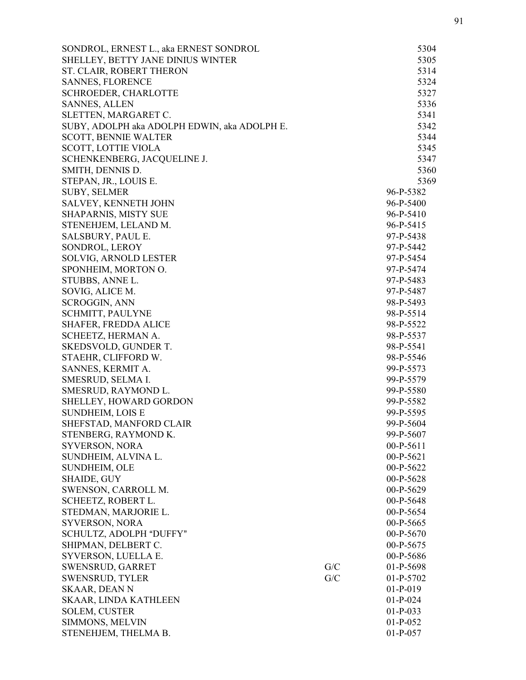| SONDROL, ERNEST L., aka ERNEST SONDROL       |     | 5304        |
|----------------------------------------------|-----|-------------|
| SHELLEY, BETTY JANE DINIUS WINTER            |     | 5305        |
| ST. CLAIR, ROBERT THERON                     |     | 5314        |
| <b>SANNES, FLORENCE</b>                      |     | 5324        |
| <b>SCHROEDER, CHARLOTTE</b>                  |     | 5327        |
| <b>SANNES, ALLEN</b>                         |     | 5336        |
| SLETTEN, MARGARET C.                         |     | 5341        |
| SUBY, ADOLPH aka ADOLPH EDWIN, aka ADOLPH E. |     | 5342        |
| <b>SCOTT, BENNIE WALTER</b>                  |     | 5344        |
| <b>SCOTT, LOTTIE VIOLA</b>                   |     | 5345        |
| SCHENKENBERG, JACQUELINE J.                  |     | 5347        |
| SMITH, DENNIS D.                             |     | 5360        |
| STEPAN, JR., LOUIS E.                        |     | 5369        |
| <b>SUBY, SELMER</b>                          |     | 96-P-5382   |
| SALVEY, KENNETH JOHN                         |     | 96-P-5400   |
| SHAPARNIS, MISTY SUE                         |     | 96-P-5410   |
| STENEHJEM, LELAND M.                         |     | 96-P-5415   |
| SALSBURY, PAUL E.                            |     | 97-P-5438   |
| SONDROL, LEROY                               |     | 97-P-5442   |
| SOLVIG, ARNOLD LESTER                        |     | 97-P-5454   |
| SPONHEIM, MORTON O.                          |     | 97-P-5474   |
| STUBBS, ANNE L.                              |     | 97-P-5483   |
| SOVIG, ALICE M.                              |     | 97-P-5487   |
| <b>SCROGGIN, ANN</b>                         |     | 98-P-5493   |
| <b>SCHMITT, PAULYNE</b>                      |     | 98-P-5514   |
| <b>SHAFER, FREDDA ALICE</b>                  |     | 98-P-5522   |
| SCHEETZ, HERMAN A.                           |     | 98-P-5537   |
| SKEDSVOLD, GUNDER T.                         |     | 98-P-5541   |
| STAEHR, CLIFFORD W.                          |     | 98-P-5546   |
| SANNES, KERMIT A.                            |     | 99-P-5573   |
| SMESRUD, SELMA I.                            |     | 99-P-5579   |
| SMESRUD, RAYMOND L.                          |     | 99-P-5580   |
| SHELLEY, HOWARD GORDON                       |     | 99-P-5582   |
| <b>SUNDHEIM, LOIS E</b>                      |     | 99-P-5595   |
| SHEFSTAD, MANFORD CLAIR                      |     | 99-P-5604   |
| STENBERG, RAYMOND K.                         |     | 99-P-5607   |
| SYVERSON, NORA                               |     | 00-P-5611   |
| SUNDHEIM, ALVINA L.                          |     | $00-P-5621$ |
| SUNDHEIM, OLE                                |     | 00-P-5622   |
| <b>SHAIDE, GUY</b>                           |     | 00-P-5628   |
| SWENSON, CARROLL M.                          |     | $00-P-5629$ |
| SCHEETZ, ROBERT L.                           |     | 00-P-5648   |
| STEDMAN, MARJORIE L.                         |     | 00-P-5654   |
| SYVERSON, NORA                               |     | $00-P-5665$ |
| SCHULTZ, ADOLPH "DUFFY"                      |     | $00-P-5670$ |
| SHIPMAN, DELBERT C.                          |     | 00-P-5675   |
| SYVERSON, LUELLA E.                          |     | 00-P-5686   |
| SWENSRUD, GARRET                             | G/C | 01-P-5698   |
| <b>SWENSRUD, TYLER</b>                       | G/C | $01-P-5702$ |
| <b>SKAAR, DEAN N</b>                         |     | $01-P-019$  |
| SKAAR, LINDA KATHLEEN                        |     | $01-P-024$  |
| <b>SOLEM, CUSTER</b>                         |     | $01-P-033$  |
| SIMMONS, MELVIN                              |     | $01-P-052$  |
| STENEHJEM, THELMA B.                         |     | $01-P-057$  |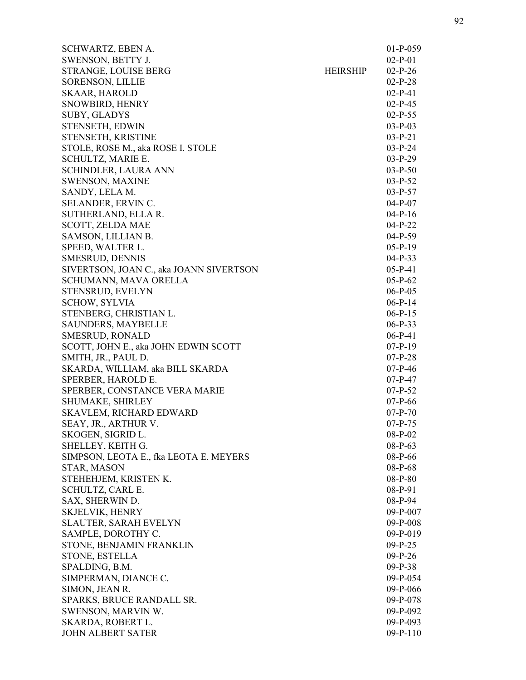| SCHWARTZ, EBEN A.                       |                 | $01-P-059$ |
|-----------------------------------------|-----------------|------------|
| SWENSON, BETTY J.                       |                 | $02-P-01$  |
| STRANGE, LOUISE BERG                    | <b>HEIRSHIP</b> | $02-P-26$  |
| <b>SORENSON, LILLIE</b>                 |                 | $02-P-28$  |
| <b>SKAAR, HAROLD</b>                    |                 | $02-P-41$  |
| SNOWBIRD, HENRY                         |                 | $02-P-45$  |
| SUBY, GLADYS                            |                 | $02-P-55$  |
| STENSETH, EDWIN                         |                 | $03-P-03$  |
| STENSETH, KRISTINE                      |                 | $03-P-21$  |
| STOLE, ROSE M., aka ROSE I. STOLE       |                 | $03-P-24$  |
| SCHULTZ, MARIE E.                       |                 | $03-P-29$  |
| SCHINDLER, LAURA ANN                    |                 | $03-P-50$  |
| <b>SWENSON, MAXINE</b>                  |                 | $03-P-52$  |
| SANDY, LELA M.                          |                 | $03-P-57$  |
| SELANDER, ERVIN C.                      |                 | $04-P-07$  |
| SUTHERLAND, ELLA R.                     |                 | $04-P-16$  |
| SCOTT, ZELDA MAE                        |                 | $04-P-22$  |
| SAMSON, LILLIAN B.                      |                 | $04-P-59$  |
| SPEED, WALTER L.                        |                 | $05-P-19$  |
| SMESRUD, DENNIS                         |                 | $04-P-33$  |
| SIVERTSON, JOAN C., aka JOANN SIVERTSON |                 | $05-P-41$  |
| SCHUMANN, MAVA ORELLA                   |                 | $05-P-62$  |
| STENSRUD, EVELYN                        |                 | $06-P-05$  |
| <b>SCHOW, SYLVIA</b>                    |                 | $06-P-14$  |
| STENBERG, CHRISTIAN L.                  |                 | $06-P-15$  |
| <b>SAUNDERS, MAYBELLE</b>               |                 | $06-P-33$  |
| <b>SMESRUD, RONALD</b>                  |                 | $06-P-41$  |
| SCOTT, JOHN E., aka JOHN EDWIN SCOTT    |                 | $07-P-19$  |
| SMITH, JR., PAUL D.                     |                 | $07-P-28$  |
| SKARDA, WILLIAM, aka BILL SKARDA        |                 | $07-P-46$  |
|                                         |                 |            |
| SPERBER, HAROLD E.                      |                 | $07-P-47$  |
| SPERBER, CONSTANCE VERA MARIE           |                 | $07-P-52$  |
| SHUMAKE, SHIRLEY                        |                 | $07-P-66$  |
| <b>SKAVLEM, RICHARD EDWARD</b>          |                 | $07-P-70$  |
| SEAY, JR., ARTHUR V.                    |                 | $07-P-75$  |
| SKOGEN, SIGRID L.                       |                 | $08-P-02$  |
| SHELLEY, KEITH G.                       |                 | $08-P-63$  |
| SIMPSON, LEOTA E., fka LEOTA E. MEYERS  |                 | 08-P-66    |
| STAR, MASON                             |                 | $08-P-68$  |
| STEHEHJEM, KRISTEN K.                   |                 | 08-P-80    |
| SCHULTZ, CARL E.                        |                 | 08-P-91    |
| SAX, SHERWIN D.                         |                 | 08-P-94    |
| <b>SKJELVIK, HENRY</b>                  |                 | $09-P-007$ |
| SLAUTER, SARAH EVELYN                   |                 | $09-P-008$ |
| SAMPLE, DOROTHY C.                      |                 | $09-P-019$ |
| STONE, BENJAMIN FRANKLIN                |                 | $09-P-25$  |
| STONE, ESTELLA                          |                 | $09-P-26$  |
| SPALDING, B.M.                          |                 | $09-P-38$  |
| SIMPERMAN, DIANCE C.                    |                 | 09-P-054   |
| SIMON, JEAN R.                          |                 | 09-P-066   |
| SPARKS, BRUCE RANDALL SR.               |                 | $09-P-078$ |
| SWENSON, MARVIN W.                      |                 | $09-P-092$ |
| SKARDA, ROBERT L.                       |                 | $09-P-093$ |
| <b>JOHN ALBERT SATER</b>                |                 | $09-P-110$ |
|                                         |                 |            |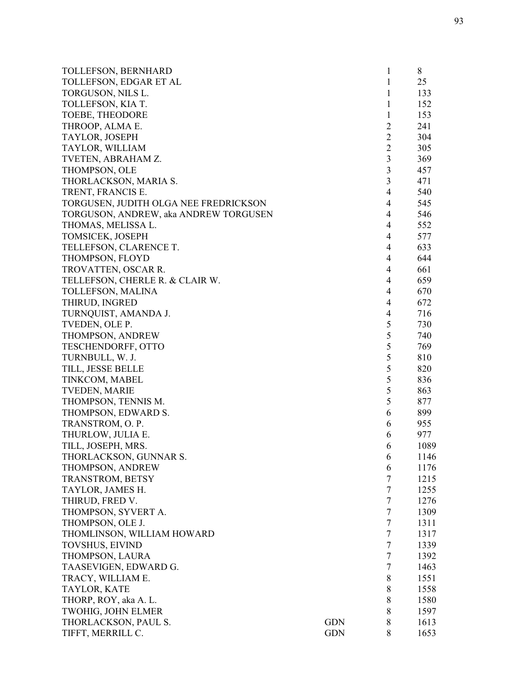| TOLLEFSON, BERNHARD                   |            | 1              | 8    |
|---------------------------------------|------------|----------------|------|
| TOLLEFSON, EDGAR ET AL                |            | 1              | 25   |
| TORGUSON, NILS L.                     |            | 1              | 133  |
| TOLLEFSON, KIA T.                     |            | 1              | 152  |
| TOEBE, THEODORE                       |            | 1              | 153  |
| THROOP, ALMA E.                       |            | $\overline{2}$ | 241  |
| TAYLOR, JOSEPH                        |            | $\overline{2}$ | 304  |
| TAYLOR, WILLIAM                       |            | $\mathbf{2}$   | 305  |
| TVETEN, ABRAHAM Z.                    |            | $\mathfrak{Z}$ | 369  |
| THOMPSON, OLE                         |            | 3              | 457  |
| THORLACKSON, MARIA S.                 |            | 3              | 471  |
| TRENT, FRANCIS E.                     |            | $\overline{4}$ | 540  |
| TORGUSEN, JUDITH OLGA NEE FREDRICKSON |            | 4              | 545  |
| TORGUSON, ANDREW, aka ANDREW TORGUSEN |            | $\overline{4}$ | 546  |
| THOMAS, MELISSA L.                    |            | $\overline{4}$ | 552  |
| TOMSICEK, JOSEPH                      |            | $\overline{4}$ | 577  |
| TELLEFSON, CLARENCE T.                |            | 4              | 633  |
| THOMPSON, FLOYD                       |            | $\overline{4}$ | 644  |
| TROVATTEN, OSCAR R.                   |            | $\overline{4}$ | 661  |
| TELLEFSON, CHERLE R. & CLAIR W.       |            | $\overline{4}$ | 659  |
| TOLLEFSON, MALINA                     |            | $\overline{4}$ | 670  |
| THIRUD, INGRED                        |            | $\overline{4}$ | 672  |
| TURNQUIST, AMANDA J.                  |            | $\overline{4}$ | 716  |
| TVEDEN, OLE P.                        |            | 5              | 730  |
| THOMPSON, ANDREW                      |            | $\mathfrak s$  | 740  |
| TESCHENDORFF, OTTO                    |            | 5              | 769  |
| TURNBULL, W. J.                       |            | 5              | 810  |
| TILL, JESSE BELLE                     |            | 5              | 820  |
| TINKCOM, MABEL                        |            | 5              | 836  |
| <b>TVEDEN, MARIE</b>                  |            | 5              | 863  |
| THOMPSON, TENNIS M.                   |            | 5              | 877  |
| THOMPSON, EDWARD S.                   |            | 6              | 899  |
| TRANSTROM, O. P.                      |            | 6              | 955  |
| THURLOW, JULIA E.                     |            | 6              | 977  |
| TILL, JOSEPH, MRS.                    |            | 6              | 1089 |
| THORLACKSON, GUNNAR S.                |            | 6              | 1146 |
| THOMPSON, ANDREW                      |            | 6              | 1176 |
| TRANSTROM, BETSY                      |            | 7              | 1215 |
| TAYLOR, JAMES H.                      |            | $\overline{7}$ | 1255 |
| THIRUD, FRED V.                       |            | $\overline{7}$ | 1276 |
| THOMPSON, SYVERT A.                   |            | $\tau$         | 1309 |
| THOMPSON, OLE J.                      |            | $\tau$         | 1311 |
| THOMLINSON, WILLIAM HOWARD            |            | $\tau$         | 1317 |
| <b>TOVSHUS, EIVIND</b>                |            | $\overline{7}$ | 1339 |
| THOMPSON, LAURA                       |            | $\overline{7}$ | 1392 |
| TAASEVIGEN, EDWARD G.                 |            | $\overline{7}$ | 1463 |
| TRACY, WILLIAM E.                     |            | 8              | 1551 |
| TAYLOR, KATE                          |            | 8              | 1558 |
| THORP, ROY, aka A. L.                 |            | 8              | 1580 |
| TWOHIG, JOHN ELMER                    |            | 8              | 1597 |
| THORLACKSON, PAUL S.                  | <b>GDN</b> | 8              | 1613 |
| TIFFT, MERRILL C.                     | <b>GDN</b> | 8              | 1653 |
|                                       |            |                |      |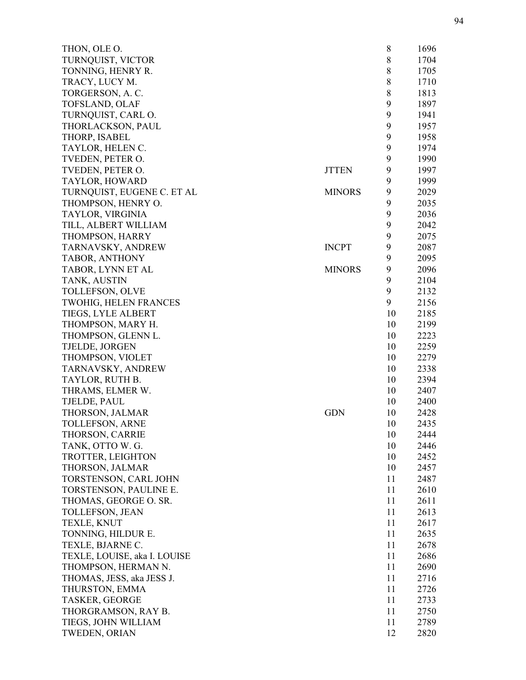| THON, OLE O.                         |               | 8  | 1696 |
|--------------------------------------|---------------|----|------|
| TURNQUIST, VICTOR                    |               | 8  | 1704 |
| TONNING, HENRY R.                    |               | 8  | 1705 |
| TRACY, LUCY M.                       |               | 8  | 1710 |
| TORGERSON, A. C.                     |               | 8  | 1813 |
| <b>TOFSLAND, OLAF</b>                |               | 9  | 1897 |
| TURNQUIST, CARL O.                   |               | 9  | 1941 |
| THORLACKSON, PAUL                    |               | 9  | 1957 |
| THORP, ISABEL                        |               | 9  | 1958 |
| TAYLOR, HELEN C.                     |               | 9  | 1974 |
| TVEDEN, PETER O.                     |               | 9  | 1990 |
| TVEDEN, PETER O.                     | <b>JTTEN</b>  | 9  | 1997 |
| TAYLOR, HOWARD                       |               | 9  | 1999 |
| TURNQUIST, EUGENE C. ET AL           | <b>MINORS</b> | 9  | 2029 |
| THOMPSON, HENRY O.                   |               | 9  | 2035 |
| TAYLOR, VIRGINIA                     |               | 9  | 2036 |
| TILL, ALBERT WILLIAM                 |               | 9  | 2042 |
| THOMPSON, HARRY                      |               | 9  | 2075 |
| TARNAVSKY, ANDREW                    | <b>INCPT</b>  | 9  | 2087 |
| TABOR, ANTHONY                       |               | 9  | 2095 |
| TABOR, LYNN ET AL                    | <b>MINORS</b> | 9  | 2096 |
| TANK, AUSTIN                         |               | 9  | 2104 |
| <b>TOLLEFSON, OLVE</b>               |               | 9  | 2132 |
| <b>TWOHIG, HELEN FRANCES</b>         |               | 9  | 2156 |
| TIEGS, LYLE ALBERT                   |               | 10 | 2185 |
| THOMPSON, MARY H.                    |               | 10 | 2199 |
| THOMPSON, GLENN L.                   |               | 10 | 2223 |
| TJELDE, JORGEN                       |               | 10 | 2259 |
| THOMPSON, VIOLET                     |               | 10 | 2279 |
|                                      |               | 10 | 2338 |
| TARNAVSKY, ANDREW<br>TAYLOR, RUTH B. |               | 10 | 2394 |
|                                      |               | 10 | 2407 |
| THRAMS, ELMER W.                     |               | 10 | 2400 |
| TJELDE, PAUL                         |               |    |      |
| THORSON, JALMAR                      | <b>GDN</b>    | 10 | 2428 |
| <b>TOLLEFSON, ARNE</b>               |               | 10 | 2435 |
| THORSON, CARRIE                      |               | 10 | 2444 |
| TANK, OTTO W. G.                     |               | 10 | 2446 |
| TROTTER, LEIGHTON                    |               | 10 | 2452 |
| THORSON, JALMAR                      |               | 10 | 2457 |
| TORSTENSON, CARL JOHN                |               | 11 | 2487 |
| TORSTENSON, PAULINE E.               |               | 11 | 2610 |
| THOMAS, GEORGE O. SR.                |               | 11 | 2611 |
| TOLLEFSON, JEAN                      |               | 11 | 2613 |
| TEXLE, KNUT                          |               | 11 | 2617 |
| TONNING, HILDUR E.                   |               | 11 | 2635 |
| TEXLE, BJARNE C.                     |               | 11 | 2678 |
| TEXLE, LOUISE, aka I. LOUISE         |               | 11 | 2686 |
| THOMPSON, HERMAN N.                  |               | 11 | 2690 |
| THOMAS, JESS, aka JESS J.            |               | 11 | 2716 |
| THURSTON, EMMA                       |               | 11 | 2726 |
| <b>TASKER, GEORGE</b>                |               | 11 | 2733 |
| THORGRAMSON, RAY B.                  |               | 11 | 2750 |
| TIEGS, JOHN WILLIAM                  |               | 11 | 2789 |
| <b>TWEDEN, ORIAN</b>                 |               | 12 | 2820 |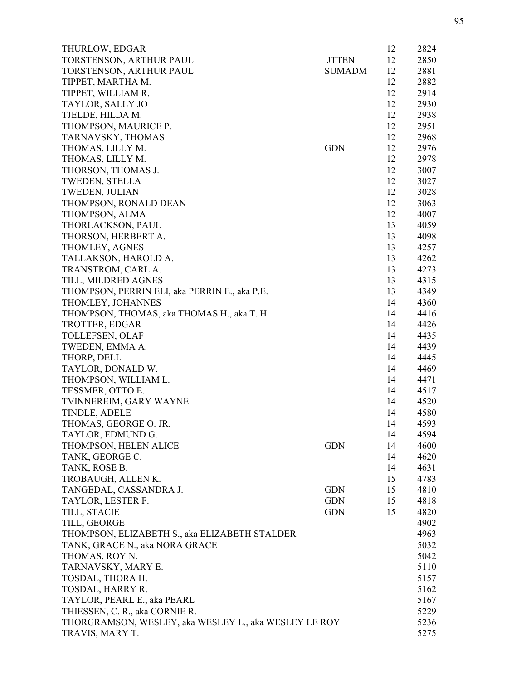| THURLOW, EDGAR                                        |               | 12 | 2824 |
|-------------------------------------------------------|---------------|----|------|
| TORSTENSON, ARTHUR PAUL                               | <b>JTTEN</b>  | 12 | 2850 |
| TORSTENSON, ARTHUR PAUL                               | <b>SUMADM</b> | 12 | 2881 |
| TIPPET, MARTHA M.                                     |               | 12 | 2882 |
| TIPPET, WILLIAM R.                                    |               | 12 | 2914 |
| TAYLOR, SALLY JO                                      |               | 12 | 2930 |
| TJELDE, HILDA M.                                      |               | 12 | 2938 |
| THOMPSON, MAURICE P.                                  |               | 12 | 2951 |
| TARNAVSKY, THOMAS                                     |               | 12 | 2968 |
| THOMAS, LILLY M.                                      | <b>GDN</b>    | 12 | 2976 |
| THOMAS, LILLY M.                                      |               | 12 | 2978 |
| THORSON, THOMAS J.                                    |               | 12 | 3007 |
| <b>TWEDEN, STELLA</b>                                 |               | 12 | 3027 |
| TWEDEN, JULIAN                                        |               | 12 | 3028 |
| THOMPSON, RONALD DEAN                                 |               | 12 | 3063 |
| THOMPSON, ALMA                                        |               | 12 | 4007 |
| THORLACKSON, PAUL                                     |               | 13 | 4059 |
| THORSON, HERBERT A.                                   |               | 13 | 4098 |
| THOMLEY, AGNES                                        |               | 13 | 4257 |
| TALLAKSON, HAROLD A.                                  |               | 13 | 4262 |
| TRANSTROM, CARL A.                                    |               | 13 | 4273 |
| TILL, MILDRED AGNES                                   |               | 13 | 4315 |
| THOMPSON, PERRIN ELI, aka PERRIN E., aka P.E.         |               | 13 | 4349 |
| THOMLEY, JOHANNES                                     |               | 14 | 4360 |
| THOMPSON, THOMAS, aka THOMAS H., aka T. H.            |               | 14 | 4416 |
| TROTTER, EDGAR                                        |               | 14 | 4426 |
| TOLLEFSEN, OLAF                                       |               | 14 | 4435 |
|                                                       |               |    |      |
| TWEDEN, EMMA A.                                       |               | 14 | 4439 |
| THORP, DELL                                           |               | 14 | 4445 |
| TAYLOR, DONALD W.                                     |               | 14 | 4469 |
| THOMPSON, WILLIAM L.                                  |               | 14 | 4471 |
| TESSMER, OTTO E.                                      |               | 14 | 4517 |
| TVINNEREIM, GARY WAYNE                                |               | 14 | 4520 |
| TINDLE, ADELE                                         |               | 14 | 4580 |
| THOMAS, GEORGE O. JR.                                 |               | 14 | 4593 |
| TAYLOR, EDMUND G.                                     |               | 14 | 4594 |
| THOMPSON, HELEN ALICE                                 | <b>GDN</b>    | 14 | 4600 |
| TANK, GEORGE C.                                       |               | 14 | 4620 |
| TANK, ROSE B.                                         |               | 14 | 4631 |
| TROBAUGH, ALLENK.                                     |               | 15 | 4783 |
| TANGEDAL, CASSANDRA J.                                | <b>GDN</b>    | 15 | 4810 |
| TAYLOR, LESTER F.                                     | <b>GDN</b>    | 15 | 4818 |
| TILL, STACIE                                          | <b>GDN</b>    | 15 | 4820 |
| TILL, GEORGE                                          |               |    | 4902 |
| THOMPSON, ELIZABETH S., aka ELIZABETH STALDER         |               |    | 4963 |
| TANK, GRACE N., aka NORA GRACE                        |               |    | 5032 |
| THOMAS, ROY N.                                        |               |    | 5042 |
| TARNAVSKY, MARY E.                                    |               |    | 5110 |
| TOSDAL, THORA H.                                      |               |    | 5157 |
| TOSDAL, HARRY R.                                      |               |    | 5162 |
| TAYLOR, PEARL E., aka PEARL                           |               |    | 5167 |
| THIESSEN, C. R., aka CORNIE R.                        |               |    | 5229 |
| THORGRAMSON, WESLEY, aka WESLEY L., aka WESLEY LE ROY |               |    | 5236 |
| TRAVIS, MARY T.                                       |               |    | 5275 |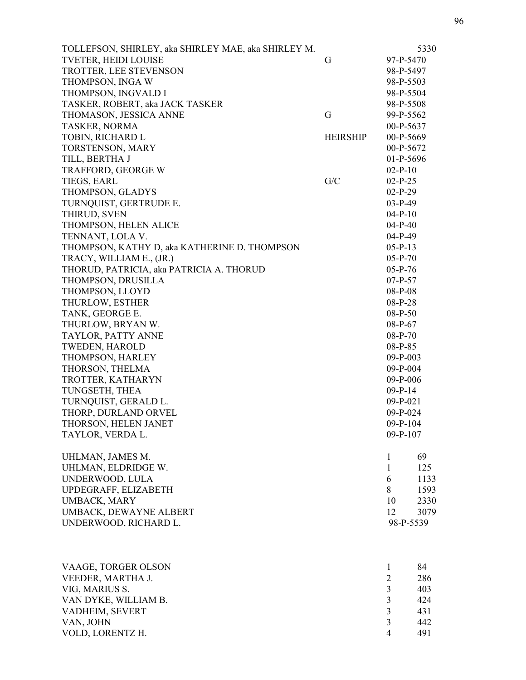| TOLLEFSON, SHIRLEY, aka SHIRLEY MAE, aka SHIRLEY M. |                 |                | 5330 |
|-----------------------------------------------------|-----------------|----------------|------|
| <b>TVETER, HEIDI LOUISE</b>                         | G               | 97-P-5470      |      |
| TROTTER, LEE STEVENSON                              |                 | 98-P-5497      |      |
| THOMPSON, INGA W                                    |                 | 98-P-5503      |      |
| THOMPSON, INGVALD I                                 |                 | 98-P-5504      |      |
| TASKER, ROBERT, aka JACK TASKER                     |                 | 98-P-5508      |      |
| THOMASON, JESSICA ANNE                              | G               | 99-P-5562      |      |
| TASKER, NORMA                                       |                 | 00-P-5637      |      |
| TOBIN, RICHARD L                                    | <b>HEIRSHIP</b> | 00-P-5669      |      |
| TORSTENSON, MARY                                    |                 | 00-P-5672      |      |
| TILL, BERTHA J                                      |                 | 01-P-5696      |      |
| TRAFFORD, GEORGE W                                  |                 | $02-P-10$      |      |
| TIEGS, EARL                                         | G/C             | $02-P-25$      |      |
| THOMPSON, GLADYS                                    |                 | $02-P-29$      |      |
| TURNQUIST, GERTRUDE E.                              |                 | $03-P-49$      |      |
| THIRUD, SVEN                                        |                 | $04-P-10$      |      |
| THOMPSON, HELEN ALICE                               |                 | $04-P-40$      |      |
| TENNANT, LOLA V.                                    |                 | $04-P-49$      |      |
| THOMPSON, KATHY D, aka KATHERINE D. THOMPSON        |                 | $05-P-13$      |      |
| TRACY, WILLIAM E., (JR.)                            |                 | $05-P-70$      |      |
| THORUD, PATRICIA, aka PATRICIA A. THORUD            |                 | $05-P-76$      |      |
| THOMPSON, DRUSILLA                                  |                 | $07-P-57$      |      |
| THOMPSON, LLOYD                                     |                 | 08-P-08        |      |
| THURLOW, ESTHER                                     |                 | $08-P-28$      |      |
| TANK, GEORGE E.                                     |                 | $08-P-50$      |      |
| THURLOW, BRYAN W.                                   |                 | 08-P-67        |      |
| TAYLOR, PATTY ANNE                                  |                 | $08-P-70$      |      |
| <b>TWEDEN, HAROLD</b>                               |                 | 08-P-85        |      |
| THOMPSON, HARLEY                                    |                 | $09-P-003$     |      |
| THORSON, THELMA                                     |                 | $09-P-004$     |      |
| TROTTER, KATHARYN                                   |                 | 09-P-006       |      |
| TUNGSETH, THEA                                      |                 | $09-P-14$      |      |
| TURNQUIST, GERALD L.                                |                 | $09-P-021$     |      |
| THORP, DURLAND ORVEL                                |                 | 09-P-024       |      |
| THORSON, HELEN JANET                                |                 | $09-P-104$     |      |
| TAYLOR, VERDA L.                                    |                 | $09-P-107$     |      |
| UHLMAN, JAMES M.                                    |                 | 1              | 69   |
| UHLMAN, ELDRIDGE W.                                 |                 | $\mathbf{1}$   | 125  |
| UNDERWOOD, LULA                                     |                 | 6              | 1133 |
| UPDEGRAFF, ELIZABETH                                |                 | 8              | 1593 |
| UMBACK, MARY                                        |                 | 10             | 2330 |
| UMBACK, DEWAYNE ALBERT                              |                 | 12             | 3079 |
| UNDERWOOD, RICHARD L.                               |                 | 98-P-5539      |      |
|                                                     |                 |                |      |
| VAAGE, TORGER OLSON                                 |                 | 1              | 84   |
| VEEDER, MARTHA J.                                   |                 | 2              | 286  |
| VIG, MARIUS S.                                      |                 | $\overline{3}$ | 403  |
| VAN DYKE, WILLIAM B.                                |                 | 3              | 424  |
| VADHEIM, SEVERT                                     |                 | $\overline{3}$ | 431  |
| VAN, JOHN                                           |                 | $\overline{3}$ | 442  |
| VOLD, LORENTZ H.                                    |                 | $\overline{4}$ | 491  |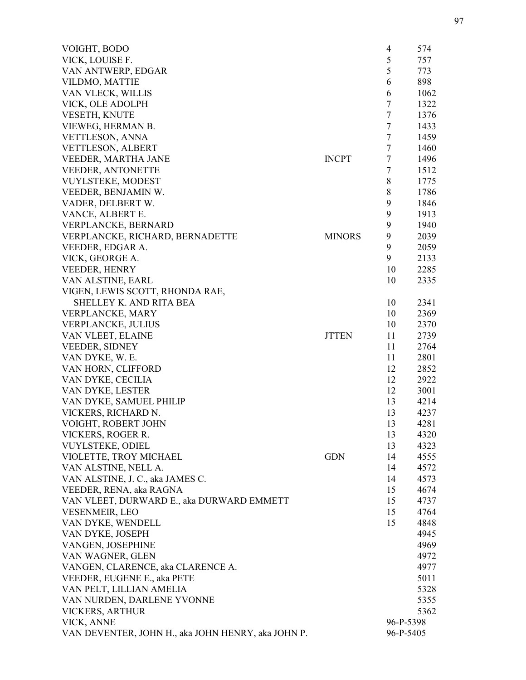| VOIGHT, BODO                                       |               | $\overline{4}$ | 574  |
|----------------------------------------------------|---------------|----------------|------|
| VICK, LOUISE F.                                    |               | 5              | 757  |
| VAN ANTWERP, EDGAR                                 |               | 5              | 773  |
| VILDMO, MATTIE                                     |               | 6              | 898  |
| VAN VLECK, WILLIS                                  |               | 6              | 1062 |
| VICK, OLE ADOLPH                                   |               | $\tau$         | 1322 |
| VESETH, KNUTE                                      |               | $\tau$         | 1376 |
| VIEWEG, HERMAN B.                                  |               | $\tau$         | 1433 |
| VETTLESON, ANNA                                    |               | $\tau$         | 1459 |
| <b>VETTLESON, ALBERT</b>                           |               | $\tau$         | 1460 |
| <b>VEEDER, MARTHA JANE</b>                         | <b>INCPT</b>  | $\tau$         | 1496 |
| <b>VEEDER, ANTONETTE</b>                           |               | $\tau$         | 1512 |
| <b>VUYLSTEKE, MODEST</b>                           |               | 8              | 1775 |
| VEEDER, BENJAMIN W.                                |               | 8              | 1786 |
| VADER, DELBERT W.                                  |               | 9              | 1846 |
| VANCE, ALBERT E.                                   |               | 9              | 1913 |
| VERPLANCKE, BERNARD                                |               | 9              | 1940 |
| VERPLANCKE, RICHARD, BERNADETTE                    | <b>MINORS</b> | 9              | 2039 |
| VEEDER, EDGAR A.                                   |               | 9              | 2059 |
| VICK, GEORGE A.                                    |               | 9              | 2133 |
| <b>VEEDER, HENRY</b>                               |               | 10             | 2285 |
| VAN ALSTINE, EARL                                  |               | 10             | 2335 |
| VIGEN, LEWIS SCOTT, RHONDA RAE,                    |               |                |      |
| SHELLEY K. AND RITA BEA                            |               | 10             | 2341 |
| VERPLANCKE, MARY                                   |               | 10             | 2369 |
| <b>VERPLANCKE, JULIUS</b>                          |               | 10             | 2370 |
| VAN VLEET, ELAINE                                  | <b>JTTEN</b>  | 11             | 2739 |
| <b>VEEDER, SIDNEY</b>                              |               | 11             | 2764 |
| VAN DYKE, W. E.                                    |               | 11             | 2801 |
| VAN HORN, CLIFFORD                                 |               | 12             | 2852 |
| VAN DYKE, CECILIA                                  |               | 12             | 2922 |
| VAN DYKE, LESTER                                   |               | 12             | 3001 |
| VAN DYKE, SAMUEL PHILIP                            |               | 13             | 4214 |
| VICKERS, RICHARD N.                                |               | 13             | 4237 |
| VOIGHT, ROBERT JOHN                                |               | 13             | 4281 |
| VICKERS, ROGER R.                                  |               | 13             | 4320 |
| <b>VUYLSTEKE, ODIEL</b>                            |               | 13             | 4323 |
| VIOLETTE, TROY MICHAEL                             | <b>GDN</b>    | 14             | 4555 |
| VAN ALSTINE, NELL A.                               |               | 14             | 4572 |
| VAN ALSTINE, J. C., aka JAMES C.                   |               | 14             | 4573 |
| VEEDER, RENA, aka RAGNA                            |               | 15             | 4674 |
| VAN VLEET, DURWARD E., aka DURWARD EMMETT          |               | 15             | 4737 |
| <b>VESENMEIR, LEO</b>                              |               | 15             | 4764 |
| VAN DYKE, WENDELL                                  |               | 15             | 4848 |
| VAN DYKE, JOSEPH                                   |               |                | 4945 |
| VANGEN, JOSEPHINE                                  |               |                | 4969 |
| VAN WAGNER, GLEN                                   |               |                | 4972 |
| VANGEN, CLARENCE, aka CLARENCE A.                  |               |                | 4977 |
| VEEDER, EUGENE E., aka PETE                        |               |                | 5011 |
| VAN PELT, LILLIAN AMELIA                           |               |                | 5328 |
| VAN NURDEN, DARLENE YVONNE                         |               |                | 5355 |
| VICKERS, ARTHUR                                    |               |                | 5362 |
| VICK, ANNE                                         |               | 96-P-5398      |      |
| VAN DEVENTER, JOHN H., aka JOHN HENRY, aka JOHN P. |               | 96-P-5405      |      |
|                                                    |               |                |      |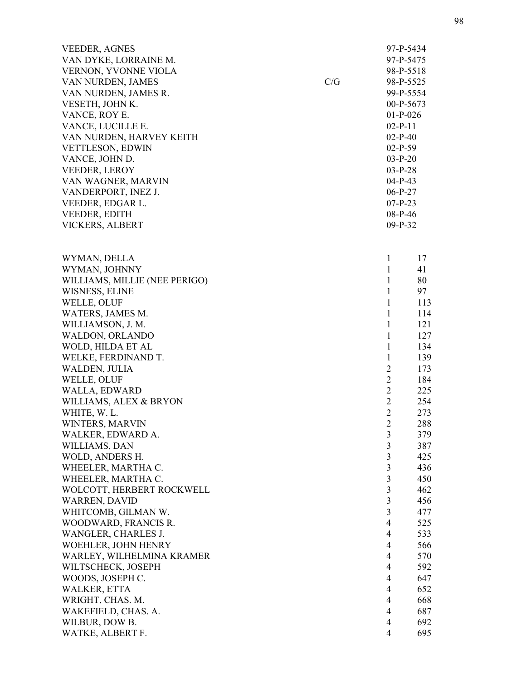| <b>VEEDER, AGNES</b>          |     |                | 97-P-5434   |
|-------------------------------|-----|----------------|-------------|
| VAN DYKE, LORRAINE M.         |     |                | 97-P-5475   |
| VERNON, YVONNE VIOLA          |     |                | 98-P-5518   |
| VAN NURDEN, JAMES             | C/G |                | 98-P-5525   |
| VAN NURDEN, JAMES R.          |     |                | 99-P-5554   |
| VESETH, JOHN K.               |     |                | $00-P-5673$ |
| VANCE, ROY E.                 |     | $01-P-026$     |             |
| VANCE, LUCILLE E.             |     | $02-P-11$      |             |
| VAN NURDEN, HARVEY KEITH      |     | $02-P-40$      |             |
| VETTLESON, EDWIN              |     | $02-P-59$      |             |
| VANCE, JOHN D.                |     | $03-P-20$      |             |
| <b>VEEDER, LEROY</b>          |     | $03-P-28$      |             |
| VAN WAGNER, MARVIN            |     | $04-P-43$      |             |
| VANDERPORT, INEZ J.           |     | $06-P-27$      |             |
| VEEDER, EDGAR L.              |     | $07-P-23$      |             |
| VEEDER, EDITH                 |     | $08-P-46$      |             |
| VICKERS, ALBERT               |     | $09-P-32$      |             |
| WYMAN, DELLA                  |     | 1              | 17          |
| WYMAN, JOHNNY                 |     | $\mathbf{1}$   | 41          |
| WILLIAMS, MILLIE (NEE PERIGO) |     | $\mathbf{1}$   | 80          |
| WISNESS, ELINE                |     | $\mathbf{1}$   | 97          |
| WELLE, OLUF                   |     | $\mathbf{1}$   | 113         |
| WATERS, JAMES M.              |     | $\mathbf{1}$   | 114         |
| WILLIAMSON, J. M.             |     | $\mathbf{1}$   | 121         |
| WALDON, ORLANDO               |     | $\mathbf{1}$   | 127         |
| WOLD, HILDA ET AL             |     | $\mathbf{1}$   | 134         |
| WELKE, FERDINAND T.           |     | $\mathbf{1}$   | 139         |
| WALDEN, JULIA                 |     | $\overline{2}$ | 173         |
| WELLE, OLUF                   |     | $\overline{2}$ | 184         |
| WALLA, EDWARD                 |     | $\overline{2}$ | 225         |
| WILLIAMS, ALEX & BRYON        |     | $\overline{2}$ | 254         |
| WHITE, W. L.                  |     | $\overline{2}$ | 273         |
| WINTERS, MARVIN               |     | $\overline{2}$ | 288         |
| WALKER, EDWARD A.             |     | $\mathfrak{Z}$ | 379         |
| WILLIAMS, DAN                 |     | $\mathfrak{Z}$ | 387         |
| WOLD, ANDERS H.               |     | $\mathfrak{Z}$ | 425         |
| WHEELER, MARTHA C.            |     | 3              | 436         |
| WHEELER, MARTHA C.            |     | $\overline{3}$ | 450         |
| WOLCOTT, HERBERT ROCKWELL     |     | $\overline{3}$ | 462         |
| WARREN, DAVID                 |     | $\overline{3}$ | 456         |
| WHITCOMB, GILMAN W.           |     | 3              | 477         |
| WOODWARD, FRANCIS R.          |     | $\overline{4}$ | 525         |
| WANGLER, CHARLES J.           |     | $\overline{4}$ | 533         |
| WOEHLER, JOHN HENRY           |     | $\overline{4}$ | 566         |
| WARLEY, WILHELMINA KRAMER     |     | $\overline{4}$ | 570         |
| WILTSCHECK, JOSEPH            |     | $\overline{4}$ | 592         |
| WOODS, JOSEPH C.              |     | $\overline{4}$ | 647         |
| <b>WALKER, ETTA</b>           |     | $\overline{4}$ | 652         |
| WRIGHT, CHAS. M.              |     | $\overline{4}$ | 668         |
| WAKEFIELD, CHAS. A.           |     | $\overline{4}$ | 687         |
| WILBUR, DOW B.                |     | $\overline{4}$ | 692         |
| WATKE, ALBERT F.              |     | 4              | 695         |
|                               |     |                |             |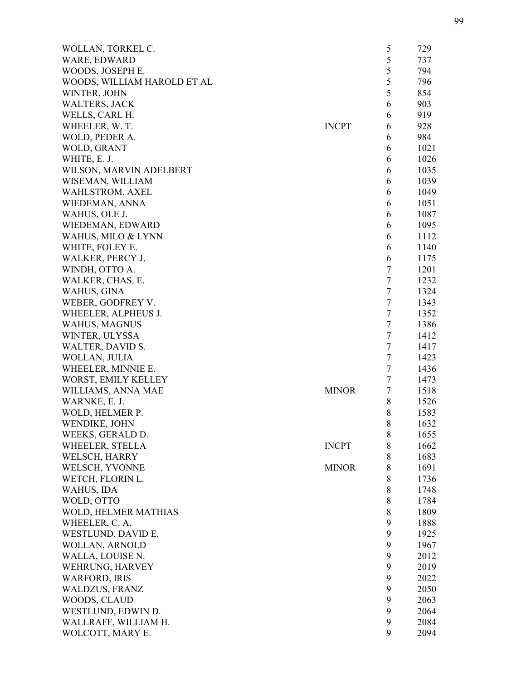| WOLLAN, TORKEL C.                       |              | 5      | 729          |
|-----------------------------------------|--------------|--------|--------------|
| WARE, EDWARD                            |              | 5      | 737          |
| WOODS, JOSEPH E.                        |              | 5      | 794          |
| WOODS, WILLIAM HAROLD ET AL             |              | 5      | 796          |
| WINTER, JOHN                            |              | 5      | 854          |
| <b>WALTERS, JACK</b>                    |              | 6      | 903          |
| WELLS, CARL H.                          |              | 6      | 919          |
| WHEELER, W.T.                           | <b>INCPT</b> | 6      | 928          |
| WOLD, PEDER A.                          |              | 6      | 984          |
| WOLD, GRANT                             |              | 6      | 1021         |
| WHITE, E. J.                            |              | 6      | 1026         |
| WILSON, MARVIN ADELBERT                 |              | 6      | 1035         |
| WISEMAN, WILLIAM                        |              | 6      | 1039         |
| WAHLSTROM, AXEL                         |              | 6      | 1049         |
| WIEDEMAN, ANNA                          |              | 6      | 1051         |
| WAHUS, OLE J.                           |              | 6      | 1087         |
| WIEDEMAN, EDWARD                        |              | 6      | 1095         |
| WAHUS, MILO & LYNN                      |              | 6      | 1112         |
| WHITE, FOLEY E.                         |              | 6      | 1140         |
| WALKER, PERCY J.                        |              | 6      | 1175         |
| WINDH, OTTO A.                          |              | 7      | 1201         |
| WALKER, CHAS. E.                        |              | $\tau$ | 1232         |
| WAHUS, GINA                             |              | $\tau$ | 1324         |
| WEBER, GODFREY V.                       |              | $\tau$ | 1343         |
| WHEELER, ALPHEUS J.                     |              | $\tau$ | 1352         |
| <b>WAHUS, MAGNUS</b>                    |              | 7      | 1386         |
| WINTER, ULYSSA                          |              | 7      | 1412         |
| WALTER, DAVID S.                        |              | $\tau$ | 1417         |
| WOLLAN, JULIA                           |              | $\tau$ | 1423         |
| WHEELER, MINNIE E.                      |              | $\tau$ | 1436         |
| WORST, EMILY KELLEY                     |              | $\tau$ | 1473         |
| WILLIAMS, ANNA MAE                      | <b>MINOR</b> | $\tau$ | 1518         |
| WARNKE, E. J.                           |              | 8      | 1526         |
| WOLD, HELMER P.                         |              | 8      | 1583         |
| WENDIKE, JOHN                           |              | 8      | 1632         |
| WEEKS, GERALD D.                        |              | 8      | 1655         |
| WHEELER, STELLA                         | <b>INCPT</b> | 8      | 1662         |
| WELSCH, HARRY                           |              | 8      | 1683         |
| WELSCH, YVONNE                          | <b>MINOR</b> | 8      | 1691         |
| WETCH, FLORIN L.                        |              | 8      | 1736         |
| WAHUS, IDA                              |              | $8\,$  | 1748         |
| WOLD, OTTO                              |              | 8      | 1784         |
| WOLD, HELMER MATHIAS                    |              | 8      | 1809         |
| WHEELER, C. A.                          |              | 9      |              |
| WESTLUND, DAVID E.                      |              | 9      | 1888<br>1925 |
| WOLLAN, ARNOLD                          |              | 9      | 1967         |
|                                         |              | 9      | 2012         |
| WALLA, LOUISE N.                        |              | 9      |              |
| WEHRUNG, HARVEY<br><b>WARFORD, IRIS</b> |              | 9      | 2019<br>2022 |
| <b>WALDZUS, FRANZ</b>                   |              | 9      | 2050         |
|                                         |              | 9      |              |
| WOODS, CLAUD                            |              | 9      | 2063         |
| WESTLUND, EDWIN D.                      |              | 9      | 2064         |
| WALLRAFF, WILLIAM H.                    |              | 9      | 2084         |
| WOLCOTT, MARY E.                        |              |        | 2094         |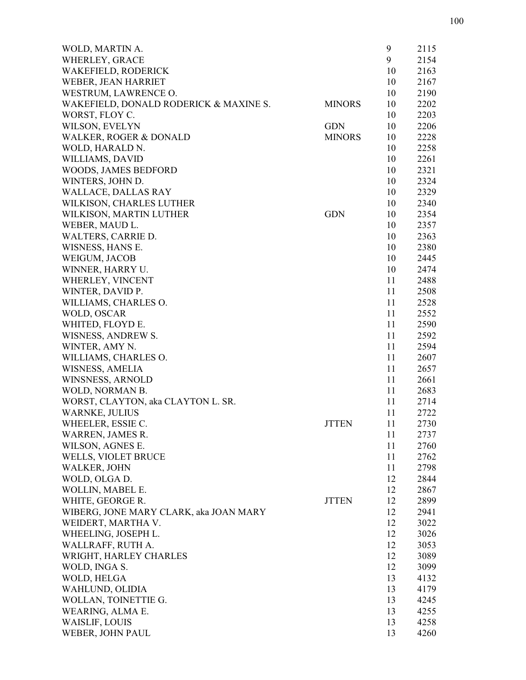| WOLD, MARTIN A.                        |               | 9  | 2115 |
|----------------------------------------|---------------|----|------|
| WHERLEY, GRACE                         |               | 9  | 2154 |
| <b>WAKEFIELD, RODERICK</b>             |               | 10 | 2163 |
| WEBER, JEAN HARRIET                    |               | 10 | 2167 |
| WESTRUM, LAWRENCE O.                   |               | 10 | 2190 |
| WAKEFIELD, DONALD RODERICK & MAXINE S. | <b>MINORS</b> | 10 | 2202 |
| WORST, FLOY C.                         |               | 10 | 2203 |
| WILSON, EVELYN                         | <b>GDN</b>    | 10 | 2206 |
| WALKER, ROGER & DONALD                 | <b>MINORS</b> | 10 | 2228 |
| WOLD, HARALD N.                        |               | 10 | 2258 |
| WILLIAMS, DAVID                        |               | 10 | 2261 |
| WOODS, JAMES BEDFORD                   |               | 10 | 2321 |
| WINTERS, JOHN D.                       |               | 10 | 2324 |
| <b>WALLACE, DALLAS RAY</b>             |               | 10 | 2329 |
| WILKISON, CHARLES LUTHER               |               | 10 | 2340 |
| WILKISON, MARTIN LUTHER                | <b>GDN</b>    | 10 | 2354 |
| WEBER, MAUD L.                         |               | 10 | 2357 |
| WALTERS, CARRIE D.                     |               | 10 | 2363 |
| WISNESS, HANS E.                       |               | 10 | 2380 |
| WEIGUM, JACOB                          |               | 10 | 2445 |
| WINNER, HARRY U.                       |               | 10 | 2474 |
| WHERLEY, VINCENT                       |               | 11 | 2488 |
| WINTER, DAVID P.                       |               | 11 | 2508 |
| WILLIAMS, CHARLES O.                   |               | 11 | 2528 |
| WOLD, OSCAR                            |               | 11 | 2552 |
| WHITED, FLOYD E.                       |               | 11 | 2590 |
| WISNESS, ANDREW S.                     |               | 11 | 2592 |
| WINTER, AMY N.                         |               | 11 | 2594 |
| WILLIAMS, CHARLES O.                   |               | 11 | 2607 |
| WISNESS, AMELIA                        |               | 11 | 2657 |
| WINSNESS, ARNOLD                       |               | 11 | 2661 |
| WOLD, NORMAN B.                        |               | 11 | 2683 |
| WORST, CLAYTON, aka CLAYTON L. SR.     |               | 11 | 2714 |
| <b>WARNKE, JULIUS</b>                  |               | 11 | 2722 |
| WHEELER, ESSIE C.                      | <b>JTTEN</b>  | 11 | 2730 |
| WARREN, JAMES R.                       |               | 11 | 2737 |
| WILSON, AGNES E.                       |               | 11 | 2760 |
| WELLS, VIOLET BRUCE                    |               | 11 | 2762 |
| WALKER, JOHN                           |               | 11 | 2798 |
| WOLD, OLGA D.                          |               | 12 | 2844 |
| WOLLIN, MABEL E.                       |               | 12 | 2867 |
| WHITE, GEORGE R.                       | <b>JTTEN</b>  | 12 | 2899 |
| WIBERG, JONE MARY CLARK, aka JOAN MARY |               | 12 | 2941 |
| WEIDERT, MARTHA V.                     |               | 12 | 3022 |
| WHEELING, JOSEPH L.                    |               | 12 | 3026 |
| WALLRAFF, RUTH A.                      |               | 12 | 3053 |
| WRIGHT, HARLEY CHARLES                 |               | 12 | 3089 |
| WOLD, INGA S.                          |               | 12 | 3099 |
| WOLD, HELGA                            |               | 13 | 4132 |
| WAHLUND, OLIDIA                        |               | 13 | 4179 |
| WOLLAN, TOINETTIE G.                   |               | 13 | 4245 |
| WEARING, ALMA E.                       |               | 13 | 4255 |
| WAISLIF, LOUIS                         |               | 13 | 4258 |
| WEBER, JOHN PAUL                       |               | 13 | 4260 |
|                                        |               |    |      |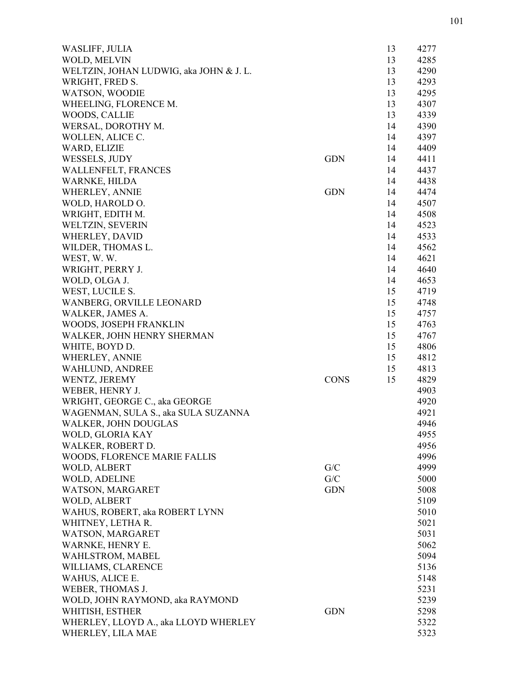| WASLIFF, JULIA                          |             | 13 | 4277 |
|-----------------------------------------|-------------|----|------|
| WOLD, MELVIN                            |             | 13 | 4285 |
| WELTZIN, JOHAN LUDWIG, aka JOHN & J. L. |             | 13 | 4290 |
| WRIGHT, FRED S.                         |             | 13 | 4293 |
| <b>WATSON, WOODIE</b>                   |             | 13 | 4295 |
| WHEELING, FLORENCE M.                   |             | 13 | 4307 |
| WOODS, CALLIE                           |             | 13 | 4339 |
| WERSAL, DOROTHY M.                      |             | 14 | 4390 |
| WOLLEN, ALICE C.                        |             | 14 | 4397 |
| WARD, ELIZIE                            |             | 14 | 4409 |
| WESSELS, JUDY                           | <b>GDN</b>  | 14 | 4411 |
| <b>WALLENFELT, FRANCES</b>              |             | 14 | 4437 |
| WARNKE, HILDA                           |             | 14 | 4438 |
| WHERLEY, ANNIE                          | <b>GDN</b>  | 14 | 4474 |
| WOLD, HAROLD O.                         |             | 14 | 4507 |
| WRIGHT, EDITH M.                        |             | 14 | 4508 |
| WELTZIN, SEVERIN                        |             | 14 | 4523 |
| <b>WHERLEY, DAVID</b>                   |             | 14 | 4533 |
| WILDER, THOMAS L.                       |             | 14 | 4562 |
| WEST, W.W.                              |             | 14 | 4621 |
| WRIGHT, PERRY J.                        |             | 14 | 4640 |
| WOLD, OLGA J.                           |             | 14 | 4653 |
| WEST, LUCILE S.                         |             | 15 | 4719 |
| WANBERG, ORVILLE LEONARD                |             | 15 | 4748 |
| WALKER, JAMES A.                        |             | 15 | 4757 |
| WOODS, JOSEPH FRANKLIN                  |             | 15 | 4763 |
| WALKER, JOHN HENRY SHERMAN              |             | 15 | 4767 |
| WHITE, BOYD D.                          |             | 15 | 4806 |
| WHERLEY, ANNIE                          |             | 15 | 4812 |
| WAHLUND, ANDREE                         |             | 15 | 4813 |
| WENTZ, JEREMY                           | <b>CONS</b> | 15 | 4829 |
| WEBER, HENRY J.                         |             |    | 4903 |
| WRIGHT, GEORGE C., aka GEORGE           |             |    | 4920 |
| WAGENMAN, SULA S., aka SULA SUZANNA     |             |    | 4921 |
| <b>WALKER, JOHN DOUGLAS</b>             |             |    | 4946 |
| WOLD, GLORIA KAY                        |             |    | 4955 |
| WALKER, ROBERT D.                       |             |    | 4956 |
| WOODS, FLORENCE MARIE FALLIS            |             |    | 4996 |
| WOLD, ALBERT                            | G/C         |    | 4999 |
| WOLD, ADELINE                           | G/C         |    | 5000 |
| WATSON, MARGARET                        | <b>GDN</b>  |    | 5008 |
| WOLD, ALBERT                            |             |    | 5109 |
| WAHUS, ROBERT, aka ROBERT LYNN          |             |    | 5010 |
| WHITNEY, LETHA R.                       |             |    | 5021 |
| WATSON, MARGARET                        |             |    | 5031 |
| WARNKE, HENRY E.                        |             |    | 5062 |
| WAHLSTROM, MABEL                        |             |    | 5094 |
| WILLIAMS, CLARENCE                      |             |    | 5136 |
| WAHUS, ALICE E.                         |             |    | 5148 |
| WEBER, THOMAS J.                        |             |    | 5231 |
| WOLD, JOHN RAYMOND, aka RAYMOND         |             |    | 5239 |
| WHITISH, ESTHER                         | <b>GDN</b>  |    | 5298 |
| WHERLEY, LLOYD A., aka LLOYD WHERLEY    |             |    | 5322 |
| WHERLEY, LILA MAE                       |             |    | 5323 |
|                                         |             |    |      |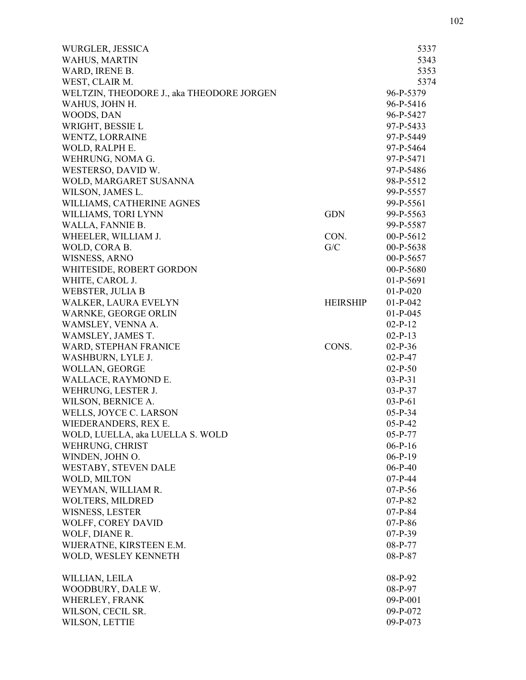| <b>WAHUS, MARTIN</b><br>WARD, IRENE B.<br>WEST, CLAIR M.<br>WELTZIN, THEODORE J., aka THEODORE JORGEN<br>WAHUS, JOHN H.<br>WOODS, DAN<br>WRIGHT, BESSIE L<br>WENTZ, LORRAINE<br>WOLD, RALPH E.<br>WEHRUNG, NOMA G.<br>WESTERSO, DAVID W.<br>WOLD, MARGARET SUSANNA | 5343<br>5353<br>5374<br>96-P-5379<br>96-P-5416<br>96-P-5427<br>97-P-5433<br>97-P-5449<br>97-P-5464 |
|--------------------------------------------------------------------------------------------------------------------------------------------------------------------------------------------------------------------------------------------------------------------|----------------------------------------------------------------------------------------------------|
|                                                                                                                                                                                                                                                                    |                                                                                                    |
|                                                                                                                                                                                                                                                                    |                                                                                                    |
|                                                                                                                                                                                                                                                                    |                                                                                                    |
|                                                                                                                                                                                                                                                                    |                                                                                                    |
|                                                                                                                                                                                                                                                                    |                                                                                                    |
|                                                                                                                                                                                                                                                                    |                                                                                                    |
|                                                                                                                                                                                                                                                                    |                                                                                                    |
|                                                                                                                                                                                                                                                                    |                                                                                                    |
|                                                                                                                                                                                                                                                                    |                                                                                                    |
|                                                                                                                                                                                                                                                                    | 97-P-5471                                                                                          |
|                                                                                                                                                                                                                                                                    | 97-P-5486                                                                                          |
|                                                                                                                                                                                                                                                                    | 98-P-5512                                                                                          |
| WILSON, JAMES L.                                                                                                                                                                                                                                                   |                                                                                                    |
|                                                                                                                                                                                                                                                                    | 99-P-5557                                                                                          |
| WILLIAMS, CATHERINE AGNES                                                                                                                                                                                                                                          | 99-P-5561                                                                                          |
| WILLIAMS, TORI LYNN<br><b>GDN</b>                                                                                                                                                                                                                                  | 99-P-5563                                                                                          |
| WALLA, FANNIE B.                                                                                                                                                                                                                                                   | 99-P-5587                                                                                          |
| WHEELER, WILLIAM J.<br>CON.                                                                                                                                                                                                                                        | $00-P-5612$                                                                                        |
| WOLD, CORA B.<br>G/C                                                                                                                                                                                                                                               | 00-P-5638                                                                                          |
| <b>WISNESS, ARNO</b>                                                                                                                                                                                                                                               | $00-P-5657$                                                                                        |
| WHITESIDE, ROBERT GORDON                                                                                                                                                                                                                                           | 00-P-5680                                                                                          |
| WHITE, CAROL J.                                                                                                                                                                                                                                                    | $01-P-5691$                                                                                        |
| WEBSTER, JULIA B                                                                                                                                                                                                                                                   | $01-P-020$                                                                                         |
| WALKER, LAURA EVELYN<br><b>HEIRSHIP</b>                                                                                                                                                                                                                            | $01-P-042$                                                                                         |
| WARNKE, GEORGE ORLIN                                                                                                                                                                                                                                               | $01-P-045$                                                                                         |
| WAMSLEY, VENNA A.                                                                                                                                                                                                                                                  | $02-P-12$                                                                                          |
| WAMSLEY, JAMES T.                                                                                                                                                                                                                                                  | $02-P-13$                                                                                          |
| WARD, STEPHAN FRANICE<br>CONS.                                                                                                                                                                                                                                     | $02-P-36$                                                                                          |
| WASHBURN, LYLE J.                                                                                                                                                                                                                                                  | $02-P-47$                                                                                          |
| WOLLAN, GEORGE                                                                                                                                                                                                                                                     | $02-P-50$                                                                                          |
| WALLACE, RAYMOND E.                                                                                                                                                                                                                                                | $03-P-31$                                                                                          |
| WEHRUNG, LESTER J.                                                                                                                                                                                                                                                 | $03-P-37$                                                                                          |
| WILSON, BERNICE A.                                                                                                                                                                                                                                                 | $03-P-61$                                                                                          |
| WELLS, JOYCE C. LARSON                                                                                                                                                                                                                                             | $05-P-34$                                                                                          |
| WIEDERANDERS, REX E.                                                                                                                                                                                                                                               | $05-P-42$                                                                                          |
| WOLD, LUELLA, aka LUELLA S. WOLD                                                                                                                                                                                                                                   | $05-P-77$                                                                                          |
| WEHRUNG, CHRIST                                                                                                                                                                                                                                                    | $06-P-16$                                                                                          |
| WINDEN, JOHN O.                                                                                                                                                                                                                                                    | $06-P-19$                                                                                          |
| WESTABY, STEVEN DALE                                                                                                                                                                                                                                               | $06-P-40$                                                                                          |
| WOLD, MILTON                                                                                                                                                                                                                                                       |                                                                                                    |
|                                                                                                                                                                                                                                                                    | $07-P-44$                                                                                          |
| WEYMAN, WILLIAM R.                                                                                                                                                                                                                                                 | $07-P-56$                                                                                          |
| WOLTERS, MILDRED                                                                                                                                                                                                                                                   | $07-P-82$                                                                                          |
| <b>WISNESS, LESTER</b>                                                                                                                                                                                                                                             | $07-P-84$                                                                                          |
| WOLFF, COREY DAVID                                                                                                                                                                                                                                                 | $07-P-86$                                                                                          |
| WOLF, DIANE R.                                                                                                                                                                                                                                                     | $07-P-39$                                                                                          |
| WIJERATNE, KIRSTEEN E.M.                                                                                                                                                                                                                                           | 08-P-77                                                                                            |
| WOLD, WESLEY KENNETH                                                                                                                                                                                                                                               | 08-P-87                                                                                            |
| WILLIAN, LEILA                                                                                                                                                                                                                                                     | 08-P-92                                                                                            |
| WOODBURY, DALE W.                                                                                                                                                                                                                                                  | 08-P-97                                                                                            |
| WHERLEY, FRANK                                                                                                                                                                                                                                                     | $09-P-001$                                                                                         |
| WILSON, CECIL SR.                                                                                                                                                                                                                                                  | 09-P-072                                                                                           |
| WILSON, LETTIE                                                                                                                                                                                                                                                     | 09-P-073                                                                                           |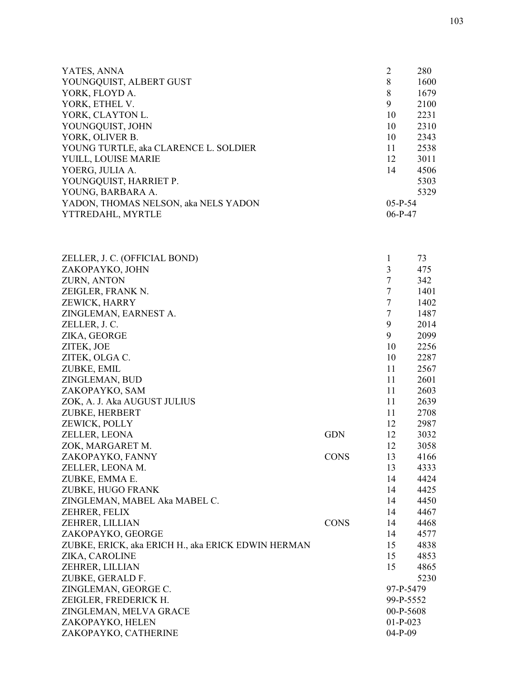|           | 280       |
|-----------|-----------|
| 8         | 1600      |
| 8         | 1679      |
| 9         | 2100      |
| 10        | 2231      |
| 10        | 2310      |
| 10        | 2343      |
| 11        | 2538      |
| 12        | 3011      |
| 14        | 4506      |
|           | 5303      |
|           | 5329      |
| $05-P-54$ |           |
|           |           |
|           | $06-P-47$ |

| ZELLER, J. C. (OFFICIAL BOND)                      |             | 1              | 73   |
|----------------------------------------------------|-------------|----------------|------|
| ZAKOPAYKO, JOHN                                    |             | 3              | 475  |
| ZURN, ANTON                                        |             | $\overline{7}$ | 342  |
| ZEIGLER, FRANK N.                                  |             | $\tau$         | 1401 |
| ZEWICK, HARRY                                      |             | $\overline{7}$ | 1402 |
| ZINGLEMAN, EARNEST A.                              |             | $\overline{7}$ | 1487 |
| ZELLER, J. C.                                      |             | 9              | 2014 |
| ZIKA, GEORGE                                       |             | 9              | 2099 |
| ZITEK, JOE                                         |             | 10             | 2256 |
| ZITEK, OLGA C.                                     |             | 10             | 2287 |
| ZUBKE, EMIL                                        |             | 11             | 2567 |
| ZINGLEMAN, BUD                                     |             | 11             | 2601 |
| ZAKOPAYKO, SAM                                     |             | 11             | 2603 |
| ZOK, A. J. Aka AUGUST JULIUS                       |             | 11             | 2639 |
| ZUBKE, HERBERT                                     |             | 11             | 2708 |
| ZEWICK, POLLY                                      |             | 12             | 2987 |
| ZELLER, LEONA                                      | <b>GDN</b>  | 12             | 3032 |
| ZOK, MARGARET M.                                   |             | 12             | 3058 |
| ZAKOPAYKO, FANNY                                   | <b>CONS</b> | 13             | 4166 |
| ZELLER, LEONA M.                                   |             | 13             | 4333 |
| ZUBKE, EMMA E.                                     |             | 14             | 4424 |
| ZUBKE, HUGO FRANK                                  |             | 14             | 4425 |
| ZINGLEMAN, MABEL Aka MABEL C.                      |             | 14             | 4450 |
| ZEHRER, FELIX                                      |             | 14             | 4467 |
| ZEHRER, LILLIAN                                    | <b>CONS</b> | 14             | 4468 |
| ZAKOPAYKO, GEORGE                                  |             | 14             | 4577 |
| ZUBKE, ERICK, aka ERICH H., aka ERICK EDWIN HERMAN |             | 15             | 4838 |
| ZIKA, CAROLINE                                     |             | 15             | 4853 |
| ZEHRER, LILLIAN                                    |             | 15             | 4865 |
| ZUBKE, GERALD F.                                   |             |                | 5230 |
| ZINGLEMAN, GEORGE C.                               |             | 97-P-5479      |      |
| ZEIGLER, FREDERICK H.                              |             | 99-P-5552      |      |
| ZINGLEMAN, MELVA GRACE                             |             | 00-P-5608      |      |
| ZAKOPAYKO, HELEN                                   |             | $01-P-023$     |      |
| ZAKOPAYKO, CATHERINE                               |             | $04-P-09$      |      |